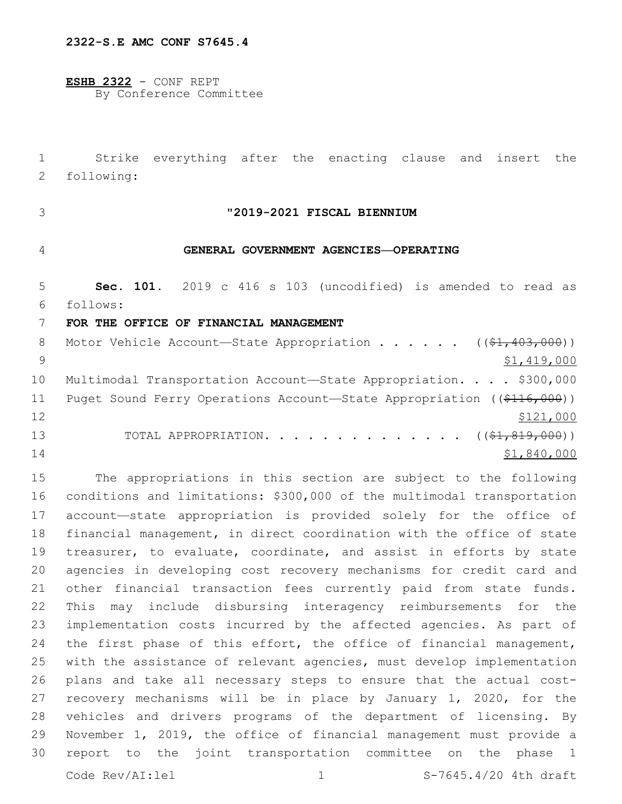**ESHB 2322** - CONF REPT By Conference Committee

 Strike everything after the enacting clause and insert the 2 following:

# **"2019-2021 FISCAL BIENNIUM**

# **GENERAL GOVERNMENT AGENCIES—OPERATING**

 **Sec. 101.** 2019 c 416 s 103 (uncodified) is amended to read as follows:

#### **FOR THE OFFICE OF FINANCIAL MANAGEMENT**

| 8  | Motor Vehicle Account-State Appropriation ( $(\frac{21}{7}403,000)$ )             |
|----|-----------------------------------------------------------------------------------|
|    | \$1,419,000                                                                       |
| 10 | Multimodal Transportation Account-State Appropriation. \$300,000                  |
| 11 | Puget Sound Ferry Operations Account-State Appropriation ( $(\frac{2116}{100})$ ) |
| 12 | \$121,000                                                                         |
| 13 | TOTAL APPROPRIATION. $($ $($ $\frac{21}{7}$ $\frac{819}{7}$ $\frac{000}{10})$     |
| 14 | \$1,840,000                                                                       |

 The appropriations in this section are subject to the following conditions and limitations: \$300,000 of the multimodal transportation account—state appropriation is provided solely for the office of financial management, in direct coordination with the office of state 19 treasurer, to evaluate, coordinate, and assist in efforts by state agencies in developing cost recovery mechanisms for credit card and other financial transaction fees currently paid from state funds. This may include disbursing interagency reimbursements for the implementation costs incurred by the affected agencies. As part of 24 the first phase of this effort, the office of financial management, with the assistance of relevant agencies, must develop implementation plans and take all necessary steps to ensure that the actual cost- recovery mechanisms will be in place by January 1, 2020, for the vehicles and drivers programs of the department of licensing. By November 1, 2019, the office of financial management must provide a report to the joint transportation committee on the phase 1 Code Rev/AI:lel 1 3-7645.4/20 4th draft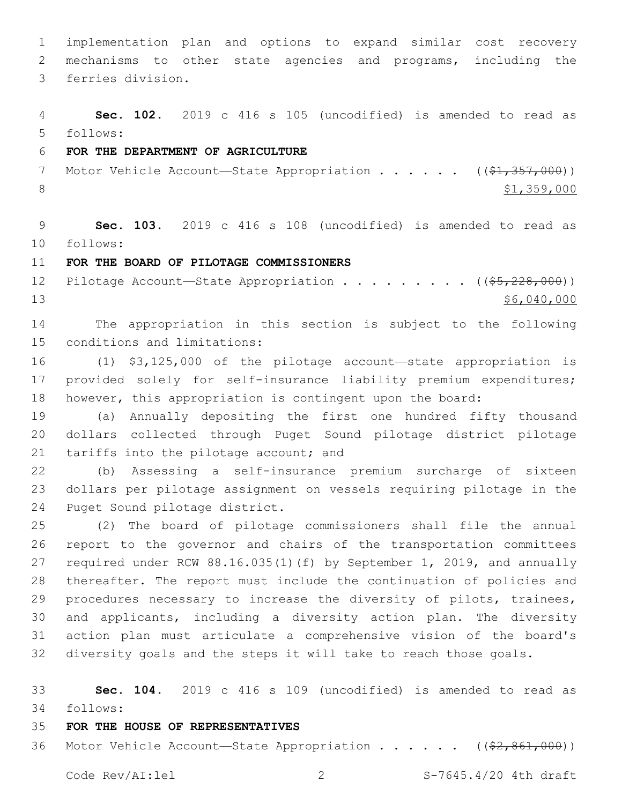implementation plan and options to expand similar cost recovery mechanisms to other state agencies and programs, including the 3 ferries division.

 **Sec. 102.** 2019 c 416 s 105 (uncodified) is amended to read as follows:

#### **FOR THE DEPARTMENT OF AGRICULTURE**

7 Motor Vehicle Account—State Appropriation . . . . . ((\$1,357,000)) 8  $\frac{$1,359,000}{ }$ 

 **Sec. 103.** 2019 c 416 s 108 (uncodified) is amended to read as follows:

#### **FOR THE BOARD OF PILOTAGE COMMISSIONERS**

12 Pilotage Account—State Appropriation . . . . . . . . ((\$5,228,000)) \$6,040,000

 The appropriation in this section is subject to the following 15 conditions and limitations:

 (1) \$3,125,000 of the pilotage account—state appropriation is provided solely for self-insurance liability premium expenditures; however, this appropriation is contingent upon the board:

 (a) Annually depositing the first one hundred fifty thousand dollars collected through Puget Sound pilotage district pilotage 21 tariffs into the pilotage account; and

 (b) Assessing a self-insurance premium surcharge of sixteen dollars per pilotage assignment on vessels requiring pilotage in the 24 Puget Sound pilotage district.

 (2) The board of pilotage commissioners shall file the annual report to the governor and chairs of the transportation committees required under RCW 88.16.035(1)(f) by September 1, 2019, and annually thereafter. The report must include the continuation of policies and procedures necessary to increase the diversity of pilots, trainees, and applicants, including a diversity action plan. The diversity action plan must articulate a comprehensive vision of the board's diversity goals and the steps it will take to reach those goals.

 **Sec. 104.** 2019 c 416 s 109 (uncodified) is amended to read as follows:

# **FOR THE HOUSE OF REPRESENTATIVES**

36 Motor Vehicle Account—State Appropriation . . . . . ((\$2,861,000))

Code Rev/AI:lel 2 S-7645.4/20 4th draft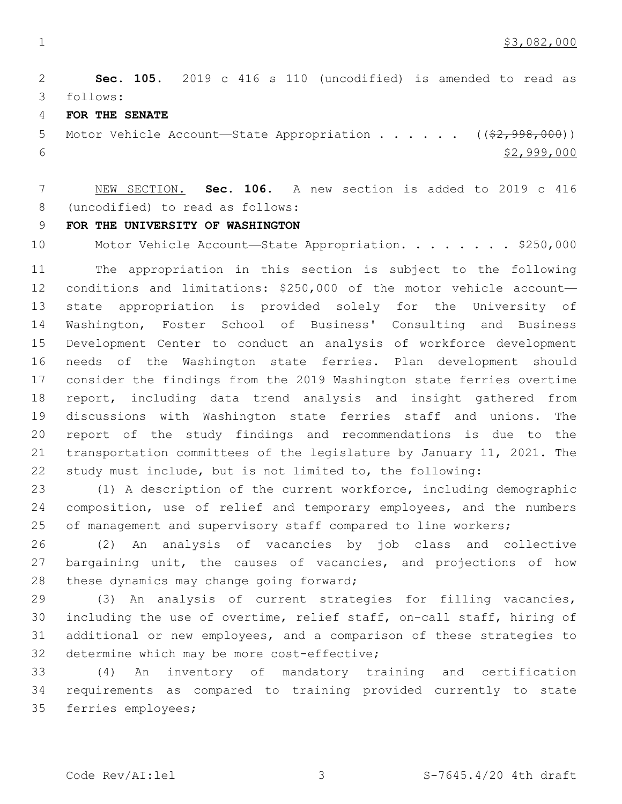**Sec. 105.** 2019 c 416 s 110 (uncodified) is amended to read as follows:

**FOR THE SENATE**

5 Motor Vehicle Account-State Appropriation . . . . . . ((\$2,998,000))  $$2,999,000$ 

 NEW SECTION. **Sec. 106.** A new section is added to 2019 c 416 (uncodified) to read as follows:

#### **FOR THE UNIVERSITY OF WASHINGTON**

10 Motor Vehicle Account—State Appropriation. . . . . . . \$250,000

 The appropriation in this section is subject to the following conditions and limitations: \$250,000 of the motor vehicle account— state appropriation is provided solely for the University of Washington, Foster School of Business' Consulting and Business Development Center to conduct an analysis of workforce development needs of the Washington state ferries. Plan development should consider the findings from the 2019 Washington state ferries overtime report, including data trend analysis and insight gathered from discussions with Washington state ferries staff and unions. The report of the study findings and recommendations is due to the transportation committees of the legislature by January 11, 2021. The study must include, but is not limited to, the following:

 (1) A description of the current workforce, including demographic composition, use of relief and temporary employees, and the numbers 25 of management and supervisory staff compared to line workers;

 (2) An analysis of vacancies by job class and collective 27 bargaining unit, the causes of vacancies, and projections of how 28 these dynamics may change going forward;

 (3) An analysis of current strategies for filling vacancies, including the use of overtime, relief staff, on-call staff, hiring of additional or new employees, and a comparison of these strategies to 32 determine which may be more cost-effective;

 (4) An inventory of mandatory training and certification requirements as compared to training provided currently to state 35 ferries employees;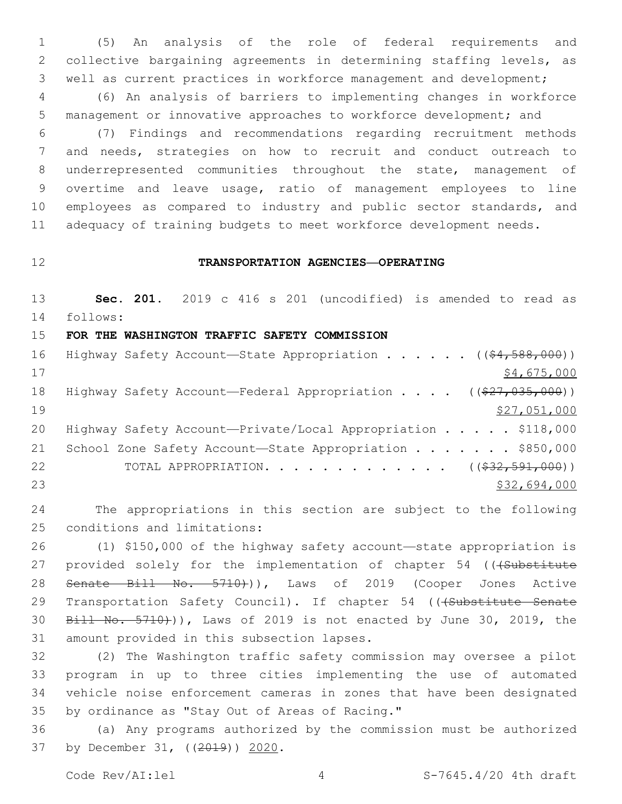1 (5) An analysis of the role of federal requirements and 2 collective bargaining agreements in determining staffing levels, as 3 well as current practices in workforce management and development;

4 (6) An analysis of barriers to implementing changes in workforce 5 management or innovative approaches to workforce development; and

 (7) Findings and recommendations regarding recruitment methods and needs, strategies on how to recruit and conduct outreach to underrepresented communities throughout the state, management of overtime and leave usage, ratio of management employees to line employees as compared to industry and public sector standards, and 11 adequacy of training budgets to meet workforce development needs.

### 12 **TRANSPORTATION AGENCIES—OPERATING**

13 **Sec. 201.** 2019 c 416 s 201 (uncodified) is amended to read as 14 follows:

15 **FOR THE WASHINGTON TRAFFIC SAFETY COMMISSION**

16 Highway Safety Account—State Appropriation . . . . . ((\$4,588,000))  $17$  \$4,675,000 18 Highway Safety Account—Federal Appropriation . . . . ((\$27,035,000)) 19 \$27,051,000 20 Highway Safety Account-Private/Local Appropriation . . . . \$118,000 21 School Zone Safety Account-State Appropriation . . . . . . \$850,000 22 TOTAL APPROPRIATION. . . . . . . . . . . . . ((\$32,591,000)) 23 \$32,694,000 \$32,694,000

24 The appropriations in this section are subject to the following 25 conditions and limitations:

26 (1) \$150,000 of the highway safety account—state appropriation is 27 provided solely for the implementation of chapter 54 (((Substitute 28 Senate Bill No. 5710+)), Laws of 2019 (Cooper Jones Active 29 Transportation Safety Council). If chapter 54 (((Substitute Senate 30 Bill No. 5710)), Laws of 2019 is not enacted by June 30, 2019, the 31 amount provided in this subsection lapses.

 (2) The Washington traffic safety commission may oversee a pilot program in up to three cities implementing the use of automated vehicle noise enforcement cameras in zones that have been designated 35 by ordinance as "Stay Out of Areas of Racing."

36 (a) Any programs authorized by the commission must be authorized 37 by December 31, ((2019)) 2020.

Code  $\text{Rev}/\text{AI}:$  lel  $\begin{array}{ccc} 4 & 4 & S-7645.4/20 & 4\text{th} & \text{draff} \end{array}$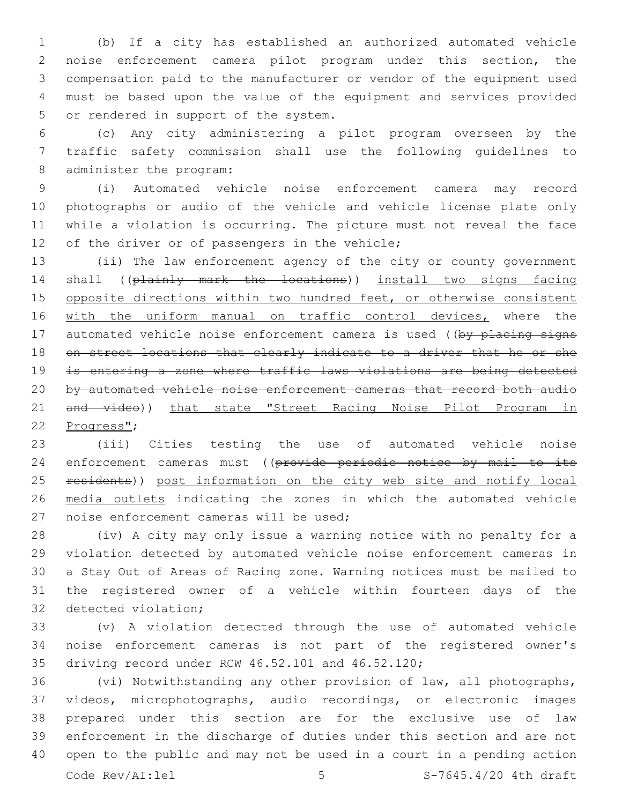(b) If a city has established an authorized automated vehicle noise enforcement camera pilot program under this section, the compensation paid to the manufacturer or vendor of the equipment used must be based upon the value of the equipment and services provided 5 or rendered in support of the system.

 (c) Any city administering a pilot program overseen by the traffic safety commission shall use the following guidelines to 8 administer the program:

 (i) Automated vehicle noise enforcement camera may record photographs or audio of the vehicle and vehicle license plate only while a violation is occurring. The picture must not reveal the face 12 of the driver or of passengers in the vehicle;

 (ii) The law enforcement agency of the city or county government 14 shall ((plainly mark the locations)) install two signs facing 15 opposite directions within two hundred feet, or otherwise consistent 16 with the uniform manual on traffic control devices, where the 17 automated vehicle noise enforcement camera is used ((by placing signs 18 on street locations that clearly indicate to a driver that he or she is entering a zone where traffic laws violations are being detected by automated vehicle noise enforcement cameras that record both audio 21 and video)) that state "Street Racing Noise Pilot Program in 22 Progress";

 (iii) Cities testing the use of automated vehicle noise 24 enforcement cameras must ((provide periodic notice by mail to its 25 residents)) post information on the city web site and notify local media outlets indicating the zones in which the automated vehicle 27 noise enforcement cameras will be used;

 (iv) A city may only issue a warning notice with no penalty for a violation detected by automated vehicle noise enforcement cameras in a Stay Out of Areas of Racing zone. Warning notices must be mailed to the registered owner of a vehicle within fourteen days of the 32 detected violation;

 (v) A violation detected through the use of automated vehicle noise enforcement cameras is not part of the registered owner's 35 driving record under RCW 46.52.101 and 46.52.120;

 (vi) Notwithstanding any other provision of law, all photographs, videos, microphotographs, audio recordings, or electronic images prepared under this section are for the exclusive use of law enforcement in the discharge of duties under this section and are not open to the public and may not be used in a court in a pending action Code  $\text{Rev}/\text{AI}:$  lel  $\qquad \qquad$  5  $\qquad \qquad$  S-7645.4/20 4th draft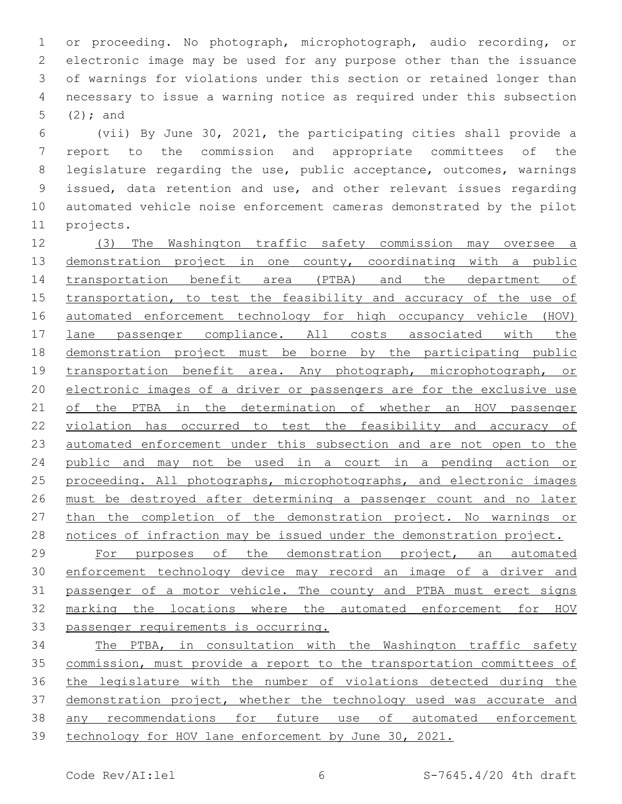or proceeding. No photograph, microphotograph, audio recording, or electronic image may be used for any purpose other than the issuance of warnings for violations under this section or retained longer than necessary to issue a warning notice as required under this subsection  $(2)$ ; and

 (vii) By June 30, 2021, the participating cities shall provide a report to the commission and appropriate committees of the legislature regarding the use, public acceptance, outcomes, warnings issued, data retention and use, and other relevant issues regarding automated vehicle noise enforcement cameras demonstrated by the pilot 11 projects.

 (3) The Washington traffic safety commission may oversee a 13 demonstration project in one county, coordinating with a public transportation benefit area (PTBA) and the department of 15 transportation, to test the feasibility and accuracy of the use of automated enforcement technology for high occupancy vehicle (HOV) 17 lane passenger compliance. All costs associated with the demonstration project must be borne by the participating public 19 transportation benefit area. Any photograph, microphotograph, or electronic images of a driver or passengers are for the exclusive use 21 of the PTBA in the determination of whether an HOV passenger violation has occurred to test the feasibility and accuracy of automated enforcement under this subsection and are not open to the public and may not be used in a court in a pending action or 25 proceeding. All photographs, microphotographs, and electronic images must be destroyed after determining a passenger count and no later 27 than the completion of the demonstration project. No warnings or notices of infraction may be issued under the demonstration project.

 For purposes of the demonstration project, an automated 30 enforcement technology device may record an image of a driver and passenger of a motor vehicle. The county and PTBA must erect signs marking the locations where the automated enforcement for HOV passenger requirements is occurring.

 The PTBA, in consultation with the Washington traffic safety commission, must provide a report to the transportation committees of the legislature with the number of violations detected during the demonstration project, whether the technology used was accurate and any recommendations for future use of automated enforcement technology for HOV lane enforcement by June 30, 2021.

Code Rev/AI:lel 6 S-7645.4/20 4th draft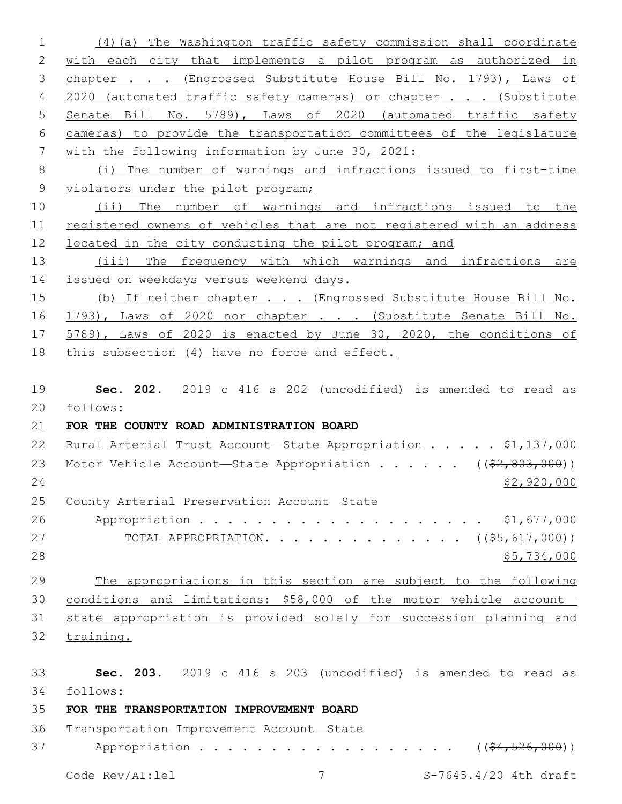1 (4)(a) The Washington traffic safety commission shall coordinate 2 with each city that implements a pilot program as authorized in 3 chapter . . . (Engrossed Substitute House Bill No. 1793), Laws of 4 2020 (automated traffic safety cameras) or chapter . . . (Substitute 5 Senate Bill No. 5789), Laws of 2020 (automated traffic safety 6 cameras) to provide the transportation committees of the legislature 7 with the following information by June 30, 2021: 8 (i) The number of warnings and infractions issued to first-time 9 violators under the pilot program; 10 (ii) The number of warnings and infractions issued to the 11 registered owners of vehicles that are not registered with an address 12 located in the city conducting the pilot program; and 13 (iii) The frequency with which warnings and infractions are 14 issued on weekdays versus weekend days. 15 (b) If neither chapter . . . (Engrossed Substitute House Bill No. 16 1793), Laws of 2020 nor chapter . . . (Substitute Senate Bill No. 17 5789), Laws of 2020 is enacted by June 30, 2020, the conditions of 18 this subsection (4) have no force and effect. 19 **Sec. 202.** 2019 c 416 s 202 (uncodified) is amended to read as 20 follows: 21 **FOR THE COUNTY ROAD ADMINISTRATION BOARD** 22 Rural Arterial Trust Account-State Appropriation . . . . \$1,137,000 23 Motor Vehicle Account—State Appropriation . . . . . ((\$2,803,000))  $24$  \$2,920,000 25 County Arterial Preservation Account-State 26 Appropriation . . . . . . . . . . . . . . . . . . \$1,677,000 27 TOTAL APPROPRIATION. . . . . . . . . . . . . ((<del>\$5,617,000</del>))  $28$  \$5,734,000 29 The appropriations in this section are subject to the following 30 conditions and limitations: \$58,000 of the motor vehicle account— 31 state appropriation is provided solely for succession planning and 32 training. 33 **Sec. 203.** 2019 c 416 s 203 (uncodified) is amended to read as 34 follows:

#### 35 **FOR THE TRANSPORTATION IMPROVEMENT BOARD**

36 Transportation Improvement Account-State 37 Appropriation . . . . . . . . . . . . . . . . (  $(\frac{64,526,000}{5})$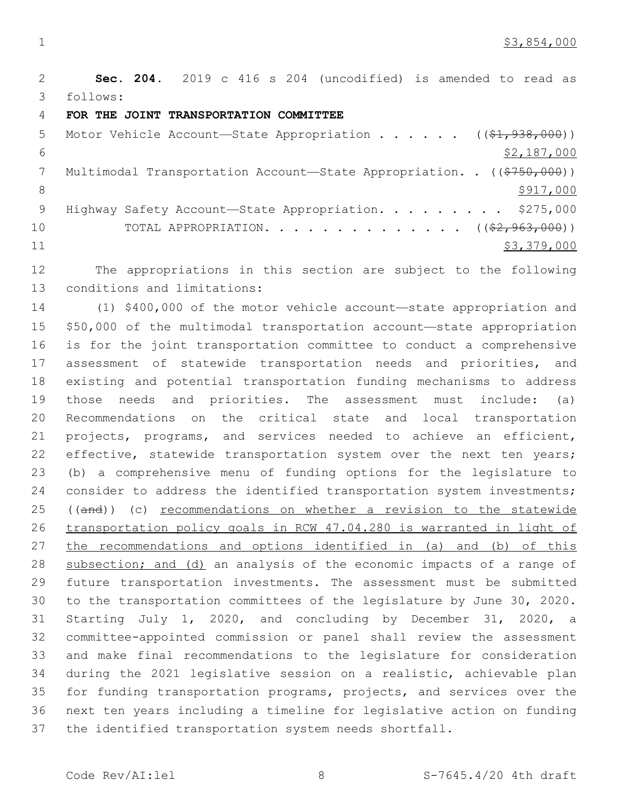\$3,854,000

 **Sec. 204.** 2019 c 416 s 204 (uncodified) is amended to read as follows:

**FOR THE JOINT TRANSPORTATION COMMITTEE**

| 5  | Motor Vehicle Account-State Appropriation ( $(\frac{21}{7}\cdot 938.000)$ ) |
|----|-----------------------------------------------------------------------------|
| 6  | \$2,187,000                                                                 |
|    | Multimodal Transportation Account-State Appropriation. . ((\$750,000))      |
|    | \$917,000                                                                   |
| 9  | Highway Safety Account-State Appropriation. \$275,000                       |
| 10 | TOTAL APPROPRIATION. $($ $($ $\frac{2}{7}$ , $963$ , $000)$ )               |
| 11 | \$3,379,000                                                                 |

 The appropriations in this section are subject to the following 13 conditions and limitations:

 (1) \$400,000 of the motor vehicle account—state appropriation and \$50,000 of the multimodal transportation account—state appropriation is for the joint transportation committee to conduct a comprehensive 17 assessment of statewide transportation needs and priorities, and existing and potential transportation funding mechanisms to address those needs and priorities. The assessment must include: (a) Recommendations on the critical state and local transportation projects, programs, and services needed to achieve an efficient, 22 effective, statewide transportation system over the next ten years; (b) a comprehensive menu of funding options for the legislature to 24 consider to address the identified transportation system investments; 25 ((and)) (c) recommendations on whether a revision to the statewide transportation policy goals in RCW 47.04.280 is warranted in light of 27 the recommendations and options identified in (a) and (b) of this 28 subsection; and (d) an analysis of the economic impacts of a range of future transportation investments. The assessment must be submitted to the transportation committees of the legislature by June 30, 2020. Starting July 1, 2020, and concluding by December 31, 2020, a committee-appointed commission or panel shall review the assessment and make final recommendations to the legislature for consideration during the 2021 legislative session on a realistic, achievable plan for funding transportation programs, projects, and services over the next ten years including a timeline for legislative action on funding the identified transportation system needs shortfall.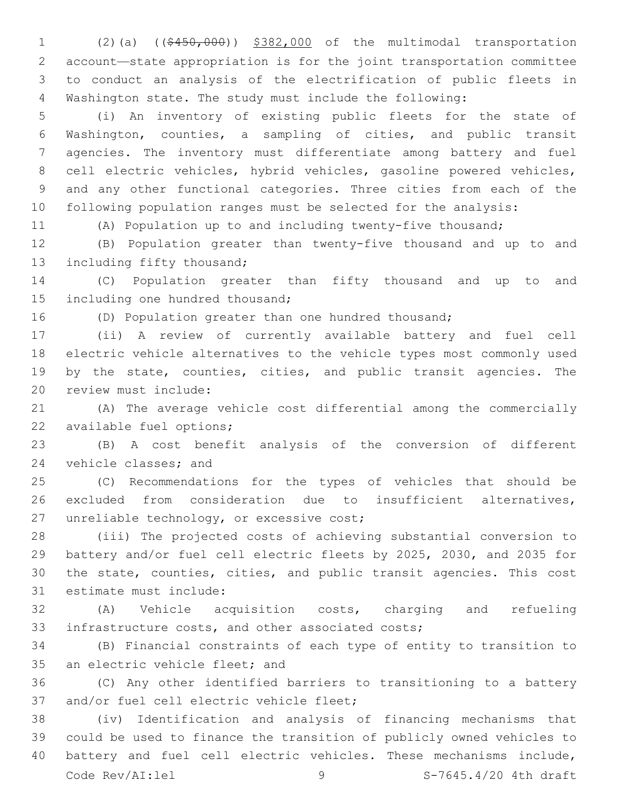(2)(a) ((\$450,000)) \$382,000 of the multimodal transportation account—state appropriation is for the joint transportation committee to conduct an analysis of the electrification of public fleets in Washington state. The study must include the following:

 (i) An inventory of existing public fleets for the state of Washington, counties, a sampling of cities, and public transit agencies. The inventory must differentiate among battery and fuel cell electric vehicles, hybrid vehicles, gasoline powered vehicles, and any other functional categories. Three cities from each of the following population ranges must be selected for the analysis:

(A) Population up to and including twenty-five thousand;

 (B) Population greater than twenty-five thousand and up to and 13 including fifty thousand;

 (C) Population greater than fifty thousand and up to and 15 including one hundred thousand;

(D) Population greater than one hundred thousand;

 (ii) A review of currently available battery and fuel cell electric vehicle alternatives to the vehicle types most commonly used by the state, counties, cities, and public transit agencies. The 20 review must include:

 (A) The average vehicle cost differential among the commercially 22 available fuel options;

 (B) A cost benefit analysis of the conversion of different 24 vehicle classes; and

 (C) Recommendations for the types of vehicles that should be excluded from consideration due to insufficient alternatives, 27 unreliable technology, or excessive cost;

 (iii) The projected costs of achieving substantial conversion to battery and/or fuel cell electric fleets by 2025, 2030, and 2035 for the state, counties, cities, and public transit agencies. This cost 31 estimate must include:

 (A) Vehicle acquisition costs, charging and refueling 33 infrastructure costs, and other associated costs;

 (B) Financial constraints of each type of entity to transition to 35 an electric vehicle fleet; and

 (C) Any other identified barriers to transitioning to a battery 37 and/or fuel cell electric vehicle fleet;

 (iv) Identification and analysis of financing mechanisms that could be used to finance the transition of publicly owned vehicles to battery and fuel cell electric vehicles. These mechanisms include, Code Rev/AI:lel 9 9 S-7645.4/20 4th draft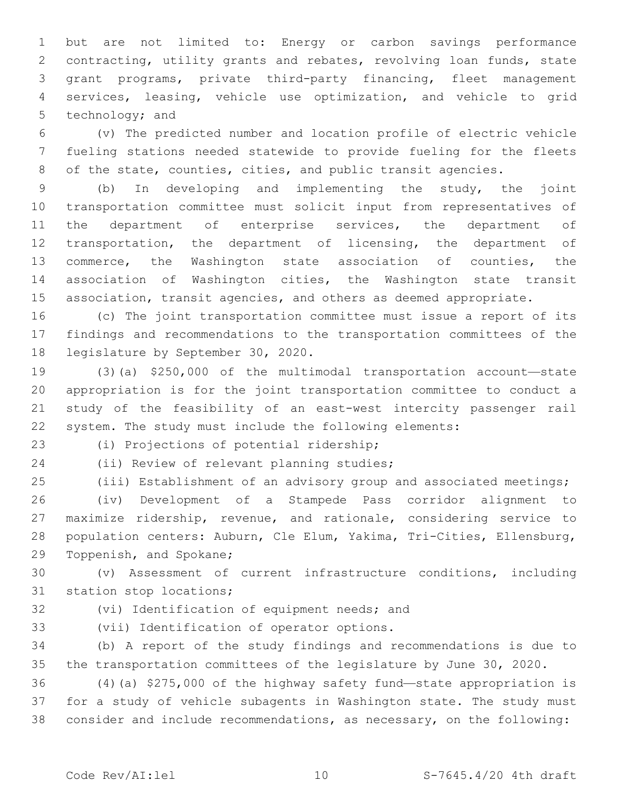but are not limited to: Energy or carbon savings performance contracting, utility grants and rebates, revolving loan funds, state grant programs, private third-party financing, fleet management services, leasing, vehicle use optimization, and vehicle to grid 5 technology; and

 (v) The predicted number and location profile of electric vehicle fueling stations needed statewide to provide fueling for the fleets 8 of the state, counties, cities, and public transit agencies.

 (b) In developing and implementing the study, the joint transportation committee must solicit input from representatives of 11 the department of enterprise services, the department of transportation, the department of licensing, the department of commerce, the Washington state association of counties, the association of Washington cities, the Washington state transit 15 association, transit agencies, and others as deemed appropriate.

 (c) The joint transportation committee must issue a report of its findings and recommendations to the transportation committees of the 18 legislature by September 30, 2020.

 (3)(a) \$250,000 of the multimodal transportation account—state appropriation is for the joint transportation committee to conduct a study of the feasibility of an east-west intercity passenger rail system. The study must include the following elements:

(i) Projections of potential ridership;23

24 (ii) Review of relevant planning studies;

(iii) Establishment of an advisory group and associated meetings;

 (iv) Development of a Stampede Pass corridor alignment to maximize ridership, revenue, and rationale, considering service to population centers: Auburn, Cle Elum, Yakima, Tri-Cities, Ellensburg, 29 Toppenish, and Spokane;

 (v) Assessment of current infrastructure conditions, including 31 station stop locations;

32 (vi) Identification of equipment needs; and

33 (vii) Identification of operator options.

 (b) A report of the study findings and recommendations is due to the transportation committees of the legislature by June 30, 2020.

 (4)(a) \$275,000 of the highway safety fund—state appropriation is for a study of vehicle subagents in Washington state. The study must consider and include recommendations, as necessary, on the following: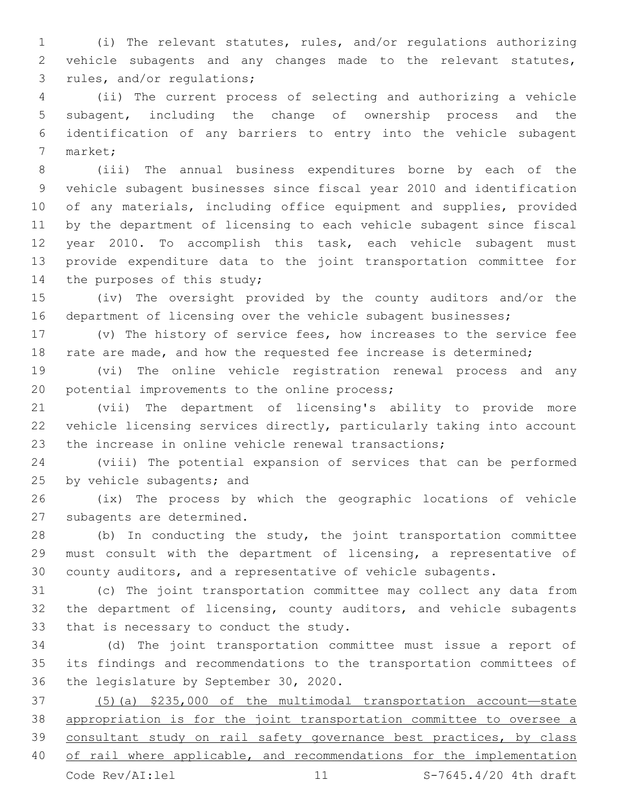(i) The relevant statutes, rules, and/or regulations authorizing vehicle subagents and any changes made to the relevant statutes, 3 rules, and/or regulations;

 (ii) The current process of selecting and authorizing a vehicle subagent, including the change of ownership process and the identification of any barriers to entry into the vehicle subagent 7 market;

 (iii) The annual business expenditures borne by each of the vehicle subagent businesses since fiscal year 2010 and identification of any materials, including office equipment and supplies, provided by the department of licensing to each vehicle subagent since fiscal year 2010. To accomplish this task, each vehicle subagent must provide expenditure data to the joint transportation committee for 14 the purposes of this study;

 (iv) The oversight provided by the county auditors and/or the 16 department of licensing over the vehicle subagent businesses;

 (v) The history of service fees, how increases to the service fee 18 rate are made, and how the requested fee increase is determined;

 (vi) The online vehicle registration renewal process and any 20 potential improvements to the online process;

 (vii) The department of licensing's ability to provide more vehicle licensing services directly, particularly taking into account the increase in online vehicle renewal transactions;

 (viii) The potential expansion of services that can be performed 25 by vehicle subagents; and

 (ix) The process by which the geographic locations of vehicle 27 subagents are determined.

 (b) In conducting the study, the joint transportation committee must consult with the department of licensing, a representative of county auditors, and a representative of vehicle subagents.

 (c) The joint transportation committee may collect any data from the department of licensing, county auditors, and vehicle subagents 33 that is necessary to conduct the study.

 (d) The joint transportation committee must issue a report of its findings and recommendations to the transportation committees of 36 the legislature by September 30, 2020.

 (5)(a) \$235,000 of the multimodal transportation account—state appropriation is for the joint transportation committee to oversee a consultant study on rail safety governance best practices, by class 40 of rail where applicable, and recommendations for the implementation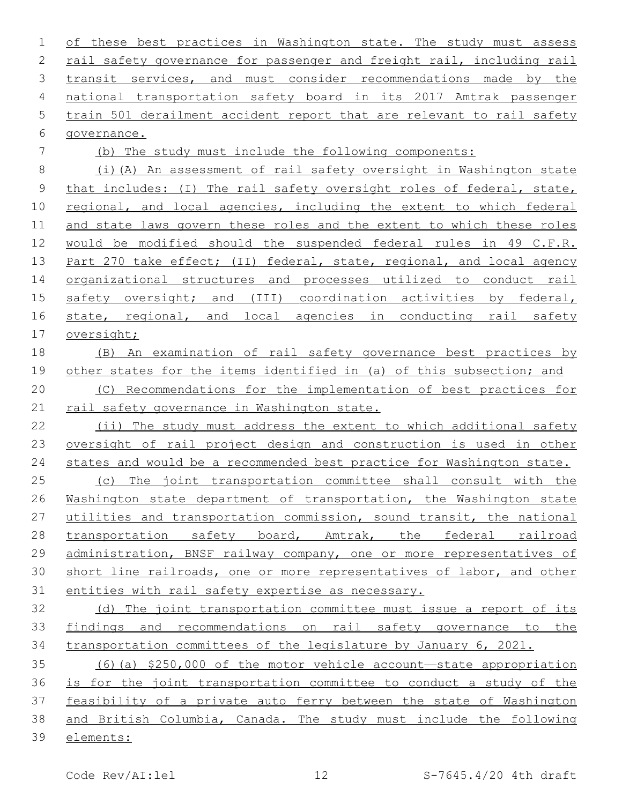of these best practices in Washington state. The study must assess rail safety governance for passenger and freight rail, including rail 3 transit services, and must consider recommendations made by the national transportation safety board in its 2017 Amtrak passenger train 501 derailment accident report that are relevant to rail safety 6 qovernance. (b) The study must include the following components: (i)(A) An assessment of rail safety oversight in Washington state 9 that includes: (I) The rail safety oversight roles of federal, state, 10 regional, and local agencies, including the extent to which federal 11 and state laws govern these roles and the extent to which these roles

 would be modified should the suspended federal rules in 49 C.F.R. 13 Part 270 take effect; (II) federal, state, regional, and local agency organizational structures and processes utilized to conduct rail 15 safety oversight; and (III) coordination activities by federal, 16 state, regional, and local agencies in conducting rail safety oversight;

# (B) An examination of rail safety governance best practices by other states for the items identified in (a) of this subsection; and (C) Recommendations for the implementation of best practices for

rail safety governance in Washington state.

 (ii) The study must address the extent to which additional safety oversight of rail project design and construction is used in other states and would be a recommended best practice for Washington state. (c) The joint transportation committee shall consult with the

26 Washington state department of transportation, the Washington state utilities and transportation commission, sound transit, the national 28 transportation safety board, Amtrak, the federal railroad administration, BNSF railway company, one or more representatives of short line railroads, one or more representatives of labor, and other entities with rail safety expertise as necessary.

 (d) The joint transportation committee must issue a report of its findings and recommendations on rail safety governance to the transportation committees of the legislature by January 6, 2021.

 (6)(a) \$250,000 of the motor vehicle account—state appropriation is for the joint transportation committee to conduct a study of the feasibility of a private auto ferry between the state of Washington and British Columbia, Canada. The study must include the following elements: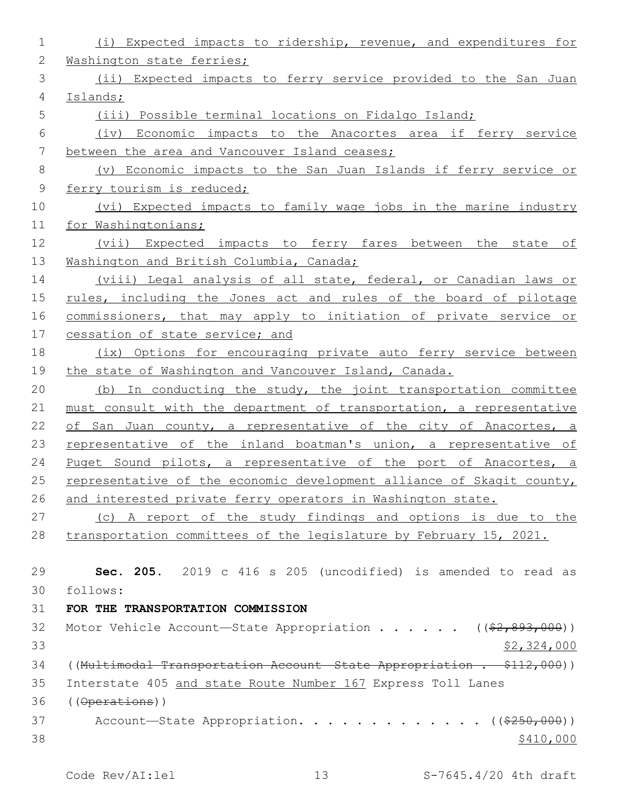| 1           | (i) Expected impacts to ridership, revenue, and expenditures for        |
|-------------|-------------------------------------------------------------------------|
| 2           | Washington state ferries;                                               |
| 3           | (ii) Expected impacts to ferry service provided to the San Juan         |
| 4           | Islands;                                                                |
| 5           | (iii) Possible terminal locations on Fidalgo Island;                    |
| 6           | (iv) Economic impacts to the Anacortes area if ferry service            |
| 7           | between the area and Vancouver Island ceases;                           |
| 8           | (v) Economic impacts to the San Juan Islands if ferry service or        |
| $\mathsf 9$ | ferry tourism is reduced;                                               |
| 10          | (vi) Expected impacts to family wage jobs in the marine industry        |
| 11          | for Washingtonians;                                                     |
| 12          | (vii) Expected impacts to ferry fares between the state of              |
| 13          | Washington and British Columbia, Canada;                                |
| 14          | (viii) Legal analysis of all state, federal, or Canadian laws or        |
| 15          | rules, including the Jones act and rules of the board of pilotage       |
| 16          | commissioners, that may apply to initiation of private service or       |
| 17          | cessation of state service; and                                         |
| 18          | (ix) Options for encouraging private auto ferry service between         |
| 19          | the state of Washington and Vancouver Island, Canada.                   |
| 20          | (b) In conducting the study, the joint transportation committee         |
| 21          | must consult with the department of transportation, a representative    |
| 22          | of San Juan county, a representative of the city of Anacortes, a        |
| 23          | representative of the inland boatman's union, a representative of       |
| 24          | Puget Sound pilots, a representative of the port of Anacortes, a        |
| 25          | representative of the economic development alliance of Skagit county,   |
| 26          | and interested private ferry operators in Washington state.             |
| 27          | (c) A report of the study findings and options is due to the            |
| 28          | transportation committees of the legislature by February 15, 2021.      |
| 29          | Sec. 205. 2019 c 416 s 205 (uncodified) is amended to read as           |
| 30          | follows:                                                                |
| 31          | FOR THE TRANSPORTATION COMMISSION                                       |
| 32          | Motor Vehicle Account-State Appropriation ( $(\frac{2}{2}, 893, 000)$ ) |
| 33          | \$2,324,000                                                             |
| 34          | ((Multimodal Transportation Account State Appropriation . \$112,000))   |
| 35          | Interstate 405 and state Route Number 167 Express Toll Lanes            |
| 36          |                                                                         |
| 37          | Account-State Appropriation. ((\$250,000))                              |
| 38          | \$410,000                                                               |
|             |                                                                         |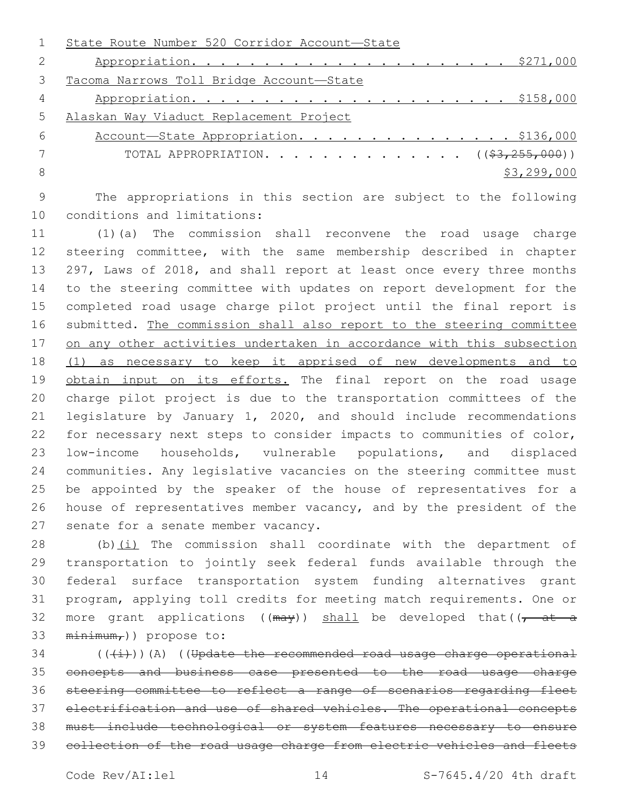|               | State Route Number 520 Corridor Account-State    |
|---------------|--------------------------------------------------|
| $\mathcal{L}$ |                                                  |
| 3             | Tacoma Narrows Toll Bridge Account-State         |
| 4             |                                                  |
| 5             | Alaskan Way Viaduct Replacement Project          |
| 6             | Account-State Appropriation. \$136,000           |
|               | TOTAL APPROPRIATION. ( $(\frac{23}{7255},000)$ ) |
| -8            | \$3,299,000                                      |
|               |                                                  |

 The appropriations in this section are subject to the following 10 conditions and limitations:

 (1)(a) The commission shall reconvene the road usage charge steering committee, with the same membership described in chapter 297, Laws of 2018, and shall report at least once every three months to the steering committee with updates on report development for the completed road usage charge pilot project until the final report is submitted. The commission shall also report to the steering committee on any other activities undertaken in accordance with this subsection (1) as necessary to keep it apprised of new developments and to 19 obtain input on its efforts. The final report on the road usage charge pilot project is due to the transportation committees of the legislature by January 1, 2020, and should include recommendations for necessary next steps to consider impacts to communities of color, low-income households, vulnerable populations, and displaced communities. Any legislative vacancies on the steering committee must be appointed by the speaker of the house of representatives for a house of representatives member vacancy, and by the president of the 27 senate for a senate member vacancy.

 (b)(i) The commission shall coordinate with the department of transportation to jointly seek federal funds available through the federal surface transportation system funding alternatives grant program, applying toll credits for meeting match requirements. One or 32 more grant applications ( $(\text{max})$ ) shall be developed that( $\sqrt{t}$  at a  $minimum<sub>r</sub>$ ) propose to:

 ( $(\frac{1}{1})$ )(A) ((Update the recommended road usage charge operational concepts and business case presented to the road usage charge steering committee to reflect a range of scenarios regarding fleet electrification and use of shared vehicles. The operational concepts must include technological or system features necessary to ensure collection of the road usage charge from electric vehicles and fleets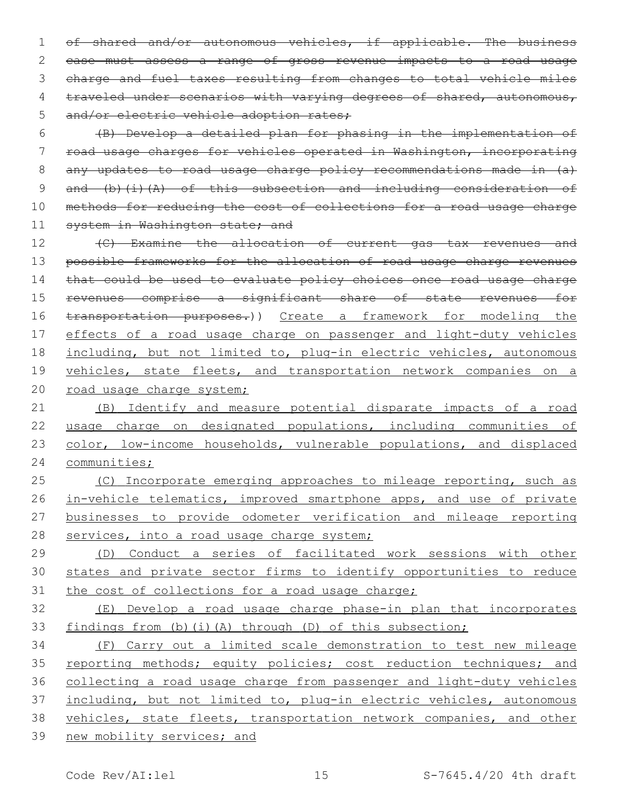1 of shared and/or autonomous vehicles, if applicable. The business 2 case must assess a range of gross revenue impacts to a road usage 3 charge and fuel taxes resulting from changes to total vehicle miles 4 traveled under scenarios with varying degrees of shared, autonomous, 5 and/or electric vehicle adoption rates;

6 (B) Develop a detailed plan for phasing in the implementation of 7 road usage charges for vehicles operated in Washington, incorporating 8 any updates to road usage charge policy recommendations made in (a) 9 and (b)(i)(A) of this subsection and including consideration of 10 methods for reducing the cost of collections for a road usage charge 11 system in Washington state; and

12 (C) Examine the allocation of current gas tax revenues and 13 possible frameworks for the allocation of road usage charge revenues 14 that could be used to evaluate policy choices once road usage charge 15 revenues comprise a significant share of state revenues for 16 transportation purposes.)) Create a framework for modeling the 17 effects of a road usage charge on passenger and light-duty vehicles 18 including, but not limited to, plug-in electric vehicles, autonomous 19 vehicles, state fleets, and transportation network companies on a 20 road usage charge system;

 (B) Identify and measure potential disparate impacts of a road usage charge on designated populations, including communities of 23 color, low-income households, vulnerable populations, and displaced communities;

25 (C) Incorporate emerging approaches to mileage reporting, such as 26 in-vehicle telematics, improved smartphone apps, and use of private 27 businesses to provide odometer verification and mileage reporting 28 services, into a road usage charge system;

29 (D) Conduct a series of facilitated work sessions with other 30 states and private sector firms to identify opportunities to reduce 31 the cost of collections for a road usage charge;

32 (E) Develop a road usage charge phase-in plan that incorporates 33 findings from (b)(i)(A) through (D) of this subsection;

 (F) Carry out a limited scale demonstration to test new mileage 35 reporting methods; equity policies; cost reduction techniques; and collecting a road usage charge from passenger and light-duty vehicles 37 including, but not limited to, plug-in electric vehicles, autonomous vehicles, state fleets, transportation network companies, and other new mobility services; and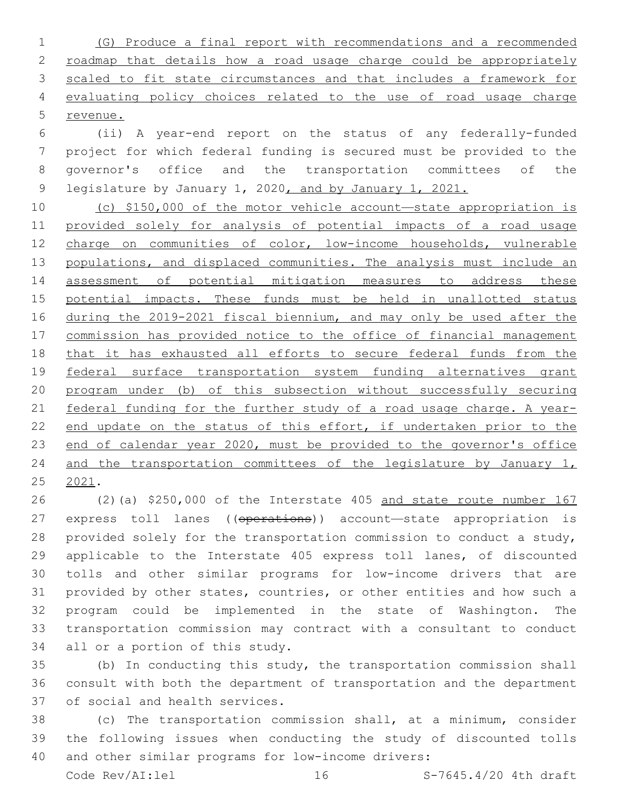(G) Produce a final report with recommendations and a recommended 2 roadmap that details how a road usage charge could be appropriately scaled to fit state circumstances and that includes a framework for evaluating policy choices related to the use of road usage charge revenue.

 (ii) A year-end report on the status of any federally-funded project for which federal funding is secured must be provided to the governor's office and the transportation committees of the 9 legislature by January 1, 2020, and by January 1, 2021.

 (c) \$150,000 of the motor vehicle account—state appropriation is provided solely for analysis of potential impacts of a road usage charge on communities of color, low-income households, vulnerable 13 populations, and displaced communities. The analysis must include an assessment of potential mitigation measures to address these potential impacts. These funds must be held in unallotted status during the 2019-2021 fiscal biennium, and may only be used after the commission has provided notice to the office of financial management that it has exhausted all efforts to secure federal funds from the federal surface transportation system funding alternatives grant program under (b) of this subsection without successfully securing federal funding for the further study of a road usage charge. A year-22 end update on the status of this effort, if undertaken prior to the end of calendar year 2020, must be provided to the governor's office 24 and the transportation committees of the legislature by January 1, 2021.

 (2)(a) \$250,000 of the Interstate 405 and state route number 167 27 express toll lanes ((operations)) account—state appropriation is provided solely for the transportation commission to conduct a study, applicable to the Interstate 405 express toll lanes, of discounted tolls and other similar programs for low-income drivers that are provided by other states, countries, or other entities and how such a program could be implemented in the state of Washington. The transportation commission may contract with a consultant to conduct 34 all or a portion of this study.

 (b) In conducting this study, the transportation commission shall consult with both the department of transportation and the department 37 of social and health services.

 (c) The transportation commission shall, at a minimum, consider the following issues when conducting the study of discounted tolls and other similar programs for low-income drivers:

Code  $\text{Rev}/\text{AI:}$  lel  $\qquad \qquad 16$  S-7645.4/20 4th draft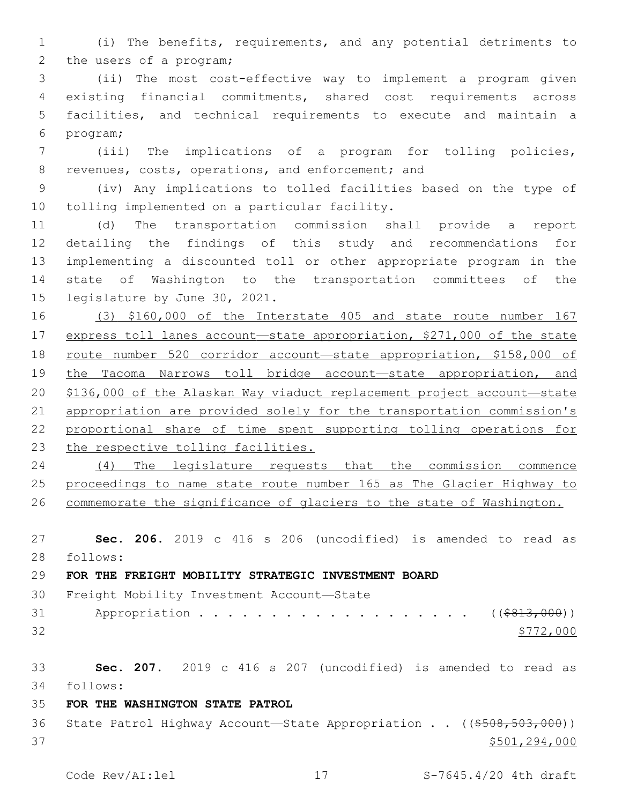(i) The benefits, requirements, and any potential detriments to 2 the users of a program;

 (ii) The most cost-effective way to implement a program given existing financial commitments, shared cost requirements across facilities, and technical requirements to execute and maintain a 6 program;

 (iii) The implications of a program for tolling policies, 8 revenues, costs, operations, and enforcement; and

 (iv) Any implications to tolled facilities based on the type of 10 tolling implemented on a particular facility.

 (d) The transportation commission shall provide a report detailing the findings of this study and recommendations for implementing a discounted toll or other appropriate program in the state of Washington to the transportation committees of the 15 legislature by June 30, 2021.

 (3) \$160,000 of the Interstate 405 and state route number 167 express toll lanes account—state appropriation, \$271,000 of the state route number 520 corridor account—state appropriation, \$158,000 of 19 the Tacoma Narrows toll bridge account-state appropriation, and \$136,000 of the Alaskan Way viaduct replacement project account—state 21 appropriation are provided solely for the transportation commission's 22 proportional share of time spent supporting tolling operations for the respective tolling facilities.

 (4) The legislature requests that the commission commence proceedings to name state route number 165 as The Glacier Highway to commemorate the significance of glaciers to the state of Washington.

 **Sec. 206.** 2019 c 416 s 206 (uncodified) is amended to read as follows: **FOR THE FREIGHT MOBILITY STRATEGIC INVESTMENT BOARD** 30 Freight Mobility Investment Account-State

31 Appropriation . . . . . . . . . . . . . . . . . (  $(*813,000)$  )  $\frac{$772,000}{}$ 

**Sec. 207.** 2019 c 416 s 207 (uncodified) is amended to read as

follows:

# **FOR THE WASHINGTON STATE PATROL**

36 State Patrol Highway Account—State Appropriation . . ((\$508,503,000))  $$501,294,000$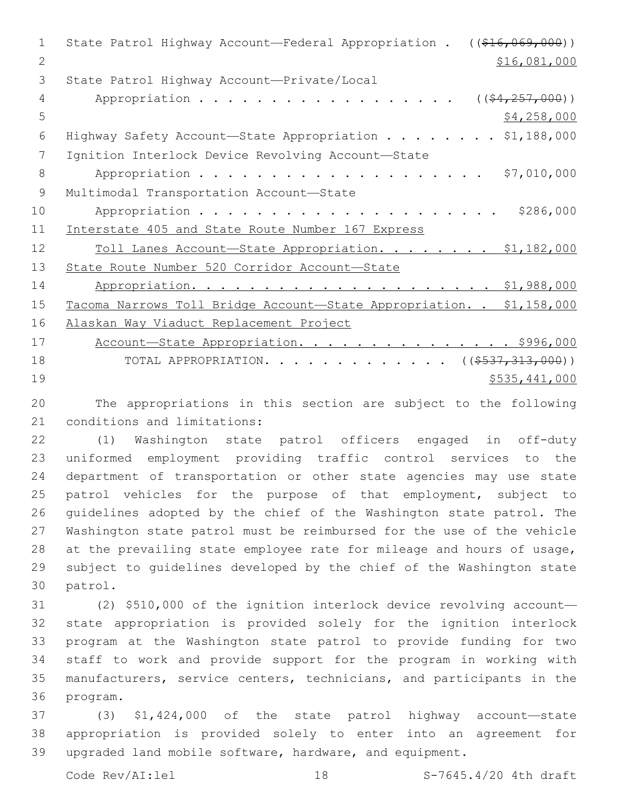| $\mathbf{1}$  | State Patrol Highway Account-Federal Appropriation . ((\$16,069,000))                                           |
|---------------|-----------------------------------------------------------------------------------------------------------------|
| 2             | \$16,081,000                                                                                                    |
| 3             | State Patrol Highway Account-Private/Local                                                                      |
| 4             | $($ $(*4, 257, 000)$ )<br>Appropriation                                                                         |
| 5             | \$4,258,000                                                                                                     |
| 6             | Highway Safety Account-State Appropriation \$1,188,000                                                          |
| 7             | Ignition Interlock Device Revolving Account-State                                                               |
| 8             | \$7,010,000                                                                                                     |
| 9             | Multimodal Transportation Account-State                                                                         |
| 10            | \$286,000                                                                                                       |
| 11            | Interstate 405 and State Route Number 167 Express                                                               |
| 12            | Toll Lanes Account-State Appropriation. \$1,182,000                                                             |
| 13            | State Route Number 520 Corridor Account-State                                                                   |
| 14            |                                                                                                                 |
| 15            | Tacoma Narrows Toll Bridge Account-State Appropriation. . \$1,158,000                                           |
| 16            | Alaskan Way Viaduct Replacement Project                                                                         |
| 17            | Account-State Appropriation. \$996,000                                                                          |
| 18            | TOTAL APPROPRIATION. ( $(\frac{2537}{1313000})$ )                                                               |
| 19            | \$535,441,000                                                                                                   |
| $\sim$ $\sim$ | the contract of the contract of the contract of the contract of the contract of the contract of the contract of |

20 The appropriations in this section are subject to the following 21 conditions and limitations:

 (1) Washington state patrol officers engaged in off-duty uniformed employment providing traffic control services to the department of transportation or other state agencies may use state patrol vehicles for the purpose of that employment, subject to guidelines adopted by the chief of the Washington state patrol. The Washington state patrol must be reimbursed for the use of the vehicle at the prevailing state employee rate for mileage and hours of usage, subject to guidelines developed by the chief of the Washington state 30 patrol.

 (2) \$510,000 of the ignition interlock device revolving account— state appropriation is provided solely for the ignition interlock program at the Washington state patrol to provide funding for two staff to work and provide support for the program in working with manufacturers, service centers, technicians, and participants in the 36 program.

37 (3) \$1,424,000 of the state patrol highway account—state 38 appropriation is provided solely to enter into an agreement for 39 upgraded land mobile software, hardware, and equipment.

Code Rev/AI:lel 18 18 S-7645.4/20 4th draft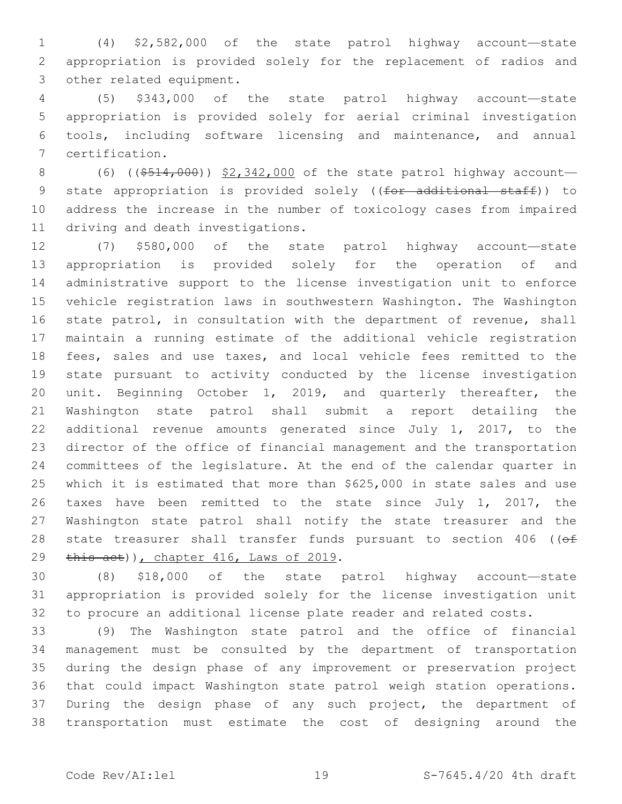(4) \$2,582,000 of the state patrol highway account—state appropriation is provided solely for the replacement of radios and 3 other related equipment.

 (5) \$343,000 of the state patrol highway account—state appropriation is provided solely for aerial criminal investigation tools, including software licensing and maintenance, and annual certification.7

8 (6) ((\$514,000)) \$2,342,000 of the state patrol highway account-9 state appropriation is provided solely ((for additional staff)) to address the increase in the number of toxicology cases from impaired 11 driving and death investigations.

 (7) \$580,000 of the state patrol highway account—state appropriation is provided solely for the operation of and administrative support to the license investigation unit to enforce vehicle registration laws in southwestern Washington. The Washington state patrol, in consultation with the department of revenue, shall maintain a running estimate of the additional vehicle registration fees, sales and use taxes, and local vehicle fees remitted to the state pursuant to activity conducted by the license investigation unit. Beginning October 1, 2019, and quarterly thereafter, the Washington state patrol shall submit a report detailing the additional revenue amounts generated since July 1, 2017, to the director of the office of financial management and the transportation committees of the legislature. At the end of the calendar quarter in which it is estimated that more than \$625,000 in state sales and use taxes have been remitted to the state since July 1, 2017, the Washington state patrol shall notify the state treasurer and the 28 state treasurer shall transfer funds pursuant to section 406 ((of 29 this act)), chapter 416, Laws of 2019.

 (8) \$18,000 of the state patrol highway account—state appropriation is provided solely for the license investigation unit to procure an additional license plate reader and related costs.

 (9) The Washington state patrol and the office of financial management must be consulted by the department of transportation during the design phase of any improvement or preservation project that could impact Washington state patrol weigh station operations. During the design phase of any such project, the department of transportation must estimate the cost of designing around the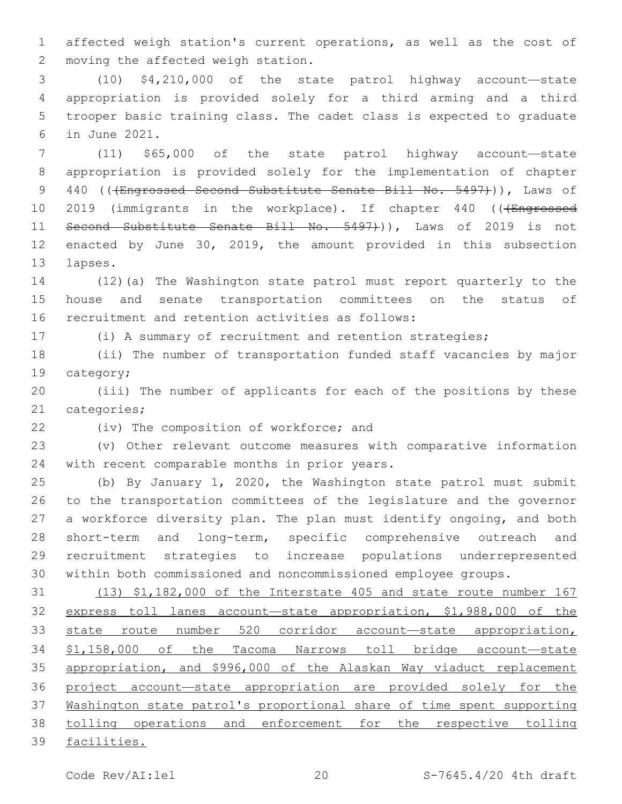affected weigh station's current operations, as well as the cost of 2 moving the affected weigh station.

 (10) \$4,210,000 of the state patrol highway account—state appropriation is provided solely for a third arming and a third trooper basic training class. The cadet class is expected to graduate in June 2021.6

 (11) \$65,000 of the state patrol highway account—state appropriation is provided solely for the implementation of chapter 9 440 ((<del>(Engrossed Second Substitute Senate Bill No. 5497)</del>)), Laws of 10 2019 (immigrants in the workplace). If chapter 440 (((Engrossed 11 Second Substitute Senate Bill No. 5497+)), Laws of 2019 is not enacted by June 30, 2019, the amount provided in this subsection 13 lapses.

 (12)(a) The Washington state patrol must report quarterly to the house and senate transportation committees on the status of 16 recruitment and retention activities as follows:

(i) A summary of recruitment and retention strategies;

 (ii) The number of transportation funded staff vacancies by major 19 category;

 (iii) The number of applicants for each of the positions by these 21 categories;

22 (iv) The composition of workforce; and

 (v) Other relevant outcome measures with comparative information 24 with recent comparable months in prior years.

 (b) By January 1, 2020, the Washington state patrol must submit to the transportation committees of the legislature and the governor a workforce diversity plan. The plan must identify ongoing, and both short-term and long-term, specific comprehensive outreach and recruitment strategies to increase populations underrepresented within both commissioned and noncommissioned employee groups.

 (13) \$1,182,000 of the Interstate 405 and state route number 167 express toll lanes account—state appropriation, \$1,988,000 of the state route number 520 corridor account—state appropriation, \$1,158,000 of the Tacoma Narrows toll bridge account—state appropriation, and \$996,000 of the Alaskan Way viaduct replacement project account—state appropriation are provided solely for the Washington state patrol's proportional share of time spent supporting tolling operations and enforcement for the respective tolling facilities.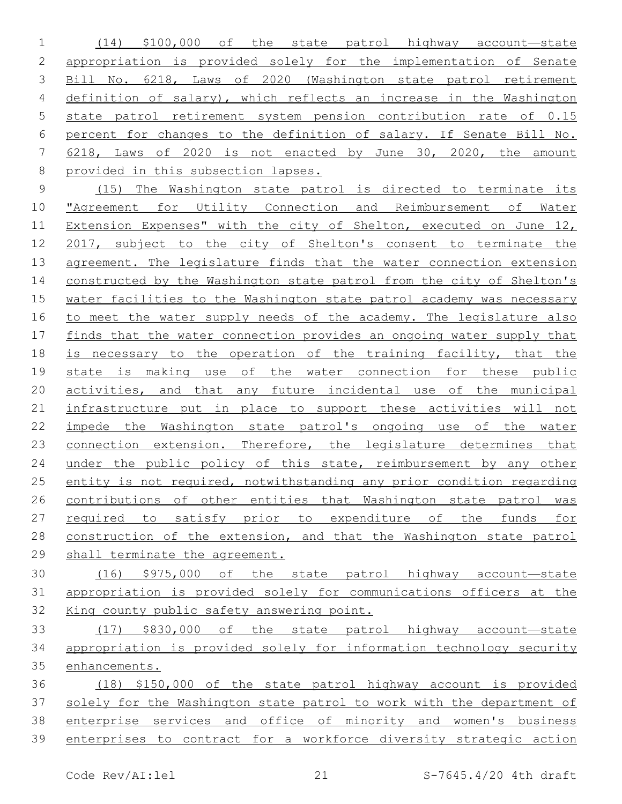(14) \$100,000 of the state patrol highway account—state appropriation is provided solely for the implementation of Senate Bill No. 6218, Laws of 2020 (Washington state patrol retirement definition of salary), which reflects an increase in the Washington state patrol retirement system pension contribution rate of 0.15 percent for changes to the definition of salary. If Senate Bill No. 6218, Laws of 2020 is not enacted by June 30, 2020, the amount provided in this subsection lapses.

 (15) The Washington state patrol is directed to terminate its "Agreement for Utility Connection and Reimbursement of Water Extension Expenses" with the city of Shelton, executed on June 12, 2017, subject to the city of Shelton's consent to terminate the agreement. The legislature finds that the water connection extension constructed by the Washington state patrol from the city of Shelton's water facilities to the Washington state patrol academy was necessary 16 to meet the water supply needs of the academy. The legislature also finds that the water connection provides an ongoing water supply that 18 is necessary to the operation of the training facility, that the state is making use of the water connection for these public activities, and that any future incidental use of the municipal infrastructure put in place to support these activities will not impede the Washington state patrol's ongoing use of the water 23 connection extension. Therefore, the legislature determines that 24 under the public policy of this state, reimbursement by any other entity is not required, notwithstanding any prior condition regarding contributions of other entities that Washington state patrol was required to satisfy prior to expenditure of the funds for construction of the extension, and that the Washington state patrol shall terminate the agreement.

- (16) \$975,000 of the state patrol highway account—state appropriation is provided solely for communications officers at the King county public safety answering point.
- (17) \$830,000 of the state patrol highway account—state appropriation is provided solely for information technology security enhancements.
- (18) \$150,000 of the state patrol highway account is provided solely for the Washington state patrol to work with the department of enterprise services and office of minority and women's business enterprises to contract for a workforce diversity strategic action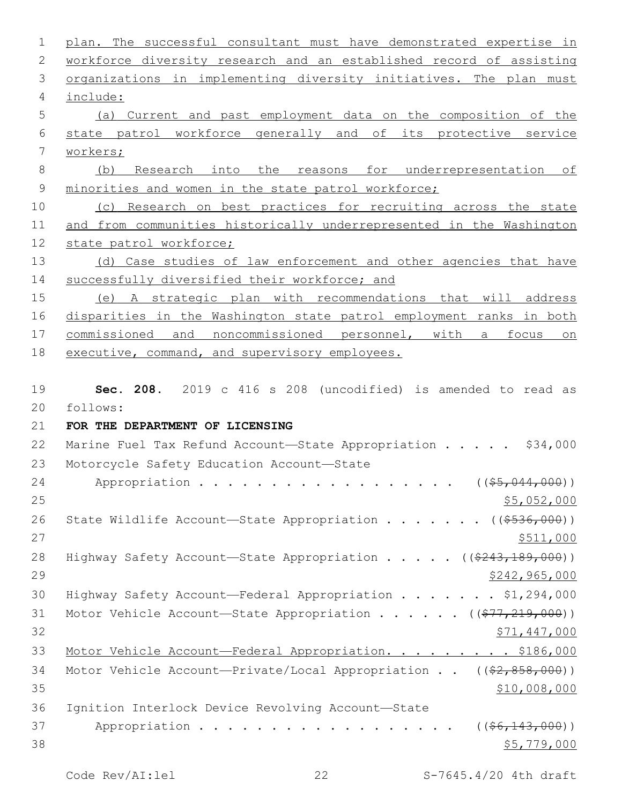| 1              | plan. The successful consultant must have demonstrated expertise in                |
|----------------|------------------------------------------------------------------------------------|
| 2              | workforce diversity research and an established record of assisting                |
| 3              | organizations in implementing diversity initiatives. The plan must                 |
| $\overline{4}$ | include:                                                                           |
| 5              | (a) Current and past employment data on the composition of the                     |
| 6              | state patrol workforce generally and of its protective service                     |
| 7              | workers;                                                                           |
| 8              | (b) Research into the reasons for underrepresentation of                           |
| $\mathsf 9$    | minorities and women in the state patrol workforce;                                |
| 10             | (c) Research on best practices for recruiting across the state                     |
| 11             | and from communities historically underrepresented in the Washington               |
| 12             | state patrol workforce;                                                            |
| 13             | (d) Case studies of law enforcement and other agencies that have                   |
| 14             | successfully diversified their workforce; and                                      |
| 15             | (e) A strategic plan with recommendations that will address                        |
| 16             | disparities in the Washington state patrol employment ranks in both                |
| 17             | commissioned and noncommissioned personnel, with a focus on                        |
| 18             | executive, command, and supervisory employees.                                     |
|                |                                                                                    |
| 19             | Sec. 208. 2019 c 416 s 208 (uncodified) is amended to read as                      |
| 20             | follows:                                                                           |
| 21             | FOR THE DEPARTMENT OF LICENSING                                                    |
| 22             | Marine Fuel Tax Refund Account-State Appropriation \$34,000                        |
| 23             | Motorcycle Safety Education Account-State                                          |
| 24             | Appropriation ( $(\frac{25}{67044,000})$ )                                         |
| 25             | \$5,052,000                                                                        |
| 26             | State Wildlife Account-State Appropriation ( $(\frac{\$536,000}{\$})$ )            |
| 27             | \$511,000                                                                          |
| 28             | Highway Safety Account-State Appropriation $($ $($ $\frac{243,189,000}{1})$        |
| 29             | \$242,965,000                                                                      |
| 30             | Highway Safety Account-Federal Appropriation \$1,294,000                           |
| 31             | Motor Vehicle Account-State Appropriation ( $(\frac{277}{219}, \frac{219}{000})$ ) |
| 32             | <u>\$71,447,000</u>                                                                |
| 33             | Motor Vehicle Account-Federal Appropriation. \$186,000                             |
| 34             | Motor Vehicle Account-Private/Local Appropriation ((\$2,858,000))                  |
| 35             | \$10,008,000                                                                       |
| 36             | Ignition Interlock Device Revolving Account-State                                  |
| 37             | Appropriation<br>$((\frac{6}{7}, \frac{143}{100})$                                 |
| 38             | \$5,779,000                                                                        |
|                |                                                                                    |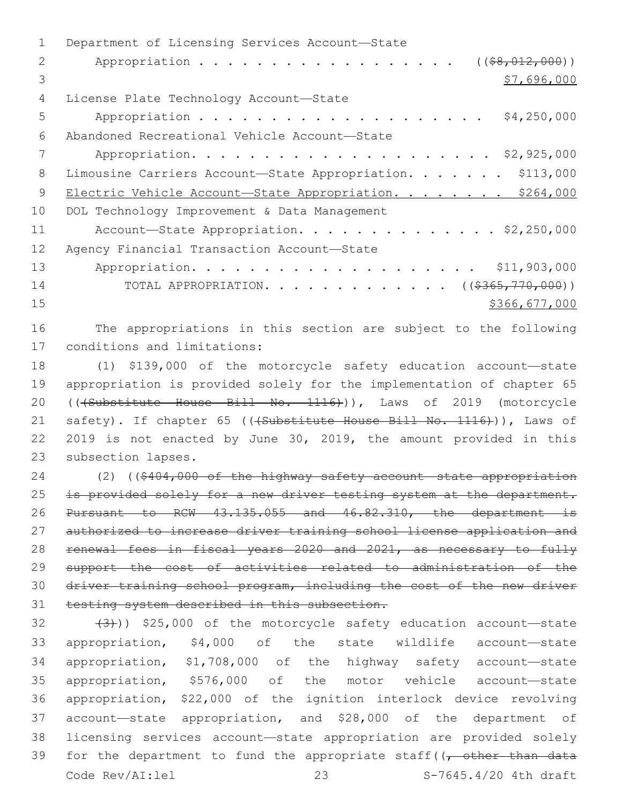1 Department of Licensing Services Account-State 2 Appropriation . . . . . . . . . . . . . . . . . (  $(\frac{28}{12,000})$  )  $3 \times 57,696,000$ 4 License Plate Technology Account-State 5 Appropriation . . . . . . . . . . . . . . . . . . . . \$4,250,000 Abandoned Recreational Vehicle Account—State6 7 Appropriation. . . . . . . . . . . . . . . . . . . . . \$2,925,000 8 Limousine Carriers Account-State Appropriation. . . . . . \$113,000 9 Electric Vehicle Account-State Appropriation. . . . . . . \$264,000 10 DOL Technology Improvement & Data Management 11 Account-State Appropriation. . . . . . . . . . . . . \$2,250,000 12 Agency Financial Transaction Account-State 13 Appropriation. . . . . . . . . . . . . . . . . . . . \$11,903,000 14 TOTAL APPROPRIATION. . . . . . . . . . . . ((\$365,770,000)) 15 \$366,677,000 16 The appropriations in this section are subject to the following 17 conditions and limitations:

18 (1) \$139,000 of the motorcycle safety education account—state 19 appropriation is provided solely for the implementation of chapter 65 20 (((Substitute House Bill No. 1116))), Laws of 2019 (motorcycle 21 safety). If chapter 65 (((Substitute House Bill No. 1116))), Laws of 22 2019 is not enacted by June 30, 2019, the amount provided in this 23 subsection lapses.

 (2) ((\$404,000 of the highway safety account—state appropriation 25 is provided solely for a new driver testing system at the department. Pursuant to RCW 43.135.055 and 46.82.310, the department is 27 authorized to increase driver training school license application and renewal fees in fiscal years 2020 and 2021, as necessary to fully support the cost of activities related to administration of the driver training school program, including the cost of the new driver testing system described in this subsection.

 $(32 + (3))$ ) \$25,000 of the motorcycle safety education account—state appropriation, \$4,000 of the state wildlife account—state appropriation, \$1,708,000 of the highway safety account—state appropriation, \$576,000 of the motor vehicle account—state appropriation, \$22,000 of the ignition interlock device revolving account—state appropriation, and \$28,000 of the department of licensing services account—state appropriation are provided solely 39 for the department to fund the appropriate staff( $\sqrt{\tau}$  other than data Code Rev/AI:lel 23 S-7645.4/20 4th draft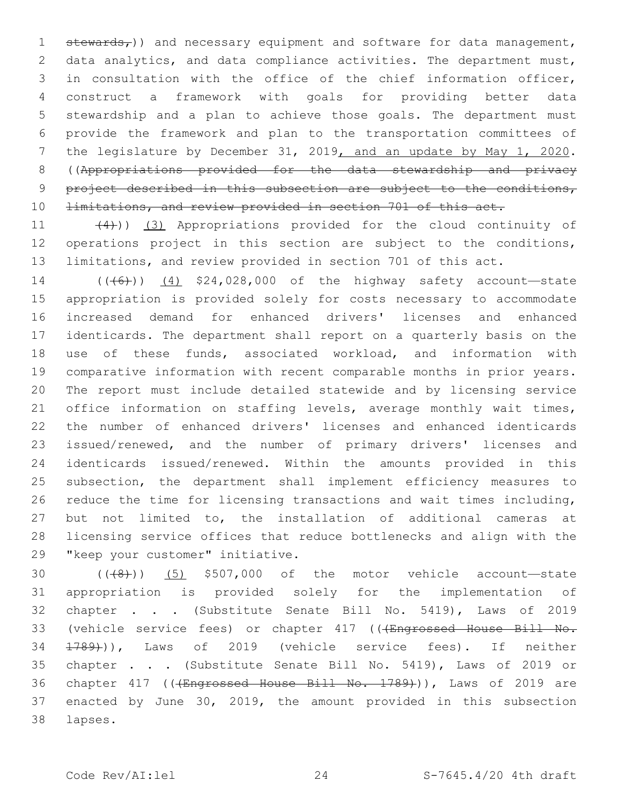$st$ ewards<sub>*)) and necessary equipment and software for data management,</sub>*  data analytics, and data compliance activities. The department must, in consultation with the office of the chief information officer, construct a framework with goals for providing better data stewardship and a plan to achieve those goals. The department must provide the framework and plan to the transportation committees of the legislature by December 31, 2019, and an update by May 1, 2020. ((Appropriations provided for the data stewardship and privacy 9 project described in this subsection are subject to the conditions, 10 <del>limitations, and review provided in section 701 of this act.</del>

11 (4))) (3) Appropriations provided for the cloud continuity of operations project in this section are subject to the conditions, limitations, and review provided in section 701 of this act.

14 (((6)) (4) \$24,028,000 of the highway safety account—state appropriation is provided solely for costs necessary to accommodate increased demand for enhanced drivers' licenses and enhanced identicards. The department shall report on a quarterly basis on the use of these funds, associated workload, and information with comparative information with recent comparable months in prior years. The report must include detailed statewide and by licensing service 21 office information on staffing levels, average monthly wait times, the number of enhanced drivers' licenses and enhanced identicards issued/renewed, and the number of primary drivers' licenses and identicards issued/renewed. Within the amounts provided in this subsection, the department shall implement efficiency measures to reduce the time for licensing transactions and wait times including, but not limited to, the installation of additional cameras at licensing service offices that reduce bottlenecks and align with the 29 "keep your customer" initiative.

  $((+8))$   $(5)$  \$507,000 of the motor vehicle account—state appropriation is provided solely for the implementation of chapter . . . (Substitute Senate Bill No. 5419), Laws of 2019 33 (vehicle service fees) or chapter 417 ((<del>(Engrossed House Bill No.</del> 1789))), Laws of 2019 (vehicle service fees). If neither chapter . . . (Substitute Senate Bill No. 5419), Laws of 2019 or 36 chapter 417 ((<del>(Engrossed House Bill No. 1789)</del>)), Laws of 2019 are enacted by June 30, 2019, the amount provided in this subsection lapses.38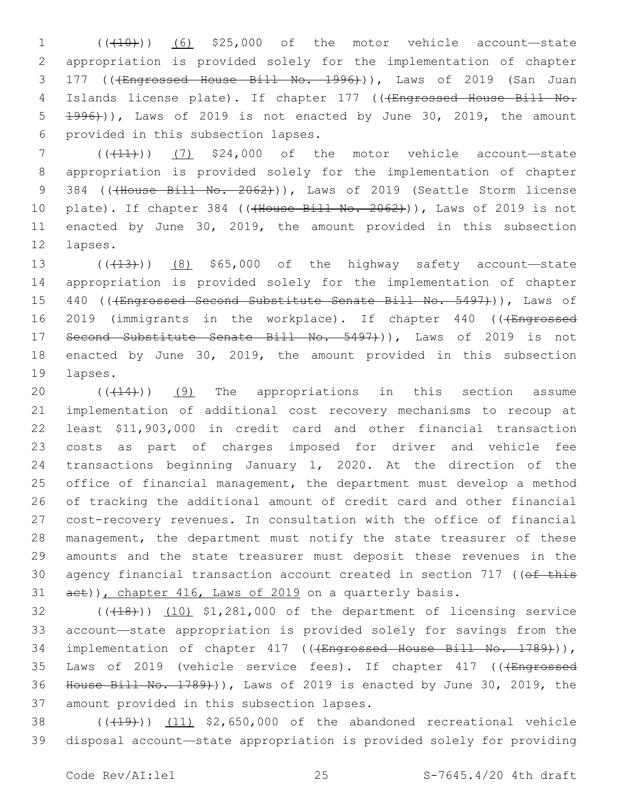1 (((10)) (6) \$25,000 of the motor vehicle account—state 2 appropriation is provided solely for the implementation of chapter 3 177 ((<del>(Engrossed House Bill No. 1996)</del>)), Laws of 2019 (San Juan 4 Islands license plate). If chapter 177 (((Engrossed House Bill No. 5 1996))), Laws of 2019 is not enacted by June 30, 2019, the amount 6 provided in this subsection lapses.

 $7$  (( $(11)$ )) (7) \$24,000 of the motor vehicle account—state 8 appropriation is provided solely for the implementation of chapter 9 384 ((<del>(House Bill No. 2062)</del>)), Laws of 2019 (Seattle Storm license 10 plate). If chapter 384 ((<del>(House Bill No. 2062)</del>)), Laws of 2019 is not 11 enacted by June 30, 2019, the amount provided in this subsection 12 lapses.

13  $((+13))$  (8) \$65,000 of the highway safety account—state 14 appropriation is provided solely for the implementation of chapter 15 440 (((Engrossed Second Substitute Senate Bill No. 5497))), Laws of 16 2019 (immigrants in the workplace). If chapter 440 (((Engrossed 17 Second Substitute Senate Bill No. 5497+)), Laws of 2019 is not 18 enacted by June 30, 2019, the amount provided in this subsection 19 lapses.

 ( $(414)$ )) (9) The appropriations in this section assume implementation of additional cost recovery mechanisms to recoup at least \$11,903,000 in credit card and other financial transaction costs as part of charges imposed for driver and vehicle fee transactions beginning January 1, 2020. At the direction of the office of financial management, the department must develop a method of tracking the additional amount of credit card and other financial cost-recovery revenues. In consultation with the office of financial management, the department must notify the state treasurer of these amounts and the state treasurer must deposit these revenues in the 30 agency financial transaction account created in section 717 ((of this 31 aet)), chapter 416, Laws of 2019 on a quarterly basis.

 $(1,18)$  (( $(18)$ )) (10)  $$1,281,000$  of the department of licensing service 33 account—state appropriation is provided solely for savings from the 34 implementation of chapter 417 (((Engrossed House Bill No. 1789))), 35 Laws of 2019 (vehicle service fees). If chapter 417 (((Engrossed 36 House Bill No. 1789))), Laws of 2019 is enacted by June 30, 2019, the 37 amount provided in this subsection lapses.

38  $((+19))$   $(11)$  \$2,650,000 of the abandoned recreational vehicle 39 disposal account—state appropriation is provided solely for providing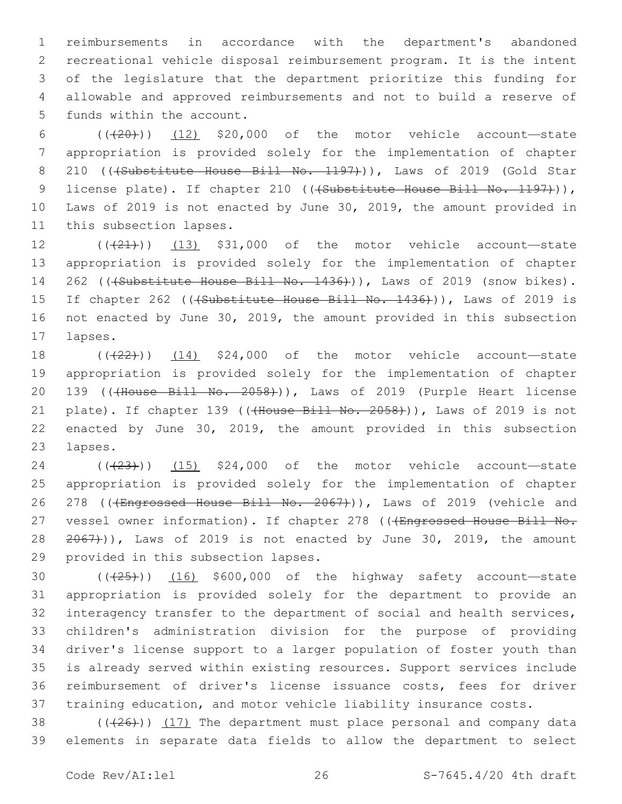reimbursements in accordance with the department's abandoned recreational vehicle disposal reimbursement program. It is the intent of the legislature that the department prioritize this funding for allowable and approved reimbursements and not to build a reserve of 5 funds within the account.

6  $((+20))$   $(12)$  \$20,000 of the motor vehicle account—state 7 appropriation is provided solely for the implementation of chapter 8 210 ((+Substitute House Bill No. 1197))), Laws of 2019 (Gold Star 9 license plate). If chapter 210 (((Substitute House Bill No. 1197))), 10 Laws of 2019 is not enacted by June 30, 2019, the amount provided in 11 this subsection lapses.

 ( $(\overline{+21})$ ) (13) \$31,000 of the motor vehicle account—state appropriation is provided solely for the implementation of chapter 262 (((Substitute House Bill No. 1436))), Laws of 2019 (snow bikes). 15 If chapter 262 ((+Substitute House Bill No. 1436))), Laws of 2019 is not enacted by June 30, 2019, the amount provided in this subsection 17 lapses.

18  $((+22))$   $(14)$  \$24,000 of the motor vehicle account—state 19 appropriation is provided solely for the implementation of chapter 20 139 ((<del>(House Bill No. 2058)</del>)), Laws of 2019 (Purple Heart license 21 plate). If chapter 139 (((House Bill No. 2058))), Laws of 2019 is not 22 enacted by June 30, 2019, the amount provided in this subsection 23 lapses.

24 (( $(23)$ )) (15) \$24,000 of the motor vehicle account—state 25 appropriation is provided solely for the implementation of chapter 26 278 ((+Engrossed House Bill No. 2067))), Laws of 2019 (vehicle and 27 vessel owner information). If chapter 278 (((Engrossed House Bill No.  $28$   $2067)$ ), Laws of 2019 is not enacted by June 30, 2019, the amount 29 provided in this subsection lapses.

 $((+25))$   $(16)$  \$600,000 of the highway safety account—state appropriation is provided solely for the department to provide an interagency transfer to the department of social and health services, children's administration division for the purpose of providing driver's license support to a larger population of foster youth than is already served within existing resources. Support services include reimbursement of driver's license issuance costs, fees for driver training education, and motor vehicle liability insurance costs.

38  $((+26))$   $(17)$  The department must place personal and company data 39 elements in separate data fields to allow the department to select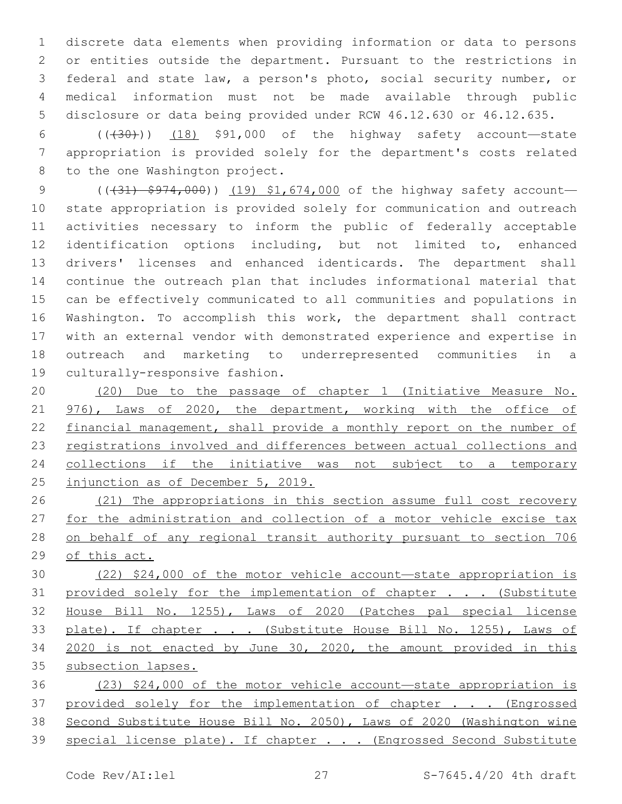discrete data elements when providing information or data to persons or entities outside the department. Pursuant to the restrictions in federal and state law, a person's photo, social security number, or medical information must not be made available through public disclosure or data being provided under RCW 46.12.630 or 46.12.635.

6  $((+30))$   $(18)$  \$91,000 of the highway safety account—state appropriation is provided solely for the department's costs related 8 to the one Washington project.

9 (( $(31)$   $\frac{1}{2974}$ ,000)) (19) \$1,674,000 of the highway safety account state appropriation is provided solely for communication and outreach activities necessary to inform the public of federally acceptable identification options including, but not limited to, enhanced drivers' licenses and enhanced identicards. The department shall continue the outreach plan that includes informational material that can be effectively communicated to all communities and populations in Washington. To accomplish this work, the department shall contract with an external vendor with demonstrated experience and expertise in outreach and marketing to underrepresented communities in a 19 culturally-responsive fashion.

 (20) Due to the passage of chapter 1 (Initiative Measure No. 976), Laws of 2020, the department, working with the office of financial management, shall provide a monthly report on the number of registrations involved and differences between actual collections and collections if the initiative was not subject to a temporary injunction as of December 5, 2019.

 (21) The appropriations in this section assume full cost recovery for the administration and collection of a motor vehicle excise tax on behalf of any regional transit authority pursuant to section 706 of this act.

 (22) \$24,000 of the motor vehicle account—state appropriation is 31 provided solely for the implementation of chapter . . . (Substitute House Bill No. 1255), Laws of 2020 (Patches pal special license 33 plate). If chapter . . . (Substitute House Bill No. 1255), Laws of 2020 is not enacted by June 30, 2020, the amount provided in this 35 subsection lapses.

 (23) \$24,000 of the motor vehicle account—state appropriation is 37 provided solely for the implementation of chapter . . . (Engrossed Second Substitute House Bill No. 2050), Laws of 2020 (Washington wine 39 special license plate). If chapter . . . (Engrossed Second Substitute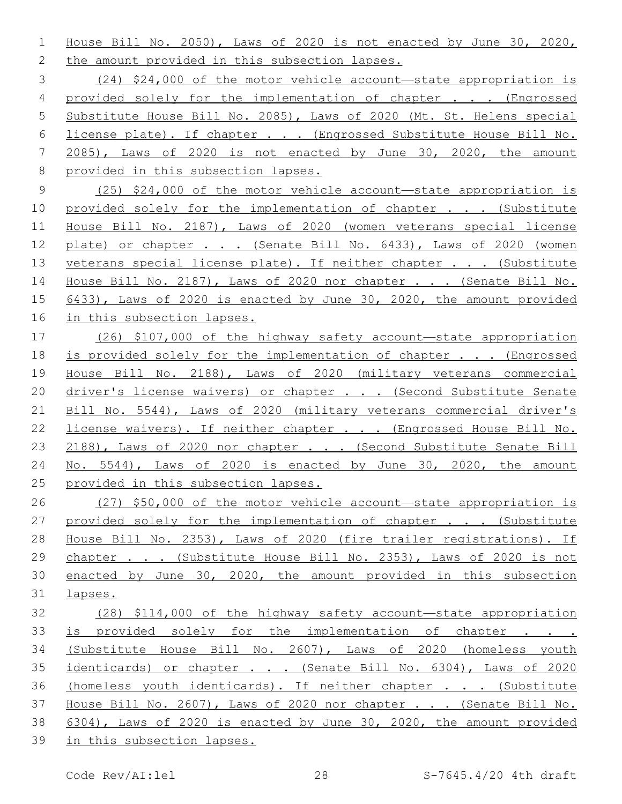House Bill No. 2050), Laws of 2020 is not enacted by June 30, 2020, 2 the amount provided in this subsection lapses.

 (24) \$24,000 of the motor vehicle account—state appropriation is provided solely for the implementation of chapter . . . (Engrossed Substitute House Bill No. 2085), Laws of 2020 (Mt. St. Helens special 6 <u>license plate). If chapter . . . (Engrossed Substitute House Bill No.</u> 2085), Laws of 2020 is not enacted by June 30, 2020, the amount provided in this subsection lapses.

 (25) \$24,000 of the motor vehicle account—state appropriation is 10 provided solely for the implementation of chapter . . . (Substitute House Bill No. 2187), Laws of 2020 (women veterans special license 12 plate) or chapter . . . (Senate Bill No. 6433), Laws of 2020 (women 13 veterans special license plate). If neither chapter . . . (Substitute House Bill No. 2187), Laws of 2020 nor chapter . . . (Senate Bill No. 6433), Laws of 2020 is enacted by June 30, 2020, the amount provided in this subsection lapses.

 (26) \$107,000 of the highway safety account—state appropriation is provided solely for the implementation of chapter . . . (Engrossed House Bill No. 2188), Laws of 2020 (military veterans commercial 20 driver's license waivers) or chapter . . . (Second Substitute Senate Bill No. 5544), Laws of 2020 (military veterans commercial driver's license waivers). If neither chapter . . . (Engrossed House Bill No. 23 2188), Laws of 2020 nor chapter . . . (Second Substitute Senate Bill No. 5544), Laws of 2020 is enacted by June 30, 2020, the amount provided in this subsection lapses.

 (27) \$50,000 of the motor vehicle account—state appropriation is 27 provided solely for the implementation of chapter . . . (Substitute House Bill No. 2353), Laws of 2020 (fire trailer registrations). If 29 chapter . . . (Substitute House Bill No. 2353), Laws of 2020 is not enacted by June 30, 2020, the amount provided in this subsection lapses.

 (28) \$114,000 of the highway safety account—state appropriation is provided solely for the implementation of chapter . . . (Substitute House Bill No. 2607), Laws of 2020 (homeless youth 35 identicards) or chapter . . . (Senate Bill No. 6304), Laws of 2020 36 (homeless youth identicards). If neither chapter . . . (Substitute House Bill No. 2607), Laws of 2020 nor chapter . . . (Senate Bill No. 6304), Laws of 2020 is enacted by June 30, 2020, the amount provided in this subsection lapses.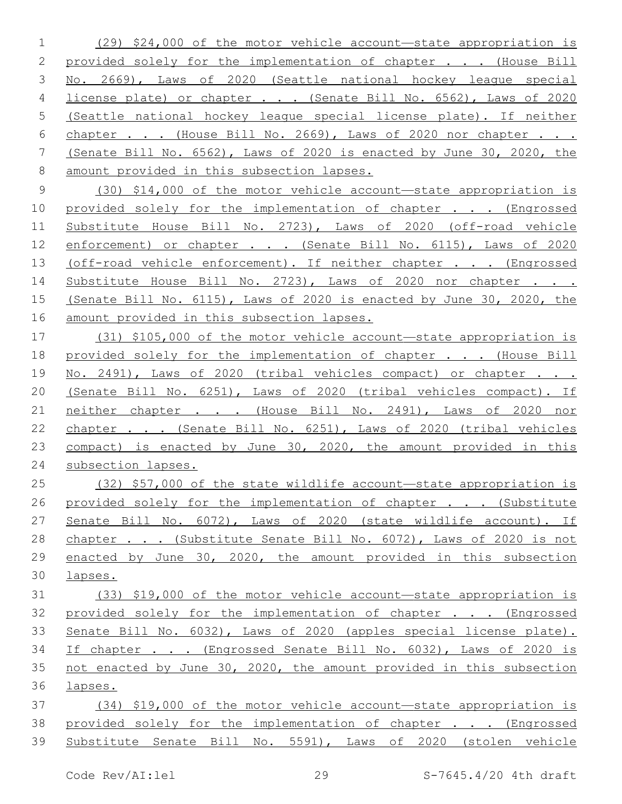(29) \$24,000 of the motor vehicle account—state appropriation is 2 provided solely for the implementation of chapter . . . (House Bill No. 2669), Laws of 2020 (Seattle national hockey league special license plate) or chapter . . . (Senate Bill No. 6562), Laws of 2020 (Seattle national hockey league special license plate). If neither 6 chapter . . . (House Bill No. 2669), Laws of 2020 nor chapter . . . (Senate Bill No. 6562), Laws of 2020 is enacted by June 30, 2020, the amount provided in this subsection lapses.

 (30) \$14,000 of the motor vehicle account—state appropriation is 10 provided solely for the implementation of chapter . . . (Engrossed Substitute House Bill No. 2723), Laws of 2020 (off-road vehicle 12 enforcement) or chapter . . . (Senate Bill No. 6115), Laws of 2020 13 (off-road vehicle enforcement). If neither chapter . . . (Engrossed Substitute House Bill No. 2723), Laws of 2020 nor chapter . . . (Senate Bill No. 6115), Laws of 2020 is enacted by June 30, 2020, the amount provided in this subsection lapses.

 (31) \$105,000 of the motor vehicle account—state appropriation is 18 provided solely for the implementation of chapter . . . (House Bill No. 2491), Laws of 2020 (tribal vehicles compact) or chapter . . . (Senate Bill No. 6251), Laws of 2020 (tribal vehicles compact). If neither chapter . . . (House Bill No. 2491), Laws of 2020 nor chapter . . . (Senate Bill No. 6251), Laws of 2020 (tribal vehicles compact) is enacted by June 30, 2020, the amount provided in this subsection lapses.

 (32) \$57,000 of the state wildlife account—state appropriation is 26 provided solely for the implementation of chapter . . . (Substitute Senate Bill No. 6072), Laws of 2020 (state wildlife account). If chapter . . . (Substitute Senate Bill No. 6072), Laws of 2020 is not enacted by June 30, 2020, the amount provided in this subsection lapses.

 (33) \$19,000 of the motor vehicle account—state appropriation is provided solely for the implementation of chapter . . . (Engrossed Senate Bill No. 6032), Laws of 2020 (apples special license plate). If chapter . . . (Engrossed Senate Bill No. 6032), Laws of 2020 is not enacted by June 30, 2020, the amount provided in this subsection lapses.

 (34) \$19,000 of the motor vehicle account—state appropriation is 38 provided solely for the implementation of chapter . . . (Engrossed Substitute Senate Bill No. 5591), Laws of 2020 (stolen vehicle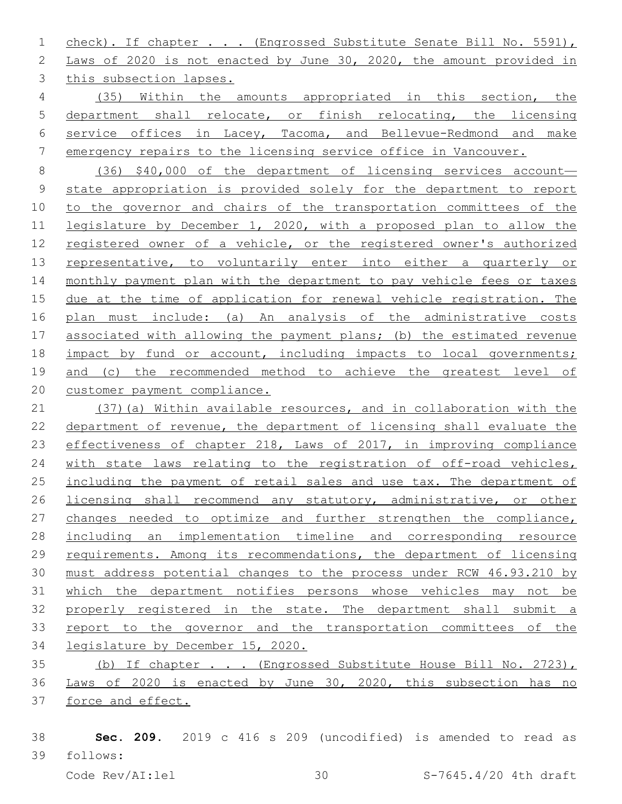check). If chapter . . . (Engrossed Substitute Senate Bill No. 5591), Laws of 2020 is not enacted by June 30, 2020, the amount provided in 3 this subsection lapses.

 (35) Within the amounts appropriated in this section, the department shall relocate, or finish relocating, the licensing service offices in Lacey, Tacoma, and Bellevue-Redmond and make emergency repairs to the licensing service office in Vancouver.

 (36) \$40,000 of the department of licensing services account— state appropriation is provided solely for the department to report to the governor and chairs of the transportation committees of the legislature by December 1, 2020, with a proposed plan to allow the registered owner of a vehicle, or the registered owner's authorized 13 representative, to voluntarily enter into either a quarterly or monthly payment plan with the department to pay vehicle fees or taxes due at the time of application for renewal vehicle registration. The plan must include: (a) An analysis of the administrative costs 17 associated with allowing the payment plans; (b) the estimated revenue 18 impact by fund or account, including impacts to local governments; and (c) the recommended method to achieve the greatest level of customer payment compliance.

 (37)(a) Within available resources, and in collaboration with the department of revenue, the department of licensing shall evaluate the effectiveness of chapter 218, Laws of 2017, in improving compliance with state laws relating to the registration of off-road vehicles, including the payment of retail sales and use tax. The department of licensing shall recommend any statutory, administrative, or other changes needed to optimize and further strengthen the compliance, including an implementation timeline and corresponding resource requirements. Among its recommendations, the department of licensing must address potential changes to the process under RCW 46.93.210 by which the department notifies persons whose vehicles may not be properly registered in the state. The department shall submit a report to the governor and the transportation committees of the legislature by December 15, 2020.

 (b) If chapter . . . (Engrossed Substitute House Bill No. 2723), Laws of 2020 is enacted by June 30, 2020, this subsection has no force and effect.

 **Sec. 209.** 2019 c 416 s 209 (uncodified) is amended to read as follows: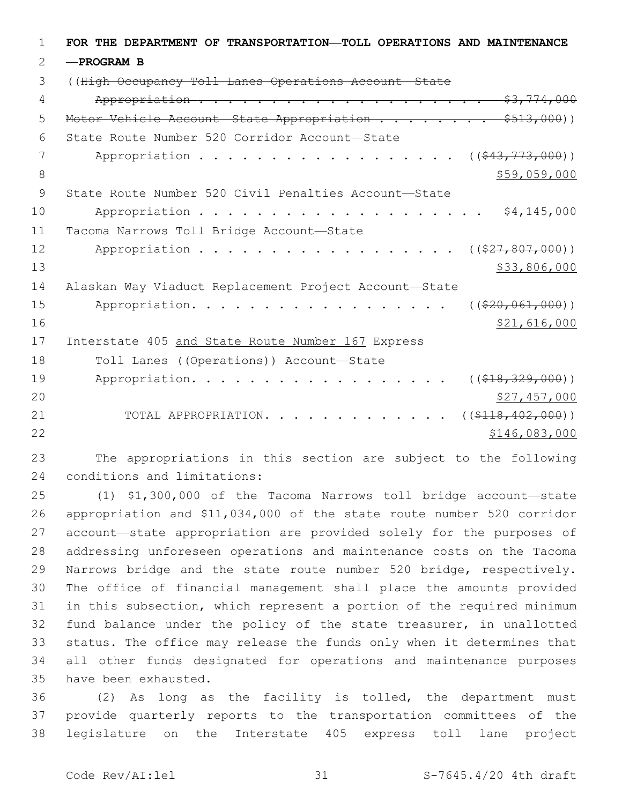| 1  | FOR THE DEPARTMENT OF TRANSPORTATION-TOLL OPERATIONS AND MAINTENANCE |
|----|----------------------------------------------------------------------|
| 2  | -PROGRAM B                                                           |
| 3  | ((High Occupancy Toll Lanes Operations Account State                 |
| 4  |                                                                      |
| 5  | Motor Vehicle Account State Appropriation \$513,000))                |
| 6  | State Route Number 520 Corridor Account-State                        |
| 7  | Appropriation<br>$((\frac{243}{773,000}))$                           |
| 8  | \$59,059,000                                                         |
| 9  | State Route Number 520 Civil Penalties Account-State                 |
| 10 | \$4,145,000                                                          |
| 11 | Tacoma Narrows Toll Bridge Account-State                             |
| 12 | $((\$27,807,000))$<br>Appropriation                                  |
| 13 | \$33,806,000                                                         |
| 14 | Alaskan Way Viaduct Replacement Project Account-State                |
| 15 | Appropriation.<br>$((\$20,061,000))$                                 |
| 16 | \$21,616,000                                                         |
| 17 | Interstate 405 and State Route Number 167 Express                    |
| 18 | Toll Lanes ((Operations)) Account-State                              |
| 19 | $((\$18,329,000))$<br>Appropriation.                                 |
| 20 | \$27,457,000                                                         |
| 21 | ( ( \$118, 402, 000) )<br>TOTAL APPROPRIATION.                       |
| 22 | \$146,083,000                                                        |

 The appropriations in this section are subject to the following 24 conditions and limitations:

 (1) \$1,300,000 of the Tacoma Narrows toll bridge account—state appropriation and \$11,034,000 of the state route number 520 corridor account—state appropriation are provided solely for the purposes of addressing unforeseen operations and maintenance costs on the Tacoma Narrows bridge and the state route number 520 bridge, respectively. The office of financial management shall place the amounts provided in this subsection, which represent a portion of the required minimum fund balance under the policy of the state treasurer, in unallotted status. The office may release the funds only when it determines that all other funds designated for operations and maintenance purposes 35 have been exhausted.

 (2) As long as the facility is tolled, the department must provide quarterly reports to the transportation committees of the legislature on the Interstate 405 express toll lane project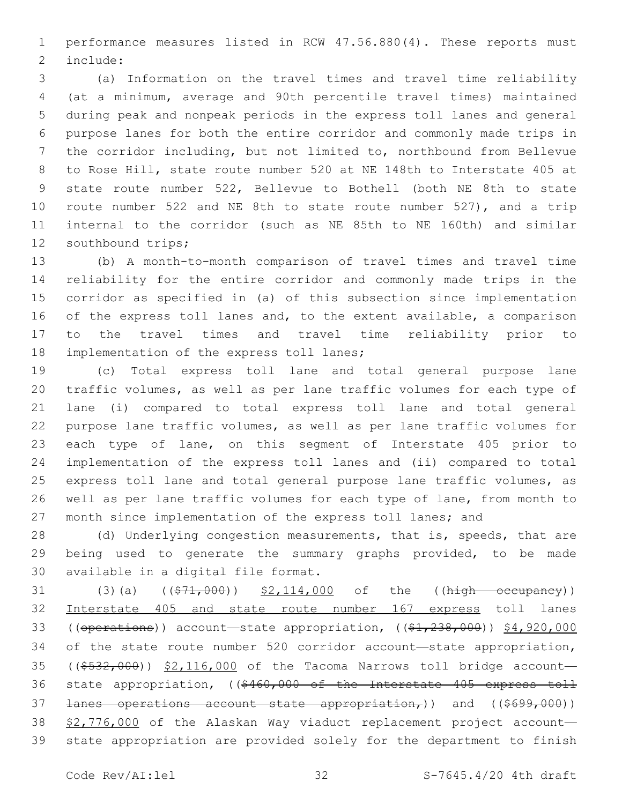performance measures listed in RCW 47.56.880(4). These reports must 2 include:

 (a) Information on the travel times and travel time reliability (at a minimum, average and 90th percentile travel times) maintained during peak and nonpeak periods in the express toll lanes and general purpose lanes for both the entire corridor and commonly made trips in the corridor including, but not limited to, northbound from Bellevue to Rose Hill, state route number 520 at NE 148th to Interstate 405 at state route number 522, Bellevue to Bothell (both NE 8th to state route number 522 and NE 8th to state route number 527), and a trip internal to the corridor (such as NE 85th to NE 160th) and similar 12 southbound trips;

 (b) A month-to-month comparison of travel times and travel time reliability for the entire corridor and commonly made trips in the corridor as specified in (a) of this subsection since implementation 16 of the express toll lanes and, to the extent available, a comparison to the travel times and travel time reliability prior to 18 implementation of the express toll lanes;

 (c) Total express toll lane and total general purpose lane traffic volumes, as well as per lane traffic volumes for each type of lane (i) compared to total express toll lane and total general purpose lane traffic volumes, as well as per lane traffic volumes for each type of lane, on this segment of Interstate 405 prior to implementation of the express toll lanes and (ii) compared to total express toll lane and total general purpose lane traffic volumes, as well as per lane traffic volumes for each type of lane, from month to month since implementation of the express toll lanes; and

28 (d) Underlying congestion measurements, that is, speeds, that are being used to generate the summary graphs provided, to be made 30 available in a digital file format.

31 (3)(a)  $($ \$71,000)) \$2,114,000 of the ((high occupancy)) Interstate 405 and state route number 167 express toll lanes 33 ((operations)) account—state appropriation, ((\$1,238,000)) \$4,920,000 of the state route number 520 corridor account—state appropriation, 35 ((\$532,000)) \$2,116,000 of the Tacoma Narrows toll bridge account-36 state appropriation, ((\$460,000 of the Interstate 405 express toll 37 <del>lanes operations account state appropriation,</del>)) and ((\$699,000)) \$2,776,000 of the Alaskan Way viaduct replacement project account— state appropriation are provided solely for the department to finish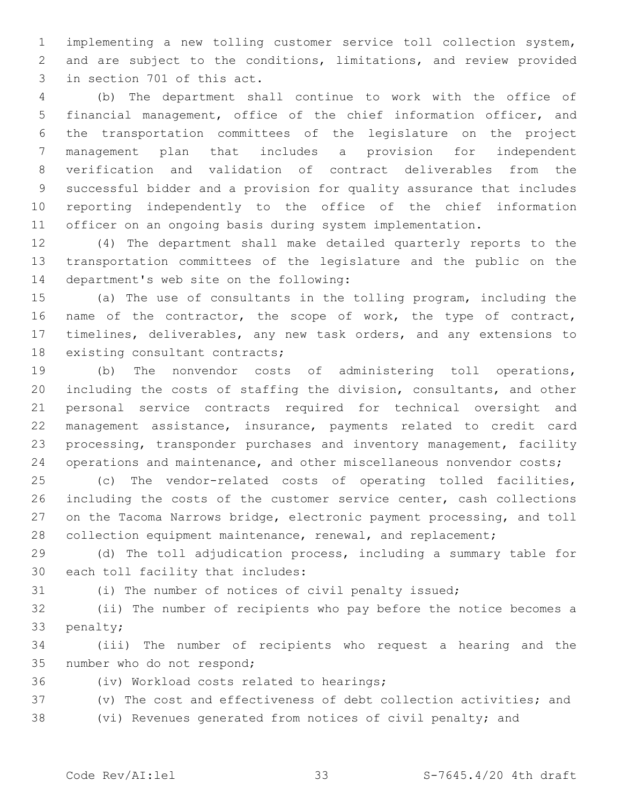implementing a new tolling customer service toll collection system, and are subject to the conditions, limitations, and review provided 3 in section 701 of this act.

 (b) The department shall continue to work with the office of financial management, office of the chief information officer, and the transportation committees of the legislature on the project management plan that includes a provision for independent verification and validation of contract deliverables from the successful bidder and a provision for quality assurance that includes reporting independently to the office of the chief information officer on an ongoing basis during system implementation.

 (4) The department shall make detailed quarterly reports to the transportation committees of the legislature and the public on the 14 department's web site on the following:

 (a) The use of consultants in the tolling program, including the 16 name of the contractor, the scope of work, the type of contract, timelines, deliverables, any new task orders, and any extensions to 18 existing consultant contracts;

 (b) The nonvendor costs of administering toll operations, including the costs of staffing the division, consultants, and other personal service contracts required for technical oversight and management assistance, insurance, payments related to credit card processing, transponder purchases and inventory management, facility 24 operations and maintenance, and other miscellaneous nonvendor costs;

 (c) The vendor-related costs of operating tolled facilities, including the costs of the customer service center, cash collections on the Tacoma Narrows bridge, electronic payment processing, and toll 28 collection equipment maintenance, renewal, and replacement;

 (d) The toll adjudication process, including a summary table for 30 each toll facility that includes:

(i) The number of notices of civil penalty issued;

 (ii) The number of recipients who pay before the notice becomes a 33 penalty;

 (iii) The number of recipients who request a hearing and the 35 number who do not respond;

36 (iv) Workload costs related to hearings;

(v) The cost and effectiveness of debt collection activities; and

(vi) Revenues generated from notices of civil penalty; and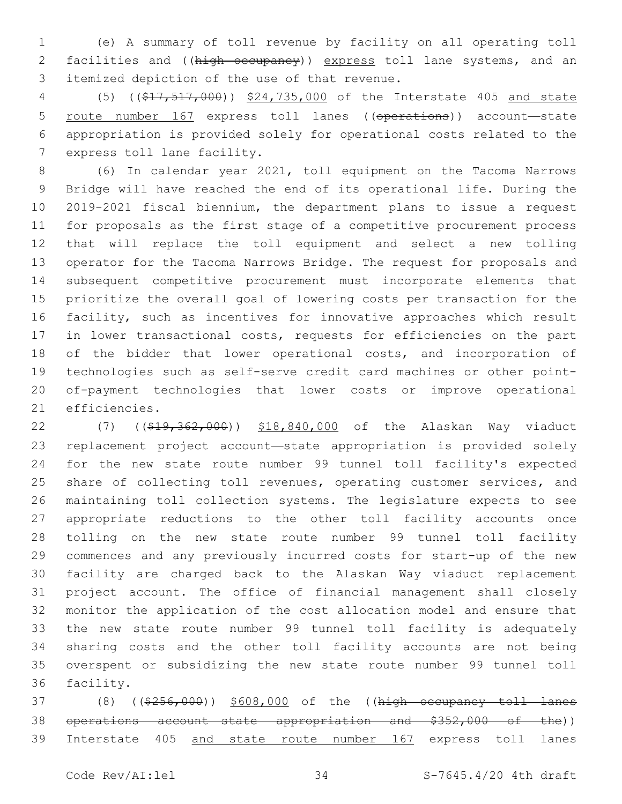(e) A summary of toll revenue by facility on all operating toll 2 facilities and ((high occupancy)) express toll lane systems, and an 3 itemized depiction of the use of that revenue.

 (5) ((\$17,517,000)) \$24,735,000 of the Interstate 405 and state route number 167 express toll lanes ((operations)) account—state appropriation is provided solely for operational costs related to the 7 express toll lane facility.

 (6) In calendar year 2021, toll equipment on the Tacoma Narrows Bridge will have reached the end of its operational life. During the 2019-2021 fiscal biennium, the department plans to issue a request for proposals as the first stage of a competitive procurement process that will replace the toll equipment and select a new tolling operator for the Tacoma Narrows Bridge. The request for proposals and subsequent competitive procurement must incorporate elements that prioritize the overall goal of lowering costs per transaction for the facility, such as incentives for innovative approaches which result in lower transactional costs, requests for efficiencies on the part of the bidder that lower operational costs, and incorporation of technologies such as self-serve credit card machines or other point- of-payment technologies that lower costs or improve operational 21 efficiencies.

22 (7) ((\$19,362,000)) \$18,840,000 of the Alaskan Way viaduct replacement project account—state appropriation is provided solely for the new state route number 99 tunnel toll facility's expected 25 share of collecting toll revenues, operating customer services, and maintaining toll collection systems. The legislature expects to see appropriate reductions to the other toll facility accounts once tolling on the new state route number 99 tunnel toll facility commences and any previously incurred costs for start-up of the new facility are charged back to the Alaskan Way viaduct replacement project account. The office of financial management shall closely monitor the application of the cost allocation model and ensure that the new state route number 99 tunnel toll facility is adequately sharing costs and the other toll facility accounts are not being overspent or subsidizing the new state route number 99 tunnel toll 36 facility.

37 (8) ((\$256,000)) \$608,000 of the ((high occupancy toll lanes operations account—state appropriation and \$352,000 of the)) Interstate 405 and state route number 167 express toll lanes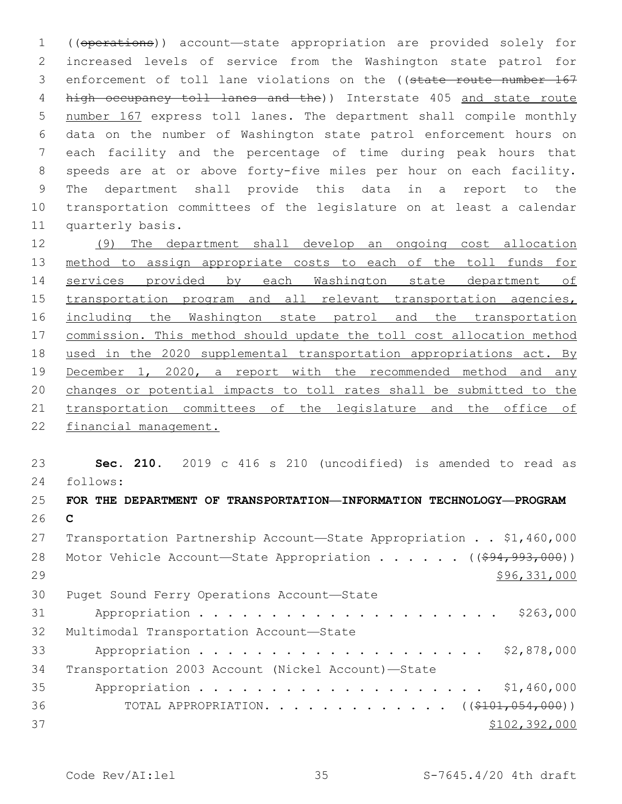((operations)) account—state appropriation are provided solely for increased levels of service from the Washington state patrol for 3 enforcement of toll lane violations on the ((state route number 167 high occupancy toll lanes and the)) Interstate 405 and state route number 167 express toll lanes. The department shall compile monthly data on the number of Washington state patrol enforcement hours on each facility and the percentage of time during peak hours that speeds are at or above forty-five miles per hour on each facility. The department shall provide this data in a report to the transportation committees of the legislature on at least a calendar 11 quarterly basis.

 (9) The department shall develop an ongoing cost allocation method to assign appropriate costs to each of the toll funds for services provided by each Washington state department of 15 transportation program and all relevant transportation agencies, including the Washington state patrol and the transportation commission. This method should update the toll cost allocation method used in the 2020 supplemental transportation appropriations act. By December 1, 2020, a report with the recommended method and any changes or potential impacts to toll rates shall be submitted to the transportation committees of the legislature and the office of financial management.

 **Sec. 210.** 2019 c 416 s 210 (uncodified) is amended to read as follows:

# **FOR THE DEPARTMENT OF TRANSPORTATION—INFORMATION TECHNOLOGY—PROGRAM C** Transportation Partnership Account—State Appropriation . . \$1,460,000 28 Motor Vehicle Account—State Appropriation . . . . . ((\$94,993,000)) \$96,331,000 30 Puget Sound Ferry Operations Account-State Appropriation . . . . . . . . . . . . . . . . . . . . . \$263,000 32 Multimodal Transportation Account-State Appropriation . . . . . . . . . . . . . . . . . . . . \$2,878,000 Transportation 2003 Account (Nickel Account)—State Appropriation . . . . . . . . . . . . . . . . . . . . \$1,460,000 36 TOTAL APPROPRIATION. . . . . . . . . . . . . ((\$101,054,000))  $$102,392,000$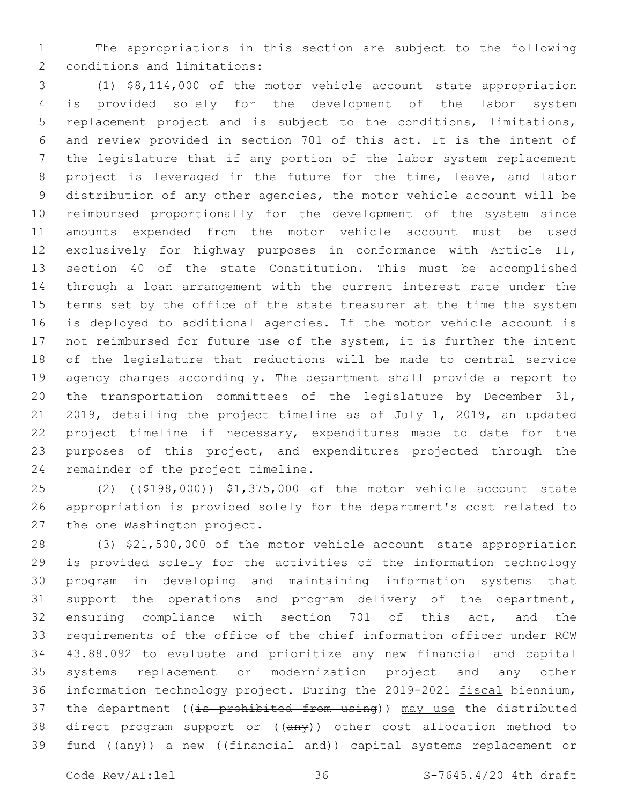The appropriations in this section are subject to the following 2 conditions and limitations:

 (1) \$8,114,000 of the motor vehicle account—state appropriation is provided solely for the development of the labor system replacement project and is subject to the conditions, limitations, and review provided in section 701 of this act. It is the intent of the legislature that if any portion of the labor system replacement project is leveraged in the future for the time, leave, and labor distribution of any other agencies, the motor vehicle account will be reimbursed proportionally for the development of the system since amounts expended from the motor vehicle account must be used exclusively for highway purposes in conformance with Article II, section 40 of the state Constitution. This must be accomplished through a loan arrangement with the current interest rate under the terms set by the office of the state treasurer at the time the system is deployed to additional agencies. If the motor vehicle account is 17 not reimbursed for future use of the system, it is further the intent of the legislature that reductions will be made to central service agency charges accordingly. The department shall provide a report to the transportation committees of the legislature by December 31, 2019, detailing the project timeline as of July 1, 2019, an updated 22 project timeline if necessary, expenditures made to date for the 23 purposes of this project, and expenditures projected through the 24 remainder of the project timeline.

 (2) ((\$198,000)) \$1,375,000 of the motor vehicle account—state appropriation is provided solely for the department's cost related to 27 the one Washington project.

 (3) \$21,500,000 of the motor vehicle account—state appropriation is provided solely for the activities of the information technology program in developing and maintaining information systems that support the operations and program delivery of the department, ensuring compliance with section 701 of this act, and the requirements of the office of the chief information officer under RCW 43.88.092 to evaluate and prioritize any new financial and capital systems replacement or modernization project and any other information technology project. During the 2019-2021 fiscal biennium, 37 the department ((is prohibited from using)) may use the distributed 38 direct program support or ((any)) other cost allocation method to 39 fund ((any)) a new ((financial and)) capital systems replacement or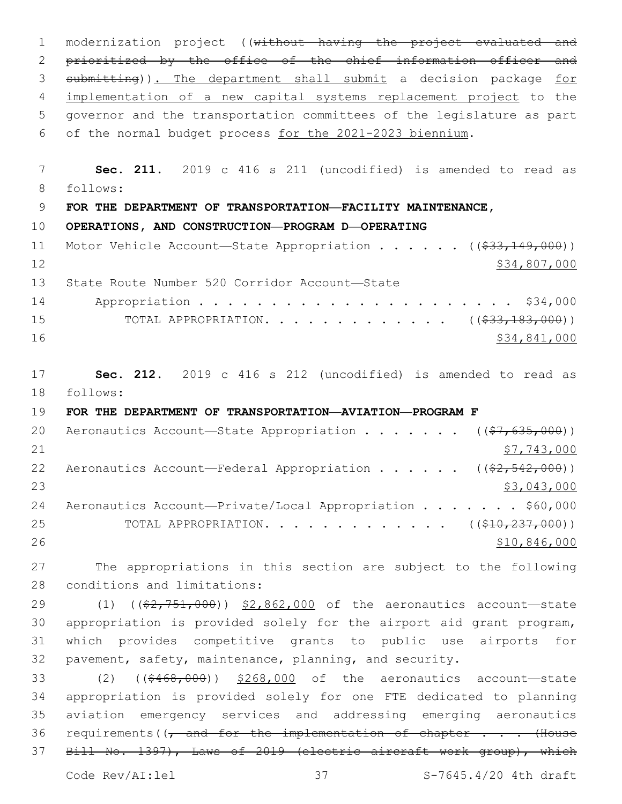modernization project ((without having the project evaluated and 2 prioritized by the office of the chief information officer and submitting)). The department shall submit a decision package for implementation of a new capital systems replacement project to the governor and the transportation committees of the legislature as part of the normal budget process for the 2021-2023 biennium. **Sec. 211.** 2019 c 416 s 211 (uncodified) is amended to read as follows: **FOR THE DEPARTMENT OF TRANSPORTATION—FACILITY MAINTENANCE, OPERATIONS, AND CONSTRUCTION—PROGRAM D—OPERATING** 11 Motor Vehicle Account—State Appropriation . . . . . ((\$33,149,000)) \$34,807,000 13 State Route Number 520 Corridor Account-State Appropriation . . . . . . . . . . . . . . . . . . . . . . \$34,000 15 TOTAL APPROPRIATION. . . . . . . . . . . . ((<del>\$33,183,000</del>)) \$34,841,000 **Sec. 212.** 2019 c 416 s 212 (uncodified) is amended to read as follows: **FOR THE DEPARTMENT OF TRANSPORTATION—AVIATION—PROGRAM F** 20 Aeronautics Account—State Appropriation . . . . . .  $($   $($ \$7,635,000))  $$7,743,000$ 22 Aeronautics Account—Federal Appropriation . . . . .  $($   $($ \$2,542,000)) \$3,043,000 24 Aeronautics Account-Private/Local Appropriation . . . . . . \$60,000 25 TOTAL APPROPRIATION. . . . . . . . . . . . ((<del>\$10,237,000</del>)) \$10,846,000 The appropriations in this section are subject to the following 28 conditions and limitations: 29 (1) ((\$2,751,000)) \$2,862,000 of the aeronautics account—state appropriation is provided solely for the airport aid grant program, which provides competitive grants to public use airports for pavement, safety, maintenance, planning, and security.

 (2) ((\$468,000)) \$268,000 of the aeronautics account—state appropriation is provided solely for one FTE dedicated to planning aviation emergency services and addressing emerging aeronautics 36 requirements((, and for the implementation of chapter . . . (House 37 Bill No. 1397), Laws of 2019 (electric aircraft work group), which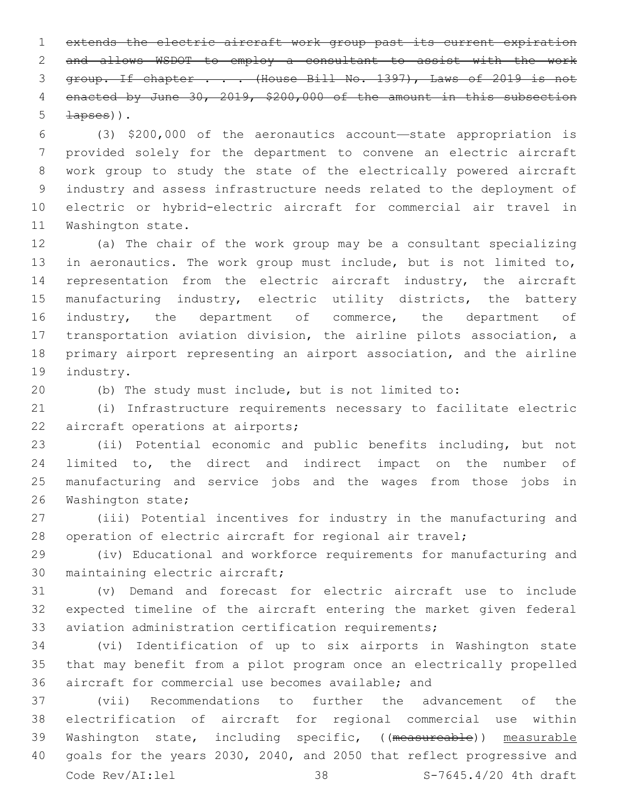extends the electric aircraft work group past its current expiration and allows WSDOT to employ a consultant to assist with the work 3 group. If chapter . . . (House Bill No. 1397), Laws of 2019 is not 4 enacted by June 30, 2019, \$200,000 of the amount in this subsection  $\pm$ apses)).

 (3) \$200,000 of the aeronautics account—state appropriation is provided solely for the department to convene an electric aircraft work group to study the state of the electrically powered aircraft industry and assess infrastructure needs related to the deployment of electric or hybrid-electric aircraft for commercial air travel in 11 Washington state.

 (a) The chair of the work group may be a consultant specializing in aeronautics. The work group must include, but is not limited to, representation from the electric aircraft industry, the aircraft manufacturing industry, electric utility districts, the battery industry, the department of commerce, the department of transportation aviation division, the airline pilots association, a primary airport representing an airport association, and the airline 19 industry.

(b) The study must include, but is not limited to:

 (i) Infrastructure requirements necessary to facilitate electric 22 aircraft operations at airports;

 (ii) Potential economic and public benefits including, but not limited to, the direct and indirect impact on the number of manufacturing and service jobs and the wages from those jobs in 26 Washington state;

 (iii) Potential incentives for industry in the manufacturing and operation of electric aircraft for regional air travel;

 (iv) Educational and workforce requirements for manufacturing and 30 maintaining electric aircraft;

 (v) Demand and forecast for electric aircraft use to include expected timeline of the aircraft entering the market given federal aviation administration certification requirements;

 (vi) Identification of up to six airports in Washington state that may benefit from a pilot program once an electrically propelled aircraft for commercial use becomes available; and

 (vii) Recommendations to further the advancement of the electrification of aircraft for regional commercial use within Washington state, including specific, ((measureable)) measurable goals for the years 2030, 2040, and 2050 that reflect progressive and Code Rev/AI:lel 38 S-7645.4/20 4th draft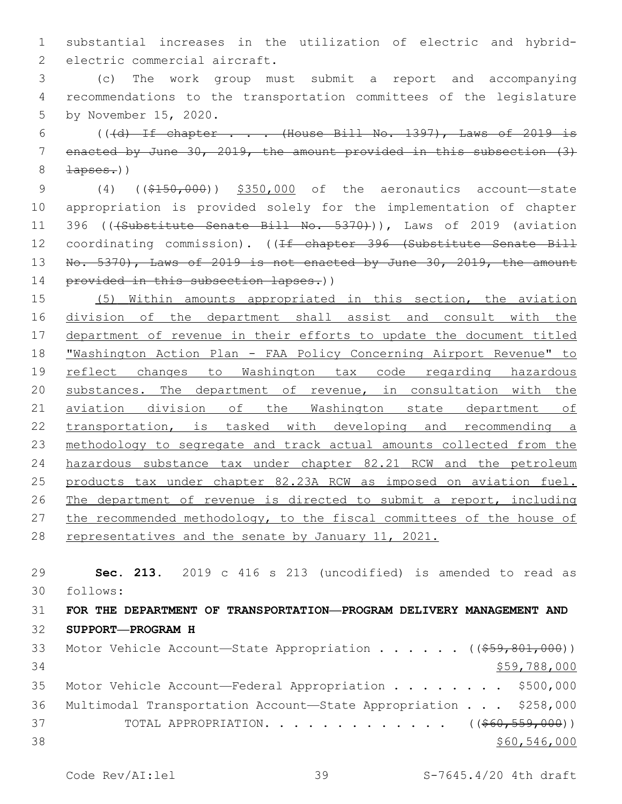substantial increases in the utilization of electric and hybrid-2 electric commercial aircraft.

 (c) The work group must submit a report and accompanying recommendations to the transportation committees of the legislature 5 by November 15, 2020.

6 (( $\left(\frac{d}{d} + 1\right)$  chapter . . . (House Bill No. 1397), Laws of 2019 is enacted by June 30, 2019, the amount provided in this subsection (3)  $8 \rightarrow \text{layers.}$ 

 (4) ((\$150,000)) \$350,000 of the aeronautics account—state appropriation is provided solely for the implementation of chapter 11 396 (((Substitute Senate Bill No. 5370))), Laws of 2019 (aviation 12 coordinating commission). ((If chapter 396 (Substitute Senate Bill 13 No. 5370), Laws of 2019 is not enacted by June 30, 2019, the amount 14 provided in this subsection lapses.))

 (5) Within amounts appropriated in this section, the aviation division of the department shall assist and consult with the department of revenue in their efforts to update the document titled "Washington Action Plan - FAA Policy Concerning Airport Revenue" to 19 reflect changes to Washington tax code regarding hazardous substances. The department of revenue, in consultation with the aviation division of the Washington state department of transportation, is tasked with developing and recommending a methodology to segregate and track actual amounts collected from the hazardous substance tax under chapter 82.21 RCW and the petroleum products tax under chapter 82.23A RCW as imposed on aviation fuel. 26 The department of revenue is directed to submit a report, including the recommended methodology, to the fiscal committees of the house of representatives and the senate by January 11, 2021.

 **Sec. 213.** 2019 c 416 s 213 (uncodified) is amended to read as follows: **FOR THE DEPARTMENT OF TRANSPORTATION—PROGRAM DELIVERY MANAGEMENT AND SUPPORT—PROGRAM H** 33 Motor Vehicle Account—State Appropriation . . . . . ((\$59,801,000)) \$59,788,000 35 Motor Vehicle Account—Federal Appropriation . . . . . . . \$500,000 Multimodal Transportation Account—State Appropriation . . . \$258,000 37 TOTAL APPROPRIATION. . . . . . . . . . . . . ((\$60,559,000)) \$60,546,000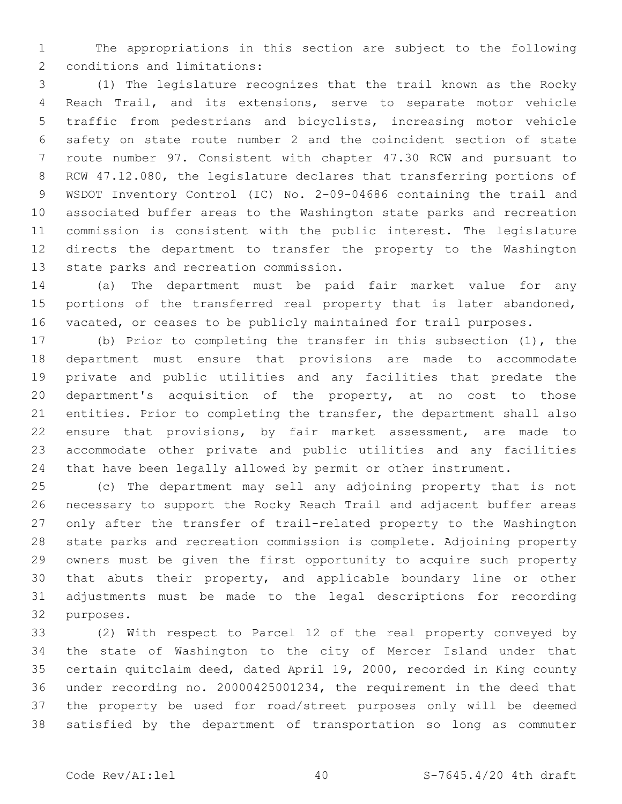The appropriations in this section are subject to the following 2 conditions and limitations:

 (1) The legislature recognizes that the trail known as the Rocky Reach Trail, and its extensions, serve to separate motor vehicle traffic from pedestrians and bicyclists, increasing motor vehicle safety on state route number 2 and the coincident section of state route number 97. Consistent with chapter 47.30 RCW and pursuant to RCW 47.12.080, the legislature declares that transferring portions of WSDOT Inventory Control (IC) No. 2-09-04686 containing the trail and associated buffer areas to the Washington state parks and recreation commission is consistent with the public interest. The legislature directs the department to transfer the property to the Washington 13 state parks and recreation commission.

 (a) The department must be paid fair market value for any portions of the transferred real property that is later abandoned, vacated, or ceases to be publicly maintained for trail purposes.

 (b) Prior to completing the transfer in this subsection (1), the department must ensure that provisions are made to accommodate private and public utilities and any facilities that predate the department's acquisition of the property, at no cost to those entities. Prior to completing the transfer, the department shall also ensure that provisions, by fair market assessment, are made to accommodate other private and public utilities and any facilities that have been legally allowed by permit or other instrument.

 (c) The department may sell any adjoining property that is not necessary to support the Rocky Reach Trail and adjacent buffer areas only after the transfer of trail-related property to the Washington state parks and recreation commission is complete. Adjoining property owners must be given the first opportunity to acquire such property that abuts their property, and applicable boundary line or other adjustments must be made to the legal descriptions for recording 32 purposes.

 (2) With respect to Parcel 12 of the real property conveyed by the state of Washington to the city of Mercer Island under that certain quitclaim deed, dated April 19, 2000, recorded in King county under recording no. 20000425001234, the requirement in the deed that the property be used for road/street purposes only will be deemed satisfied by the department of transportation so long as commuter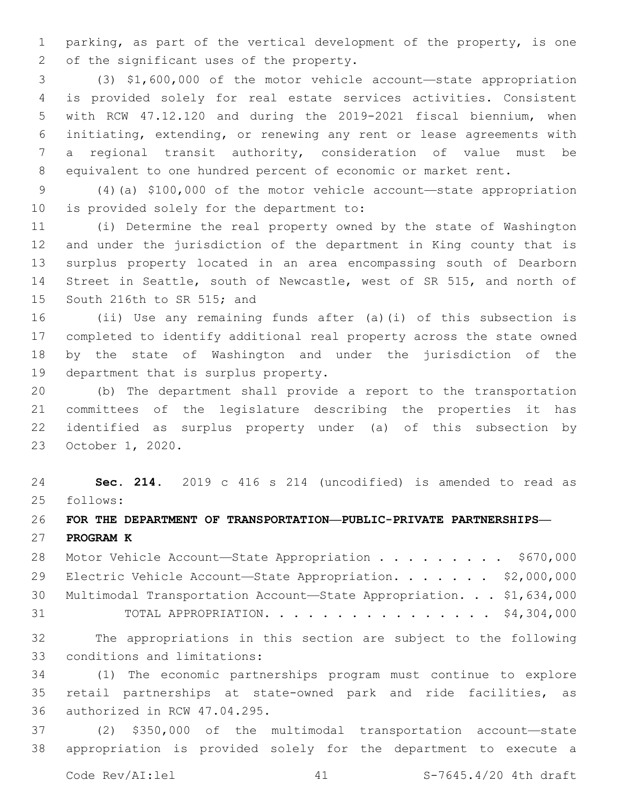parking, as part of the vertical development of the property, is one 2 of the significant uses of the property.

 (3) \$1,600,000 of the motor vehicle account—state appropriation is provided solely for real estate services activities. Consistent with RCW 47.12.120 and during the 2019-2021 fiscal biennium, when initiating, extending, or renewing any rent or lease agreements with a regional transit authority, consideration of value must be equivalent to one hundred percent of economic or market rent.

 (4)(a) \$100,000 of the motor vehicle account—state appropriation 10 is provided solely for the department to:

 (i) Determine the real property owned by the state of Washington and under the jurisdiction of the department in King county that is surplus property located in an area encompassing south of Dearborn Street in Seattle, south of Newcastle, west of SR 515, and north of 15 South 216th to SR 515; and

 (ii) Use any remaining funds after (a)(i) of this subsection is completed to identify additional real property across the state owned by the state of Washington and under the jurisdiction of the 19 department that is surplus property.

 (b) The department shall provide a report to the transportation committees of the legislature describing the properties it has identified as surplus property under (a) of this subsection by 23 October 1, 2020.

 **Sec. 214.** 2019 c 416 s 214 (uncodified) is amended to read as follows:

## **FOR THE DEPARTMENT OF TRANSPORTATION—PUBLIC-PRIVATE PARTNERSHIPS—**

**PROGRAM K**

28 Motor Vehicle Account-State Appropriation . . . . . . . . \$670,000 29 Electric Vehicle Account-State Appropriation. . . . . . \$2,000,000 Multimodal Transportation Account—State Appropriation. . . \$1,634,000 31 TOTAL APPROPRIATION. . . . . . . . . . . . . . . . \$4,304,000

 The appropriations in this section are subject to the following 33 conditions and limitations:

 (1) The economic partnerships program must continue to explore retail partnerships at state-owned park and ride facilities, as 36 authorized in RCW 47.04.295.

 (2) \$350,000 of the multimodal transportation account—state appropriation is provided solely for the department to execute a

Code Rev/AI:lel 41 S-7645.4/20 4th draft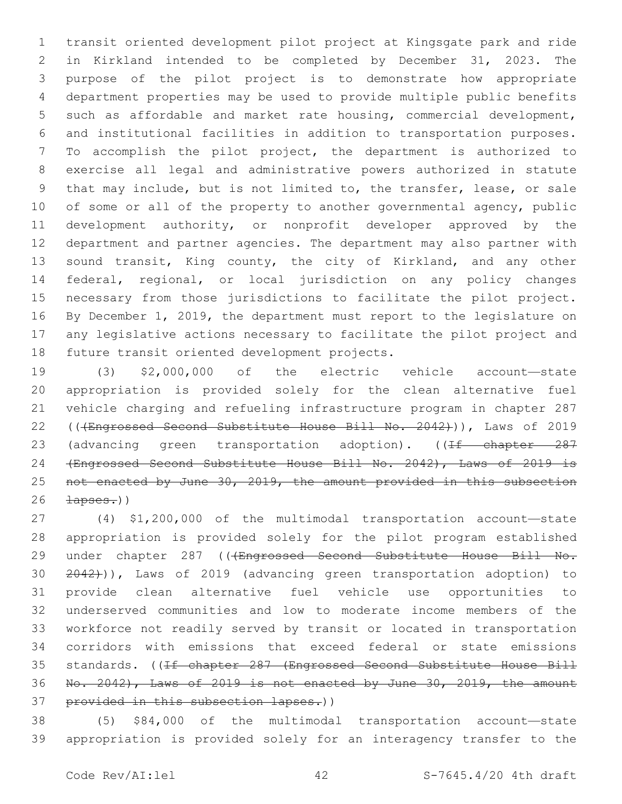transit oriented development pilot project at Kingsgate park and ride in Kirkland intended to be completed by December 31, 2023. The purpose of the pilot project is to demonstrate how appropriate department properties may be used to provide multiple public benefits such as affordable and market rate housing, commercial development, and institutional facilities in addition to transportation purposes. To accomplish the pilot project, the department is authorized to exercise all legal and administrative powers authorized in statute that may include, but is not limited to, the transfer, lease, or sale of some or all of the property to another governmental agency, public development authority, or nonprofit developer approved by the department and partner agencies. The department may also partner with 13 sound transit, King county, the city of Kirkland, and any other federal, regional, or local jurisdiction on any policy changes necessary from those jurisdictions to facilitate the pilot project. By December 1, 2019, the department must report to the legislature on any legislative actions necessary to facilitate the pilot project and 18 future transit oriented development projects.

 (3) \$2,000,000 of the electric vehicle account—state appropriation is provided solely for the clean alternative fuel vehicle charging and refueling infrastructure program in chapter 287 22 (((Engrossed Second Substitute House Bill No. 2042))), Laws of 2019 23 (advancing green transportation adoption). ((If chapter 287 (Engrossed Second Substitute House Bill No. 2042), Laws of 2019 is not enacted by June 30, 2019, the amount provided in this subsection  $\frac{1}{20}$ 

 (4) \$1,200,000 of the multimodal transportation account—state appropriation is provided solely for the pilot program established 29 under chapter 287 (((Engrossed Second Substitute House Bill No. 2042))), Laws of 2019 (advancing green transportation adoption) to provide clean alternative fuel vehicle use opportunities to underserved communities and low to moderate income members of the workforce not readily served by transit or located in transportation corridors with emissions that exceed federal or state emissions 35 standards. ((<del>If chapter 287 (Engrossed Second Substitute House Bill</del> No. 2042), Laws of 2019 is not enacted by June 30, 2019, the amount provided in this subsection lapses.))

 (5) \$84,000 of the multimodal transportation account—state appropriation is provided solely for an interagency transfer to the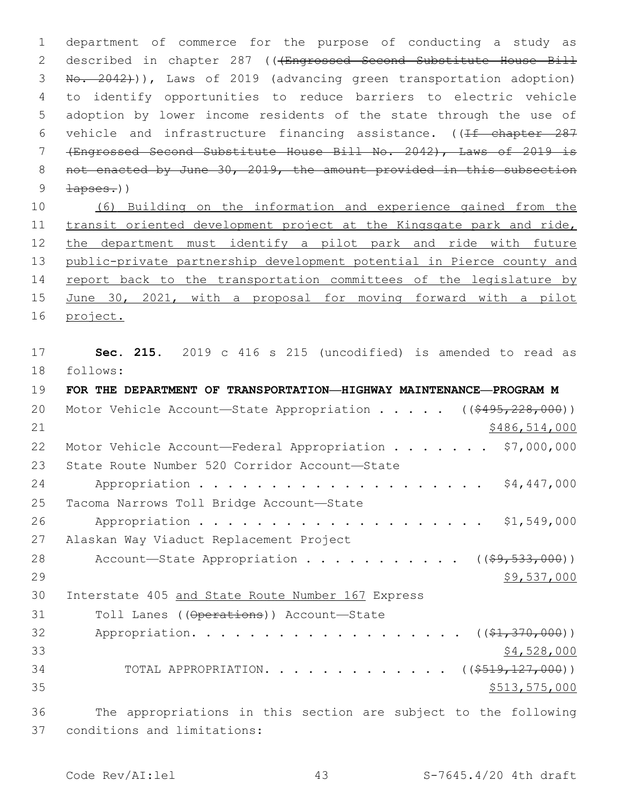department of commerce for the purpose of conducting a study as described in chapter 287 (((Engrossed Second Substitute House Bill No. 2042))), Laws of 2019 (advancing green transportation adoption) to identify opportunities to reduce barriers to electric vehicle adoption by lower income residents of the state through the use of 6 vehicle and infrastructure financing assistance. ((If chapter 287 (Engrossed Second Substitute House Bill No. 2042), Laws of 2019 is 8 not enacted by June 30, 2019, the amount provided in this subsection 9 <del>lapses.</del>))

 (6) Building on the information and experience gained from the 11 transit oriented development project at the Kingsgate park and ride, the department must identify a pilot park and ride with future public-private partnership development potential in Pierce county and 14 report back to the transportation committees of the legislature by June 30, 2021, with a proposal for moving forward with a pilot project.

 **Sec. 215.** 2019 c 416 s 215 (uncodified) is amended to read as follows:

| 19 | FOR THE DEPARTMENT OF TRANSPORTATION—HIGHWAY MAINTENANCE—PROGRAM M     |
|----|------------------------------------------------------------------------|
| 20 | Motor Vehicle Account-State Appropriation ( $(\frac{2495}{228},000)$ ) |
| 21 | \$486,514,000                                                          |
| 22 | Motor Vehicle Account-Federal Appropriation \$7,000,000                |
| 23 | State Route Number 520 Corridor Account-State                          |
| 24 | \$4,447,000                                                            |
| 25 | Tacoma Narrows Toll Bridge Account-State                               |
| 26 | \$1,549,000                                                            |
| 27 | Alaskan Way Viaduct Replacement Project                                |
| 28 | Account-State Appropriation ( $(\frac{69}{7533}, 000)$ )               |
| 29 | \$9,537,000                                                            |
| 30 | Interstate 405 and State Route Number 167 Express                      |
| 31 | Toll Lanes ((Operations)) Account-State                                |
| 32 | Appropriation.<br>$((\$1,370,000))$                                    |
| 33 | \$4,528,000                                                            |
| 34 | TOTAL APPROPRIATION. ( $(\frac{\$519,127,000}{})$ )                    |
| 35 | \$513, 575, 000                                                        |
| 36 | The appropriations in this section are subject to the following        |
| 37 | conditions and limitations:                                            |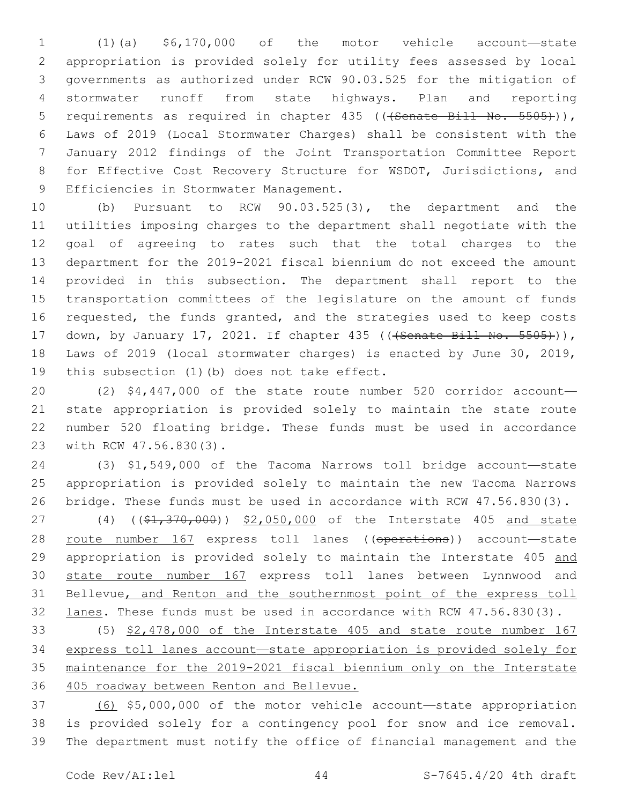(1)(a) \$6,170,000 of the motor vehicle account—state appropriation is provided solely for utility fees assessed by local governments as authorized under RCW 90.03.525 for the mitigation of stormwater runoff from state highways. Plan and reporting 5 requirements as required in chapter 435 (((Senate Bill No. 5505))), Laws of 2019 (Local Stormwater Charges) shall be consistent with the January 2012 findings of the Joint Transportation Committee Report for Effective Cost Recovery Structure for WSDOT, Jurisdictions, and 9 Efficiencies in Stormwater Management.

 (b) Pursuant to RCW 90.03.525(3), the department and the utilities imposing charges to the department shall negotiate with the goal of agreeing to rates such that the total charges to the department for the 2019-2021 fiscal biennium do not exceed the amount provided in this subsection. The department shall report to the transportation committees of the legislature on the amount of funds requested, the funds granted, and the strategies used to keep costs 17 down, by January 17, 2021. If chapter 435 ((<del>(Senate Bill No. 5505)</del>)), Laws of 2019 (local stormwater charges) is enacted by June 30, 2019, 19 this subsection (1)(b) does not take effect.

 (2) \$4,447,000 of the state route number 520 corridor account— state appropriation is provided solely to maintain the state route number 520 floating bridge. These funds must be used in accordance 23 with RCW 47.56.830(3).

 (3) \$1,549,000 of the Tacoma Narrows toll bridge account—state appropriation is provided solely to maintain the new Tacoma Narrows bridge. These funds must be used in accordance with RCW 47.56.830(3).

27 (4) ((\$1,370,000)) \$2,050,000 of the Interstate 405 and state 28 route number 167 express toll lanes ((operations)) account-state 29 appropriation is provided solely to maintain the Interstate 405 and state route number 167 express toll lanes between Lynnwood and 31 Bellevue, and Renton and the southernmost point of the express toll 32 lanes. These funds must be used in accordance with RCW 47.56.830(3).

 (5) \$2,478,000 of the Interstate 405 and state route number 167 express toll lanes account—state appropriation is provided solely for maintenance for the 2019-2021 fiscal biennium only on the Interstate 405 roadway between Renton and Bellevue.

 (6) \$5,000,000 of the motor vehicle account—state appropriation is provided solely for a contingency pool for snow and ice removal. The department must notify the office of financial management and the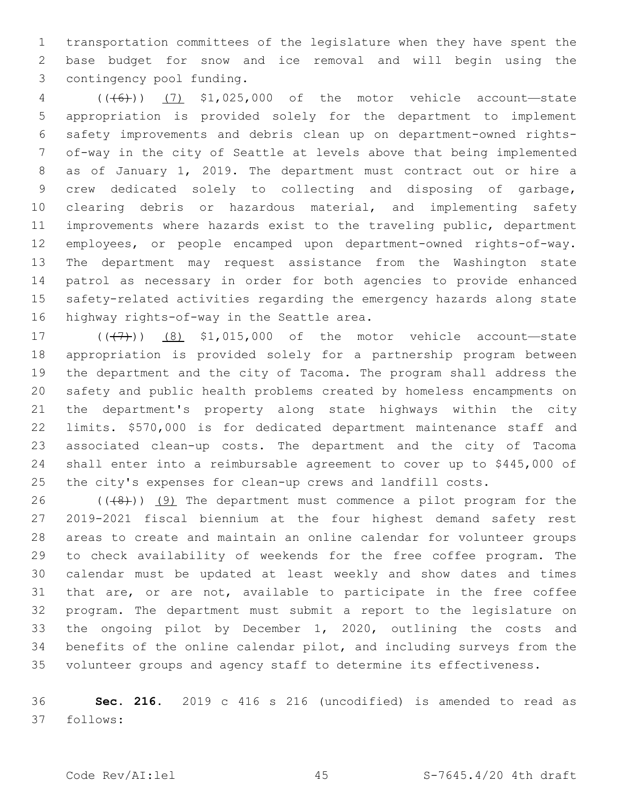transportation committees of the legislature when they have spent the base budget for snow and ice removal and will begin using the 3 contingency pool funding.

 (((6))) (7) \$1,025,000 of the motor vehicle account—state appropriation is provided solely for the department to implement safety improvements and debris clean up on department-owned rights- of-way in the city of Seattle at levels above that being implemented as of January 1, 2019. The department must contract out or hire a crew dedicated solely to collecting and disposing of garbage, clearing debris or hazardous material, and implementing safety improvements where hazards exist to the traveling public, department employees, or people encamped upon department-owned rights-of-way. The department may request assistance from the Washington state patrol as necessary in order for both agencies to provide enhanced safety-related activities regarding the emergency hazards along state 16 highway rights-of-way in the Seattle area.

 $(17$   $(17)$ ) (8) \$1,015,000 of the motor vehicle account—state appropriation is provided solely for a partnership program between the department and the city of Tacoma. The program shall address the safety and public health problems created by homeless encampments on the department's property along state highways within the city limits. \$570,000 is for dedicated department maintenance staff and associated clean-up costs. The department and the city of Tacoma shall enter into a reimbursable agreement to cover up to \$445,000 of the city's expenses for clean-up crews and landfill costs.

 $((+8))$  (9) The department must commence a pilot program for the 2019-2021 fiscal biennium at the four highest demand safety rest areas to create and maintain an online calendar for volunteer groups to check availability of weekends for the free coffee program. The calendar must be updated at least weekly and show dates and times that are, or are not, available to participate in the free coffee program. The department must submit a report to the legislature on the ongoing pilot by December 1, 2020, outlining the costs and benefits of the online calendar pilot, and including surveys from the volunteer groups and agency staff to determine its effectiveness.

 **Sec. 216.** 2019 c 416 s 216 (uncodified) is amended to read as follows: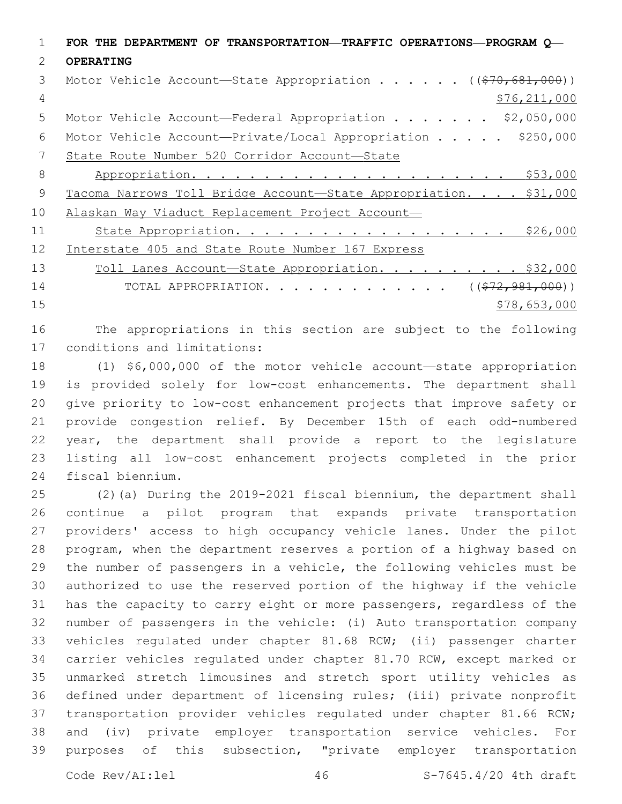|    | FOR THE DEPARTMENT OF TRANSPORTATION—TRAFFIC OPERATIONS—PROGRAM Q—     |
|----|------------------------------------------------------------------------|
| 2  | <b>OPERATING</b>                                                       |
| 3  | Motor Vehicle Account—State Appropriation ( $(\frac{270}{681}, 000)$ ) |
| 4  | \$76, 211, 000                                                         |
| 5  | Motor Vehicle Account-Federal Appropriation \$2,050,000                |
| 6  | Motor Vehicle Account-Private/Local Appropriation \$250,000            |
| 7  | State Route Number 520 Corridor Account-State                          |
| 8  |                                                                        |
| 9  | Tacoma Narrows Toll Bridge Account-State Appropriation. \$31,000       |
| 10 | Alaskan Way Viaduct Replacement Project Account-                       |
| 11 | State Appropriation. \$26,000                                          |
| 12 | Interstate 405 and State Route Number 167 Express                      |
| 13 | Toll Lanes Account-State Appropriation. \$32,000                       |
| 14 | TOTAL APPROPRIATION. ( $(\frac{272,981,000}{s})$                       |
| 15 | \$78,653,000                                                           |
|    |                                                                        |

 The appropriations in this section are subject to the following 17 conditions and limitations:

 (1) \$6,000,000 of the motor vehicle account—state appropriation is provided solely for low-cost enhancements. The department shall give priority to low-cost enhancement projects that improve safety or provide congestion relief. By December 15th of each odd-numbered year, the department shall provide a report to the legislature listing all low-cost enhancement projects completed in the prior 24 fiscal biennium.

 (2)(a) During the 2019-2021 fiscal biennium, the department shall continue a pilot program that expands private transportation providers' access to high occupancy vehicle lanes. Under the pilot program, when the department reserves a portion of a highway based on the number of passengers in a vehicle, the following vehicles must be authorized to use the reserved portion of the highway if the vehicle has the capacity to carry eight or more passengers, regardless of the number of passengers in the vehicle: (i) Auto transportation company vehicles regulated under chapter 81.68 RCW; (ii) passenger charter carrier vehicles regulated under chapter 81.70 RCW, except marked or unmarked stretch limousines and stretch sport utility vehicles as defined under department of licensing rules; (iii) private nonprofit transportation provider vehicles regulated under chapter 81.66 RCW; and (iv) private employer transportation service vehicles. For purposes of this subsection, "private employer transportation

Code Rev/AI:lel 46 S-7645.4/20 4th draft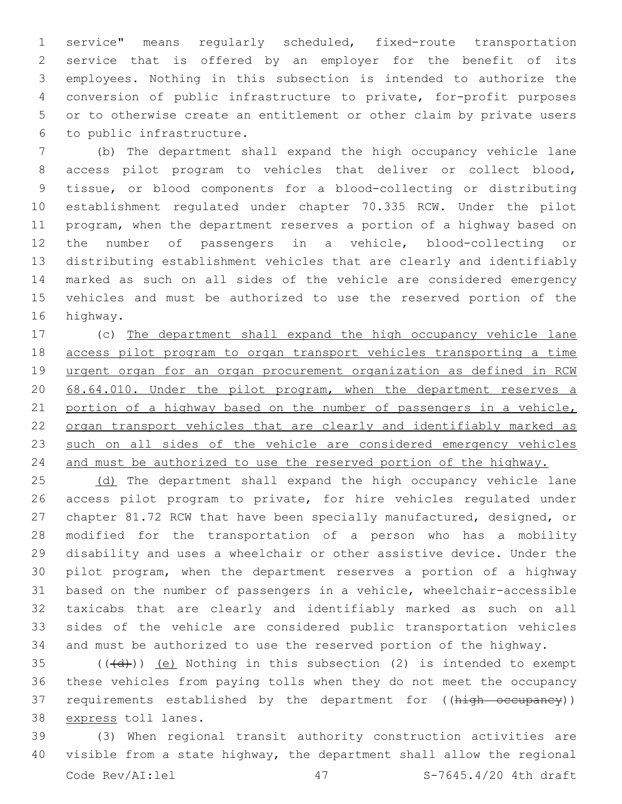service" means regularly scheduled, fixed-route transportation service that is offered by an employer for the benefit of its employees. Nothing in this subsection is intended to authorize the conversion of public infrastructure to private, for-profit purposes or to otherwise create an entitlement or other claim by private users to public infrastructure.6

 (b) The department shall expand the high occupancy vehicle lane access pilot program to vehicles that deliver or collect blood, tissue, or blood components for a blood-collecting or distributing establishment regulated under chapter 70.335 RCW. Under the pilot program, when the department reserves a portion of a highway based on the number of passengers in a vehicle, blood-collecting or distributing establishment vehicles that are clearly and identifiably marked as such on all sides of the vehicle are considered emergency vehicles and must be authorized to use the reserved portion of the 16 highway.

 (c) The department shall expand the high occupancy vehicle lane access pilot program to organ transport vehicles transporting a time urgent organ for an organ procurement organization as defined in RCW 20 68.64.010. Under the pilot program, when the department reserves a portion of a highway based on the number of passengers in a vehicle, organ transport vehicles that are clearly and identifiably marked as such on all sides of the vehicle are considered emergency vehicles and must be authorized to use the reserved portion of the highway.

25 (d) The department shall expand the high occupancy vehicle lane access pilot program to private, for hire vehicles regulated under chapter 81.72 RCW that have been specially manufactured, designed, or modified for the transportation of a person who has a mobility disability and uses a wheelchair or other assistive device. Under the pilot program, when the department reserves a portion of a highway based on the number of passengers in a vehicle, wheelchair-accessible taxicabs that are clearly and identifiably marked as such on all sides of the vehicle are considered public transportation vehicles and must be authorized to use the reserved portion of the highway.

 (( $\left(\frac{1}{d} \right)$ ) (e) Nothing in this subsection (2) is intended to exempt these vehicles from paying tolls when they do not meet the occupancy 37 requirements established by the department for ((high occupancy)) 38 express toll lanes.

 (3) When regional transit authority construction activities are visible from a state highway, the department shall allow the regional Code Rev/AI:lel 47 5-7645.4/20 4th draft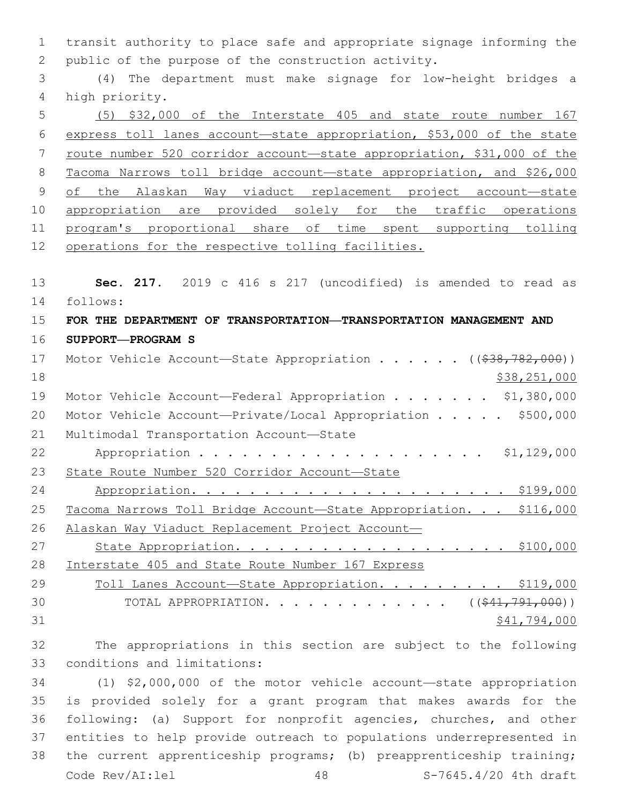1 transit authority to place safe and appropriate signage informing the 2 public of the purpose of the construction activity.

3 (4) The department must make signage for low-height bridges a 4 high priority.

5 (5) \$32,000 of the Interstate 405 and state route number 167 6 express toll lanes account—state appropriation, \$53,000 of the state 7 route number 520 corridor account—state appropriation, \$31,000 of the 8 Tacoma Narrows toll bridge account—state appropriation, and \$26,000 9 of the Alaskan Way viaduct replacement project account-state 10 appropriation are provided solely for the traffic operations 11 program's proportional share of time spent supporting tolling 12 operations for the respective tolling facilities.

13 **Sec. 217.** 2019 c 416 s 217 (uncodified) is amended to read as 14 follows:

## 15 **FOR THE DEPARTMENT OF TRANSPORTATION—TRANSPORTATION MANAGEMENT AND** 16 **SUPPORT—PROGRAM S**

| 17 | Motor Vehicle Account-State Appropriation ( $(\frac{238}{782}, \frac{782}{100})$ ) |
|----|------------------------------------------------------------------------------------|
| 18 | \$38, 251, 000                                                                     |
| 19 | Motor Vehicle Account-Federal Appropriation \$1,380,000                            |
| 20 | Motor Vehicle Account-Private/Local Appropriation \$500,000                        |
| 21 | Multimodal Transportation Account-State                                            |
| 22 | \$1,129,000                                                                        |
| 23 | State Route Number 520 Corridor Account-State                                      |
| 24 |                                                                                    |
| 25 | Tacoma Narrows Toll Bridge Account-State Appropriation. \$116,000                  |
| 26 | Alaskan Way Viaduct Replacement Project Account-                                   |
| 27 |                                                                                    |
| 28 | Interstate 405 and State Route Number 167 Express                                  |
| 29 | Toll Lanes Account-State Appropriation. \$119,000                                  |
| 30 | TOTAL APPROPRIATION. ( $(*41,791,000)$ )                                           |
| 31 | \$41,794,000                                                                       |

32 The appropriations in this section are subject to the following 33 conditions and limitations:

 (1) \$2,000,000 of the motor vehicle account—state appropriation is provided solely for a grant program that makes awards for the following: (a) Support for nonprofit agencies, churches, and other entities to help provide outreach to populations underrepresented in the current apprenticeship programs; (b) preapprenticeship training; Code Rev/AI:lel 48 S-7645.4/20 4th draft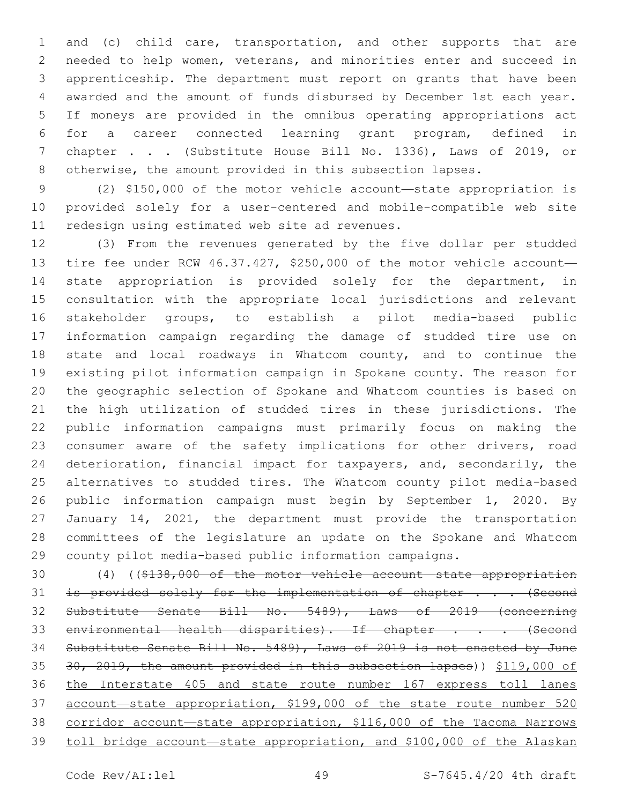and (c) child care, transportation, and other supports that are needed to help women, veterans, and minorities enter and succeed in apprenticeship. The department must report on grants that have been awarded and the amount of funds disbursed by December 1st each year. If moneys are provided in the omnibus operating appropriations act for a career connected learning grant program, defined in chapter . . . (Substitute House Bill No. 1336), Laws of 2019, or otherwise, the amount provided in this subsection lapses.

 (2) \$150,000 of the motor vehicle account—state appropriation is provided solely for a user-centered and mobile-compatible web site 11 redesign using estimated web site ad revenues.

 (3) From the revenues generated by the five dollar per studded tire fee under RCW 46.37.427, \$250,000 of the motor vehicle account— state appropriation is provided solely for the department, in consultation with the appropriate local jurisdictions and relevant stakeholder groups, to establish a pilot media-based public information campaign regarding the damage of studded tire use on state and local roadways in Whatcom county, and to continue the existing pilot information campaign in Spokane county. The reason for the geographic selection of Spokane and Whatcom counties is based on the high utilization of studded tires in these jurisdictions. The public information campaigns must primarily focus on making the 23 consumer aware of the safety implications for other drivers, road deterioration, financial impact for taxpayers, and, secondarily, the alternatives to studded tires. The Whatcom county pilot media-based public information campaign must begin by September 1, 2020. By January 14, 2021, the department must provide the transportation committees of the legislature an update on the Spokane and Whatcom county pilot media-based public information campaigns.

 (4) ((\$138,000 of the motor vehicle account—state appropriation 31 is provided solely for the implementation of chapter . . . (Second Substitute Senate Bill No. 5489), Laws of 2019 (concerning 33 environmental health disparities). If chapter . . . (Second Substitute Senate Bill No. 5489), Laws of 2019 is not enacted by June 30, 2019, the amount provided in this subsection lapses)) \$119,000 of the Interstate 405 and state route number 167 express toll lanes account—state appropriation, \$199,000 of the state route number 520 corridor account—state appropriation, \$116,000 of the Tacoma Narrows toll bridge account—state appropriation, and \$100,000 of the Alaskan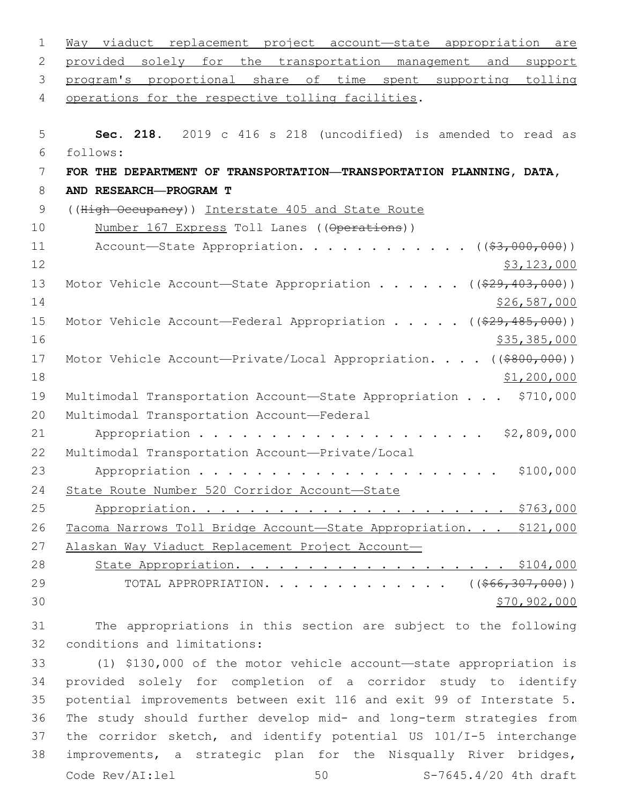| $\mathbf 1$ | Way viaduct replacement project account-state appropriation are              |
|-------------|------------------------------------------------------------------------------|
| 2           | provided solely for the transportation management and<br>support             |
| 3           | program's proportional share of time spent supporting tolling                |
| 4           | operations for the respective tolling facilities.                            |
|             |                                                                              |
| 5           | Sec. 218. 2019 c 416 s 218 (uncodified) is amended to read as                |
| 6           | follows:                                                                     |
| 7           | FOR THE DEPARTMENT OF TRANSPORTATION—TRANSPORTATION PLANNING, DATA,          |
| 8           | AND RESEARCH-PROGRAM T                                                       |
| 9           | ((High Occupancy)) Interstate 405 and State Route                            |
| 10          | Number 167 Express Toll Lanes ((Operations))                                 |
| 11          | Account-State Appropriation. ( $(\frac{23,000,000}{2})$ )                    |
| 12          | \$3,123,000                                                                  |
| 13          | Motor Vehicle Account-State Appropriation ( $(\frac{29}{403}, 403, 000)$ )   |
| 14          | \$26,587,000                                                                 |
| 15          | Motor Vehicle Account—Federal Appropriation ( $(\frac{29}{7}\cdot485,000)$ ) |
| 16          | \$35,385,000                                                                 |
| 17          | Motor Vehicle Account-Private/Local Appropriation. $($ $($ \$800,000) $)$    |
| 18          | \$1,200,000                                                                  |
| 19          | Multimodal Transportation Account-State Appropriation \$710,000              |
| 20          | Multimodal Transportation Account-Federal                                    |
| 21          | \$2,809,000                                                                  |
| 22          | Multimodal Transportation Account-Private/Local                              |
| 23          | \$100,000                                                                    |
| 24          | State Route Number 520 Corridor Account-State                                |
| 25          |                                                                              |
| 26          | Tacoma Narrows Toll Bridge Account-State Appropriation. \$121,000            |
| 27          | Alaskan Way Viaduct Replacement Project Account-                             |
| 28          | State Appropriation. \$104,000                                               |
| 29          | TOTAL APPROPRIATION. ( $(\frac{266}{307}, 000)$ )                            |
| 30          | \$70,902,000                                                                 |
| 31          | The appropriations in this section are subject to the following              |

32 conditions and limitations:

 (1) \$130,000 of the motor vehicle account—state appropriation is provided solely for completion of a corridor study to identify potential improvements between exit 116 and exit 99 of Interstate 5. The study should further develop mid- and long-term strategies from the corridor sketch, and identify potential US 101/I-5 interchange improvements, a strategic plan for the Nisqually River bridges, Code Rev/AI:lel 50 S-7645.4/20 4th draft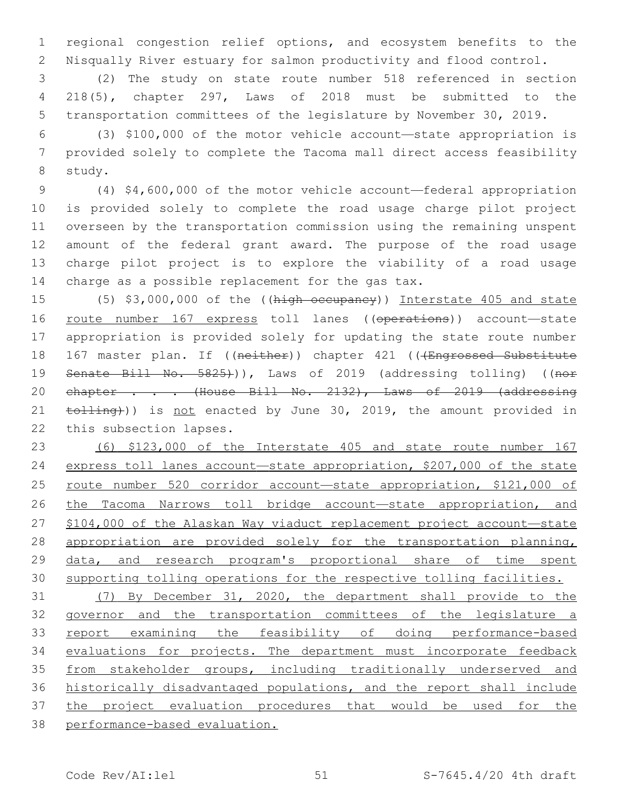regional congestion relief options, and ecosystem benefits to the Nisqually River estuary for salmon productivity and flood control.

 (2) The study on state route number 518 referenced in section 218(5), chapter 297, Laws of 2018 must be submitted to the transportation committees of the legislature by November 30, 2019.

 (3) \$100,000 of the motor vehicle account—state appropriation is provided solely to complete the Tacoma mall direct access feasibility 8 study.

 (4) \$4,600,000 of the motor vehicle account—federal appropriation is provided solely to complete the road usage charge pilot project overseen by the transportation commission using the remaining unspent amount of the federal grant award. The purpose of the road usage charge pilot project is to explore the viability of a road usage 14 charge as a possible replacement for the gas  $tax.$ 

 (5) \$3,000,000 of the ((high occupancy)) Interstate 405 and state route number 167 express toll lanes ((operations)) account—state appropriation is provided solely for updating the state route number 18 167 master plan. If ((neither)) chapter 421 (((Engrossed Substitute 19 Senate Bill No. 5825))), Laws of 2019 (addressing tolling) ((nor 20 chapter . . . (House Bill No. 2132), Laws of 2019 (addressing 21 tolling)) is not enacted by June 30, 2019, the amount provided in 22 this subsection lapses.

 (6) \$123,000 of the Interstate 405 and state route number 167 express toll lanes account—state appropriation, \$207,000 of the state 25 route number 520 corridor account-state appropriation, \$121,000 of 26 the Tacoma Narrows toll bridge account—state appropriation, and \$104,000 of the Alaskan Way viaduct replacement project account—state appropriation are provided solely for the transportation planning, data, and research program's proportional share of time spent supporting tolling operations for the respective tolling facilities.

 (7) By December 31, 2020, the department shall provide to the governor and the transportation committees of the legislature a report examining the feasibility of doing performance-based evaluations for projects. The department must incorporate feedback 35 from stakeholder groups, including traditionally underserved and historically disadvantaged populations, and the report shall include the project evaluation procedures that would be used for the performance-based evaluation.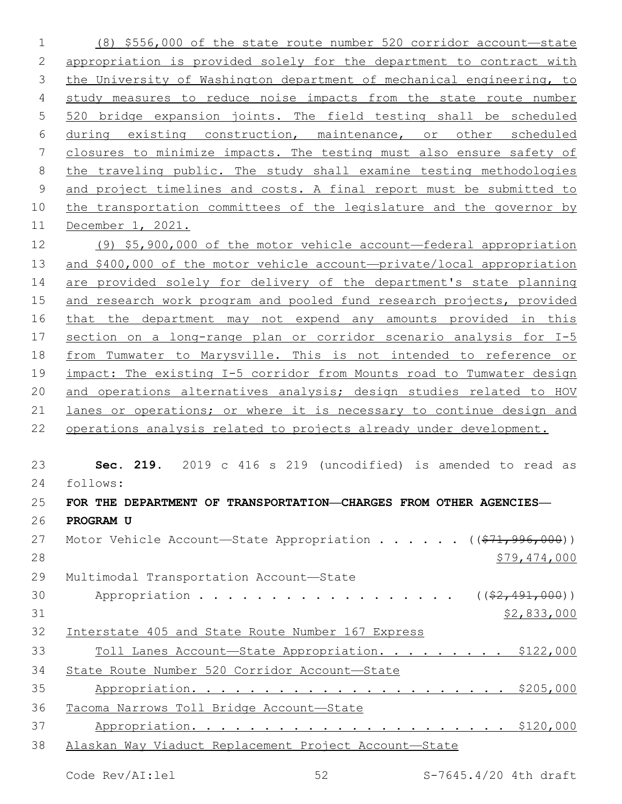(8) \$556,000 of the state route number 520 corridor account—state appropriation is provided solely for the department to contract with the University of Washington department of mechanical engineering, to study measures to reduce noise impacts from the state route number 520 bridge expansion joints. The field testing shall be scheduled during existing construction, maintenance, or other scheduled closures to minimize impacts. The testing must also ensure safety of the traveling public. The study shall examine testing methodologies and project timelines and costs. A final report must be submitted to the transportation committees of the legislature and the governor by December 1, 2021. (9) \$5,900,000 of the motor vehicle account—federal appropriation and \$400,000 of the motor vehicle account—private/local appropriation are provided solely for delivery of the department's state planning 15 and research work program and pooled fund research projects, provided that the department may not expend any amounts provided in this 17 section on a long-range plan or corridor scenario analysis for I-5 from Tumwater to Marysville. This is not intended to reference or impact: The existing I-5 corridor from Mounts road to Tumwater design and operations alternatives analysis; design studies related to HOV lanes or operations; or where it is necessary to continue design and operations analysis related to projects already under development. **Sec. 219.** 2019 c 416 s 219 (uncodified) is amended to read as follows: **FOR THE DEPARTMENT OF TRANSPORTATION—CHARGES FROM OTHER AGENCIES— PROGRAM U** 27 Motor Vehicle Account—State Appropriation . . . . . ((\$71,996,000)) 28 \$79,474,000 29 Multimodal Transportation Account-State 30 Appropriation . . . . . . . . . . . . . . . . (  $(\frac{2}{2}, 491, 000)$  ) \$2,833,000 Interstate 405 and State Route Number 167 Express Toll Lanes Account—State Appropriation. . . . . . . . . \$122,000 State Route Number 520 Corridor Account—State Appropriation. . . . . . . . . . . . . . . . . . . . . . \$205,000 Tacoma Narrows Toll Bridge Account—State Appropriation. . . . . . . . . . . . . . . . . . . . . . \$120,000 Alaskan Way Viaduct Replacement Project Account—State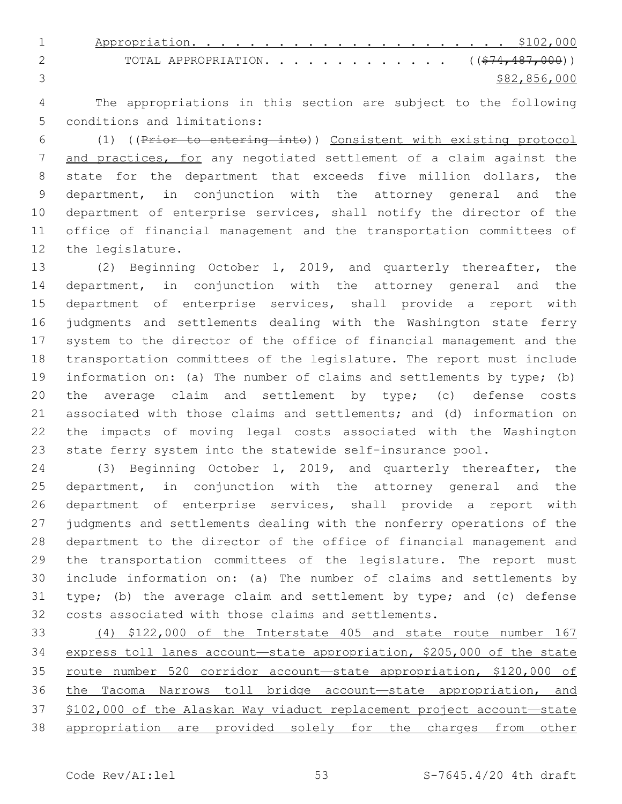Appropriation. . . . . . . . . . . . . . . . . . . . . . \$102,000 2 TOTAL APPROPRIATION. . . . . . . . . . . . ((\$74,487,000)) \$82,856,000

 The appropriations in this section are subject to the following 5 conditions and limitations:

 (1) ((Prior to entering into)) Consistent with existing protocol 7 and practices, for any negotiated settlement of a claim against the state for the department that exceeds five million dollars, the department, in conjunction with the attorney general and the department of enterprise services, shall notify the director of the office of financial management and the transportation committees of 12 the legislature.

 (2) Beginning October 1, 2019, and quarterly thereafter, the department, in conjunction with the attorney general and the department of enterprise services, shall provide a report with judgments and settlements dealing with the Washington state ferry system to the director of the office of financial management and the transportation committees of the legislature. The report must include information on: (a) The number of claims and settlements by type; (b) the average claim and settlement by type; (c) defense costs associated with those claims and settlements; and (d) information on the impacts of moving legal costs associated with the Washington state ferry system into the statewide self-insurance pool.

 (3) Beginning October 1, 2019, and quarterly thereafter, the department, in conjunction with the attorney general and the department of enterprise services, shall provide a report with judgments and settlements dealing with the nonferry operations of the department to the director of the office of financial management and the transportation committees of the legislature. The report must include information on: (a) The number of claims and settlements by type; (b) the average claim and settlement by type; and (c) defense costs associated with those claims and settlements.

 (4) \$122,000 of the Interstate 405 and state route number 167 express toll lanes account—state appropriation, \$205,000 of the state route number 520 corridor account—state appropriation, \$120,000 of the Tacoma Narrows toll bridge account—state appropriation, and \$102,000 of the Alaskan Way viaduct replacement project account—state appropriation are provided solely for the charges from other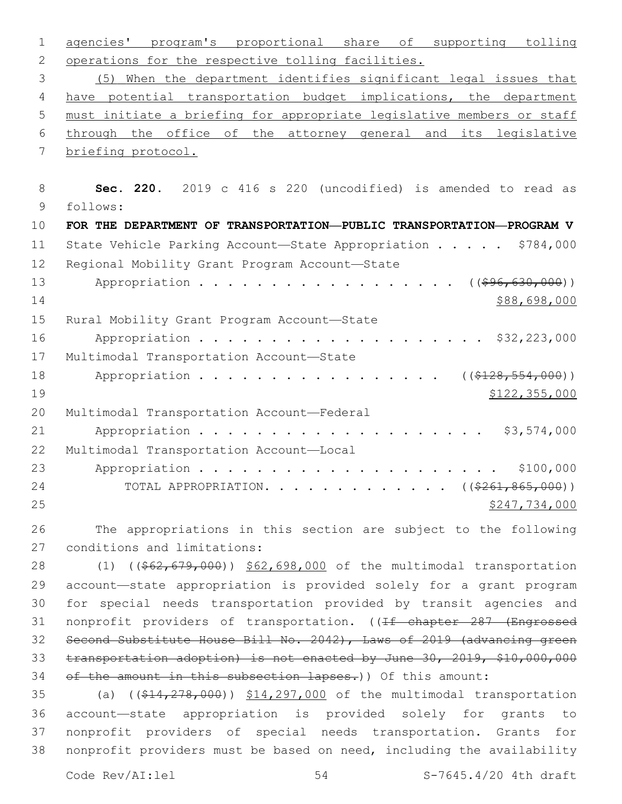1 agencies' program's proportional share of supporting tolling 2 operations for the respective tolling facilities. 3 (5) When the department identifies significant legal issues that 4 have potential transportation budget implications, the department 5 must initiate a briefing for appropriate legislative members or staff 6 through the office of the attorney general and its legislative 7 briefing protocol. 8 **Sec. 220.** 2019 c 416 s 220 (uncodified) is amended to read as 9 follows: 10 **FOR THE DEPARTMENT OF TRANSPORTATION—PUBLIC TRANSPORTATION—PROGRAM V** 11 State Vehicle Parking Account—State Appropriation . . . . . \$784,000 12 Regional Mobility Grant Program Account-State 13 Appropriation . . . . . . . . . . . . . . . . ((\$96,630,000))  $14$  \$88,698,000 15 Rural Mobility Grant Program Account-State 16 Appropriation . . . . . . . . . . . . . . . . . . \$32,223,000 17 Multimodal Transportation Account-State 18 Appropriation . . . . . . . . . . . . . . . ((\$128,554,000)) 19 \$122,355,000 20 Multimodal Transportation Account-Federal 21 Appropriation . . . . . . . . . . . . . . . . . . \$3,574,000 22 Multimodal Transportation Account-Local 23 Appropriation . . . . . . . . . . . . . . . . . . . . . \$100,000 24 TOTAL APPROPRIATION. . . . . . . . . . . . ((\$261,865,000))  $25$  \$247,734,000 26 The appropriations in this section are subject to the following 27 conditions and limitations: 28 (1) ((\$62,679,000)) \$62,698,000 of the multimodal transportation 29 account—state appropriation is provided solely for a grant program 30 for special needs transportation provided by transit agencies and 31 nonprofit providers of transportation. ((If chapter 287 (Engrossed 32 Second Substitute House Bill No. 2042), Laws of 2019 (advancing green 33 transportation adoption) is not enacted by June 30, 2019, \$10,000,000 34 of the amount in this subsection lapses.)) Of this amount: 35 (a) ((\$14,278,000)) \$14,297,000 of the multimodal transportation 36 account—state appropriation is provided solely for grants to 37 nonprofit providers of special needs transportation. Grants for 38 nonprofit providers must be based on need, including the availability Code  $\text{Rev}/\text{AI}:$  lel  $\qquad \qquad$  54  $\qquad \qquad$  S-7645.4/20 4th draft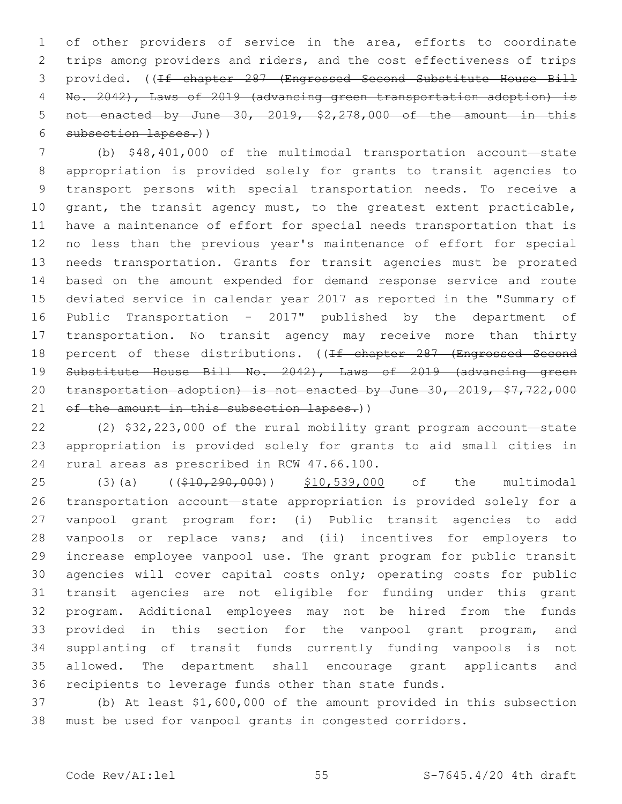of other providers of service in the area, efforts to coordinate trips among providers and riders, and the cost effectiveness of trips provided. ((If chapter 287 (Engrossed Second Substitute House Bill No. 2042), Laws of 2019 (advancing green transportation adoption) is not enacted by June 30, 2019, \$2,278,000 of the amount in this subsection lapses.))

 (b) \$48,401,000 of the multimodal transportation account—state appropriation is provided solely for grants to transit agencies to transport persons with special transportation needs. To receive a 10 grant, the transit agency must, to the greatest extent practicable, have a maintenance of effort for special needs transportation that is no less than the previous year's maintenance of effort for special needs transportation. Grants for transit agencies must be prorated based on the amount expended for demand response service and route deviated service in calendar year 2017 as reported in the "Summary of Public Transportation - 2017" published by the department of transportation. No transit agency may receive more than thirty 18 percent of these distributions. ((If chapter 287 (Engrossed Second Substitute House Bill No. 2042), Laws of 2019 (advancing green transportation adoption) is not enacted by June 30, 2019, \$7,722,000 21 of the amount in this subsection lapses.))

 (2) \$32,223,000 of the rural mobility grant program account—state appropriation is provided solely for grants to aid small cities in 24 rural areas as prescribed in RCW 47.66.100.

25 (3)(a) ((\$10,290,000)) \$10,539,000 of the multimodal transportation account—state appropriation is provided solely for a vanpool grant program for: (i) Public transit agencies to add vanpools or replace vans; and (ii) incentives for employers to increase employee vanpool use. The grant program for public transit agencies will cover capital costs only; operating costs for public transit agencies are not eligible for funding under this grant program. Additional employees may not be hired from the funds 33 provided in this section for the vanpool grant program, and supplanting of transit funds currently funding vanpools is not allowed. The department shall encourage grant applicants and recipients to leverage funds other than state funds.

 (b) At least \$1,600,000 of the amount provided in this subsection must be used for vanpool grants in congested corridors.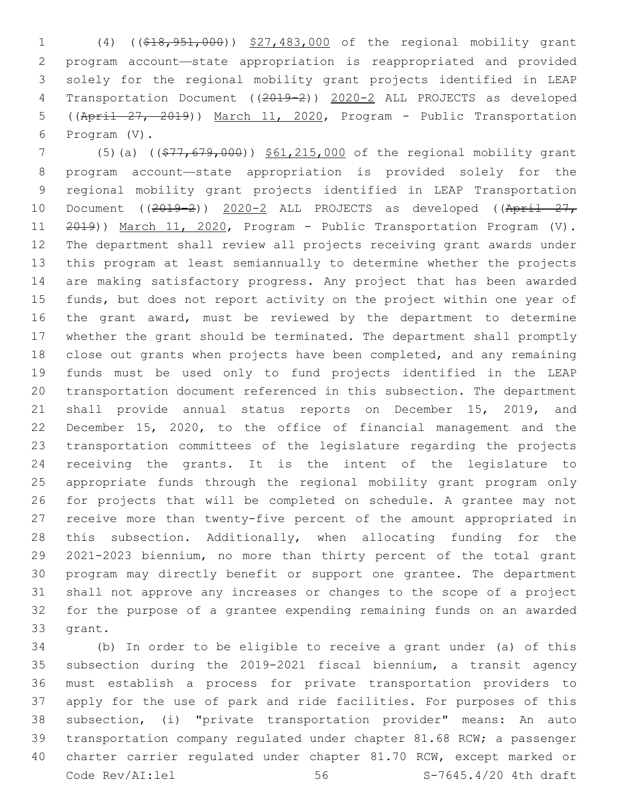(4) ((\$18,951,000)) \$27,483,000 of the regional mobility grant program account—state appropriation is reappropriated and provided solely for the regional mobility grant projects identified in LEAP Transportation Document ((2019-2)) 2020-2 ALL PROJECTS as developed ((April 27, 2019)) March 11, 2020, Program - Public Transportation 6 Program (V).

 (5)(a) ((\$77,679,000)) \$61,215,000 of the regional mobility grant program account—state appropriation is provided solely for the regional mobility grant projects identified in LEAP Transportation 10 Document ((2019-2)) 2020-2 ALL PROJECTS as developed ((April 27, 2019)) March 11, 2020, Program - Public Transportation Program (V). The department shall review all projects receiving grant awards under this program at least semiannually to determine whether the projects are making satisfactory progress. Any project that has been awarded funds, but does not report activity on the project within one year of the grant award, must be reviewed by the department to determine whether the grant should be terminated. The department shall promptly close out grants when projects have been completed, and any remaining funds must be used only to fund projects identified in the LEAP transportation document referenced in this subsection. The department shall provide annual status reports on December 15, 2019, and December 15, 2020, to the office of financial management and the transportation committees of the legislature regarding the projects receiving the grants. It is the intent of the legislature to appropriate funds through the regional mobility grant program only for projects that will be completed on schedule. A grantee may not receive more than twenty-five percent of the amount appropriated in this subsection. Additionally, when allocating funding for the 2021-2023 biennium, no more than thirty percent of the total grant program may directly benefit or support one grantee. The department shall not approve any increases or changes to the scope of a project for the purpose of a grantee expending remaining funds on an awarded 33 grant.

 (b) In order to be eligible to receive a grant under (a) of this subsection during the 2019-2021 fiscal biennium, a transit agency must establish a process for private transportation providers to apply for the use of park and ride facilities. For purposes of this subsection, (i) "private transportation provider" means: An auto transportation company regulated under chapter 81.68 RCW; a passenger charter carrier regulated under chapter 81.70 RCW, except marked or Code Rev/AI:lel 56 S-7645.4/20 4th draft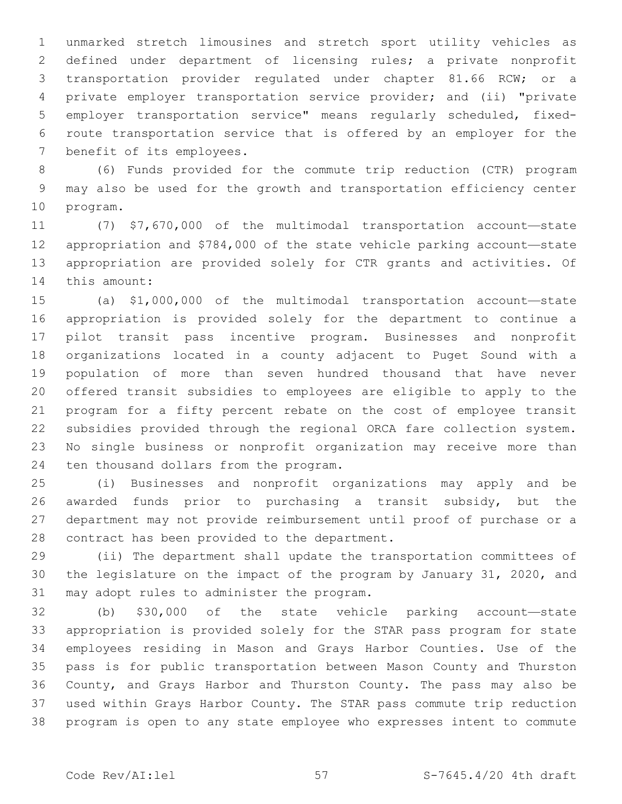unmarked stretch limousines and stretch sport utility vehicles as defined under department of licensing rules; a private nonprofit transportation provider regulated under chapter 81.66 RCW; or a private employer transportation service provider; and (ii) "private employer transportation service" means regularly scheduled, fixed- route transportation service that is offered by an employer for the 7 benefit of its employees.

 (6) Funds provided for the commute trip reduction (CTR) program may also be used for the growth and transportation efficiency center 10 program.

 (7) \$7,670,000 of the multimodal transportation account—state appropriation and \$784,000 of the state vehicle parking account—state appropriation are provided solely for CTR grants and activities. Of 14 this amount:

 (a) \$1,000,000 of the multimodal transportation account—state appropriation is provided solely for the department to continue a pilot transit pass incentive program. Businesses and nonprofit organizations located in a county adjacent to Puget Sound with a population of more than seven hundred thousand that have never offered transit subsidies to employees are eligible to apply to the program for a fifty percent rebate on the cost of employee transit subsidies provided through the regional ORCA fare collection system. No single business or nonprofit organization may receive more than 24 ten thousand dollars from the program.

 (i) Businesses and nonprofit organizations may apply and be awarded funds prior to purchasing a transit subsidy, but the department may not provide reimbursement until proof of purchase or a 28 contract has been provided to the department.

 (ii) The department shall update the transportation committees of the legislature on the impact of the program by January 31, 2020, and 31 may adopt rules to administer the program.

 (b) \$30,000 of the state vehicle parking account—state appropriation is provided solely for the STAR pass program for state employees residing in Mason and Grays Harbor Counties. Use of the pass is for public transportation between Mason County and Thurston County, and Grays Harbor and Thurston County. The pass may also be used within Grays Harbor County. The STAR pass commute trip reduction program is open to any state employee who expresses intent to commute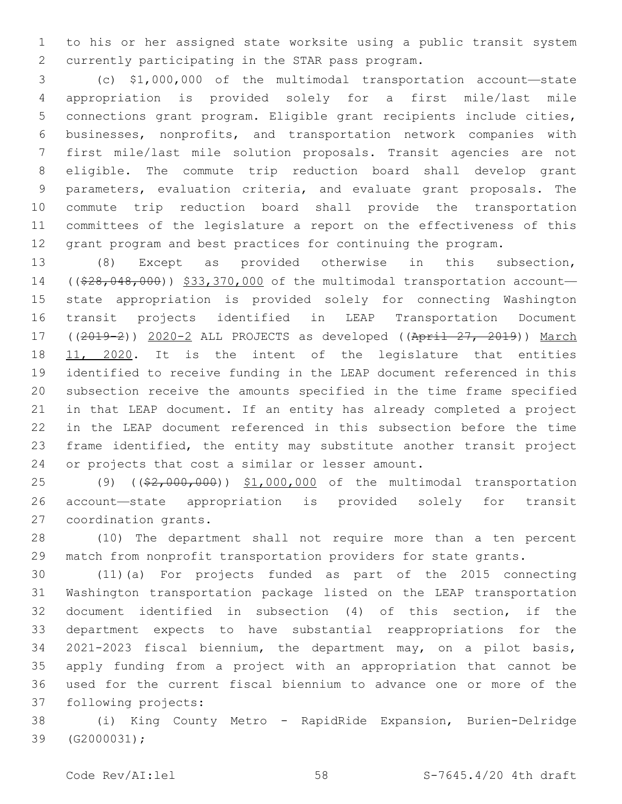to his or her assigned state worksite using a public transit system 2 currently participating in the STAR pass program.

 (c) \$1,000,000 of the multimodal transportation account—state appropriation is provided solely for a first mile/last mile connections grant program. Eligible grant recipients include cities, businesses, nonprofits, and transportation network companies with first mile/last mile solution proposals. Transit agencies are not eligible. The commute trip reduction board shall develop grant parameters, evaluation criteria, and evaluate grant proposals. The commute trip reduction board shall provide the transportation committees of the legislature a report on the effectiveness of this grant program and best practices for continuing the program.

 (8) Except as provided otherwise in this subsection, 14 ((\$28,048,000)) \$33,370,000 of the multimodal transportation account- state appropriation is provided solely for connecting Washington transit projects identified in LEAP Transportation Document ((2019-2)) 2020-2 ALL PROJECTS as developed ((April 27, 2019)) March 18 11, 2020. It is the intent of the legislature that entities identified to receive funding in the LEAP document referenced in this subsection receive the amounts specified in the time frame specified in that LEAP document. If an entity has already completed a project in the LEAP document referenced in this subsection before the time frame identified, the entity may substitute another transit project 24 or projects that cost a similar or lesser amount.

25 (9) ((\$2,000,000)) \$1,000,000 of the multimodal transportation account—state appropriation is provided solely for transit 27 coordination grants.

 (10) The department shall not require more than a ten percent match from nonprofit transportation providers for state grants.

 (11)(a) For projects funded as part of the 2015 connecting Washington transportation package listed on the LEAP transportation document identified in subsection (4) of this section, if the department expects to have substantial reappropriations for the 2021-2023 fiscal biennium, the department may, on a pilot basis, apply funding from a project with an appropriation that cannot be used for the current fiscal biennium to advance one or more of the 37 following projects:

 (i) King County Metro - RapidRide Expansion, Burien-Delridge 39 (G2000031);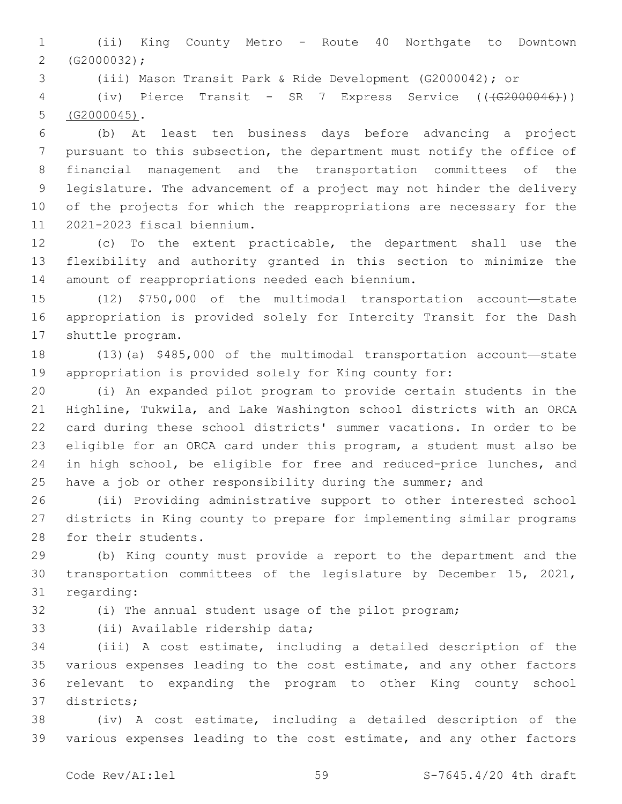(ii) King County Metro - Route 40 Northgate to Downtown  $2 (G2000032);$ 

(iii) Mason Transit Park & Ride Development (G2000042); or

4 (iv) Pierce Transit - SR 7 Express Service ((<del>(G2000046)</del>))  $5 (G2000045)$ .

 (b) At least ten business days before advancing a project pursuant to this subsection, the department must notify the office of financial management and the transportation committees of the legislature. The advancement of a project may not hinder the delivery of the projects for which the reappropriations are necessary for the 11 2021-2023 fiscal biennium.

 (c) To the extent practicable, the department shall use the flexibility and authority granted in this section to minimize the 14 amount of reappropriations needed each biennium.

 (12) \$750,000 of the multimodal transportation account—state appropriation is provided solely for Intercity Transit for the Dash 17 shuttle program.

 (13)(a) \$485,000 of the multimodal transportation account—state appropriation is provided solely for King county for:

 (i) An expanded pilot program to provide certain students in the Highline, Tukwila, and Lake Washington school districts with an ORCA card during these school districts' summer vacations. In order to be eligible for an ORCA card under this program, a student must also be in high school, be eligible for free and reduced-price lunches, and 25 have a job or other responsibility during the summer; and

 (ii) Providing administrative support to other interested school districts in King county to prepare for implementing similar programs 28 for their students.

 (b) King county must provide a report to the department and the transportation committees of the legislature by December 15, 2021, 31 regarding:

(i) The annual student usage of the pilot program;

33 (ii) Available ridership data;

 (iii) A cost estimate, including a detailed description of the various expenses leading to the cost estimate, and any other factors relevant to expanding the program to other King county school districts;37

 (iv) A cost estimate, including a detailed description of the various expenses leading to the cost estimate, and any other factors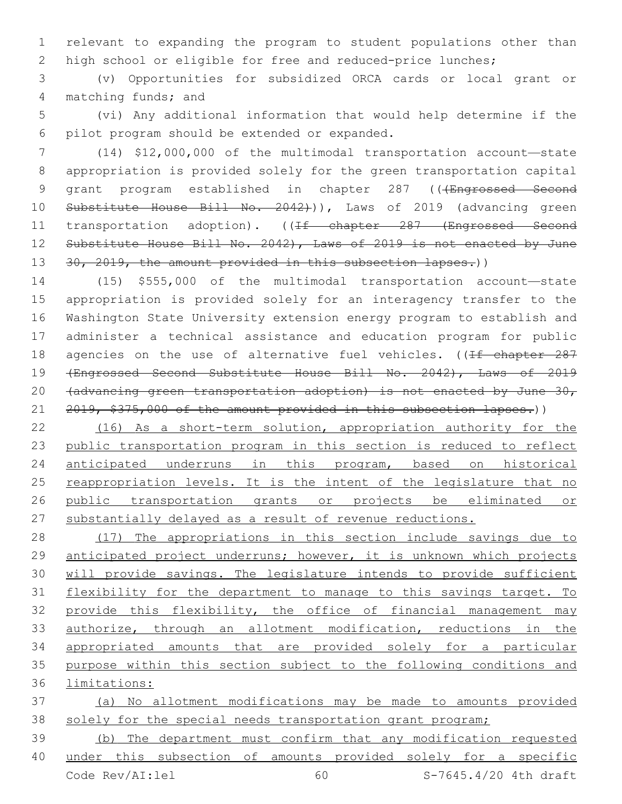relevant to expanding the program to student populations other than high school or eligible for free and reduced-price lunches;

 (v) Opportunities for subsidized ORCA cards or local grant or 4 matching funds; and

 (vi) Any additional information that would help determine if the 6 pilot program should be extended or expanded.

 (14) \$12,000,000 of the multimodal transportation account—state appropriation is provided solely for the green transportation capital 9 grant program established in chapter 287 ((+Engrossed Second 10 Substitute House Bill No. 2042))), Laws of 2019 (advancing green 11 transportation adoption). ((If chapter 287 (Engrossed Second 12 Substitute House Bill No. 2042), Laws of 2019 is not enacted by June 13 30, 2019, the amount provided in this subsection lapses.))

 (15) \$555,000 of the multimodal transportation account—state appropriation is provided solely for an interagency transfer to the Washington State University extension energy program to establish and administer a technical assistance and education program for public 18 agencies on the use of alternative fuel vehicles. ((If chapter 287 (Engrossed Second Substitute House Bill No. 2042), Laws of 2019 20 (advancing green transportation adoption) is not enacted by June 30, 21 2019, \$375,000 of the amount provided in this subsection lapses.))

 (16) As a short-term solution, appropriation authority for the public transportation program in this section is reduced to reflect anticipated underruns in this program, based on historical reappropriation levels. It is the intent of the legislature that no public transportation grants or projects be eliminated or 27 substantially delayed as a result of revenue reductions.

 (17) The appropriations in this section include savings due to anticipated project underruns; however, it is unknown which projects 30 will provide savings. The legislature intends to provide sufficient flexibility for the department to manage to this savings target. To provide this flexibility, the office of financial management may authorize, through an allotment modification, reductions in the appropriated amounts that are provided solely for a particular purpose within this section subject to the following conditions and limitations:

 (a) No allotment modifications may be made to amounts provided 38 solely for the special needs transportation grant program;

 (b) The department must confirm that any modification requested under this subsection of amounts provided solely for a specific Code Rev/AI:lel 60 S-7645.4/20 4th draft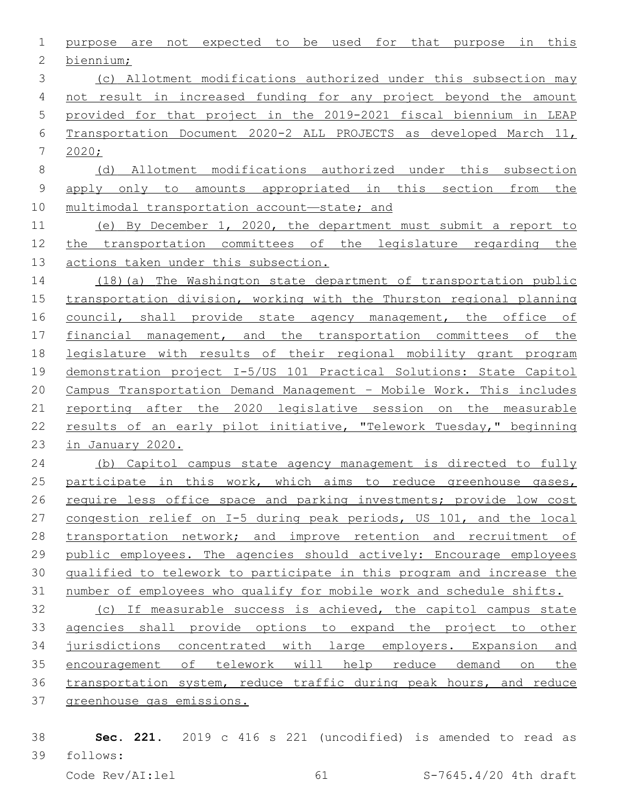purpose are not expected to be used for that purpose in this 2 biennium; (c) Allotment modifications authorized under this subsection may not result in increased funding for any project beyond the amount provided for that project in the 2019-2021 fiscal biennium in LEAP Transportation Document 2020-2 ALL PROJECTS as developed March 11, 2020; (d) Allotment modifications authorized under this subsection apply only to amounts appropriated in this section from the multimodal transportation account—state; and (e) By December 1, 2020, the department must submit a report to the transportation committees of the legislature regarding the actions taken under this subsection. (18)(a) The Washington state department of transportation public transportation division, working with the Thurston regional planning 16 council, shall provide state agency management, the office of financial management, and the transportation committees of the legislature with results of their regional mobility grant program demonstration project I-5/US 101 Practical Solutions: State Capitol Campus Transportation Demand Management – Mobile Work. This includes reporting after the 2020 legislative session on the measurable 22 results of an early pilot initiative, "Telework Tuesday," beginning in January 2020. (b) Capitol campus state agency management is directed to fully 25 participate in this work, which aims to reduce greenhouse gases,

26 require less office space and parking investments; provide low cost congestion relief on I-5 during peak periods, US 101, and the local 28 transportation network; and improve retention and recruitment of 29 public employees. The agencies should actively: Encourage employees qualified to telework to participate in this program and increase the number of employees who qualify for mobile work and schedule shifts.

 (c) If measurable success is achieved, the capitol campus state agencies shall provide options to expand the project to other jurisdictions concentrated with large employers. Expansion and encouragement of telework will help reduce demand on the transportation system, reduce traffic during peak hours, and reduce greenhouse gas emissions.

 **Sec. 221.** 2019 c 416 s 221 (uncodified) is amended to read as follows: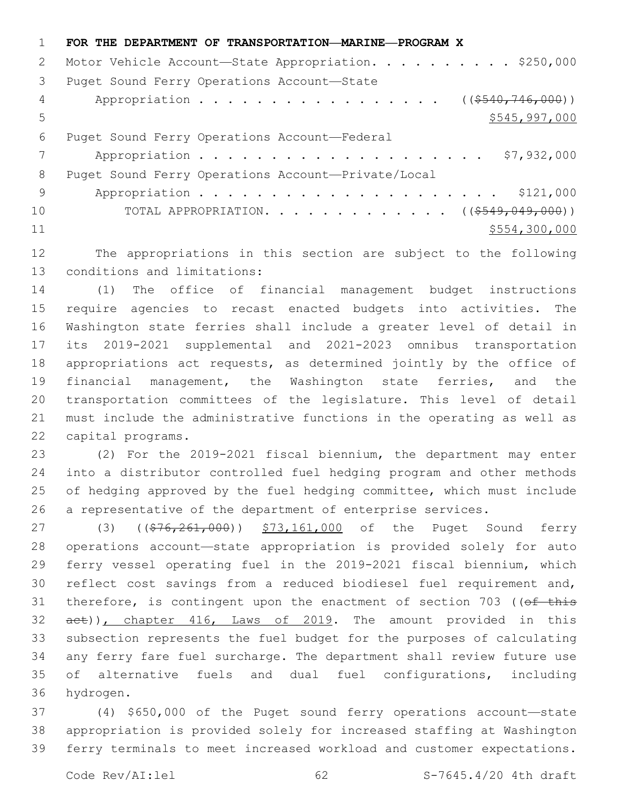**FOR THE DEPARTMENT OF TRANSPORTATION—MARINE—PROGRAM X** 2 Motor Vehicle Account-State Appropriation. . . . . . . . . \$250,000 3 Puget Sound Ferry Operations Account-State 4 Appropriation . . . . . . . . . . . . . . . . ((\$540,746,000)) 5 \$545,997,000 6 Puget Sound Ferry Operations Account-Federal Appropriation . . . . . . . . . . . . . . . . . . . . \$7,932,000 8 Puget Sound Ferry Operations Account-Private/Local Appropriation . . . . . . . . . . . . . . . . . . . . . \$121,000 10 TOTAL APPROPRIATION. . . . . . . . . . . . . ((\$549,049,000)) \$554,300,000

 The appropriations in this section are subject to the following 13 conditions and limitations:

 (1) The office of financial management budget instructions require agencies to recast enacted budgets into activities. The Washington state ferries shall include a greater level of detail in its 2019-2021 supplemental and 2021-2023 omnibus transportation appropriations act requests, as determined jointly by the office of financial management, the Washington state ferries, and the transportation committees of the legislature. This level of detail must include the administrative functions in the operating as well as 22 capital programs.

 (2) For the 2019-2021 fiscal biennium, the department may enter into a distributor controlled fuel hedging program and other methods 25 of hedging approved by the fuel hedging committee, which must include a representative of the department of enterprise services.

27 (3) ((\$76,261,000)) \$73,161,000 of the Puget Sound ferry operations account—state appropriation is provided solely for auto ferry vessel operating fuel in the 2019-2021 fiscal biennium, which reflect cost savings from a reduced biodiesel fuel requirement and, 31 therefore, is contingent upon the enactment of section 703 (( $ef$  this 32 aet)), chapter 416, Laws of 2019. The amount provided in this subsection represents the fuel budget for the purposes of calculating any ferry fare fuel surcharge. The department shall review future use of alternative fuels and dual fuel configurations, including 36 hydrogen.

 (4) \$650,000 of the Puget sound ferry operations account—state appropriation is provided solely for increased staffing at Washington ferry terminals to meet increased workload and customer expectations.

Code Rev/AI:lel 62 62 S-7645.4/20 4th draft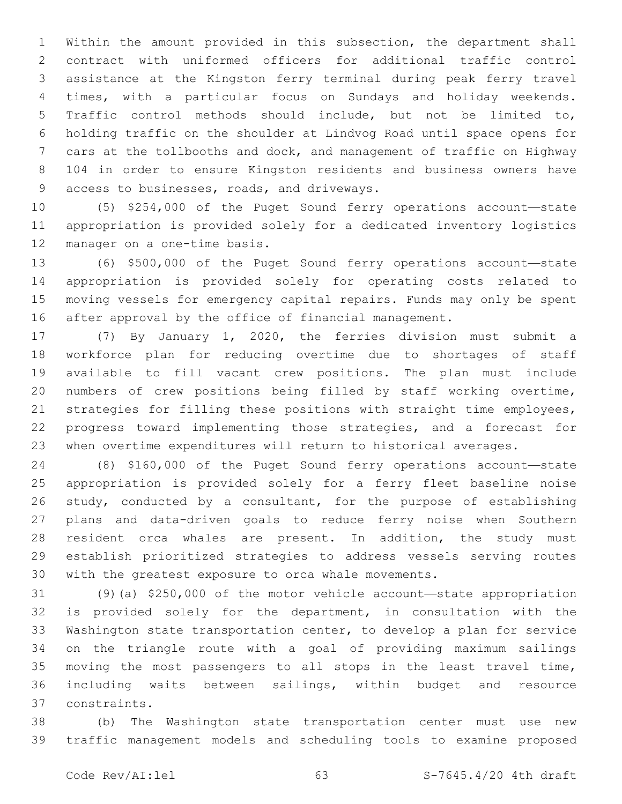Within the amount provided in this subsection, the department shall contract with uniformed officers for additional traffic control assistance at the Kingston ferry terminal during peak ferry travel times, with a particular focus on Sundays and holiday weekends. Traffic control methods should include, but not be limited to, holding traffic on the shoulder at Lindvog Road until space opens for cars at the tollbooths and dock, and management of traffic on Highway 104 in order to ensure Kingston residents and business owners have 9 access to businesses, roads, and driveways.

 (5) \$254,000 of the Puget Sound ferry operations account—state appropriation is provided solely for a dedicated inventory logistics 12 manager on a one-time basis.

 (6) \$500,000 of the Puget Sound ferry operations account—state appropriation is provided solely for operating costs related to moving vessels for emergency capital repairs. Funds may only be spent after approval by the office of financial management.

 (7) By January 1, 2020, the ferries division must submit a workforce plan for reducing overtime due to shortages of staff available to fill vacant crew positions. The plan must include numbers of crew positions being filled by staff working overtime, strategies for filling these positions with straight time employees, progress toward implementing those strategies, and a forecast for when overtime expenditures will return to historical averages.

 (8) \$160,000 of the Puget Sound ferry operations account—state appropriation is provided solely for a ferry fleet baseline noise 26 study, conducted by a consultant, for the purpose of establishing plans and data-driven goals to reduce ferry noise when Southern resident orca whales are present. In addition, the study must establish prioritized strategies to address vessels serving routes with the greatest exposure to orca whale movements.

 (9)(a) \$250,000 of the motor vehicle account—state appropriation is provided solely for the department, in consultation with the Washington state transportation center, to develop a plan for service on the triangle route with a goal of providing maximum sailings moving the most passengers to all stops in the least travel time, including waits between sailings, within budget and resource constraints.37

 (b) The Washington state transportation center must use new traffic management models and scheduling tools to examine proposed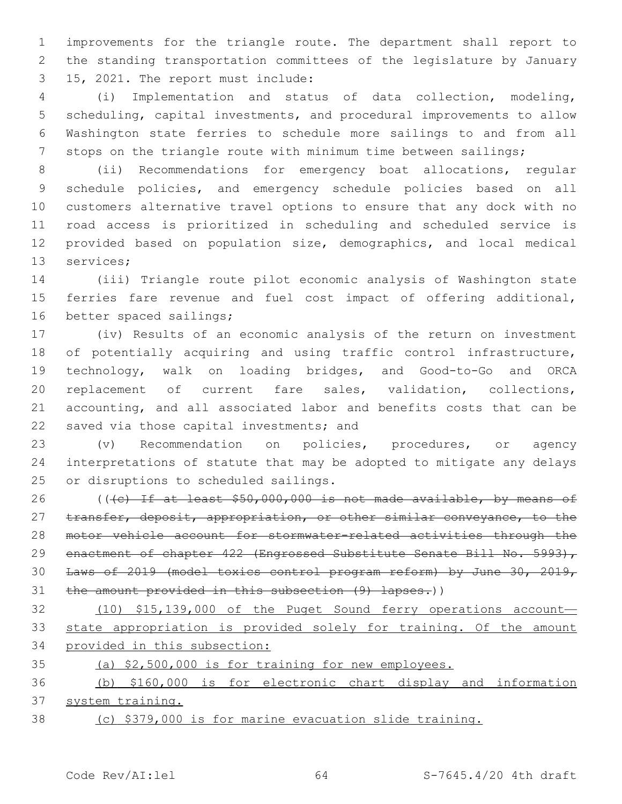improvements for the triangle route. The department shall report to the standing transportation committees of the legislature by January 15, 2021. The report must include:3

 (i) Implementation and status of data collection, modeling, scheduling, capital investments, and procedural improvements to allow Washington state ferries to schedule more sailings to and from all 7 stops on the triangle route with minimum time between sailings;

 (ii) Recommendations for emergency boat allocations, regular schedule policies, and emergency schedule policies based on all customers alternative travel options to ensure that any dock with no road access is prioritized in scheduling and scheduled service is provided based on population size, demographics, and local medical 13 services;

 (iii) Triangle route pilot economic analysis of Washington state ferries fare revenue and fuel cost impact of offering additional, 16 better spaced sailings;

 (iv) Results of an economic analysis of the return on investment 18 of potentially acquiring and using traffic control infrastructure, technology, walk on loading bridges, and Good-to-Go and ORCA replacement of current fare sales, validation, collections, accounting, and all associated labor and benefits costs that can be 22 saved via those capital investments; and

 (v) Recommendation on policies, procedures, or agency interpretations of statute that may be adopted to mitigate any delays 25 or disruptions to scheduled sailings.

26 (((c) If at least \$50,000,000 is not made available, by means of 27 transfer, deposit, appropriation, or other similar conveyance, to the motor vehicle account for stormwater-related activities through the 29 enactment of chapter 422 (Engrossed Substitute Senate Bill No. 5993), Laws of 2019 (model toxics control program reform) by June 30, 2019, 31 the amount provided in this subsection (9) lapses.))

 (10) \$15,139,000 of the Puget Sound ferry operations account— state appropriation is provided solely for training. Of the amount provided in this subsection:

(a) \$2,500,000 is for training for new employees.

 (b) \$160,000 is for electronic chart display and information system training.

(c) \$379,000 is for marine evacuation slide training.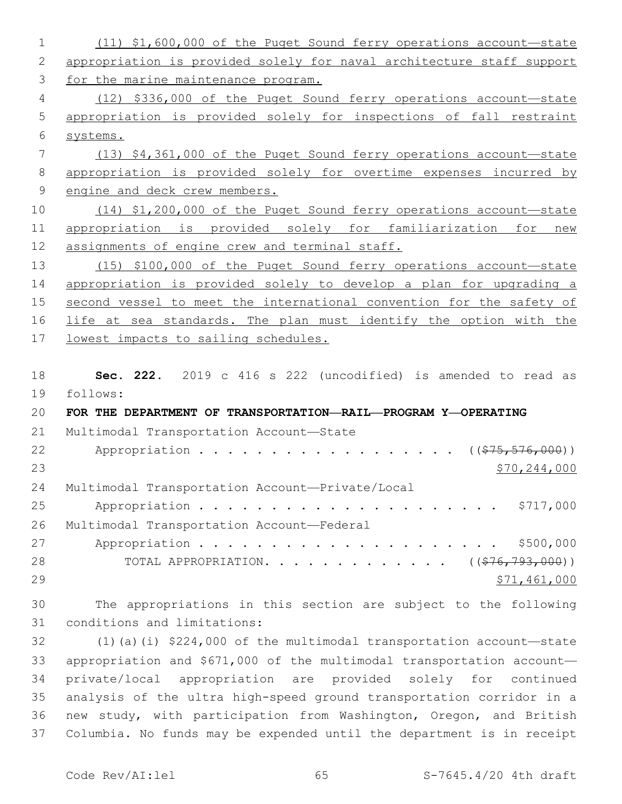(11) \$1,600,000 of the Puget Sound ferry operations account—state appropriation is provided solely for naval architecture staff support for the marine maintenance program. (12) \$336,000 of the Puget Sound ferry operations account—state appropriation is provided solely for inspections of fall restraint systems. (13) \$4,361,000 of the Puget Sound ferry operations account—state appropriation is provided solely for overtime expenses incurred by 9 engine and deck crew members. (14) \$1,200,000 of the Puget Sound ferry operations account—state appropriation is provided solely for familiarization for new 12 assignments of engine crew and terminal staff. (15) \$100,000 of the Puget Sound ferry operations account—state appropriation is provided solely to develop a plan for upgrading a second vessel to meet the international convention for the safety of life at sea standards. The plan must identify the option with the 17 lowest impacts to sailing schedules. **Sec. 222.** 2019 c 416 s 222 (uncodified) is amended to read as follows: **FOR THE DEPARTMENT OF TRANSPORTATION—RAIL—PROGRAM Y—OPERATING** 21 Multimodal Transportation Account-State 22 Appropriation . . . . . . . . . . . . . . . . (  $(\frac{275}{1000})$  ) \$70,244,000 24 Multimodal Transportation Account-Private/Local Appropriation . . . . . . . . . . . . . . . . . . . . . \$717,000 26 Multimodal Transportation Account-Federal Appropriation . . . . . . . . . . . . . . . . . . . . . \$500,000 28 TOTAL APPROPRIATION. . . . . . . . . . . . ((<del>\$76,793,000</del>)) 29 \$71,461,000 The appropriations in this section are subject to the following 31 conditions and limitations: (1)(a)(i) \$224,000 of the multimodal transportation account—state appropriation and \$671,000 of the multimodal transportation account— private/local appropriation are provided solely for continued

 analysis of the ultra high-speed ground transportation corridor in a new study, with participation from Washington, Oregon, and British Columbia. No funds may be expended until the department is in receipt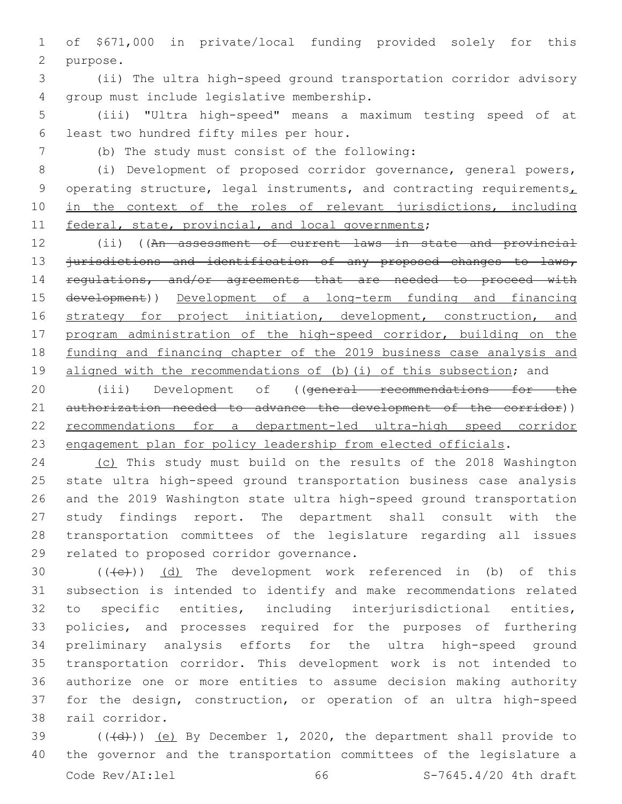1 of \$671,000 in private/local funding provided solely for this 2 purpose.

3 (ii) The ultra high-speed ground transportation corridor advisory 4 qroup must include legislative membership.

5 (iii) "Ultra high-speed" means a maximum testing speed of at 6 least two hundred fifty miles per hour.

(b) The study must consist of the following:7

8 (i) Development of proposed corridor governance, general powers, 9 operating structure, legal instruments, and contracting requirements, 10 in the context of the roles of relevant jurisdictions, including 11 federal, state, provincial, and local governments;

12 (ii) ((An assessment of current laws in state and provincial 13 jurisdictions and identification of any proposed changes to laws, 14 regulations, and/or agreements that are needed to proceed with 15 development)) Development of a long-term funding and financing 16 strategy for project initiation, development, construction, and 17 program administration of the high-speed corridor, building on the 18 funding and financing chapter of the 2019 business case analysis and 19 aligned with the recommendations of (b)(i) of this subsection; and

20 (iii) Development of ((general recommendations for the 21 authorization needed to advance the development of the corridor)) 22 recommendations for a department-led ultra-high speed corridor 23 engagement plan for policy leadership from elected officials.

 (c) This study must build on the results of the 2018 Washington state ultra high-speed ground transportation business case analysis and the 2019 Washington state ultra high-speed ground transportation study findings report. The department shall consult with the transportation committees of the legislature regarding all issues 29 related to proposed corridor governance.

 $((+e))$   $(d)$  The development work referenced in (b) of this subsection is intended to identify and make recommendations related to specific entities, including interjurisdictional entities, policies, and processes required for the purposes of furthering preliminary analysis efforts for the ultra high-speed ground transportation corridor. This development work is not intended to authorize one or more entities to assume decision making authority for the design, construction, or operation of an ultra high-speed 38 rail corridor.

39 (((+d))) (e) By December 1, 2020, the department shall provide to 40 the governor and the transportation committees of the legislature a Code Rev/AI:lel 66 S-7645.4/20 4th draft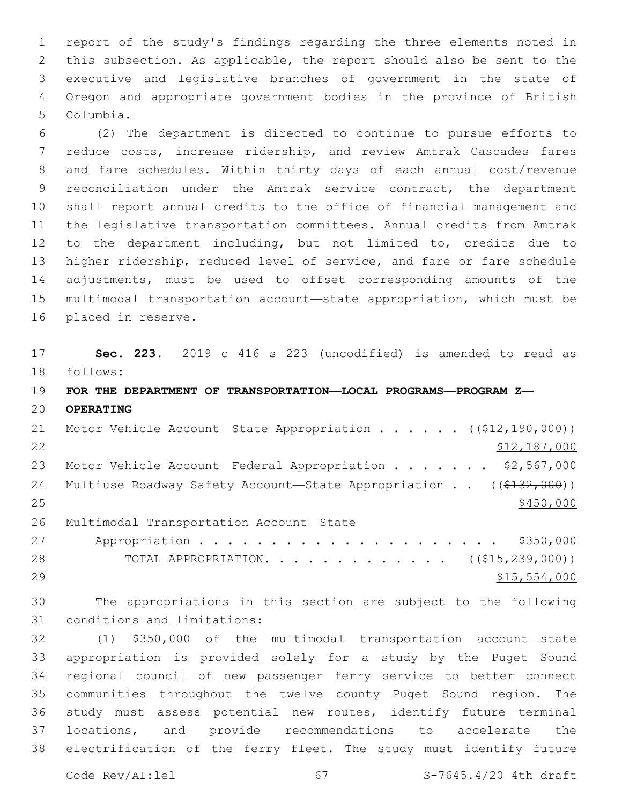report of the study's findings regarding the three elements noted in this subsection. As applicable, the report should also be sent to the executive and legislative branches of government in the state of Oregon and appropriate government bodies in the province of British 5 Columbia.

 (2) The department is directed to continue to pursue efforts to reduce costs, increase ridership, and review Amtrak Cascades fares and fare schedules. Within thirty days of each annual cost/revenue reconciliation under the Amtrak service contract, the department shall report annual credits to the office of financial management and the legislative transportation committees. Annual credits from Amtrak to the department including, but not limited to, credits due to higher ridership, reduced level of service, and fare or fare schedule adjustments, must be used to offset corresponding amounts of the multimodal transportation account—state appropriation, which must be 16 placed in reserve.

 **Sec. 223.** 2019 c 416 s 223 (uncodified) is amended to read as follows:

## **FOR THE DEPARTMENT OF TRANSPORTATION—LOCAL PROGRAMS—PROGRAM Z— OPERATING**

21 Motor Vehicle Account—State Appropriation . . . . . ((\$12,190,000)) \$12,187,000 23 Motor Vehicle Account—Federal Appropriation . . . . . . \$2,567,000 24 Multiuse Roadway Safety Account—State Appropriation . . ((\$132,000)) 26 Multimodal Transportation Account-State Appropriation . . . . . . . . . . . . . . . . . . . . . \$350,000

28 TOTAL APPROPRIATION. . . . . . . . . . . . ((<del>\$15,239,000</del>)) 29 \$15,554,000

 The appropriations in this section are subject to the following 31 conditions and limitations:

 (1) \$350,000 of the multimodal transportation account—state appropriation is provided solely for a study by the Puget Sound regional council of new passenger ferry service to better connect communities throughout the twelve county Puget Sound region. The study must assess potential new routes, identify future terminal locations, and provide recommendations to accelerate the electrification of the ferry fleet. The study must identify future

Code Rev/AI:lel 67 67 S-7645.4/20 4th draft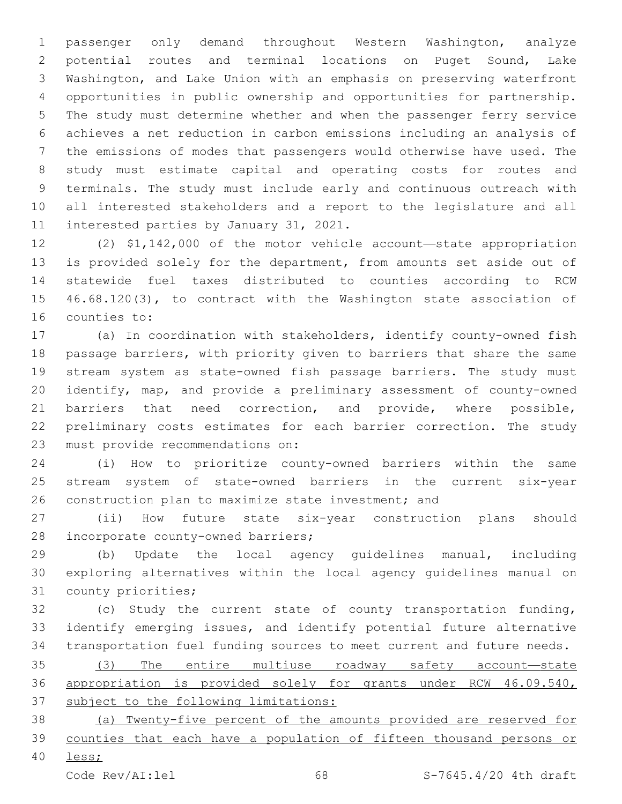passenger only demand throughout Western Washington, analyze potential routes and terminal locations on Puget Sound, Lake Washington, and Lake Union with an emphasis on preserving waterfront opportunities in public ownership and opportunities for partnership. The study must determine whether and when the passenger ferry service achieves a net reduction in carbon emissions including an analysis of the emissions of modes that passengers would otherwise have used. The study must estimate capital and operating costs for routes and terminals. The study must include early and continuous outreach with all interested stakeholders and a report to the legislature and all 11 interested parties by January 31, 2021.

 (2) \$1,142,000 of the motor vehicle account—state appropriation is provided solely for the department, from amounts set aside out of statewide fuel taxes distributed to counties according to RCW 46.68.120(3), to contract with the Washington state association of 16 counties to:

 (a) In coordination with stakeholders, identify county-owned fish passage barriers, with priority given to barriers that share the same stream system as state-owned fish passage barriers. The study must identify, map, and provide a preliminary assessment of county-owned barriers that need correction, and provide, where possible, preliminary costs estimates for each barrier correction. The study 23 must provide recommendations on:

 (i) How to prioritize county-owned barriers within the same stream system of state-owned barriers in the current six-year 26 construction plan to maximize state investment; and

 (ii) How future state six-year construction plans should 28 incorporate county-owned barriers;

 (b) Update the local agency guidelines manual, including exploring alternatives within the local agency guidelines manual on 31 county priorities;

 (c) Study the current state of county transportation funding, identify emerging issues, and identify potential future alternative transportation fuel funding sources to meet current and future needs.

 (3) The entire multiuse roadway safety account—state appropriation is provided solely for grants under RCW 46.09.540, subject to the following limitations:

 (a) Twenty-five percent of the amounts provided are reserved for counties that each have a population of fifteen thousand persons or

less;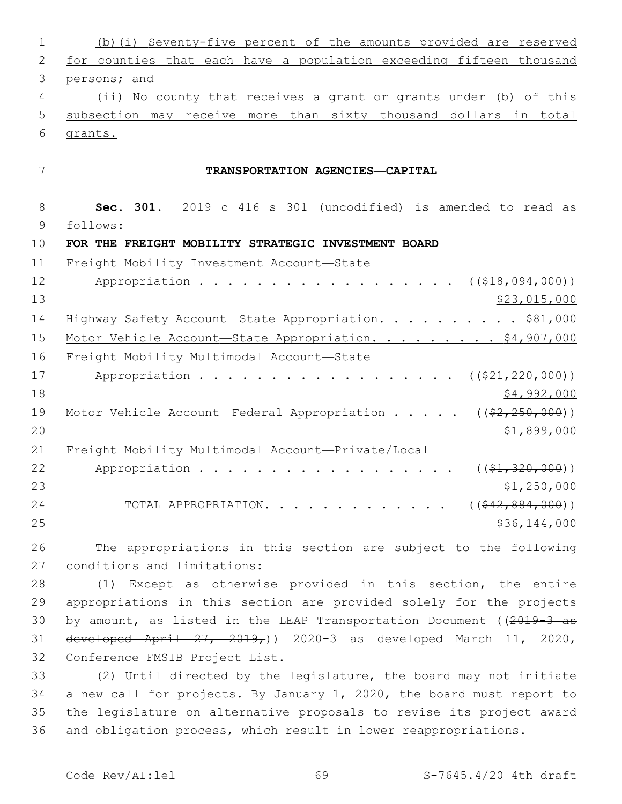| 1  | (b) (i) Seventy-five percent of the amounts provided are reserved       |
|----|-------------------------------------------------------------------------|
| 2  | for counties that each have a population exceeding fifteen thousand     |
| 3  | persons; and                                                            |
| 4  | (ii) No county that receives a grant or grants under (b) of this        |
| 5  | subsection may receive more than sixty thousand dollars in total        |
| 6  | grants.                                                                 |
| 7  | TRANSPORTATION AGENCIES-CAPITAL                                         |
| 8  | Sec. 301. 2019 c 416 s 301 (uncodified) is amended to read as           |
| 9  | follows:                                                                |
| 10 | FOR THE FREIGHT MOBILITY STRATEGIC INVESTMENT BOARD                     |
| 11 | Freight Mobility Investment Account-State                               |
| 12 | Appropriation<br>$($ (\$18,094,000))                                    |
| 13 | \$23,015,000                                                            |
| 14 | Highway Safety Account-State Appropriation. \$81,000                    |
| 15 | Motor Vehicle Account-State Appropriation. \$4,907,000                  |
| 16 | Freight Mobility Multimodal Account-State                               |
| 17 | Appropriation<br>$((\$21, 220, 000))$                                   |
| 18 | \$4,992,000                                                             |
| 19 | Motor Vehicle Account—Federal Appropriation $($ $(*2, 250, 000))$       |
| 20 | \$1,899,000                                                             |
| 21 | Freight Mobility Multimodal Account-Private/Local                       |
| 22 | $((\$1,320,000))$<br>Appropriation                                      |
| 23 | \$1,250,000                                                             |
| 24 | $((\$42,884,000))$<br>TOTAL APPROPRIATION.                              |
| 25 | \$36,144,000                                                            |
| 26 | The appropriations in this section are subject to the following         |
| 27 | conditions and limitations:                                             |
| 28 | (1) Except as otherwise provided in this section, the entire            |
| 29 | appropriations in this section are provided solely for the projects     |
| 30 | by amount, as listed in the LEAP Transportation Document ( $(2019-3$ as |
| 31 | developed April $27, 2019,$ ) $2020-3$ as developed March 11, 2020,     |
| 32 | Conference FMSIB Project List.                                          |

 (2) Until directed by the legislature, the board may not initiate a new call for projects. By January 1, 2020, the board must report to the legislature on alternative proposals to revise its project award and obligation process, which result in lower reappropriations.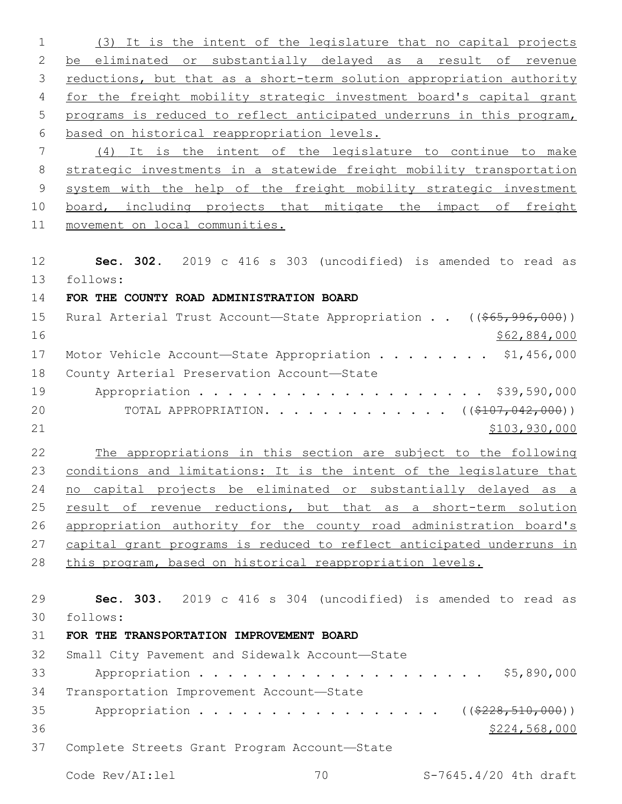(3) It is the intent of the legislature that no capital projects 2 be eliminated or substantially delayed as a result of revenue 3 reductions, but that as a short-term solution appropriation authority for the freight mobility strategic investment board's capital grant programs is reduced to reflect anticipated underruns in this program, based on historical reappropriation levels. (4) It is the intent of the legislature to continue to make strategic investments in a statewide freight mobility transportation system with the help of the freight mobility strategic investment 10 board, including projects that mitigate the impact of freight movement on local communities. **Sec. 302.** 2019 c 416 s 303 (uncodified) is amended to read as follows: **FOR THE COUNTY ROAD ADMINISTRATION BOARD** 15 Rural Arterial Trust Account—State Appropriation . . ((\$65,996,000)) \$62,884,000 17 Motor Vehicle Account-State Appropriation . . . . . . . \$1,456,000 18 County Arterial Preservation Account-State 19 Appropriation . . . . . . . . . . . . . . . . . . \$39,590,000 20 TOTAL APPROPRIATION. . . . . . . . . . . . ((\$107,042,000))  $$103,930,000$  The appropriations in this section are subject to the following conditions and limitations: It is the intent of the legislature that no capital projects be eliminated or substantially delayed as a 25 result of revenue reductions, but that as a short-term solution appropriation authority for the county road administration board's capital grant programs is reduced to reflect anticipated underruns in this program, based on historical reappropriation levels. **Sec. 303.** 2019 c 416 s 304 (uncodified) is amended to read as follows: **FOR THE TRANSPORTATION IMPROVEMENT BOARD** 32 Small City Pavement and Sidewalk Account-State Appropriation . . . . . . . . . . . . . . . . . . . . \$5,890,000 34 Transportation Improvement Account-State 35 Appropriation . . . . . . . . . . . . . . . . ((\$228,510,000))  $$224,568,000$ 37 Complete Streets Grant Program Account-State Code Rev/AI:lel 70 S-7645.4/20 4th draft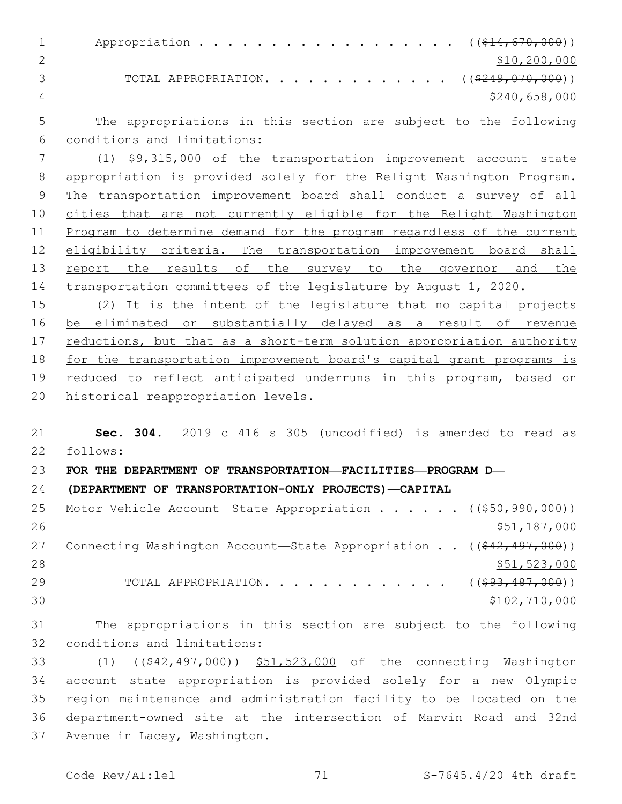| $\mathbf{1}$  | Appropriation ((\$14,670,000))                      |                |
|---------------|-----------------------------------------------------|----------------|
|               |                                                     | \$10, 200, 000 |
| $\mathcal{R}$ | TOTAL APPROPRIATION. ( $(\frac{2249,070,000}{2})$ ) |                |
|               |                                                     | \$240,658,000  |

 The appropriations in this section are subject to the following conditions and limitations:6

 (1) \$9,315,000 of the transportation improvement account—state appropriation is provided solely for the Relight Washington Program. The transportation improvement board shall conduct a survey of all cities that are not currently eligible for the Relight Washington Program to determine demand for the program regardless of the current 12 eligibility criteria. The transportation improvement board shall 13 report the results of the survey to the governor and the transportation committees of the legislature by August 1, 2020.

15 (2) It is the intent of the legislature that no capital projects be eliminated or substantially delayed as a result of revenue 17 reductions, but that as a short-term solution appropriation authority for the transportation improvement board's capital grant programs is reduced to reflect anticipated underruns in this program, based on historical reappropriation levels.

 **Sec. 304.** 2019 c 416 s 305 (uncodified) is amended to read as follows:

**FOR THE DEPARTMENT OF TRANSPORTATION—FACILITIES—PROGRAM D—**

**(DEPARTMENT OF TRANSPORTATION-ONLY PROJECTS)—CAPITAL**

| 25 | Motor Vehicle Account-State Appropriation ((\$50,990,000))                  |               |
|----|-----------------------------------------------------------------------------|---------------|
| 26 |                                                                             | \$51,187,000  |
| 27 | Connecting Washington Account—State Appropriation $((\frac{242,497,000}{})$ |               |
| 28 |                                                                             | \$51,523,000  |
| 29 | TOTAL APPROPRIATION. ( $(\frac{693,487,000}{s})$ )                          |               |
| 30 |                                                                             | \$102,710,000 |

 The appropriations in this section are subject to the following 32 conditions and limitations:

33 (1) ((\$42,497,000)) \$51,523,000 of the connecting Washington account—state appropriation is provided solely for a new Olympic region maintenance and administration facility to be located on the department-owned site at the intersection of Marvin Road and 32nd 37 Avenue in Lacey, Washington.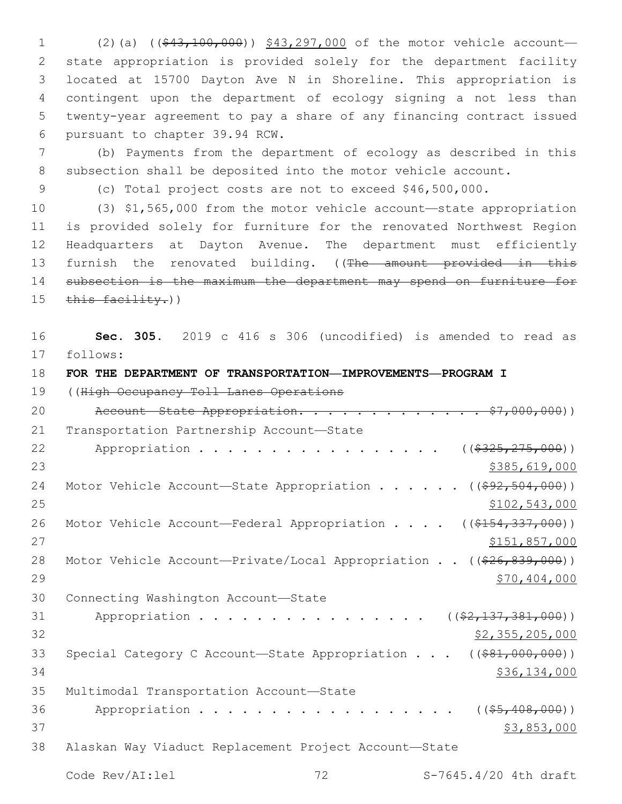1 (2)(a) ((\$43,100,000)) \$43,297,000 of the motor vehicle account— state appropriation is provided solely for the department facility located at 15700 Dayton Ave N in Shoreline. This appropriation is contingent upon the department of ecology signing a not less than twenty-year agreement to pay a share of any financing contract issued 6 pursuant to chapter 39.94 RCW.

7 (b) Payments from the department of ecology as described in this 8 subsection shall be deposited into the motor vehicle account.

9 (c) Total project costs are not to exceed \$46,500,000.

 (3) \$1,565,000 from the motor vehicle account—state appropriation is provided solely for furniture for the renovated Northwest Region Headquarters at Dayton Avenue. The department must efficiently 13 furnish the renovated building. ((The amount provided in this subsection is the maximum the department may spend on furniture for 15 this facility.))

16 **Sec. 305.** 2019 c 416 s 306 (uncodified) is amended to read as 17 follows:

18 **FOR THE DEPARTMENT OF TRANSPORTATION—IMPROVEMENTS—PROGRAM I**

19 ((High Occupancy Toll Lanes Operations

20 Account State Appropriation. . . . . . . . . . . . \$7,000,000)) 21 Transportation Partnership Account-State 22 Appropriation . . . . . . . . . . . . . . . ((\$325,275,000))  $23$   $\frac{1}{2}385,619,000$ 24 Motor Vehicle Account—State Appropriation . . . . . ((\$92,504,000)) 25 \$102,543,000 26 Motor Vehicle Account—Federal Appropriation . . . . ((\$154,337,000)) 27 \$151,857,000 28 Motor Vehicle Account—Private/Local Appropriation . . ((\$26,839,000)) 29 \$70,404,000 30 Connecting Washington Account-State 31 Appropriation . . . . . . . . . . . . . . . ((\$2,137,381,000))  $\frac{22}{32}$ ,  $\frac{355}{205}$ ,  $\frac{205}{000}$ 33 Special Category C Account-State Appropriation . . . ((\$81,000,000))  $34$  \$36,134,000 35 Multimodal Transportation Account-State 36 Appropriation . . . . . . . . . . . . . . . . (  $(\frac{25}{10000})$ )  $37$  \$3,853,000 38 Alaskan Way Viaduct Replacement Project Account—State Code Rev/AI:lel 72 S-7645.4/20 4th draft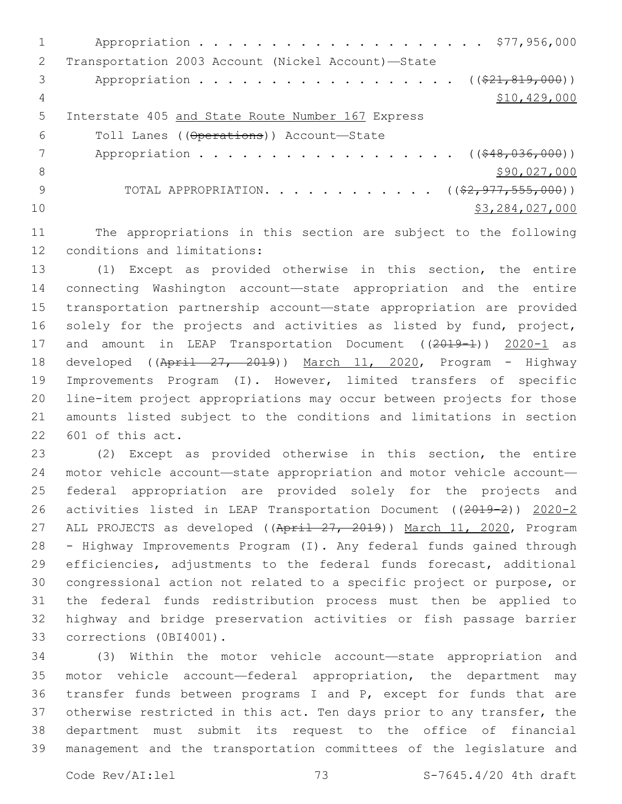| $\mathcal{P}$ | Transportation 2003 Account (Nickel Account)-State      |
|---------------|---------------------------------------------------------|
| 3             | Appropriation ( $(\frac{21}{621}, \frac{819}{600})$ )   |
| 4             | \$10, 429, 000                                          |
| .5            | Interstate 405 and State Route Number 167 Express       |
| 6             | Toll Lanes ((Operations)) Account-State                 |
|               | Appropriation ((\$48,036,000))                          |
| 8             | \$90,027,000                                            |
| 9             | TOTAL APPROPRIATION. ( $(\frac{2}{7}, 977, 555, 000)$ ) |
| 10            | \$3,284,027,000                                         |
|               |                                                         |

11 The appropriations in this section are subject to the following 12 conditions and limitations:

 (1) Except as provided otherwise in this section, the entire connecting Washington account—state appropriation and the entire transportation partnership account—state appropriation are provided solely for the projects and activities as listed by fund, project, 17 and amount in LEAP Transportation Document ((2019-1)) 2020-1 as 18 developed ((April 27, 2019)) March 11, 2020, Program - Highway Improvements Program (I). However, limited transfers of specific line-item project appropriations may occur between projects for those amounts listed subject to the conditions and limitations in section 22 601 of this act.

 (2) Except as provided otherwise in this section, the entire motor vehicle account—state appropriation and motor vehicle account— federal appropriation are provided solely for the projects and activities listed in LEAP Transportation Document ((2019-2)) 2020-2 27 ALL PROJECTS as developed ((April 27, 2019)) March 11, 2020, Program - Highway Improvements Program (I). Any federal funds gained through efficiencies, adjustments to the federal funds forecast, additional congressional action not related to a specific project or purpose, or the federal funds redistribution process must then be applied to highway and bridge preservation activities or fish passage barrier 33 corrections (0BI4001).

 (3) Within the motor vehicle account—state appropriation and motor vehicle account—federal appropriation, the department may transfer funds between programs I and P, except for funds that are otherwise restricted in this act. Ten days prior to any transfer, the department must submit its request to the office of financial management and the transportation committees of the legislature and

Code Rev/AI:lel 73 S-7645.4/20 4th draft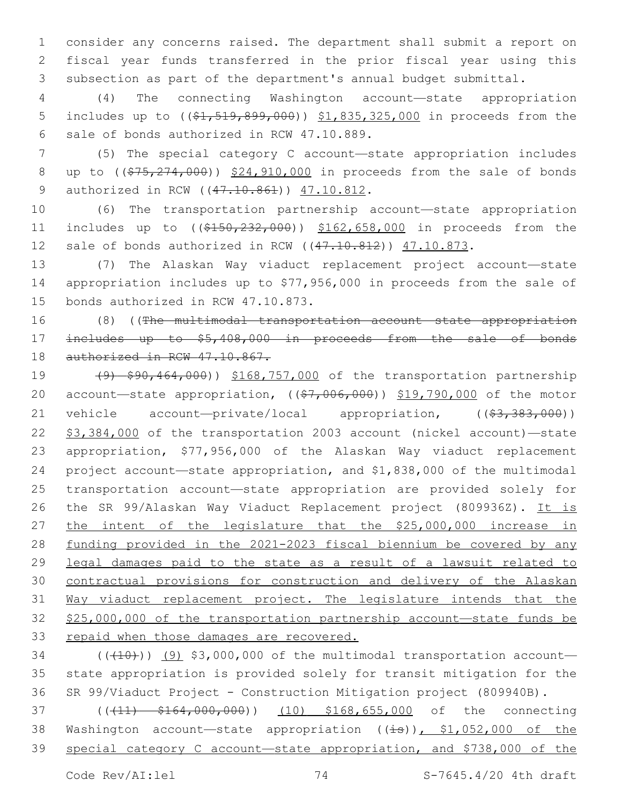1 consider any concerns raised. The department shall submit a report on 2 fiscal year funds transferred in the prior fiscal year using this 3 subsection as part of the department's annual budget submittal.

4 (4) The connecting Washington account—state appropriation 5 includes up to ( $(\frac{1}{21}, \frac{519}{699}, \frac{899}{600})$ ) \$1,835,325,000 in proceeds from the 6 sale of bonds authorized in RCW 47.10.889.

7 (5) The special category C account—state appropriation includes 8 up to ((\$75,274,000)) \$24,910,000 in proceeds from the sale of bonds 9 authorized in RCW ((47.10.861)) 47.10.812.

10 (6) The transportation partnership account—state appropriation 11 includes up to ((\$150,232,000)) \$162,658,000 in proceeds from the 12 sale of bonds authorized in RCW ((47.10.812)) 47.10.873.

13 (7) The Alaskan Way viaduct replacement project account—state 14 appropriation includes up to \$77,956,000 in proceeds from the sale of 15 bonds authorized in RCW 47.10.873.

16 (8) ((The multimodal transportation account—state appropriation 17 includes up to \$5,408,000 in proceeds from the sale of bonds 18 authorized in RCW 47.10.867.

19 (9) \$90,464,000)) \$168,757,000 of the transportation partnership 20 account—state appropriation,  $((\frac{27}{67}, 006, 000) )$   $\frac{219}{7790,000}$  of the motor 21 vehicle account—private/local appropriation, ((\$3,383,000)) 22 \$3,384,000 of the transportation 2003 account (nickel account)—state 23 appropriation, \$77,956,000 of the Alaskan Way viaduct replacement 24 project account—state appropriation, and \$1,838,000 of the multimodal 25 transportation account—state appropriation are provided solely for 26 the SR 99/Alaskan Way Viaduct Replacement project (809936Z). It is 27 the intent of the legislature that the \$25,000,000 increase in 28 funding provided in the 2021-2023 fiscal biennium be covered by any 29 legal damages paid to the state as a result of a lawsuit related to 30 contractual provisions for construction and delivery of the Alaskan 31 Way viaduct replacement project. The legislature intends that the 32 \$25,000,000 of the transportation partnership account—state funds be 33 repaid when those damages are recovered.

 $(1)(10)$  (( $10$ )) (9) \$3,000,000 of the multimodal transportation account— 35 state appropriation is provided solely for transit mitigation for the 36 SR 99/Viaduct Project - Construction Mitigation project (809940B).

37 (( $(11)$  \$164,000,000)) (10) \$168,655,000 of the connecting 38 Washington account—state appropriation ((is)), \$1,052,000 of the 39 special category C account—state appropriation, and \$738,000 of the

Code Rev/AI:lel 74 S-7645.4/20 4th draft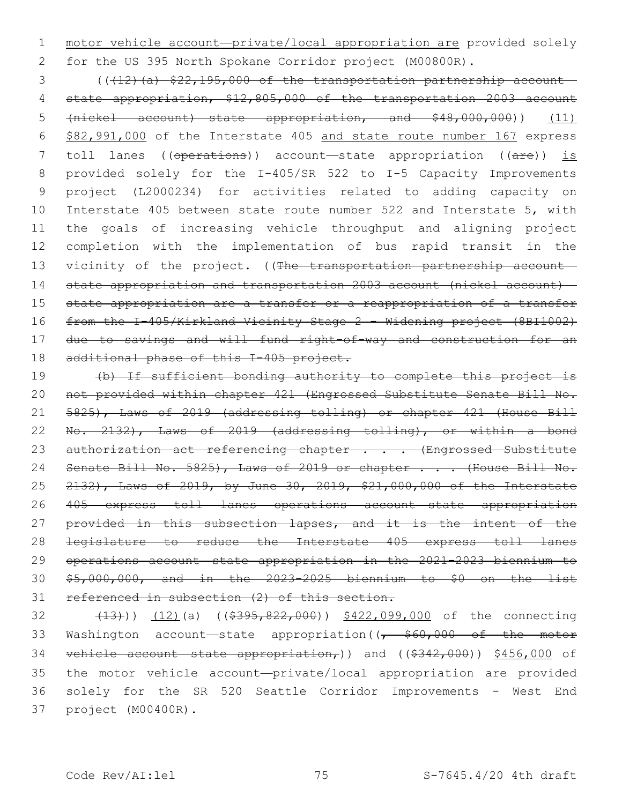motor vehicle account—private/local appropriation are provided solely for the US 395 North Spokane Corridor project (M00800R).

 (( $(12)$  (a)  $$22,195,000$  of the transportation partnership account— state appropriation, \$12,805,000 of the transportation 2003 account (nickel account)—state appropriation, and \$48,000,000)) (11) \$82,991,000 of the Interstate 405 and state route number 167 express 7 toll lanes ((operations)) account—state appropriation ((are)) is provided solely for the I-405/SR 522 to I-5 Capacity Improvements project (L2000234) for activities related to adding capacity on Interstate 405 between state route number 522 and Interstate 5, with the goals of increasing vehicle throughput and aligning project completion with the implementation of bus rapid transit in the 13 vicinity of the project. ((The transportation partnership account- state appropriation and transportation 2003 account (nickel account)— 15 state appropriation are a transfer or a reappropriation of a transfer from the I-405/Kirkland Vicinity Stage 2 - Widening project (8BI1002) due to savings and will fund right-of-way and construction for an 18 additional phase of this I-405 project.

 (b) If sufficient bonding authority to complete this project is not provided within chapter 421 (Engrossed Substitute Senate Bill No. 5825), Laws of 2019 (addressing tolling) or chapter 421 (House Bill No. 2132), Laws of 2019 (addressing tolling), or within a bond 23 authorization act referencing chapter . . . (Engrossed Substitute 24 Senate Bill No. 5825), Laws of 2019 or chapter . . . (House Bill No. 2132), Laws of 2019, by June 30, 2019, \$21,000,000 of the Interstate 405 express toll lanes operations account—state appropriation 27 provided in this subsection lapses, and it is the intent of the legislature to reduce the Interstate 405 express toll lanes operations account—state appropriation in the 2021-2023 biennium to \$5,000,000, and in the 2023-2025 biennium to \$0 on the list referenced in subsection (2) of this section.

32 (13))) (12)(a) ((\$395,822,000)) \$422,099,000 of the connecting 33 Washington account—state appropriation( $\left(7, 560,000\right)$  of the motor 34 vehicle account—state appropriation,)) and ((\$342,000)) \$456,000 of the motor vehicle account—private/local appropriation are provided solely for the SR 520 Seattle Corridor Improvements - West End project (M00400R).37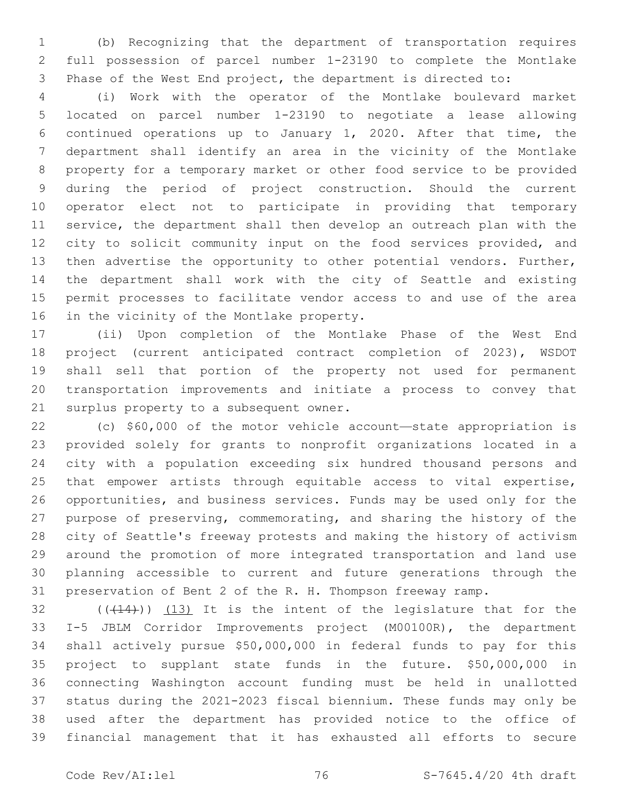(b) Recognizing that the department of transportation requires full possession of parcel number 1-23190 to complete the Montlake Phase of the West End project, the department is directed to:

 (i) Work with the operator of the Montlake boulevard market located on parcel number 1-23190 to negotiate a lease allowing continued operations up to January 1, 2020. After that time, the department shall identify an area in the vicinity of the Montlake property for a temporary market or other food service to be provided during the period of project construction. Should the current operator elect not to participate in providing that temporary service, the department shall then develop an outreach plan with the 12 city to solicit community input on the food services provided, and then advertise the opportunity to other potential vendors. Further, the department shall work with the city of Seattle and existing permit processes to facilitate vendor access to and use of the area 16 in the vicinity of the Montlake property.

 (ii) Upon completion of the Montlake Phase of the West End project (current anticipated contract completion of 2023), WSDOT shall sell that portion of the property not used for permanent transportation improvements and initiate a process to convey that 21 surplus property to a subsequent owner.

 (c) \$60,000 of the motor vehicle account—state appropriation is provided solely for grants to nonprofit organizations located in a city with a population exceeding six hundred thousand persons and that empower artists through equitable access to vital expertise, opportunities, and business services. Funds may be used only for the purpose of preserving, commemorating, and sharing the history of the city of Seattle's freeway protests and making the history of activism around the promotion of more integrated transportation and land use planning accessible to current and future generations through the preservation of Bent 2 of the R. H. Thompson freeway ramp.

 $(1, 4)$  ( $(1, 14)$ )) (13) It is the intent of the legislature that for the I-5 JBLM Corridor Improvements project (M00100R), the department shall actively pursue \$50,000,000 in federal funds to pay for this project to supplant state funds in the future. \$50,000,000 in connecting Washington account funding must be held in unallotted status during the 2021-2023 fiscal biennium. These funds may only be used after the department has provided notice to the office of financial management that it has exhausted all efforts to secure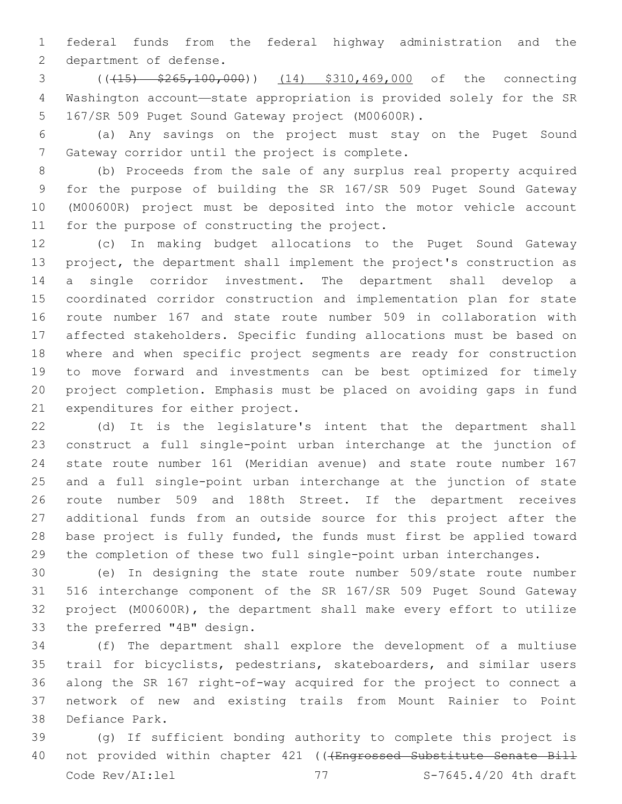federal funds from the federal highway administration and the 2 department of defense.

 (((15) \$265,100,000)) (14) \$310,469,000 of the connecting Washington account—state appropriation is provided solely for the SR 5 167/SR 509 Puget Sound Gateway project (M00600R).

 (a) Any savings on the project must stay on the Puget Sound 7 Gateway corridor until the project is complete.

 (b) Proceeds from the sale of any surplus real property acquired for the purpose of building the SR 167/SR 509 Puget Sound Gateway (M00600R) project must be deposited into the motor vehicle account 11 for the purpose of constructing the project.

 (c) In making budget allocations to the Puget Sound Gateway project, the department shall implement the project's construction as a single corridor investment. The department shall develop a coordinated corridor construction and implementation plan for state route number 167 and state route number 509 in collaboration with affected stakeholders. Specific funding allocations must be based on where and when specific project segments are ready for construction to move forward and investments can be best optimized for timely project completion. Emphasis must be placed on avoiding gaps in fund 21 expenditures for either project.

 (d) It is the legislature's intent that the department shall construct a full single-point urban interchange at the junction of state route number 161 (Meridian avenue) and state route number 167 and a full single-point urban interchange at the junction of state route number 509 and 188th Street. If the department receives additional funds from an outside source for this project after the base project is fully funded, the funds must first be applied toward the completion of these two full single-point urban interchanges.

 (e) In designing the state route number 509/state route number 516 interchange component of the SR 167/SR 509 Puget Sound Gateway project (M00600R), the department shall make every effort to utilize 33 the preferred "4B" design.

 (f) The department shall explore the development of a multiuse trail for bicyclists, pedestrians, skateboarders, and similar users along the SR 167 right-of-way acquired for the project to connect a network of new and existing trails from Mount Rainier to Point 38 Defiance Park.

 (g) If sufficient bonding authority to complete this project is 40 not provided within chapter 421 (((Engrossed Substitute Senate Bill Code Rev/AI:lel 77 S-7645.4/20 4th draft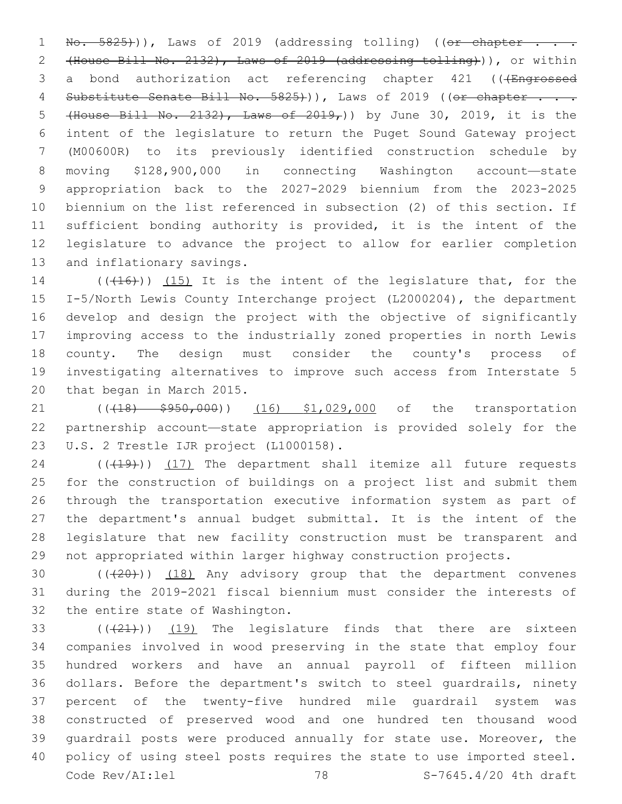$\text{No. } 5825)$ )), Laws of 2019 (addressing tolling) ((or chapter . (House Bill No. 2132), Laws of 2019 (addressing tolling))), or within 3 a bond authorization act referencing chapter 421 (((Engrossed 4 Substitute Senate Bill No. 5825+)), Laws of 2019 ((or chapter . . . (House Bill No. 2132), Laws of 2019,)) by June 30, 2019, it is the intent of the legislature to return the Puget Sound Gateway project (M00600R) to its previously identified construction schedule by moving \$128,900,000 in connecting Washington account—state appropriation back to the 2027-2029 biennium from the 2023-2025 biennium on the list referenced in subsection (2) of this section. If sufficient bonding authority is provided, it is the intent of the legislature to advance the project to allow for earlier completion 13 and inflationary savings.

 (( $(416)$ )) (15) It is the intent of the legislature that, for the I-5/North Lewis County Interchange project (L2000204), the department develop and design the project with the objective of significantly improving access to the industrially zoned properties in north Lewis county. The design must consider the county's process of investigating alternatives to improve such access from Interstate 5 20 that began in March 2015.

21 ((418)  $\frac{1}{5}950,000$ ) (16) \$1,029,000 of the transportation partnership account—state appropriation is provided solely for the 23 U.S. 2 Trestle IJR project (L1000158).

24 (((19)) (17) The department shall itemize all future requests for the construction of buildings on a project list and submit them through the transportation executive information system as part of the department's annual budget submittal. It is the intent of the legislature that new facility construction must be transparent and not appropriated within larger highway construction projects.

30 (((20))) (18) Any advisory group that the department convenes during the 2019-2021 fiscal biennium must consider the interests of 32 the entire state of Washington.

 $(33$  ( $(421)$ ) (19) The legislature finds that there are sixteen companies involved in wood preserving in the state that employ four hundred workers and have an annual payroll of fifteen million dollars. Before the department's switch to steel guardrails, ninety percent of the twenty-five hundred mile guardrail system was constructed of preserved wood and one hundred ten thousand wood guardrail posts were produced annually for state use. Moreover, the policy of using steel posts requires the state to use imported steel. Code Rev/AI:lel 78 S-7645.4/20 4th draft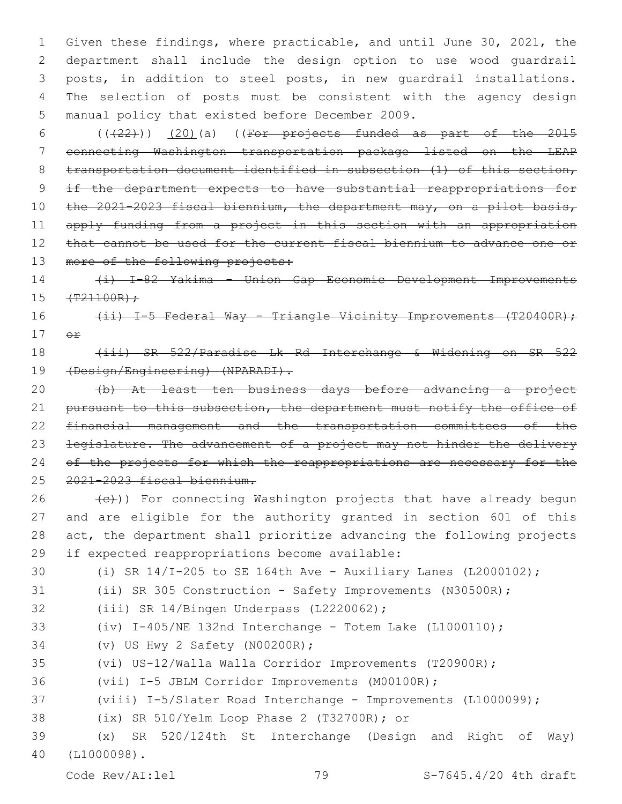Given these findings, where practicable, and until June 30, 2021, the department shall include the design option to use wood guardrail posts, in addition to steel posts, in new guardrail installations. The selection of posts must be consistent with the agency design 5 manual policy that existed before December 2009.

6  $((+22))$   $(20)$  (a) ((For projects funded as part of the 2015 7 connecting Washington transportation package listed on the LEAP 8 transportation document identified in subsection (1) of this section, 9 if the department expects to have substantial reappropriations for 10 the 2021-2023 fiscal biennium, the department may, on a pilot basis, 11 apply funding from a project in this section with an appropriation 12 that cannot be used for the current fiscal biennium to advance one or 13 more of the following projects:

14 (i) I-82 Yakima - Union Gap Economic Development Improvements  $15 + T^21100R$ ;

16 (ii) I-5 Federal Way - Triangle Vicinity Improvements (T20400R); 17 or

## 18 (iii) SR 522/Paradise Lk Rd Interchange & Widening on SR 522 19 (Design/Engineering) (NPARADI).

20 (b) At least ten business days before advancing a project 21 pursuant to this subsection, the department must notify the office of 22 financial management and the transportation committees of the 23 legislature. The advancement of a project may not hinder the delivery 24 of the projects for which the reappropriations are necessary for the 25 2021-2023 fiscal biennium.

 (e)) For connecting Washington projects that have already begun and are eligible for the authority granted in section 601 of this act, the department shall prioritize advancing the following projects 29 if expected reappropriations become available:

 (i) SR 14/I-205 to SE 164th Ave - Auxiliary Lanes (L2000102); (ii) SR 305 Construction - Safety Improvements (N30500R); 32 (iii) SR 14/Bingen Underpass (L2220062); (iv) I-405/NE 132nd Interchange - Totem Lake (L1000110); 34 (v) US Hwy 2 Safety (N00200R); (vi) US-12/Walla Walla Corridor Improvements (T20900R); (vii) I-5 JBLM Corridor Improvements (M00100R); (viii) I-5/Slater Road Interchange - Improvements (L1000099); 38 (ix) SR 510/Yelm Loop Phase 2 (T32700R); or (x) SR 520/124th St Interchange (Design and Right of Way) (L1000098).40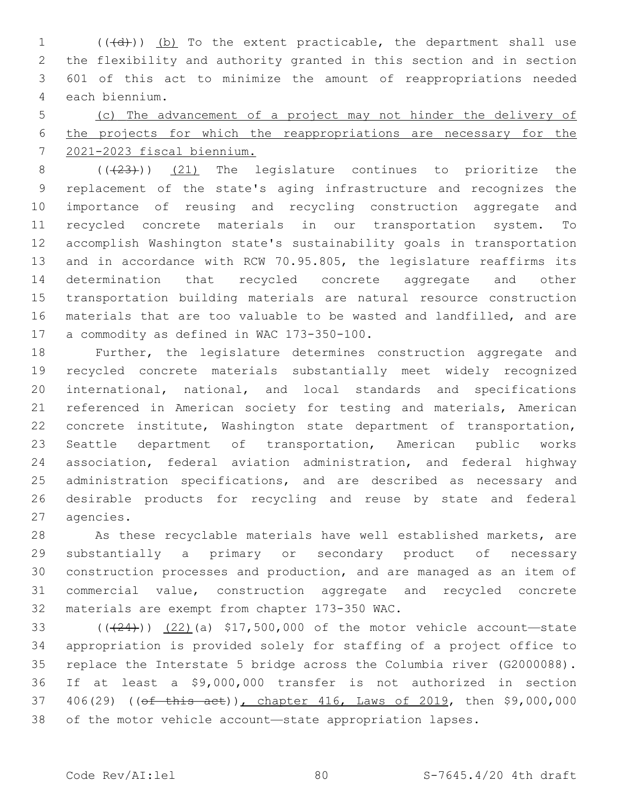1 (((d))) (b) To the extent practicable, the department shall use the flexibility and authority granted in this section and in section 601 of this act to minimize the amount of reappropriations needed 4 each biennium.

 (c) The advancement of a project may not hinder the delivery of the projects for which the reappropriations are necessary for the 2021-2023 fiscal biennium.

8 (( $(23)$ )) (21) The legislature continues to prioritize the replacement of the state's aging infrastructure and recognizes the importance of reusing and recycling construction aggregate and recycled concrete materials in our transportation system. To accomplish Washington state's sustainability goals in transportation and in accordance with RCW 70.95.805, the legislature reaffirms its determination that recycled concrete aggregate and other transportation building materials are natural resource construction materials that are too valuable to be wasted and landfilled, and are 17 a commodity as defined in WAC 173-350-100.

 Further, the legislature determines construction aggregate and recycled concrete materials substantially meet widely recognized international, national, and local standards and specifications referenced in American society for testing and materials, American concrete institute, Washington state department of transportation, Seattle department of transportation, American public works association, federal aviation administration, and federal highway 25 administration specifications, and are described as necessary and desirable products for recycling and reuse by state and federal 27 agencies.

 As these recyclable materials have well established markets, are substantially a primary or secondary product of necessary construction processes and production, and are managed as an item of commercial value, construction aggregate and recycled concrete 32 materials are exempt from chapter 173-350 WAC.

 $((+24))$   $(22)$  (a) \$17,500,000 of the motor vehicle account—state appropriation is provided solely for staffing of a project office to replace the Interstate 5 bridge across the Columbia river (G2000088). If at least a \$9,000,000 transfer is not authorized in section 37 406(29) ((of this act)), chapter 416, Laws of 2019, then \$9,000,000 of the motor vehicle account—state appropriation lapses.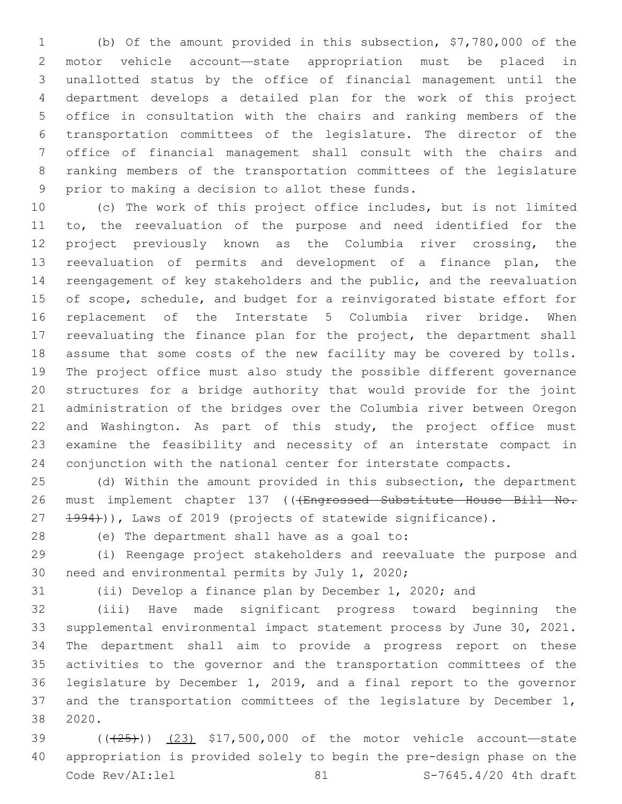(b) Of the amount provided in this subsection, \$7,780,000 of the motor vehicle account—state appropriation must be placed in unallotted status by the office of financial management until the department develops a detailed plan for the work of this project office in consultation with the chairs and ranking members of the transportation committees of the legislature. The director of the office of financial management shall consult with the chairs and ranking members of the transportation committees of the legislature 9 prior to making a decision to allot these funds.

 (c) The work of this project office includes, but is not limited to, the reevaluation of the purpose and need identified for the project previously known as the Columbia river crossing, the reevaluation of permits and development of a finance plan, the reengagement of key stakeholders and the public, and the reevaluation of scope, schedule, and budget for a reinvigorated bistate effort for replacement of the Interstate 5 Columbia river bridge. When reevaluating the finance plan for the project, the department shall assume that some costs of the new facility may be covered by tolls. The project office must also study the possible different governance structures for a bridge authority that would provide for the joint administration of the bridges over the Columbia river between Oregon and Washington. As part of this study, the project office must examine the feasibility and necessity of an interstate compact in conjunction with the national center for interstate compacts.

 (d) Within the amount provided in this subsection, the department 26 must implement chapter 137 (((Engrossed Substitute House Bill No. 27 1994))), Laws of 2019 (projects of statewide significance).

28 (e) The department shall have as a goal to:

 (i) Reengage project stakeholders and reevaluate the purpose and 30 need and environmental permits by July 1, 2020;

(ii) Develop a finance plan by December 1, 2020; and

 (iii) Have made significant progress toward beginning the supplemental environmental impact statement process by June 30, 2021. The department shall aim to provide a progress report on these activities to the governor and the transportation committees of the legislature by December 1, 2019, and a final report to the governor 37 and the transportation committees of the legislature by December 1, 2020.38

 $(1.39)$  ( $(1.25)$ ) (23) \$17,500,000 of the motor vehicle account—state appropriation is provided solely to begin the pre-design phase on the Code Rev/AI:lel 81 81 S-7645.4/20 4th draft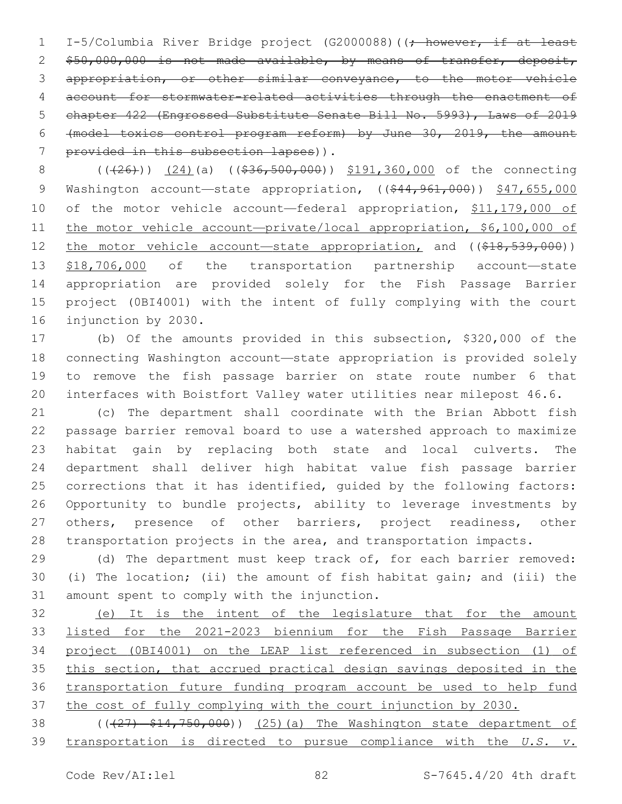1 I-5/Columbia River Bridge project (G2000088) ((; however, if at least 2 \$50,000,000 is not made available, by means of transfer, deposit, appropriation, or other similar conveyance, to the motor vehicle account for stormwater-related activities through the enactment of chapter 422 (Engrossed Substitute Senate Bill No. 5993), Laws of 2019 (model toxics control program reform) by June 30, 2019, the amount 7 provided in this subsection lapses)).

8 (((26)) (24)(a) ((\$36,500,000)) \$191,360,000 of the connecting 9 Washington account—state appropriation, ((\$44,961,000)) \$47,655,000 10 of the motor vehicle account—federal appropriation, \$11,179,000 of 11 the motor vehicle account-private/local appropriation, \$6,100,000 of 12 the motor vehicle account—state appropriation, and ((\$18,539,000)) \$18,706,000 of the transportation partnership account—state appropriation are provided solely for the Fish Passage Barrier project (0BI4001) with the intent of fully complying with the court 16 injunction by 2030.

 (b) Of the amounts provided in this subsection, \$320,000 of the connecting Washington account—state appropriation is provided solely to remove the fish passage barrier on state route number 6 that interfaces with Boistfort Valley water utilities near milepost 46.6.

 (c) The department shall coordinate with the Brian Abbott fish passage barrier removal board to use a watershed approach to maximize habitat gain by replacing both state and local culverts. The department shall deliver high habitat value fish passage barrier corrections that it has identified, guided by the following factors: Opportunity to bundle projects, ability to leverage investments by 27 others, presence of other barriers, project readiness, other transportation projects in the area, and transportation impacts.

29 (d) The department must keep track of, for each barrier removed: (i) The location; (ii) the amount of fish habitat gain; and (iii) the 31 amount spent to comply with the injunction.

 (e) It is the intent of the legislature that for the amount listed for the 2021-2023 biennium for the Fish Passage Barrier project (0BI4001) on the LEAP list referenced in subsection (1) of this section, that accrued practical design savings deposited in the transportation future funding program account be used to help fund the cost of fully complying with the court injunction by 2030.

38 (( $(27)$  \$14,750,000)) (25)(a) The Washington state department of transportation is directed to pursue compliance with the *U.S. v.*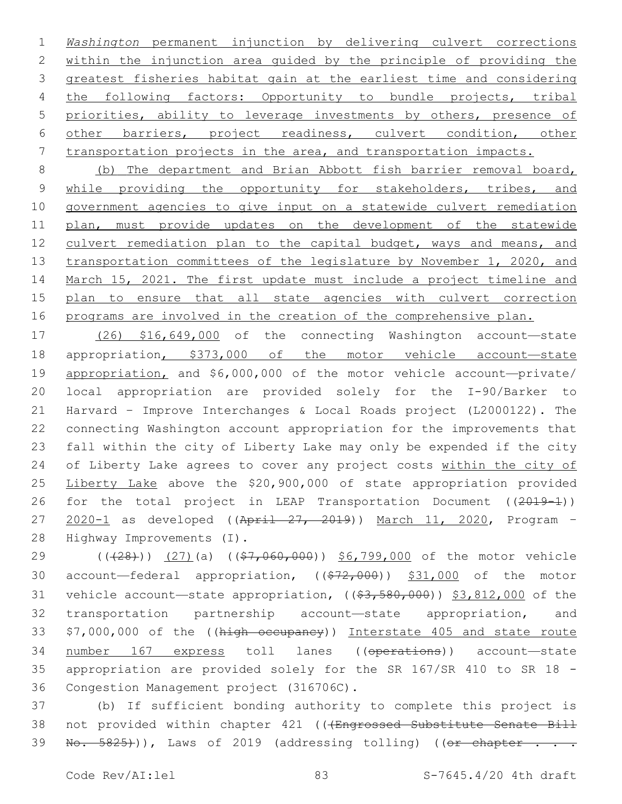*Washington* permanent injunction by delivering culvert corrections 2 within the injunction area guided by the principle of providing the greatest fisheries habitat gain at the earliest time and considering 4 the following factors: Opportunity to bundle projects, tribal priorities, ability to leverage investments by others, presence of other barriers, project readiness, culvert condition, other transportation projects in the area, and transportation impacts.

8 (b) The department and Brian Abbott fish barrier removal board, 9 while providing the opportunity for stakeholders, tribes, and 10 government agencies to give input on a statewide culvert remediation 11 plan, must provide updates on the development of the statewide 12 culvert remediation plan to the capital budget, ways and means, and 13 transportation committees of the legislature by November 1, 2020, and 14 March 15, 2021. The first update must include a project timeline and 15 plan to ensure that all state agencies with culvert correction 16 programs are involved in the creation of the comprehensive plan.

 (26) \$16,649,000 of the connecting Washington account—state appropriation, \$373,000 of the motor vehicle account—state appropriation, and \$6,000,000 of the motor vehicle account—private/ local appropriation are provided solely for the I-90/Barker to Harvard – Improve Interchanges & Local Roads project (L2000122). The connecting Washington account appropriation for the improvements that fall within the city of Liberty Lake may only be expended if the city of Liberty Lake agrees to cover any project costs within the city of Liberty Lake above the \$20,900,000 of state appropriation provided 26 for the total project in LEAP Transportation Document ((2019-1)) 27 2020-1 as developed ((April 27, 2019)) March 11, 2020, Program -28 Highway Improvements (I).

29 (((28))) (27)(a) ((\$7,060,000)) \$6,799,000 of the motor vehicle 30 account—federal appropriation,  $((\$72,000))$  \$31,000 of the motor 31 vehicle account—state appropriation,  $((\$3,580,000) )$  \$3,812,000 of the 32 transportation partnership account—state appropriation, and 33 \$7,000,000 of the ((high occupancy)) Interstate 405 and state route 34 number 167 express toll lanes ((operations)) account—state 35 appropriation are provided solely for the SR 167/SR 410 to SR 18 - 36 Congestion Management project (316706C).

37 (b) If sufficient bonding authority to complete this project is 38 not provided within chapter 421 (((Engrossed Substitute Senate Bill  $39$  No.  $5825)$ )), Laws of 2019 (addressing tolling) ((er chapter . . .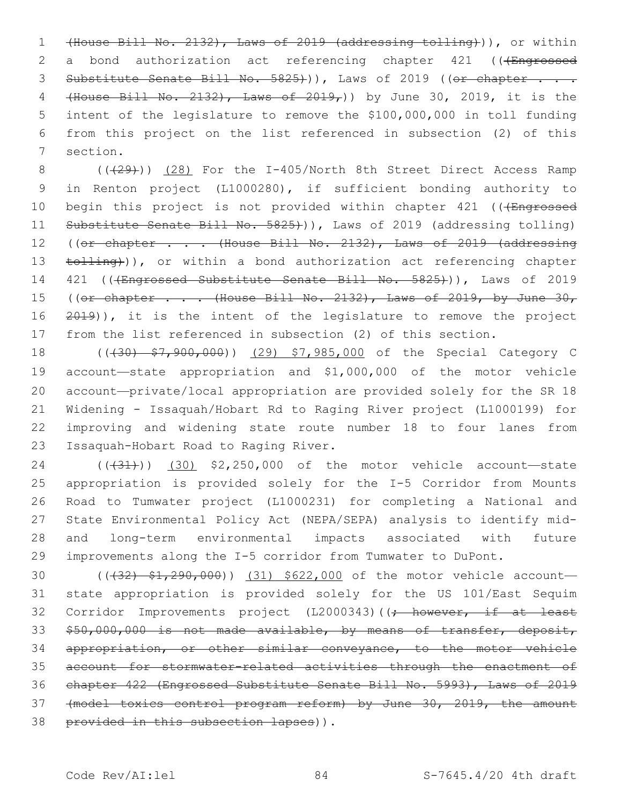1 (House Bill No. 2132), Laws of 2019 (addressing tolling))), or within 2 a bond authorization act referencing chapter 421 (((Engrossed 3 Substitute Senate Bill No. 5825))), Laws of 2019 ((or chapter . . . 4 (House Bill No. 2132), Laws of 2019,)) by June 30, 2019, it is the 5 intent of the legislature to remove the \$100,000,000 in toll funding 6 from this project on the list referenced in subsection (2) of this 7 section.

8 (( $(29)$ )) (28) For the I-405/North 8th Street Direct Access Ramp 9 in Renton project (L1000280), if sufficient bonding authority to 10 begin this project is not provided within chapter 421 (((Engrossed 11 Substitute Senate Bill No. 5825))), Laws of 2019 (addressing tolling) 12 ((or chapter . . . (House Bill No. 2132), Laws of 2019 (addressing 13 tolling)), or within a bond authorization act referencing chapter 14 421 (((Engrossed Substitute Senate Bill No. 5825))), Laws of 2019 15 ((or chapter . . . (House Bill No. 2132), Laws of 2019, by June 30, 16 2019)), it is the intent of the legislature to remove the project 17 from the list referenced in subsection (2) of this section.

18 ((430)  $$7,900,000$ ) (29) \$7,985,000 of the Special Category C account—state appropriation and \$1,000,000 of the motor vehicle account—private/local appropriation are provided solely for the SR 18 Widening - Issaquah/Hobart Rd to Raging River project (L1000199) for improving and widening state route number 18 to four lanes from 23 Issaquah-Hobart Road to Raging River.

24 (( $(31)$ ) (30) \$2,250,000 of the motor vehicle account—state appropriation is provided solely for the I-5 Corridor from Mounts Road to Tumwater project (L1000231) for completing a National and State Environmental Policy Act (NEPA/SEPA) analysis to identify mid- and long-term environmental impacts associated with future improvements along the I-5 corridor from Tumwater to DuPont.

30 (( $\left(\frac{32}{7}, \frac{290}{7}, \frac{000}{7}\right)$  (31) \$622,000 of the motor vehicle account-31 state appropriation is provided solely for the US 101/East Sequim 32 Corridor Improvements project (L2000343)((; however, if at least 33 \$50,000,000 is not made available, by means of transfer, deposit, 34 appropriation, or other similar conveyance, to the motor vehicle 35 account for stormwater-related activities through the enactment of 36 chapter 422 (Engrossed Substitute Senate Bill No. 5993), Laws of 2019 37 (model toxics control program reform) by June 30, 2019, the amount 38 provided in this subsection lapses)).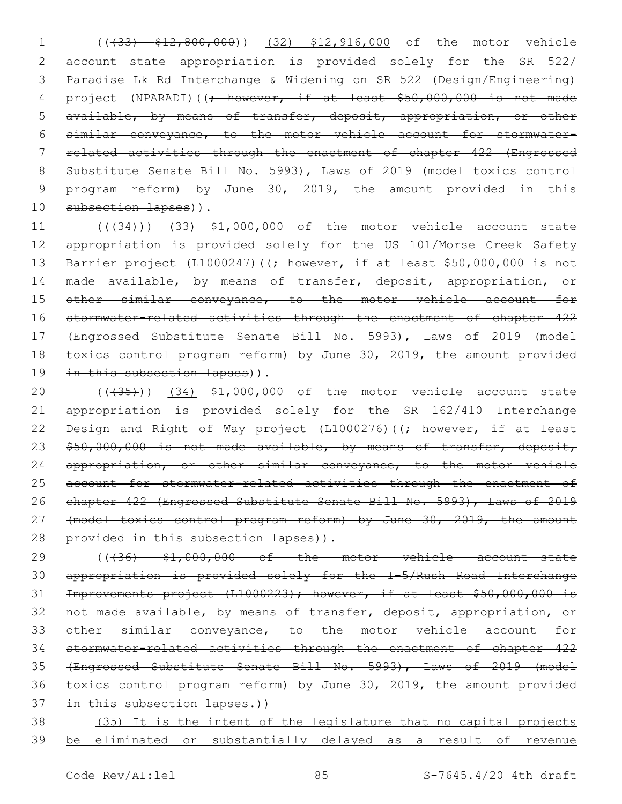(((33) \$12,800,000)) (32) \$12,916,000 of the motor vehicle account—state appropriation is provided solely for the SR 522/ Paradise Lk Rd Interchange & Widening on SR 522 (Design/Engineering) 4 project (NPARADI)((; however, if at least \$50,000,000 is not made available, by means of transfer, deposit, appropriation, or other similar conveyance, to the motor vehicle account for stormwater- related activities through the enactment of chapter 422 (Engrossed Substitute Senate Bill No. 5993), Laws of 2019 (model toxics control program reform) by June 30, 2019, the amount provided in this 10 subsection lapses)).

11 (( $(34)$ )) (33) \$1,000,000 of the motor vehicle account—state 12 appropriation is provided solely for the US 101/Morse Creek Safety 13 Barrier project (L1000247)((; however, if at least \$50,000,000 is not 14 made available, by means of transfer, deposit, appropriation, or 15 other similar conveyance, to the motor vehicle account for 16 stormwater-related activities through the enactment of chapter 422 17 (Engrossed Substitute Senate Bill No. 5993), Laws of 2019 (model 18 toxics control program reform) by June 30, 2019, the amount provided 19 in this subsection lapses)).

20 (((435))) (34) \$1,000,000 of the motor vehicle account—state 21 appropriation is provided solely for the SR 162/410 Interchange 22 Design and Right of Way project (L1000276)((; however, if at least 23 \$50,000,000 is not made available, by means of transfer, deposit, 24 appropriation, or other similar conveyance, to the motor vehicle 25 account for stormwater-related activities through the enactment of 26 chapter 422 (Engrossed Substitute Senate Bill No. 5993), Laws of 2019 27 (model toxics control program reform) by June 30, 2019, the amount 28 provided in this subsection lapses)).

 $((436)$   $$1,000,000$  of the motor vehicle account state appropriation is provided solely for the I-5/Rush Road Interchange Improvements project (L1000223); however, if at least \$50,000,000 is 32 not made available, by means of transfer, deposit, appropriation, or other similar conveyance, to the motor vehicle account for stormwater-related activities through the enactment of chapter 422 (Engrossed Substitute Senate Bill No. 5993), Laws of 2019 (model toxics control program reform) by June 30, 2019, the amount provided 37 in this subsection lapses.))

38 (35) It is the intent of the legislature that no capital projects 39 be eliminated or substantially delayed as a result of revenue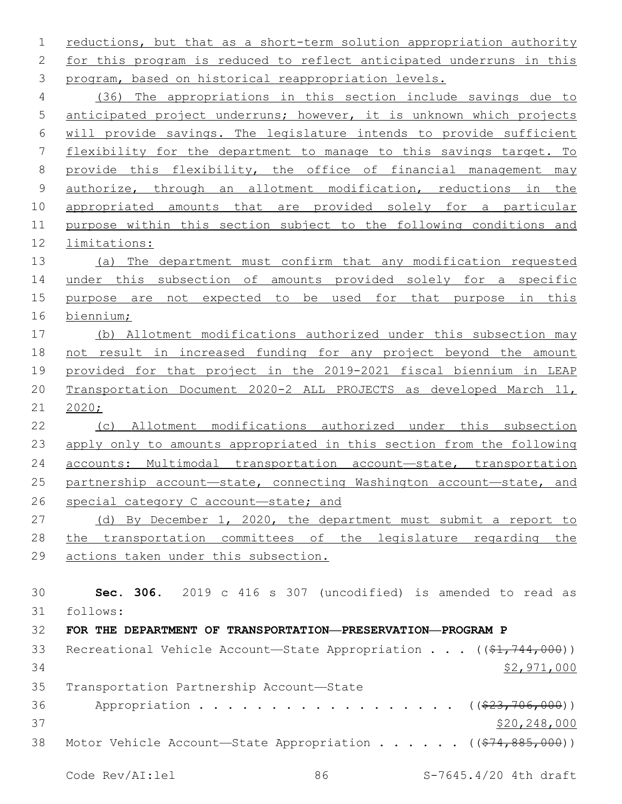reductions, but that as a short-term solution appropriation authority for this program is reduced to reflect anticipated underruns in this program, based on historical reappropriation levels.

 (36) The appropriations in this section include savings due to anticipated project underruns; however, it is unknown which projects will provide savings. The legislature intends to provide sufficient flexibility for the department to manage to this savings target. To provide this flexibility, the office of financial management may authorize, through an allotment modification, reductions in the appropriated amounts that are provided solely for a particular purpose within this section subject to the following conditions and limitations:

 (a) The department must confirm that any modification requested 14 under this subsection of amounts provided solely for a specific 15 purpose are not expected to be used for that purpose in this biennium;

 (b) Allotment modifications authorized under this subsection may not result in increased funding for any project beyond the amount provided for that project in the 2019-2021 fiscal biennium in LEAP Transportation Document 2020-2 ALL PROJECTS as developed March 11, 2020;

 (c) Allotment modifications authorized under this subsection 23 apply only to amounts appropriated in this section from the following 24 accounts: Multimodal transportation account-state, transportation partnership account—state, connecting Washington account—state, and 26 special category C account-state; and

 (d) By December 1, 2020, the department must submit a report to the transportation committees of the legislature regarding the actions taken under this subsection.

 **Sec. 306.** 2019 c 416 s 307 (uncodified) is amended to read as follows: **FOR THE DEPARTMENT OF TRANSPORTATION—PRESERVATION—PROGRAM P** 33 Recreational Vehicle Account—State Appropriation . . . ((\$1,744,000))

 \$2,971,000 35 Transportation Partnership Account-State 36 Appropriation . . . . . . . . . . . . . . . . (  $(\frac{23}{706},000)$  ) \$20,248,000 38 Motor Vehicle Account—State Appropriation . . . . . ((\$74,885,000))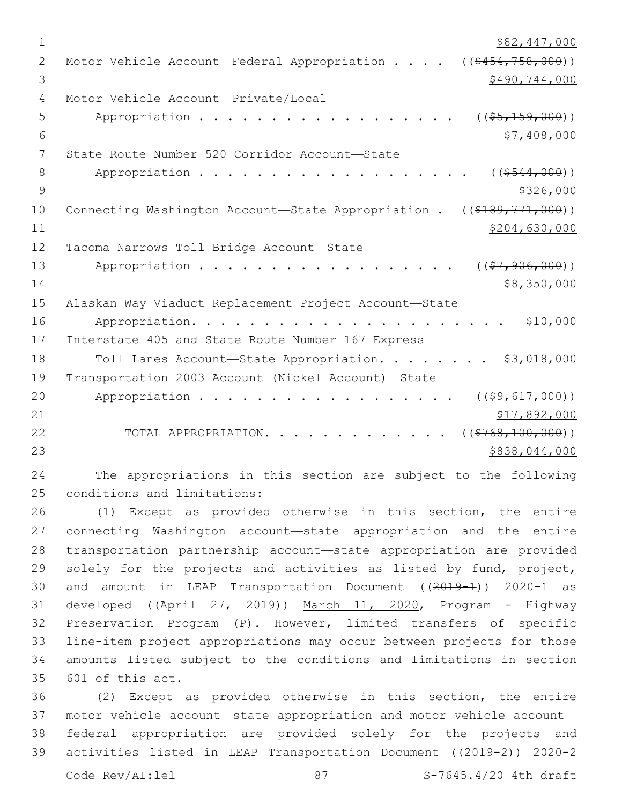| $\mathbf 1$   | \$82,447,000                                                               |
|---------------|----------------------------------------------------------------------------|
| $\mathbf{2}$  | $((\$454,758,000))$<br>Motor Vehicle Account-Federal Appropriation         |
| 3             | \$490,744,000                                                              |
| 4             | Motor Vehicle Account-Private/Local                                        |
| 5             | $($ $($ $$5, 159, 000)$ $)$<br>Appropriation                               |
| 6             | \$7,408,000                                                                |
| 7             | State Route Number 520 Corridor Account-State                              |
| 8             | ( ( \$544, 000) )<br>Appropriation                                         |
| $\mathcal{G}$ | \$326,000                                                                  |
| 10            | Connecting Washington Account-State Appropriation .<br>$((\$189,771,000))$ |
| 11            | \$204,630,000                                                              |
| 12            | Tacoma Narrows Toll Bridge Account-State                                   |
| 13            | $($ $(\frac{27}{27}, \frac{906}{200})$ )<br>Appropriation                  |
| 14            | \$8,350,000                                                                |
| 15            | Alaskan Way Viaduct Replacement Project Account-State                      |
| 16            | \$10,000<br>Appropriation.                                                 |
| 17            | Interstate 405 and State Route Number 167 Express                          |
| 18            | Toll Lanes Account-State Appropriation. \$3,018,000                        |
| 19            | Transportation 2003 Account (Nickel Account)-State                         |
| 20            | Appropriation<br>$($ (\$9,617,000))                                        |
| 21            | \$17,892,000                                                               |
| 22            | ( ( \$768, 100, 000) )<br>TOTAL APPROPRIATION. .                           |
| 23            | \$838,044,000                                                              |
|               |                                                                            |

 The appropriations in this section are subject to the following 25 conditions and limitations:

 (1) Except as provided otherwise in this section, the entire connecting Washington account—state appropriation and the entire transportation partnership account—state appropriation are provided 29 solely for the projects and activities as listed by fund, project, 30 and amount in LEAP Transportation Document ((2019-1)) 2020-1 as 31 developed ((April 27, 2019)) March 11, 2020, Program - Highway Preservation Program (P). However, limited transfers of specific line-item project appropriations may occur between projects for those amounts listed subject to the conditions and limitations in section 35 601 of this act.

 (2) Except as provided otherwise in this section, the entire motor vehicle account—state appropriation and motor vehicle account— federal appropriation are provided solely for the projects and activities listed in LEAP Transportation Document ((2019-2)) 2020-2

Code Rev/AI:lel 87 87 S-7645.4/20 4th draft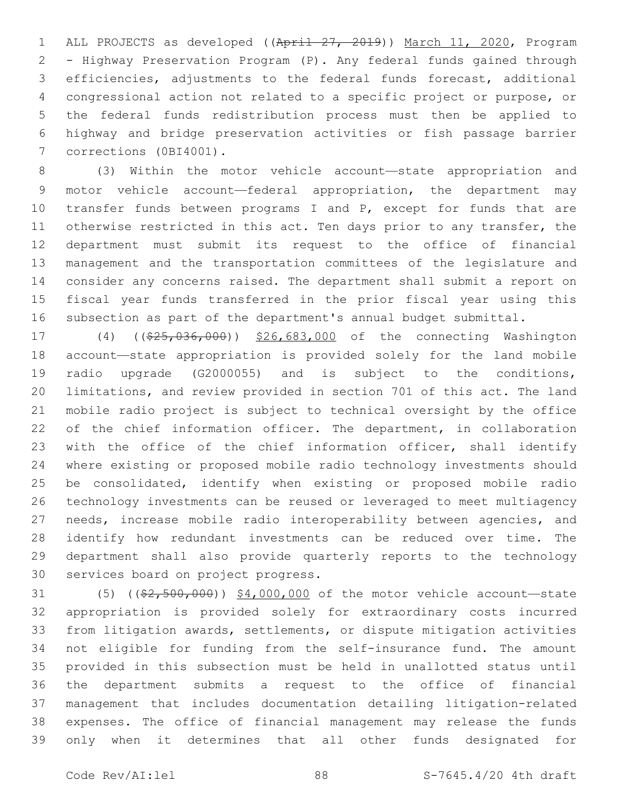ALL PROJECTS as developed ((April 27, 2019)) March 11, 2020, Program - Highway Preservation Program (P). Any federal funds gained through efficiencies, adjustments to the federal funds forecast, additional congressional action not related to a specific project or purpose, or the federal funds redistribution process must then be applied to highway and bridge preservation activities or fish passage barrier 7 corrections (0BI4001).

 (3) Within the motor vehicle account—state appropriation and motor vehicle account—federal appropriation, the department may 10 transfer funds between programs I and P, except for funds that are 11 otherwise restricted in this act. Ten days prior to any transfer, the department must submit its request to the office of financial management and the transportation committees of the legislature and consider any concerns raised. The department shall submit a report on fiscal year funds transferred in the prior fiscal year using this subsection as part of the department's annual budget submittal.

 (4) ((\$25,036,000)) \$26,683,000 of the connecting Washington account—state appropriation is provided solely for the land mobile radio upgrade (G2000055) and is subject to the conditions, limitations, and review provided in section 701 of this act. The land mobile radio project is subject to technical oversight by the office 22 of the chief information officer. The department, in collaboration 23 with the office of the chief information officer, shall identify where existing or proposed mobile radio technology investments should be consolidated, identify when existing or proposed mobile radio technology investments can be reused or leveraged to meet multiagency 27 needs, increase mobile radio interoperability between agencies, and identify how redundant investments can be reduced over time. The department shall also provide quarterly reports to the technology 30 services board on project progress.

31 (5) ((\$2,500,000)) \$4,000,000 of the motor vehicle account—state appropriation is provided solely for extraordinary costs incurred from litigation awards, settlements, or dispute mitigation activities not eligible for funding from the self-insurance fund. The amount provided in this subsection must be held in unallotted status until the department submits a request to the office of financial management that includes documentation detailing litigation-related expenses. The office of financial management may release the funds only when it determines that all other funds designated for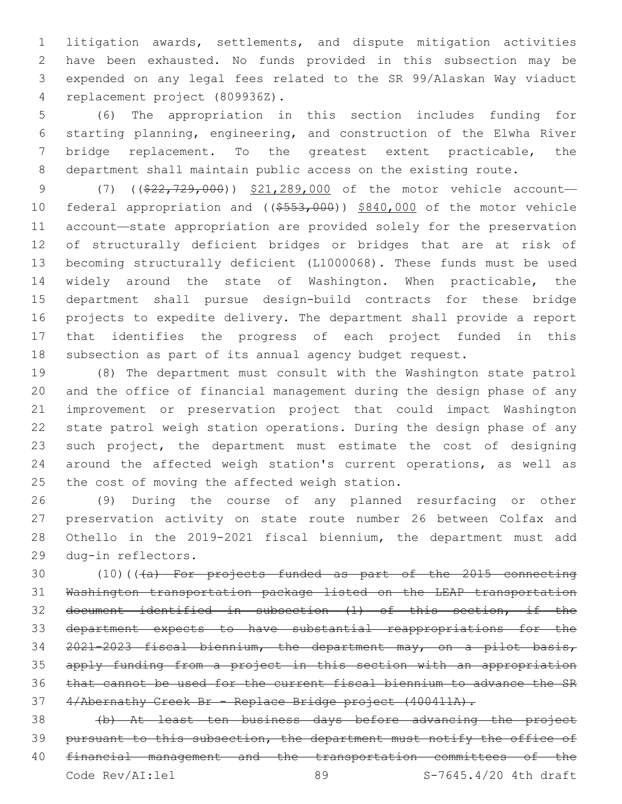litigation awards, settlements, and dispute mitigation activities have been exhausted. No funds provided in this subsection may be expended on any legal fees related to the SR 99/Alaskan Way viaduct replacement project (809936Z).4

 (6) The appropriation in this section includes funding for starting planning, engineering, and construction of the Elwha River bridge replacement. To the greatest extent practicable, the department shall maintain public access on the existing route.

9 (7) ((\$22,729,000)) \$21,289,000 of the motor vehicle account-10 federal appropriation and ((\$553,000)) \$840,000 of the motor vehicle account—state appropriation are provided solely for the preservation of structurally deficient bridges or bridges that are at risk of becoming structurally deficient (L1000068). These funds must be used widely around the state of Washington. When practicable, the department shall pursue design-build contracts for these bridge projects to expedite delivery. The department shall provide a report that identifies the progress of each project funded in this subsection as part of its annual agency budget request.

 (8) The department must consult with the Washington state patrol and the office of financial management during the design phase of any improvement or preservation project that could impact Washington state patrol weigh station operations. During the design phase of any such project, the department must estimate the cost of designing around the affected weigh station's current operations, as well as 25 the cost of moving the affected weigh station.

 (9) During the course of any planned resurfacing or other preservation activity on state route number 26 between Colfax and Othello in the 2019-2021 fiscal biennium, the department must add dug-in reflectors.29

30 (10)(((a) For projects funded as part of the 2015 connecting Washington transportation package listed on the LEAP transportation document identified in subsection (1) of this section, if the department expects to have substantial reappropriations for the 2021-2023 fiscal biennium, the department may, on a pilot basis, apply funding from a project in this section with an appropriation that cannot be used for the current fiscal biennium to advance the SR 37 4/Abernathy Creek Br - Replace Bridge project (400411A).

 (b) At least ten business days before advancing the project 39 pursuant to this subsection, the department must notify the office of financial management and the transportation committees of the Code Rev/AI:lel 89 S-7645.4/20 4th draft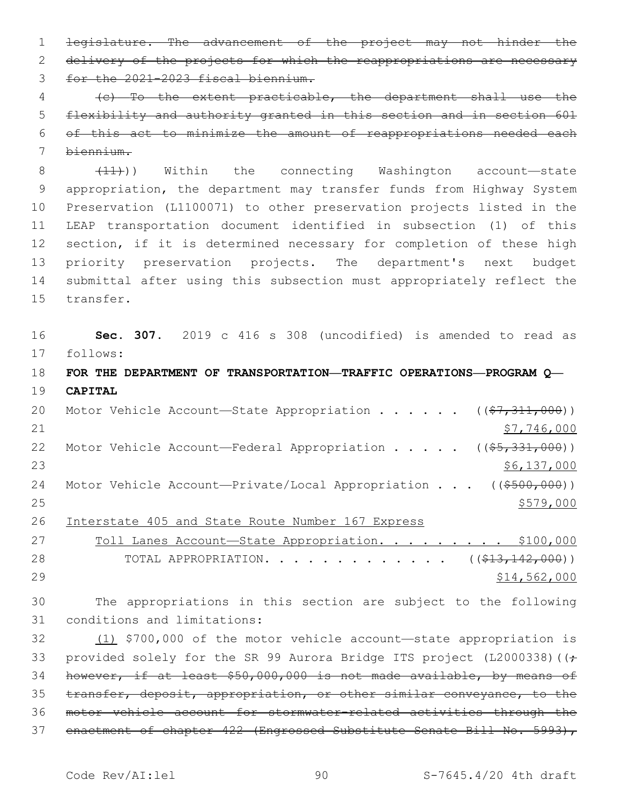1 legislature. The advancement of the project may not hinder the 2 delivery of the projects for which the reappropriations are necessary 3 for the 2021-2023 fiscal biennium.

 (c) To the extent practicable, the department shall use the flexibility and authority granted in this section and in section 601 of this act to minimize the amount of reappropriations needed each

biennium.

 $(11)$ ) Within the connecting Washington account—state appropriation, the department may transfer funds from Highway System Preservation (L1100071) to other preservation projects listed in the LEAP transportation document identified in subsection (1) of this 12 section, if it is determined necessary for completion of these high priority preservation projects. The department's next budget submittal after using this subsection must appropriately reflect the 15 transfer.

 **Sec. 307.** 2019 c 416 s 308 (uncodified) is amended to read as follows:

 **FOR THE DEPARTMENT OF TRANSPORTATION—TRAFFIC OPERATIONS—PROGRAM Q— CAPITAL**

20 Motor Vehicle Account—State Appropriation . . . . .  $($   $($ \$7,311,000))  $$7,746,000$ 22 Motor Vehicle Account—Federal Appropriation . . . . ((\$5,331,000))  $\frac{$6,137,000}{ }$ 24 Motor Vehicle Account-Private/Local Appropriation . . . ((\$500,000))  $\frac{$579,000}{ }$ 

Interstate 405 and State Route Number 167 Express

| 27 | Toll Lanes Account-State Appropriation. \$100,000                          |  |  |  |  |  |              |
|----|----------------------------------------------------------------------------|--|--|--|--|--|--------------|
| 28 | TOTAL APPROPRIATION. $($ $($ $\frac{213}{112})$ $($ $\frac{427}{100})$ $)$ |  |  |  |  |  |              |
| 29 |                                                                            |  |  |  |  |  | \$14,562,000 |

 The appropriations in this section are subject to the following 31 conditions and limitations:

 (1) \$700,000 of the motor vehicle account—state appropriation is 33 provided solely for the SR 99 Aurora Bridge ITS project (L2000338) ((+ however, if at least \$50,000,000 is not made available, by means of transfer, deposit, appropriation, or other similar conveyance, to the motor vehicle account for stormwater-related activities through the 37 enactment of chapter 422 (Engrossed Substitute Senate Bill No. 5993),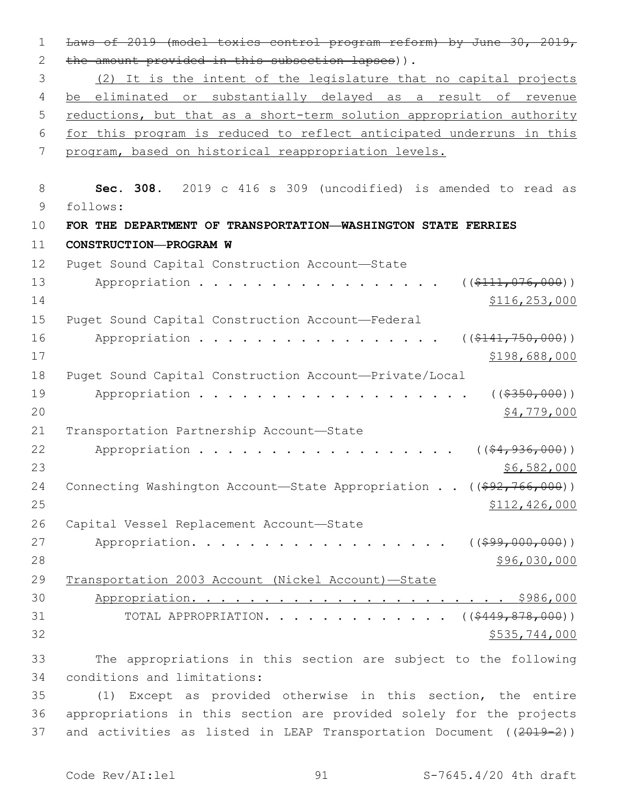1 Laws of 2019 (model toxics control program reform) by June 30, 2019, 2 the amount provided in this subsection lapses)). 3 (2) It is the intent of the legislature that no capital projects 4 be eliminated or substantially delayed as a result of revenue 5 reductions, but that as a short-term solution appropriation authority 6 for this program is reduced to reflect anticipated underruns in this 7 program, based on historical reappropriation levels. 8 **Sec. 308.** 2019 c 416 s 309 (uncodified) is amended to read as 9 follows: 10 **FOR THE DEPARTMENT OF TRANSPORTATION—WASHINGTON STATE FERRIES** 11 **CONSTRUCTION—PROGRAM W** 12 Puget Sound Capital Construction Account-State 13 Appropriation . . . . . . . . . . . . . . . (  $(\frac{2111,076,000}{1})$  $14$  \$116,253,000 15 Puget Sound Capital Construction Account—Federal 16 Appropriation . . . . . . . . . . . . . . . ((<del>\$141,750,000</del>))  $17$  \$198,688,000 18 Puget Sound Capital Construction Account—Private/Local 19 Appropriation . . . . . . . . . . . . . . . . . (  $(*350,000)$  )  $20$  \$4,779,000 21 Transportation Partnership Account-State 22 Appropriation . . . . . . . . . . . . . . . . (  $(\frac{24}{1000})$ )  $23$  \$6,582,000 24 Connecting Washington Account—State Appropriation . . ((\$92,766,000))  $25$  \$112,426,000 26 Capital Vessel Replacement Account-State 27 Appropriation. . . . . . . . . . . . . . . . ((\$99,000,000)) 28 \$96,030,000 29 Transportation 2003 Account (Nickel Account)—State 30 Appropriation. . . . . . . . . . . . . . . . . . . . . . \$986,000 31 TOTAL APPROPRIATION. . . . . . . . . . . . ((\$449,878,000))  $32$  \$535,744,000 33 The appropriations in this section are subject to the following conditions and limitations:34 35 (1) Except as provided otherwise in this section, the entire

36 appropriations in this section are provided solely for the projects 37 and activities as listed in LEAP Transportation Document ((2019-2))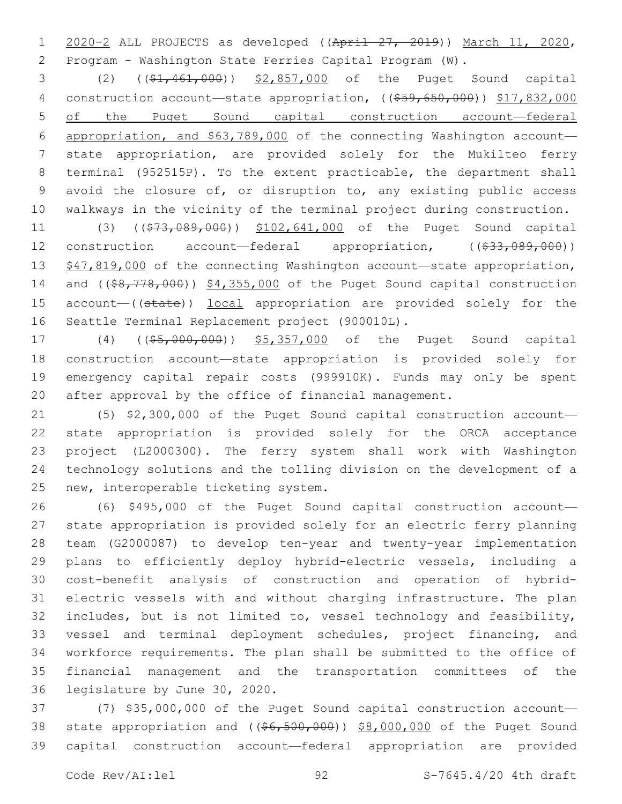2020-2 ALL PROJECTS as developed ((April 27, 2019)) March 11, 2020, Program - Washington State Ferries Capital Program (W).

 (2) ((\$1,461,000)) \$2,857,000 of the Puget Sound capital 4 construction account—state appropriation, ((\$59,650,000)) \$17,832,000 of the Puget Sound capital construction account—federal appropriation, and \$63,789,000 of the connecting Washington account— state appropriation, are provided solely for the Mukilteo ferry terminal (952515P). To the extent practicable, the department shall avoid the closure of, or disruption to, any existing public access walkways in the vicinity of the terminal project during construction.

11 (3) ((\$73,089,000)) \$102,641,000 of the Puget Sound capital 12 construction account—federal appropriation, ((\$33,089,000)) 13 \$47,819,000 of the connecting Washington account—state appropriation, 14 and ((\$8,778,000)) \$4,355,000 of the Puget Sound capital construction 15 account—((state)) local appropriation are provided solely for the 16 Seattle Terminal Replacement project (900010L).

17 (4) ((\$5,000,000)) \$5,357,000 of the Puget Sound capital construction account—state appropriation is provided solely for emergency capital repair costs (999910K). Funds may only be spent after approval by the office of financial management.

 (5) \$2,300,000 of the Puget Sound capital construction account— state appropriation is provided solely for the ORCA acceptance project (L2000300). The ferry system shall work with Washington technology solutions and the tolling division on the development of a 25 new, interoperable ticketing system.

 (6) \$495,000 of the Puget Sound capital construction account— state appropriation is provided solely for an electric ferry planning team (G2000087) to develop ten-year and twenty-year implementation plans to efficiently deploy hybrid-electric vessels, including a cost-benefit analysis of construction and operation of hybrid- electric vessels with and without charging infrastructure. The plan includes, but is not limited to, vessel technology and feasibility, vessel and terminal deployment schedules, project financing, and workforce requirements. The plan shall be submitted to the office of financial management and the transportation committees of the 36 legislature by June 30, 2020.

 (7) \$35,000,000 of the Puget Sound capital construction account— 38 state appropriation and ((\$6,500,000)) \$8,000,000 of the Puget Sound capital construction account—federal appropriation are provided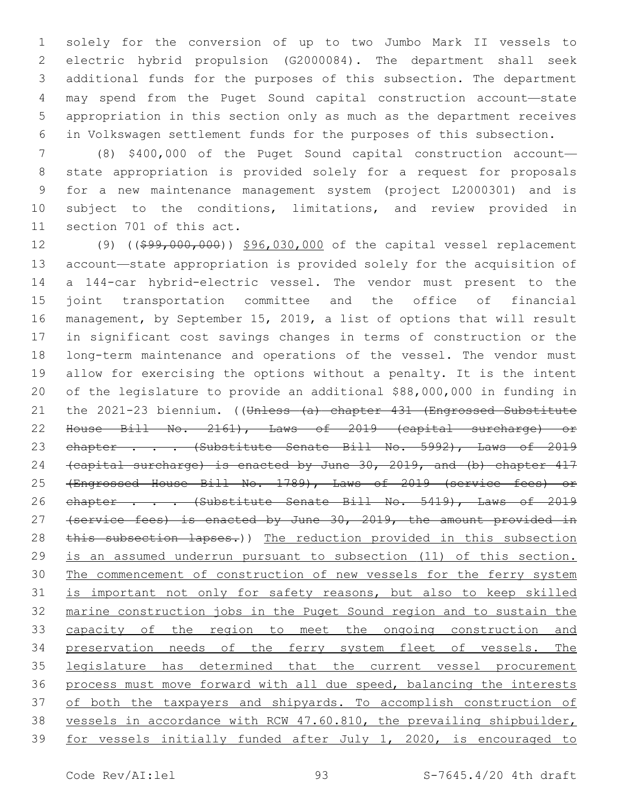solely for the conversion of up to two Jumbo Mark II vessels to electric hybrid propulsion (G2000084). The department shall seek additional funds for the purposes of this subsection. The department may spend from the Puget Sound capital construction account—state appropriation in this section only as much as the department receives in Volkswagen settlement funds for the purposes of this subsection.

 (8) \$400,000 of the Puget Sound capital construction account— state appropriation is provided solely for a request for proposals for a new maintenance management system (project L2000301) and is subject to the conditions, limitations, and review provided in 11 section 701 of this act.

12 (9) ((\$99,000,000)) \$96,030,000 of the capital vessel replacement account—state appropriation is provided solely for the acquisition of a 144-car hybrid-electric vessel. The vendor must present to the joint transportation committee and the office of financial management, by September 15, 2019, a list of options that will result in significant cost savings changes in terms of construction or the long-term maintenance and operations of the vessel. The vendor must allow for exercising the options without a penalty. It is the intent of the legislature to provide an additional \$88,000,000 in funding in 21 the 2021-23 biennium. ((Unless (a) chapter 431 (Engrossed Substitute House Bill No. 2161), Laws of 2019 (capital surcharge) or 23 chapter . . . (Substitute Senate Bill No. 5992), Laws of 2019 (capital surcharge) is enacted by June 30, 2019, and (b) chapter 417 (Engrossed House Bill No. 1789), Laws of 2019 (service fees) or 26 chapter . . . (Substitute Senate Bill No. 5419), Laws of 2019 27 (service fees) is enacted by June 30, 2019, the amount provided in 28 this subsection lapses.)) The reduction provided in this subsection is an assumed underrun pursuant to subsection (11) of this section. The commencement of construction of new vessels for the ferry system is important not only for safety reasons, but also to keep skilled marine construction jobs in the Puget Sound region and to sustain the capacity of the region to meet the ongoing construction and 34 preservation needs of the ferry system fleet of vessels. The legislature has determined that the current vessel procurement process must move forward with all due speed, balancing the interests 37 of both the taxpayers and shipyards. To accomplish construction of vessels in accordance with RCW 47.60.810, the prevailing shipbuilder, for vessels initially funded after July 1, 2020, is encouraged to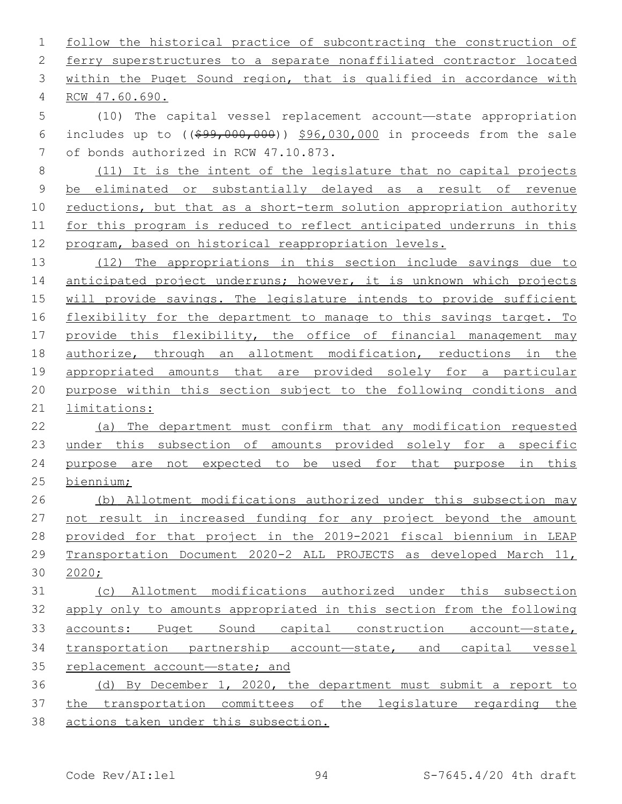follow the historical practice of subcontracting the construction of 2 ferry superstructures to a separate nonaffiliated contractor located 3 within the Puget Sound region, that is qualified in accordance with RCW 47.60.690.4 (10) The capital vessel replacement account—state appropriation 6 includes up to  $($   $(*99,000,000)$   $$96,030,000$  in proceeds from the sale 7 of bonds authorized in RCW 47.10.873. (11) It is the intent of the legislature that no capital projects be eliminated or substantially delayed as a result of revenue reductions, but that as a short-term solution appropriation authority for this program is reduced to reflect anticipated underruns in this program, based on historical reappropriation levels. (12) The appropriations in this section include savings due to anticipated project underruns; however, it is unknown which projects will provide savings. The legislature intends to provide sufficient flexibility for the department to manage to this savings target. To 17 provide this flexibility, the office of financial management may authorize, through an allotment modification, reductions in the appropriated amounts that are provided solely for a particular purpose within this section subject to the following conditions and limitations: (a) The department must confirm that any modification requested under this subsection of amounts provided solely for a specific purpose are not expected to be used for that purpose in this biennium; (b) Allotment modifications authorized under this subsection may 27 not result in increased funding for any project beyond the amount provided for that project in the 2019-2021 fiscal biennium in LEAP Transportation Document 2020-2 ALL PROJECTS as developed March 11, 2020; (c) Allotment modifications authorized under this subsection apply only to amounts appropriated in this section from the following accounts: Puget Sound capital construction account—state, transportation partnership account—state, and capital vessel replacement account—state; and (d) By December 1, 2020, the department must submit a report to the transportation committees of the legislature regarding the actions taken under this subsection.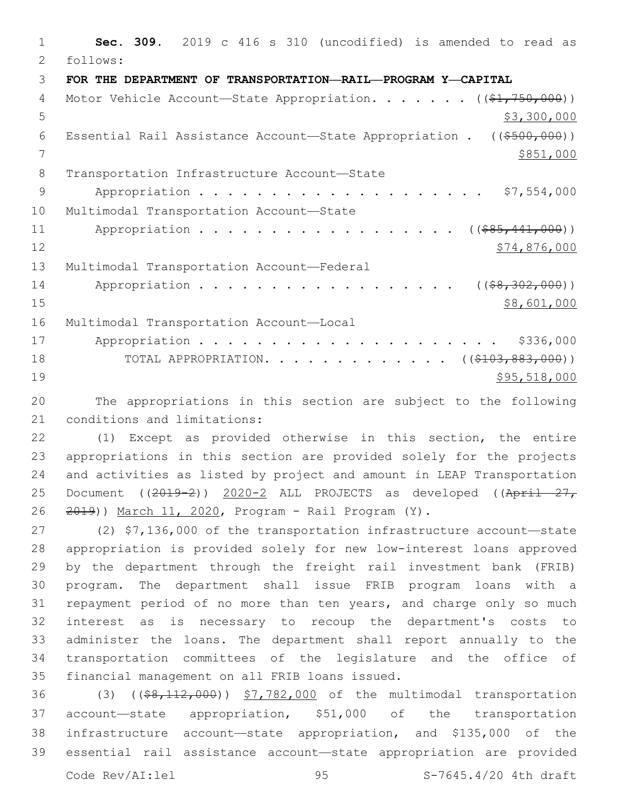**Sec. 309.** 2019 c 416 s 310 (uncodified) is amended to read as follows: **FOR THE DEPARTMENT OF TRANSPORTATION—RAIL—PROGRAM Y—CAPITAL** 4 Motor Vehicle Account—State Appropriation. . . . . . ((\$1,750,000))  $5 \times 300,000$  Essential Rail Assistance Account—State Appropriation . ((\$500,000)) 7 \$851,000 8 Transportation Infrastructure Account-State Appropriation . . . . . . . . . . . . . . . . . . . . \$7,554,000 10 Multimodal Transportation Account-State 11 Appropriation . . . . . . . . . . . . . . . . (  $(\frac{285,441,000}{s})$  \$74,876,000 13 Multimodal Transportation Account-Federal 14 Appropriation . . . . . . . . . . . . . . . . (  $(\frac{28}{302}, \frac{302}{100})$  ) \$8,601,000 16 Multimodal Transportation Account-Local Appropriation . . . . . . . . . . . . . . . . . . . . . \$336,000 18 TOTAL APPROPRIATION. . . . . . . . . . . . ((\$103,883,000)) \$95,518,000

 The appropriations in this section are subject to the following 21 conditions and limitations:

 (1) Except as provided otherwise in this section, the entire appropriations in this section are provided solely for the projects and activities as listed by project and amount in LEAP Transportation 25 Document ((2019-2)) 2020-2 ALL PROJECTS as developed ((April 27, 2019)) March 11, 2020, Program - Rail Program (Y).

 (2) \$7,136,000 of the transportation infrastructure account—state appropriation is provided solely for new low-interest loans approved by the department through the freight rail investment bank (FRIB) program. The department shall issue FRIB program loans with a repayment period of no more than ten years, and charge only so much interest as is necessary to recoup the department's costs to administer the loans. The department shall report annually to the transportation committees of the legislature and the office of 35 financial management on all FRIB loans issued.

 (3) ((\$8,112,000)) \$7,782,000 of the multimodal transportation account—state appropriation, \$51,000 of the transportation infrastructure account—state appropriation, and \$135,000 of the essential rail assistance account—state appropriation are provided Code Rev/AI:lel 95 S-7645.4/20 4th draft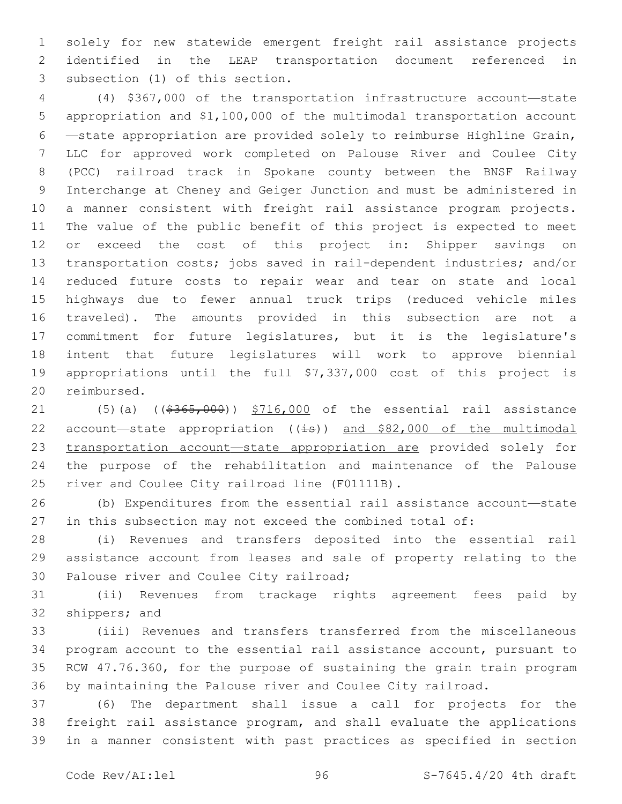solely for new statewide emergent freight rail assistance projects identified in the LEAP transportation document referenced in 3 subsection (1) of this section.

 (4) \$367,000 of the transportation infrastructure account—state appropriation and \$1,100,000 of the multimodal transportation account —state appropriation are provided solely to reimburse Highline Grain, LLC for approved work completed on Palouse River and Coulee City (PCC) railroad track in Spokane county between the BNSF Railway Interchange at Cheney and Geiger Junction and must be administered in a manner consistent with freight rail assistance program projects. The value of the public benefit of this project is expected to meet 12 or exceed the cost of this project in: Shipper savings on transportation costs; jobs saved in rail-dependent industries; and/or reduced future costs to repair wear and tear on state and local highways due to fewer annual truck trips (reduced vehicle miles traveled). The amounts provided in this subsection are not a commitment for future legislatures, but it is the legislature's intent that future legislatures will work to approve biennial appropriations until the full \$7,337,000 cost of this project is 20 reimbursed.

21 (5)(a) ((\$365,000)) \$716,000 of the essential rail assistance 22 account-state appropriation  $((\frac{1}{18}))$  and \$82,000 of the multimodal transportation account—state appropriation are provided solely for the purpose of the rehabilitation and maintenance of the Palouse 25 river and Coulee City railroad line (F01111B).

 (b) Expenditures from the essential rail assistance account—state in this subsection may not exceed the combined total of:

 (i) Revenues and transfers deposited into the essential rail assistance account from leases and sale of property relating to the 30 Palouse river and Coulee City railroad;

 (ii) Revenues from trackage rights agreement fees paid by 32 shippers; and

 (iii) Revenues and transfers transferred from the miscellaneous program account to the essential rail assistance account, pursuant to RCW 47.76.360, for the purpose of sustaining the grain train program by maintaining the Palouse river and Coulee City railroad.

 (6) The department shall issue a call for projects for the freight rail assistance program, and shall evaluate the applications in a manner consistent with past practices as specified in section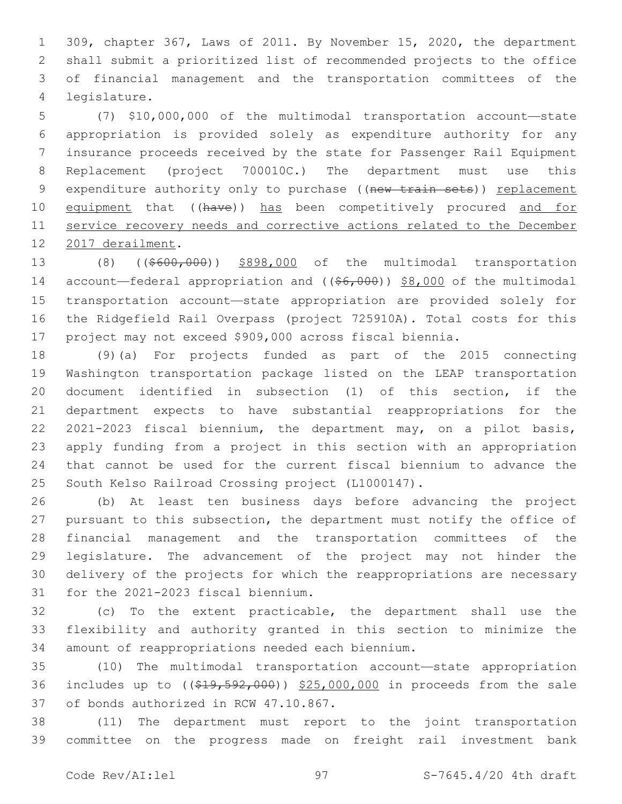309, chapter 367, Laws of 2011. By November 15, 2020, the department shall submit a prioritized list of recommended projects to the office of financial management and the transportation committees of the legislature.4

 (7) \$10,000,000 of the multimodal transportation account—state appropriation is provided solely as expenditure authority for any insurance proceeds received by the state for Passenger Rail Equipment Replacement (project 700010C.) The department must use this 9 expenditure authority only to purchase ((new train sets)) replacement 10 equipment that ((have)) has been competitively procured and for 11 service recovery needs and corrective actions related to the December 12 2017 derailment.

13 (8) ((\$600,000)) \$898,000 of the multimodal transportation 14 account—federal appropriation and ((\$6,000)) \$8,000 of the multimodal transportation account—state appropriation are provided solely for the Ridgefield Rail Overpass (project 725910A). Total costs for this project may not exceed \$909,000 across fiscal biennia.

 (9)(a) For projects funded as part of the 2015 connecting Washington transportation package listed on the LEAP transportation document identified in subsection (1) of this section, if the department expects to have substantial reappropriations for the 2021-2023 fiscal biennium, the department may, on a pilot basis, apply funding from a project in this section with an appropriation that cannot be used for the current fiscal biennium to advance the 25 South Kelso Railroad Crossing project (L1000147).

 (b) At least ten business days before advancing the project 27 pursuant to this subsection, the department must notify the office of financial management and the transportation committees of the legislature. The advancement of the project may not hinder the delivery of the projects for which the reappropriations are necessary 31 for the 2021-2023 fiscal biennium.

 (c) To the extent practicable, the department shall use the flexibility and authority granted in this section to minimize the 34 amount of reappropriations needed each biennium.

 (10) The multimodal transportation account—state appropriation 36 includes up to ((\$19,592,000)) \$25,000,000 in proceeds from the sale 37 of bonds authorized in RCW 47.10.867.

 (11) The department must report to the joint transportation committee on the progress made on freight rail investment bank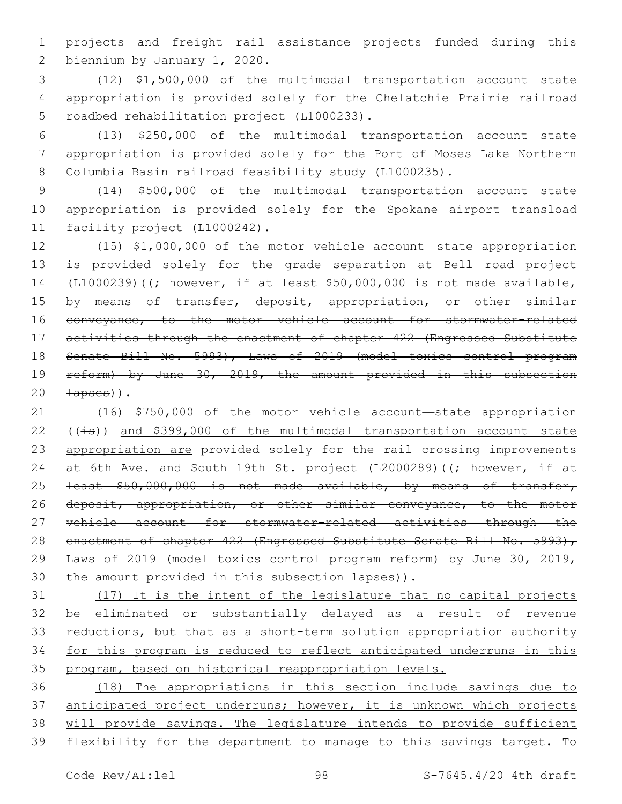1 projects and freight rail assistance projects funded during this 2 biennium by January 1, 2020.

3 (12) \$1,500,000 of the multimodal transportation account—state 4 appropriation is provided solely for the Chelatchie Prairie railroad 5 roadbed rehabilitation project (L1000233).

6 (13) \$250,000 of the multimodal transportation account—state 7 appropriation is provided solely for the Port of Moses Lake Northern 8 Columbia Basin railroad feasibility study (L1000235).

9 (14) \$500,000 of the multimodal transportation account—state 10 appropriation is provided solely for the Spokane airport transload 11 facility project (L1000242).

12 (15) \$1,000,000 of the motor vehicle account—state appropriation 13 is provided solely for the grade separation at Bell road project 14 (L1000239)( $\rightarrow$  however, if at least \$50,000,000 is not made available, 15 by means of transfer, deposit, appropriation, or other similar 16 conveyance, to the motor vehicle account for stormwater-related 17 activities through the enactment of chapter 422 (Engrossed Substitute 18 Senate Bill No. 5993), Laws of 2019 (model toxics control program 19 reform) by June 30, 2019, the amount provided in this subsection  $20 \quad \downarrow$   $\downarrow$  apses)).

21 (16) \$750,000 of the motor vehicle account—state appropriation 22 ( $(i\text{ }s)$ ) and \$399,000 of the multimodal transportation account—state 23 appropriation are provided solely for the rail crossing improvements 24 at 6th Ave. and South 19th St. project (L2000289) ((; however, if at 25 <del>least \$50,000,000 is not made available, by means of transfer,</del> 26 deposit, appropriation, or other similar conveyance, to the motor 27 vehicle account for stormwater-related activities through the 28 enactment of chapter 422 (Engrossed Substitute Senate Bill No. 5993), 29 Laws of 2019 (model toxics control program reform) by June 30, 2019, 30 the amount provided in this subsection lapses)).

31 (17) It is the intent of the legislature that no capital projects 32 be eliminated or substantially delayed as a result of revenue 33 reductions, but that as a short-term solution appropriation authority 34 for this program is reduced to reflect anticipated underruns in this 35 program, based on historical reappropriation levels.

36 (18) The appropriations in this section include savings due to 37 anticipated project underruns; however, it is unknown which projects 38 will provide savings. The legislature intends to provide sufficient 39 flexibility for the department to manage to this savings target. To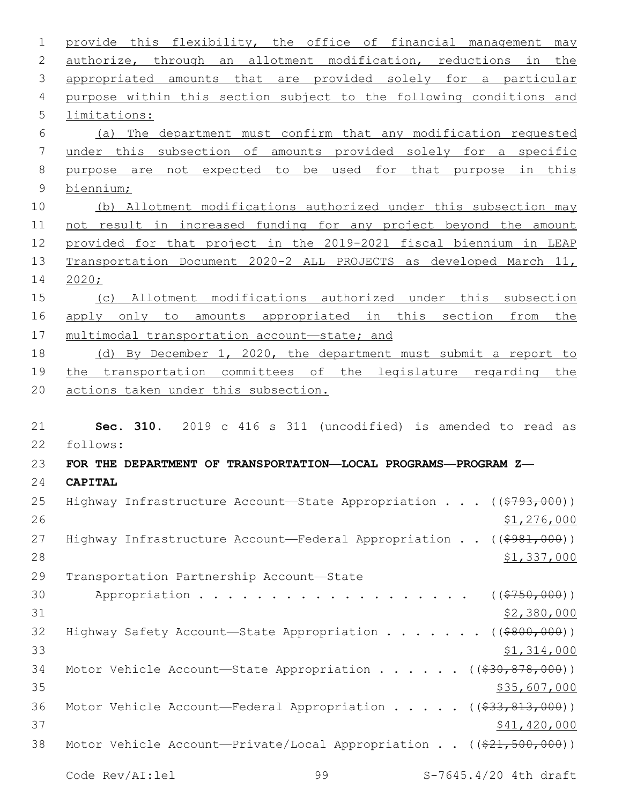| $\mathbf 1$     | provide this flexibility, the office of financial management may                   |
|-----------------|------------------------------------------------------------------------------------|
| $\mathbf{2}$    | authorize, through an allotment modification, reductions in the                    |
| 3               | appropriated amounts that are provided solely for a particular                     |
| 4               | purpose within this section subject to the following conditions and                |
| 5               | limitations:                                                                       |
| 6               | (a) The department must confirm that any modification requested                    |
| $7\phantom{.0}$ | under this subsection of amounts provided solely for a specific                    |
| 8               | purpose are not expected to be used for that purpose in this                       |
| $\mathsf 9$     | biennium;                                                                          |
| 10              | (b) Allotment modifications authorized under this subsection may                   |
| 11              | not result in increased funding for any project beyond the amount                  |
| 12              | provided for that project in the 2019-2021 fiscal biennium in LEAP                 |
| 13              | Transportation Document 2020-2 ALL PROJECTS as developed March 11,                 |
| 14              | 2020;                                                                              |
| 15              | (c) Allotment modifications authorized under this subsection                       |
| 16              | apply only to amounts appropriated in this section from the                        |
| 17              | multimodal transportation account-state; and                                       |
| 18              | (d) By December 1, 2020, the department must submit a report to                    |
| 19              | the transportation committees of the legislature regarding the                     |
| 20              | actions taken under this subsection.                                               |
|                 |                                                                                    |
| 21              | Sec. 310. 2019 c 416 s 311 (uncodified) is amended to read as                      |
| 22              | follows:                                                                           |
| 23              | FOR THE DEPARTMENT OF TRANSPORTATION-LOCAL PROGRAMS-PROGRAM Z-                     |
| 24              | <b>CAPITAL</b>                                                                     |
| 25              | Highway Infrastructure Account-State Appropriation ((\$793,000))                   |
| 26              | \$1,276,000                                                                        |
| 27              | Highway Infrastructure Account—Federal Appropriation ( $(\frac{2981}{100})$ )      |
| 28              | \$1,337,000                                                                        |
| 29              | Transportation Partnership Account-State                                           |
| 30              | Appropriation ((\$750,000))                                                        |
| 31              | \$2,380,000                                                                        |
| 32              | Highway Safety Account-State Appropriation ((\$800,000))                           |
| 33              | \$1,314,000                                                                        |
| 34              | Motor Vehicle Account-State Appropriation ( $(\frac{230}{830}, \frac{878}{100})$ ) |
| 35              | <u>\$35,607,000</u>                                                                |
| 36              | Motor Vehicle Account—Federal Appropriation ((\$33,813,000))                       |
| 37              | <u>\$41,420,000</u>                                                                |
| 38              |                                                                                    |
|                 | Motor Vehicle Account-Private/Local Appropriation ((\$21,500,000))                 |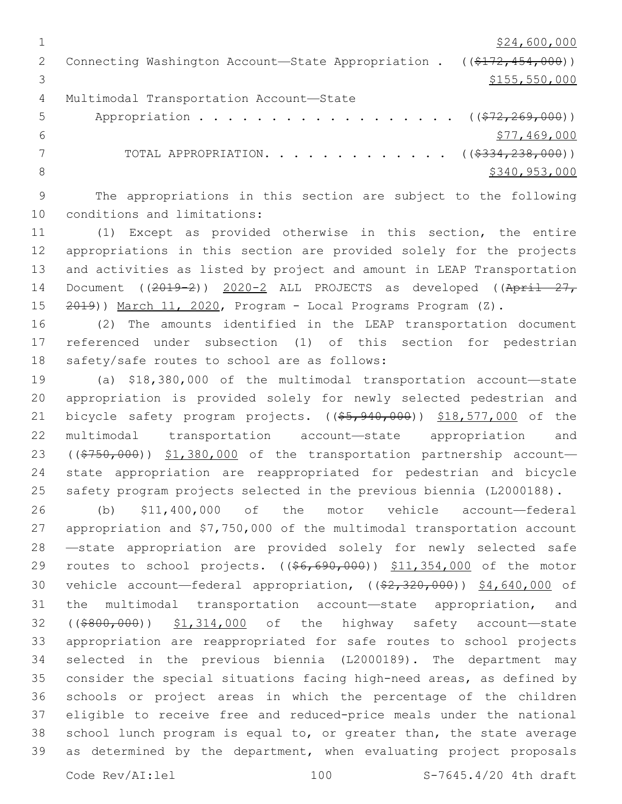$\frac{1}{24}$ ,600,000 2 Connecting Washington Account—State Appropriation . ((\$172,454,000))  $3 \times 155,550,000$ 4 Multimodal Transportation Account-State 5 Appropriation . . . . . . . . . . . . . . . . . (  $(\frac{272,269,000}{1})$  $6$   $$77,469,000$ 7 TOTAL APPROPRIATION. . . . . . . . . . . . . ((\$334,238,000)) 8 \$340,953,000 \$340,953,000 \$340,953,000 \$340,953,000 \$340,953,000 \$340,953,000 \$

9 The appropriations in this section are subject to the following 10 conditions and limitations:

11 (1) Except as provided otherwise in this section, the entire 12 appropriations in this section are provided solely for the projects 13 and activities as listed by project and amount in LEAP Transportation 14 Document ((2019-2)) 2020-2 ALL PROJECTS as developed ((April 27, 15 2019)) March 11, 2020, Program - Local Programs Program (Z).

16 (2) The amounts identified in the LEAP transportation document 17 referenced under subsection (1) of this section for pedestrian 18 safety/safe routes to school are as follows:

 (a) \$18,380,000 of the multimodal transportation account—state appropriation is provided solely for newly selected pedestrian and 21 bicycle safety program projects. ((\$5,940,000)) \$18,577,000 of the multimodal transportation account—state appropriation and 23 ((\$750,000)) \$1,380,000 of the transportation partnership account- state appropriation are reappropriated for pedestrian and bicycle safety program projects selected in the previous biennia (L2000188).

 (b) \$11,400,000 of the motor vehicle account—federal appropriation and \$7,750,000 of the multimodal transportation account —state appropriation are provided solely for newly selected safe 29 routes to school projects. ((\$6,690,000)) \$11,354,000 of the motor 30 vehicle account—federal appropriation, ((\$2,320,000)) \$4,640,000 of the multimodal transportation account—state appropriation, and 32 ((\$800,000)) \$1,314,000 of the highway safety account-state appropriation are reappropriated for safe routes to school projects selected in the previous biennia (L2000189). The department may consider the special situations facing high-need areas, as defined by schools or project areas in which the percentage of the children eligible to receive free and reduced-price meals under the national school lunch program is equal to, or greater than, the state average as determined by the department, when evaluating project proposals

Code Rev/AI:lel 100 S-7645.4/20 4th draft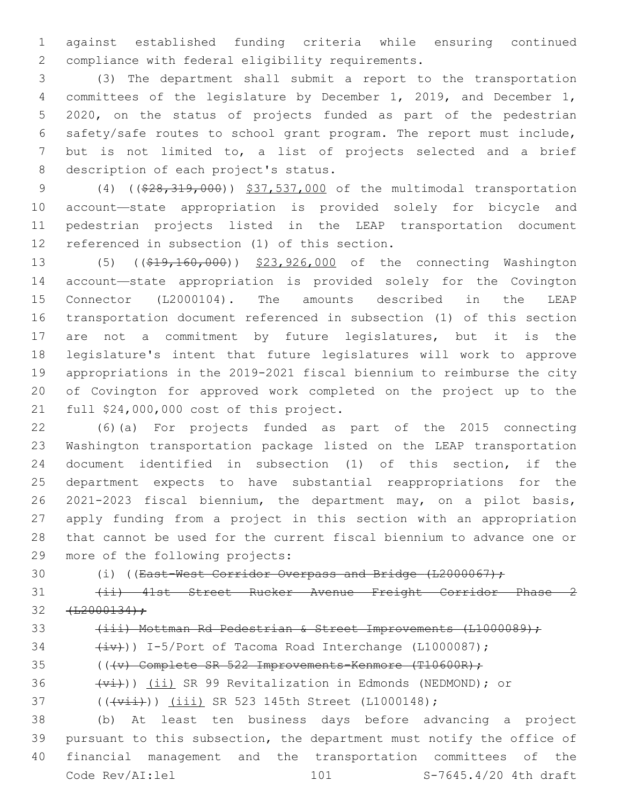against established funding criteria while ensuring continued 2 compliance with federal eligibility requirements.

 (3) The department shall submit a report to the transportation committees of the legislature by December 1, 2019, and December 1, 2020, on the status of projects funded as part of the pedestrian safety/safe routes to school grant program. The report must include, but is not limited to, a list of projects selected and a brief 8 description of each project's status.

9 (4) ((\$28,319,000)) \$37,537,000 of the multimodal transportation account—state appropriation is provided solely for bicycle and pedestrian projects listed in the LEAP transportation document 12 referenced in subsection (1) of this section.

13 (5) ((\$19,160,000)) \$23,926,000 of the connecting Washington account—state appropriation is provided solely for the Covington Connector (L2000104). The amounts described in the LEAP transportation document referenced in subsection (1) of this section are not a commitment by future legislatures, but it is the legislature's intent that future legislatures will work to approve appropriations in the 2019-2021 fiscal biennium to reimburse the city of Covington for approved work completed on the project up to the 21 full  $$24,000,000$  cost of this project.

 (6)(a) For projects funded as part of the 2015 connecting Washington transportation package listed on the LEAP transportation document identified in subsection (1) of this section, if the department expects to have substantial reappropriations for the 2021-2023 fiscal biennium, the department may, on a pilot basis, apply funding from a project in this section with an appropriation that cannot be used for the current fiscal biennium to advance one or 29 more of the following projects:

30 (i) ((East-West Corridor Overpass and Bridge (L2000067);

 (ii) 41st Street Rucker Avenue Freight Corridor Phase 2  $32 + 12000134$ ;

## 33 (iii) Mottman Rd Pedestrian & Street Improvements (L1000089);

34  $(\pm \overline{v})$ ) I-5/Port of Tacoma Road Interchange (L1000087);

35 (((v) Complete SR 522 Improvements-Kenmore (T10600R);

36  $(v_i)$ ) (ii) SR 99 Revitalization in Edmonds (NEDMOND); or

37 ((( $\overline{v}$ iii) SR 523 145th Street (L1000148);

 (b) At least ten business days before advancing a project pursuant to this subsection, the department must notify the office of financial management and the transportation committees of the Code Rev/AI:lel 101 S-7645.4/20 4th draft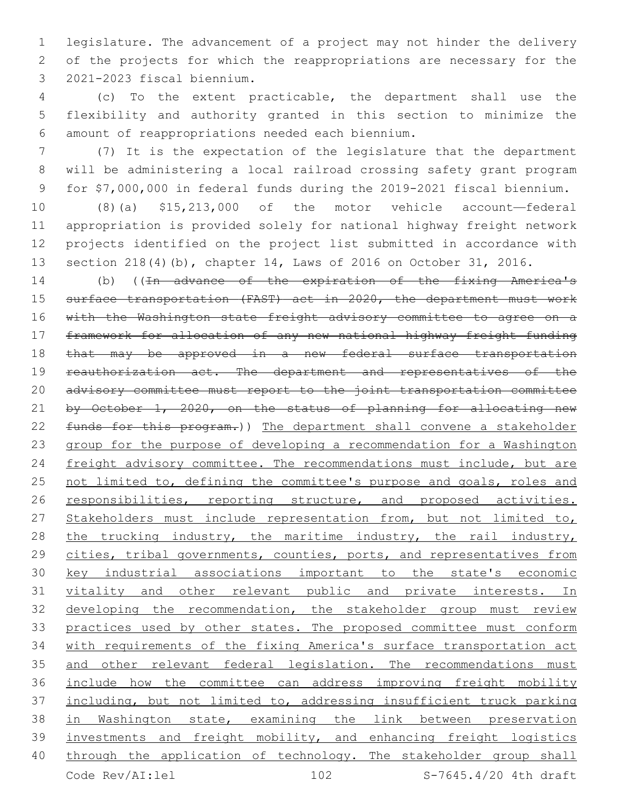legislature. The advancement of a project may not hinder the delivery of the projects for which the reappropriations are necessary for the 2021-2023 fiscal biennium.3

 (c) To the extent practicable, the department shall use the flexibility and authority granted in this section to minimize the amount of reappropriations needed each biennium.6

 (7) It is the expectation of the legislature that the department will be administering a local railroad crossing safety grant program for \$7,000,000 in federal funds during the 2019-2021 fiscal biennium.

 (8)(a) \$15,213,000 of the motor vehicle account—federal appropriation is provided solely for national highway freight network projects identified on the project list submitted in accordance with section 218(4)(b), chapter 14, Laws of 2016 on October 31, 2016.

14 (b) ((In advance of the expiration of the fixing America's surface transportation (FAST) act in 2020, the department must work 16 with the Washington state freight advisory committee to agree on a framework for allocation of any new national highway freight funding 18 that may be approved in a new federal surface transportation reauthorization act. The department and representatives of the advisory committee must report to the joint transportation committee 21 by October 1, 2020, on the status of planning for allocating new funds for this program.)) The department shall convene a stakeholder group for the purpose of developing a recommendation for a Washington freight advisory committee. The recommendations must include, but are 25 not limited to, defining the committee's purpose and goals, roles and 26 responsibilities, reporting structure, and proposed activities. 27 Stakeholders must include representation from, but not limited to, 28 the trucking industry, the maritime industry, the rail industry, 29 cities, tribal governments, counties, ports, and representatives from key industrial associations important to the state's economic vitality and other relevant public and private interests. In developing the recommendation, the stakeholder group must review 33 practices used by other states. The proposed committee must conform with requirements of the fixing America's surface transportation act 35 and other relevant federal legislation. The recommendations must include how the committee can address improving freight mobility 37 including, but not limited to, addressing insufficient truck parking in Washington state, examining the link between preservation investments and freight mobility, and enhancing freight logistics 40 through the application of technology. The stakeholder group shall Code Rev/AI:lel 102 S-7645.4/20 4th draft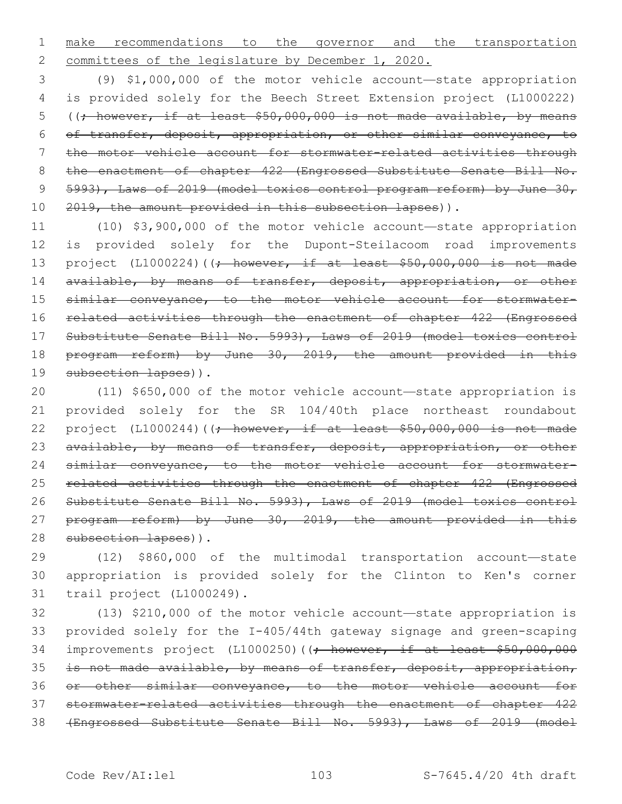1 make recommendations to the governor and the transportation 2 committees of the legislature by December 1, 2020.

3 (9) \$1,000,000 of the motor vehicle account—state appropriation 4 is provided solely for the Beech Street Extension project (L1000222) 5 ((; however, if at least \$50,000,000 is not made available, by means 6 of transfer, deposit, appropriation, or other similar conveyance, to 7 the motor vehicle account for stormwater-related activities through 8 the enactment of chapter 422 (Engrossed Substitute Senate Bill No. 9 5993), Laws of 2019 (model toxics control program reform) by June 30, 10 2019, the amount provided in this subsection lapses)).

11 (10) \$3,900,000 of the motor vehicle account—state appropriation 12 is provided solely for the Dupont-Steilacoom road improvements 13 project (L1000224)((; however, if at least \$50,000,000 is not made 14 available, by means of transfer, deposit, appropriation, or other 15 similar conveyance, to the motor vehicle account for stormwater-16 related activities through the enactment of chapter 422 (Engrossed 17 Substitute Senate Bill No. 5993), Laws of 2019 (model toxics control 18 program reform) by June 30, 2019, the amount provided in this 19 subsection lapses)).

20 (11) \$650,000 of the motor vehicle account—state appropriation is 21 provided solely for the SR 104/40th place northeast roundabout 22 project (L1000244)( $\rightarrow$  however, if at least \$50,000,000 is not made 23 available, by means of transfer, deposit, appropriation, or other 24 similar conveyance, to the motor vehicle account for stormwater-25 related activities through the enactment of chapter 422 (Engrossed 26 Substitute Senate Bill No. 5993), Laws of 2019 (model toxics control 27 program reform) by June 30, 2019, the amount provided in this 28 subsection lapses)).

29 (12) \$860,000 of the multimodal transportation account—state 30 appropriation is provided solely for the Clinton to Ken's corner 31 trail project (L1000249).

 (13) \$210,000 of the motor vehicle account—state appropriation is provided solely for the I-405/44th gateway signage and green-scaping 34 improvements project (L1000250)((; however, if at least \$50,000,000 35 is not made available, by means of transfer, deposit, appropriation, or other similar conveyance, to the motor vehicle account for stormwater-related activities through the enactment of chapter 422 (Engrossed Substitute Senate Bill No. 5993), Laws of 2019 (model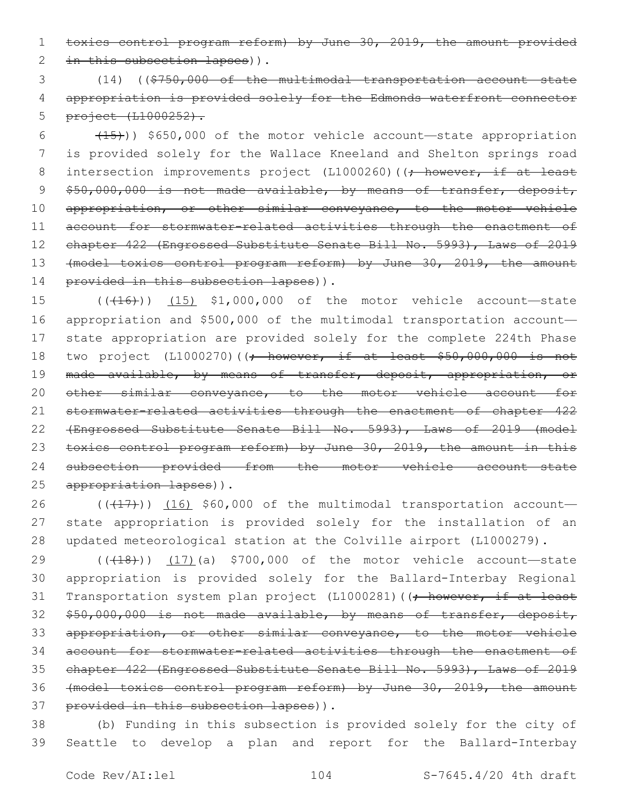1 toxics control program reform) by June 30, 2019, the amount provided 2 in this subsection lapses)).

3 (14) ((\$750,000 of the multimodal transportation account—state 4 appropriation is provided solely for the Edmonds waterfront connector 5 project (L1000252).

 $6$  (15)) \$650,000 of the motor vehicle account—state appropriation 7 is provided solely for the Wallace Kneeland and Shelton springs road 8 intersection improvements project (L1000260) ((; however, if at least 9 \$50,000,000 is not made available, by means of transfer, deposit, 10 appropriation, or other similar conveyance, to the motor vehicle 11 account for stormwater-related activities through the enactment of 12 chapter 422 (Engrossed Substitute Senate Bill No. 5993), Laws of 2019 13 (model toxics control program reform) by June 30, 2019, the amount 14 provided in this subsection lapses)).

15 (((16)) (15) \$1,000,000 of the motor vehicle account-state 16 appropriation and \$500,000 of the multimodal transportation account— 17 state appropriation are provided solely for the complete 224th Phase 18 two project (L1000270)((<del>; however, if at least \$50,000,000 is not</del> 19 made available, by means of transfer, deposit, appropriation, or 20 other similar conveyance, to the motor vehicle account for 21 stormwater-related activities through the enactment of chapter 422 22 (Engrossed Substitute Senate Bill No. 5993), Laws of 2019 (model 23 toxics control program reform) by June 30, 2019, the amount in this 24 subsection provided from the motor vehicle account—state 25 appropriation lapses)).

26  $((+17))$   $(16)$  \$60,000 of the multimodal transportation account-27 state appropriation is provided solely for the installation of an 28 updated meteorological station at the Colville airport (L1000279).

29 (((18))) (17)(a) \$700,000 of the motor vehicle account—state 30 appropriation is provided solely for the Ballard-Interbay Regional 31 Transportation system plan project (L1000281) ((; however, if at least 32 \$50,000,000 is not made available, by means of transfer, deposit, 33 appropriation, or other similar conveyance, to the motor vehicle 34 account for stormwater-related activities through the enactment of 35 chapter 422 (Engrossed Substitute Senate Bill No. 5993), Laws of 2019 36 (model toxics control program reform) by June 30, 2019, the amount 37 provided in this subsection lapses)).

38 (b) Funding in this subsection is provided solely for the city of 39 Seattle to develop a plan and report for the Ballard-Interbay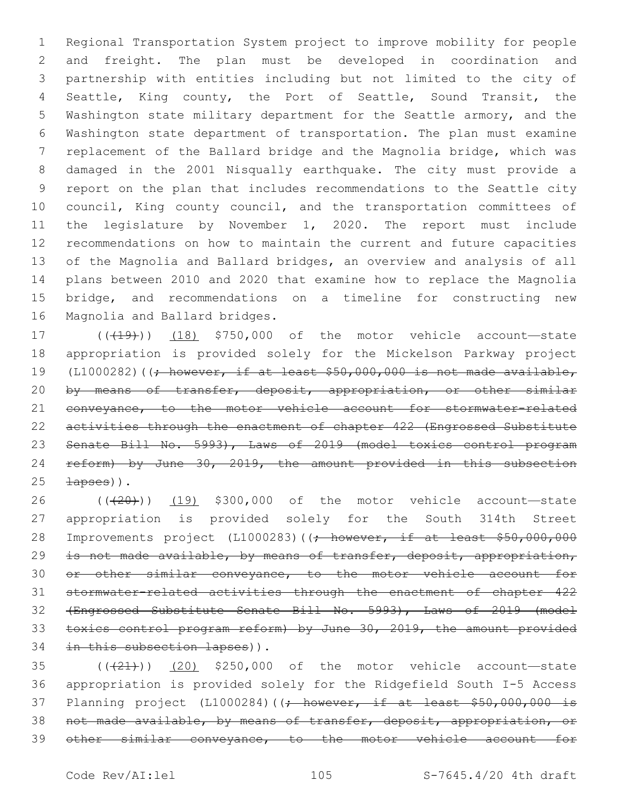Regional Transportation System project to improve mobility for people and freight. The plan must be developed in coordination and partnership with entities including but not limited to the city of Seattle, King county, the Port of Seattle, Sound Transit, the Washington state military department for the Seattle armory, and the Washington state department of transportation. The plan must examine replacement of the Ballard bridge and the Magnolia bridge, which was damaged in the 2001 Nisqually earthquake. The city must provide a report on the plan that includes recommendations to the Seattle city council, King county council, and the transportation committees of the legislature by November 1, 2020. The report must include recommendations on how to maintain the current and future capacities of the Magnolia and Ballard bridges, an overview and analysis of all plans between 2010 and 2020 that examine how to replace the Magnolia bridge, and recommendations on a timeline for constructing new 16 Magnolia and Ballard bridges.

17 (((419)) (18) \$750,000 of the motor vehicle account—state appropriation is provided solely for the Mickelson Parkway project 19 (L1000282)( $\rightarrow$  however, if at least \$50,000,000 is not made available, 20 by means of transfer, deposit, appropriation, or other similar conveyance, to the motor vehicle account for stormwater-related activities through the enactment of chapter 422 (Engrossed Substitute 23 Senate Bill No. 5993), Laws of 2019 (model toxics control program reform) by June 30, 2019, the amount provided in this subsection  $\pm$ apses)).

 ( $(\overline{+20})$ ) (19) \$300,000 of the motor vehicle account—state appropriation is provided solely for the South 314th Street 28 Improvements project (L1000283)((; however, if at least \$50,000,000 29 is not made available, by means of transfer, deposit, appropriation, or other similar conveyance, to the motor vehicle account for stormwater-related activities through the enactment of chapter 422 (Engrossed Substitute Senate Bill No. 5993), Laws of 2019 (model toxics control program reform) by June 30, 2019, the amount provided 34 in this subsection lapses)).

 $(42)$  (( $(42)$ )) (20) \$250,000 of the motor vehicle account—state appropriation is provided solely for the Ridgefield South I-5 Access 37 Planning project (L1000284)( $($ ; however, if at least \$50,000,000 is not made available, by means of transfer, deposit, appropriation, or other similar conveyance, to the motor vehicle account for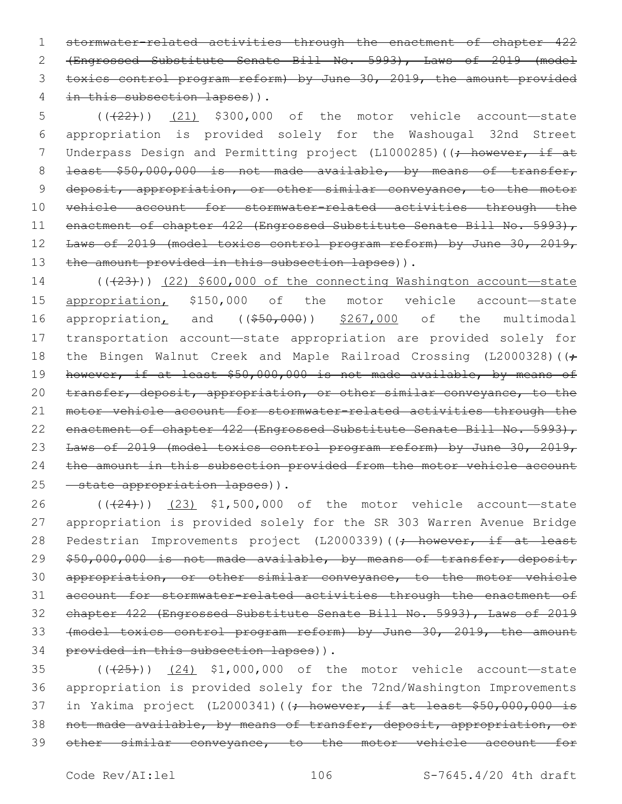stormwater-related activities through the enactment of chapter 422 (Engrossed Substitute Senate Bill No. 5993), Laws of 2019 (model toxics control program reform) by June 30, 2019, the amount provided 4 in this subsection lapses)).

5 (((22))) (21) \$300,000 of the motor vehicle account—state 6 appropriation is provided solely for the Washougal 32nd Street 7 Underpass Design and Permitting project (L1000285) ((; however, if at 8 least \$50,000,000 is not made available, by means of transfer, 9 deposit, appropriation, or other similar conveyance, to the motor 10 vehicle account for stormwater-related activities through the 11 enactment of chapter 422 (Engrossed Substitute Senate Bill No. 5993), 12 Laws of 2019 (model toxics control program reform) by June 30, 2019, 13 the amount provided in this subsection lapses)).

14  $((+23))$  (22) \$600,000 of the connecting Washington account—state 15 appropriation, \$150,000 of the motor vehicle account—state 16 appropriation, and ((\$50,000)) \$267,000 of the multimodal 17 transportation account—state appropriation are provided solely for 18 the Bingen Walnut Creek and Maple Railroad Crossing (L2000328) ((; 19 however, if at least \$50,000,000 is not made available, by means of 20 transfer, deposit, appropriation, or other similar conveyance, to the 21 motor vehicle account for stormwater-related activities through the 22 enactment of chapter 422 (Engrossed Substitute Senate Bill No. 5993), 23 Laws of 2019 (model toxics control program reform) by June 30, 2019, 24 the amount in this subsection provided from the motor vehicle account 25 - state appropriation lapses)).

26 (( $(24)$ )) (23) \$1,500,000 of the motor vehicle account—state 27 appropriation is provided solely for the SR 303 Warren Avenue Bridge 28 Pedestrian Improvements project (L2000339)((<del>; however, if at least</del> 29 \$50,000,000 is not made available, by means of transfer, deposit, 30 appropriation, or other similar conveyance, to the motor vehicle 31 account for stormwater-related activities through the enactment of 32 chapter 422 (Engrossed Substitute Senate Bill No. 5993), Laws of 2019 33 (model toxics control program reform) by June 30, 2019, the amount 34 provided in this subsection lapses)).

 $(1.35)$   $(1.25)$   $(24)$  \$1,000,000 of the motor vehicle account—state 36 appropriation is provided solely for the 72nd/Washington Improvements 37 in Yakima project (L2000341)((; however, if at least \$50,000,000 is 38 not made available, by means of transfer, deposit, appropriation, or 39 other similar conveyance, to the motor vehicle account for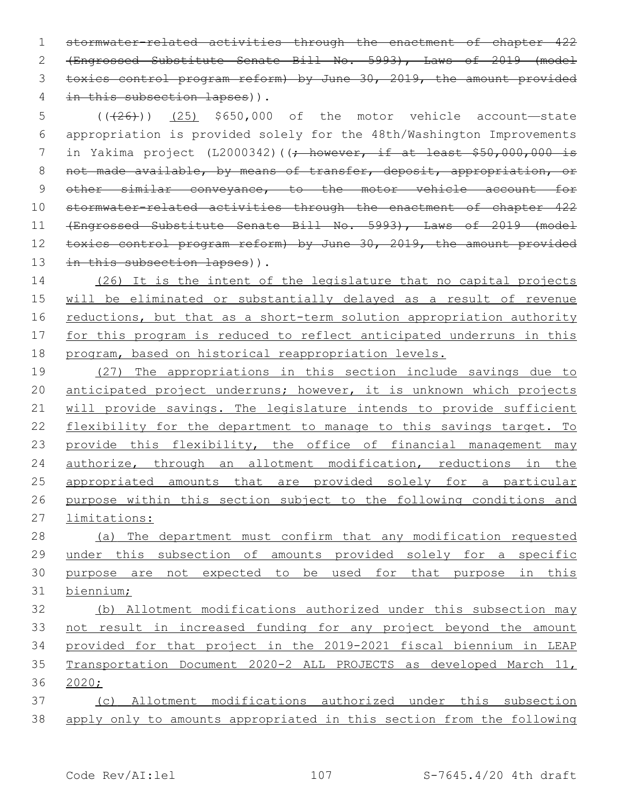stormwater-related activities through the enactment of chapter 422 (Engrossed Substitute Senate Bill No. 5993), Laws of 2019 (model toxics control program reform) by June 30, 2019, the amount provided 4 in this subsection lapses)).

 (((26))) (25) \$650,000 of the motor vehicle account—state appropriation is provided solely for the 48th/Washington Improvements 7 in Yakima project (L2000342)((; however, if at least \$50,000,000 is not made available, by means of transfer, deposit, appropriation, or 9 other similar conveyance, to the motor vehicle account for stormwater-related activities through the enactment of chapter 422 (Engrossed Substitute Senate Bill No. 5993), Laws of 2019 (model toxics control program reform) by June 30, 2019, the amount provided 13 in this subsection lapses)).

 (26) It is the intent of the legislature that no capital projects will be eliminated or substantially delayed as a result of revenue 16 reductions, but that as a short-term solution appropriation authority for this program is reduced to reflect anticipated underruns in this program, based on historical reappropriation levels.

 (27) The appropriations in this section include savings due to 20 anticipated project underruns; however, it is unknown which projects will provide savings. The legislature intends to provide sufficient flexibility for the department to manage to this savings target. To 23 provide this flexibility, the office of financial management may authorize, through an allotment modification, reductions in the appropriated amounts that are provided solely for a particular purpose within this section subject to the following conditions and limitations:

 (a) The department must confirm that any modification requested under this subsection of amounts provided solely for a specific purpose are not expected to be used for that purpose in this biennium;

 (b) Allotment modifications authorized under this subsection may not result in increased funding for any project beyond the amount provided for that project in the 2019-2021 fiscal biennium in LEAP Transportation Document 2020-2 ALL PROJECTS as developed March 11, 2020;

 (c) Allotment modifications authorized under this subsection apply only to amounts appropriated in this section from the following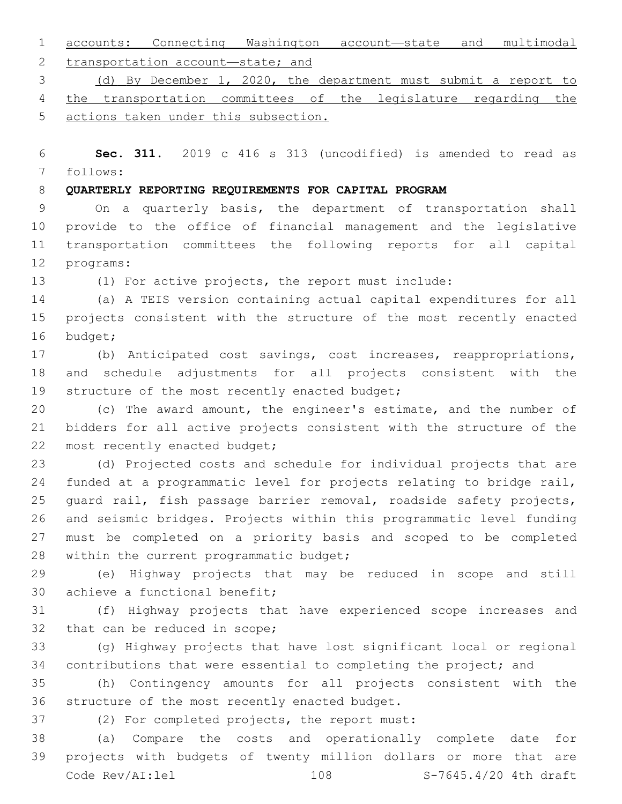accounts: Connecting Washington account—state and multimodal 2 transportation account—state; and

(d) By December 1, 2020, the department must submit a report to

the transportation committees of the legislature regarding the

actions taken under this subsection.

 **Sec. 311.** 2019 c 416 s 313 (uncodified) is amended to read as follows:

**QUARTERLY REPORTING REQUIREMENTS FOR CAPITAL PROGRAM**

 On a quarterly basis, the department of transportation shall provide to the office of financial management and the legislative transportation committees the following reports for all capital 12 programs:

(1) For active projects, the report must include:

 (a) A TEIS version containing actual capital expenditures for all projects consistent with the structure of the most recently enacted 16 budget;

 (b) Anticipated cost savings, cost increases, reappropriations, and schedule adjustments for all projects consistent with the 19 structure of the most recently enacted budget;

 (c) The award amount, the engineer's estimate, and the number of bidders for all active projects consistent with the structure of the 22 most recently enacted budget;

 (d) Projected costs and schedule for individual projects that are funded at a programmatic level for projects relating to bridge rail, guard rail, fish passage barrier removal, roadside safety projects, and seismic bridges. Projects within this programmatic level funding must be completed on a priority basis and scoped to be completed 28 within the current programmatic budget;

 (e) Highway projects that may be reduced in scope and still 30 achieve a functional benefit;

 (f) Highway projects that have experienced scope increases and 32 that can be reduced in scope;

 (g) Highway projects that have lost significant local or regional contributions that were essential to completing the project; and

 (h) Contingency amounts for all projects consistent with the 36 structure of the most recently enacted budget.

37 (2) For completed projects, the report must:

 (a) Compare the costs and operationally complete date for projects with budgets of twenty million dollars or more that are Code Rev/AI:lel 108 S-7645.4/20 4th draft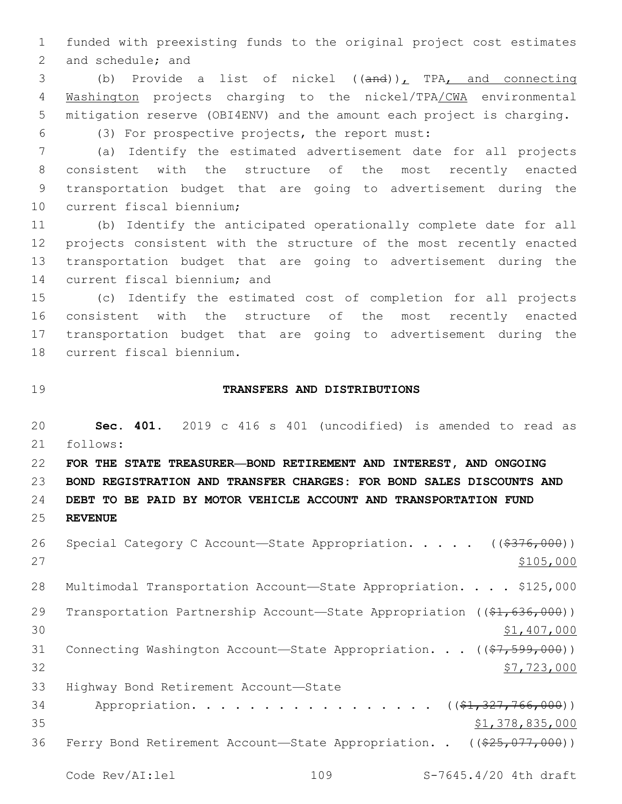1 funded with preexisting funds to the original project cost estimates 2 and schedule; and

3 (b) Provide a list of nickel ((and)), TPA, and connecting 4 Washington projects charging to the nickel/TPA/CWA environmental 5 mitigation reserve (OBI4ENV) and the amount each project is charging. (3) For prospective projects, the report must:6

 (a) Identify the estimated advertisement date for all projects consistent with the structure of the most recently enacted transportation budget that are going to advertisement during the 10 current fiscal biennium;

 (b) Identify the anticipated operationally complete date for all projects consistent with the structure of the most recently enacted transportation budget that are going to advertisement during the 14 current fiscal biennium; and

 (c) Identify the estimated cost of completion for all projects consistent with the structure of the most recently enacted transportation budget that are going to advertisement during the 18 current fiscal biennium.

### 19 **TRANSFERS AND DISTRIBUTIONS**

20 **Sec. 401.** 2019 c 416 s 401 (uncodified) is amended to read as 21 follows:

22 **FOR THE STATE TREASURER—BOND RETIREMENT AND INTEREST, AND ONGOING** 23 **BOND REGISTRATION AND TRANSFER CHARGES: FOR BOND SALES DISCOUNTS AND** 24 **DEBT TO BE PAID BY MOTOR VEHICLE ACCOUNT AND TRANSPORTATION FUND**

25 **REVENUE**

| 26 | Special Category C Account—State Appropriation. $($ $($ $\frac{2776}{100})$           |
|----|---------------------------------------------------------------------------------------|
| 27 | \$105,000                                                                             |
| 28 | Multimodal Transportation Account-State Appropriation. \$125,000                      |
| 29 | Transportation Partnership Account—State Appropriation ( $(\frac{1}{61}, 636, 000)$ ) |
| 30 | \$1,407,000                                                                           |
| 31 | Connecting Washington Account-State Appropriation. $($ $($ $\frac{27}{599}$ , 000))   |
| 32 | \$7,723,000                                                                           |
| 33 | Highway Bond Retirement Account-State                                                 |
| 34 | Appropriation. ( $(\frac{1}{21}, \frac{327}{166}, 000)$ )                             |
| 35 | \$1,378,835,000                                                                       |
| 36 | Ferry Bond Retirement Account-State Appropriation. . $((25, 077, 000))$               |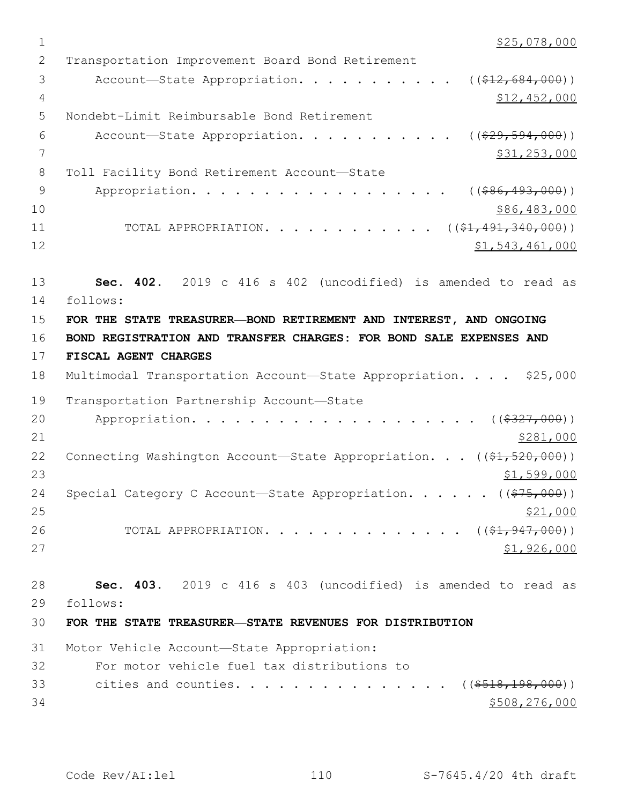$1$  \$25,078,000 2 Transportation Improvement Board Bond Retirement 3 Account—State Appropriation. . . . . . . . . . ((\$12,684,000)) 4 \$12,452,000 5 Nondebt-Limit Reimbursable Bond Retirement 6 Account—State Appropriation. . . . . . . . . .  $($   $($  $$29,594,000)$ ) 7 \$31,253,000 8 Toll Facility Bond Retirement Account-State 9 Appropriation. . . . . . . . . . . . . . . . ((\$86,493,000))  $10 \hspace{1.5cm}$  \$86,483,000 11 TOTAL APPROPRIATION. . . . . . . . . . . ((\$1,491,340,000)) 12 \$1,543,461,000 13 **Sec. 402.** 2019 c 416 s 402 (uncodified) is amended to read as 14 follows: 15 **FOR THE STATE TREASURER—BOND RETIREMENT AND INTEREST, AND ONGOING** 16 **BOND REGISTRATION AND TRANSFER CHARGES: FOR BOND SALE EXPENSES AND** 17 **FISCAL AGENT CHARGES** 18 Multimodal Transportation Account-State Appropriation. . . . \$25,000 19 Transportation Partnership Account-State 20 Appropriation. . . . . . . . . . . . . . . . . . (  $(*327,000)$  )  $21$   $\frac{$281,000}{}$ 22 Connecting Washington Account-State Appropriation. . . ((\$1,520,000)) 23 \$1,599,000 24 Special Category C Account—State Appropriation. . . . . ((\$75,000))  $25$   $\frac{$21,000}{}$ 26 TOTAL APPROPRIATION. . . . . . . . . . . . . ((\$1,947,000))  $27$  \$1,926,000 28 **Sec. 403.** 2019 c 416 s 403 (uncodified) is amended to read as 29 follows: 30 **FOR THE STATE TREASURER—STATE REVENUES FOR DISTRIBUTION** 31 Motor Vehicle Account-State Appropriation: 32 For motor vehicle fuel tax distributions to 33 cities and counties. . . . . . . . . . . . . . ((\$518,198,000))  $34$   $$508,276,000$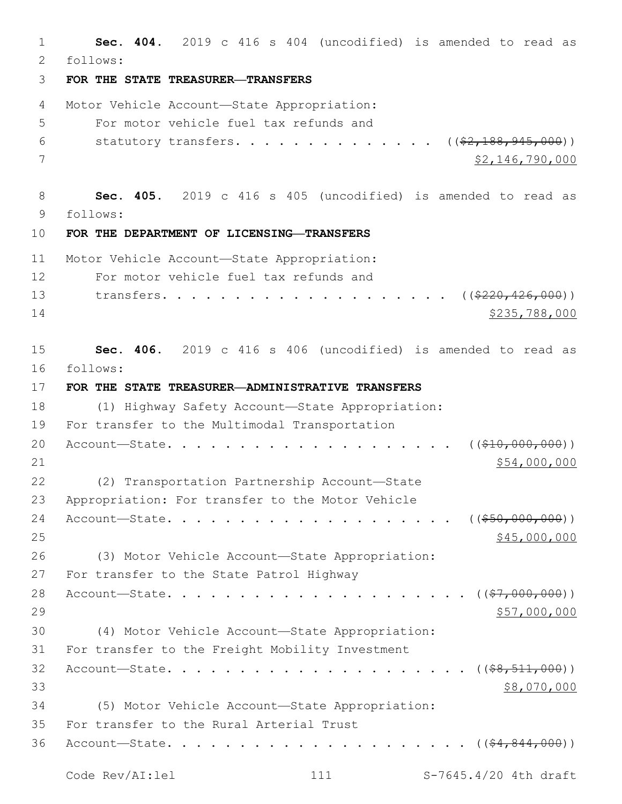1 **Sec. 404.** 2019 c 416 s 404 (uncodified) is amended to read as 2 follows: 3 **FOR THE STATE TREASURER—TRANSFERS** 4 Motor Vehicle Account—State Appropriation: 5 For motor vehicle fuel tax refunds and 6 statutory transfers. . . . . . . . . . . . .  $($  $($  $\frac{2, 188, 945, 000)}{2, 188, 945, 000)}$  $\frac{1}{2}$   $\frac{1}{2}$   $\frac{1}{6}$ ,  $\frac{790}{000}$ 8 **Sec. 405.** 2019 c 416 s 405 (uncodified) is amended to read as 9 follows: 10 **FOR THE DEPARTMENT OF LICENSING—TRANSFERS** 11 Motor Vehicle Account-State Appropriation: 12 For motor vehicle fuel tax refunds and 13 transfers. . . . . . . . . . . . . . . . . . ((\$220,426,000)) 14 \$235,788,000 15 **Sec. 406.** 2019 c 416 s 406 (uncodified) is amended to read as 16 follows: 17 **FOR THE STATE TREASURER—ADMINISTRATIVE TRANSFERS** 18 (1) Highway Safety Account—State Appropriation: 19 For transfer to the Multimodal Transportation 20 Account—State. . . . . . . . . . . . . . . . . . . . ((\$10,000,000))  $21$   $$54,000,000$ 22 (2) Transportation Partnership Account-State 23 Appropriation: For transfer to the Motor Vehicle 24 Account—State. . . . . . . . . . . . . . . . . . . . ((\$50,000,000))  $25$  \$45,000,000 26 (3) Motor Vehicle Account—State Appropriation: 27 For transfer to the State Patrol Highway 28 Account—State. . . . . . . . . . . . . . . . . . . . . ((\$7,000,000))  $29$   $57,000,000$ 30 (4) Motor Vehicle Account—State Appropriation: 31 For transfer to the Freight Mobility Investment 32 Account—State. . . . . . . . . . . . . . . . . . . . . ((\$8,511,000))  $\frac{1}{28}$ ,070,000 34 (5) Motor Vehicle Account—State Appropriation: 35 For transfer to the Rural Arterial Trust 36 Account—State. . . . . . . . . . . . . . . . . . . . . ((\$4,844,000)) Code Rev/AI:lel 111 S-7645.4/20 4th draft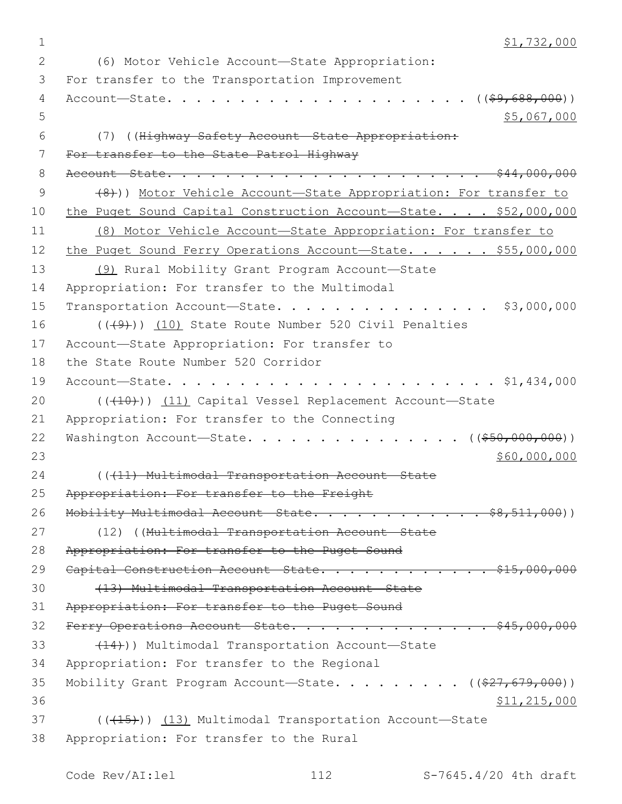1  $\frac{1}{2}$  51,732,000 (6) Motor Vehicle Account—State Appropriation:2 3 For transfer to the Transportation Improvement 4 Account—State. . . . . . . . . . . . . . . . . . . . . ((\$9,688,000))  $5,067,000$ 6 (7) ((Highway Safety Account—State Appropriation: 7 For transfer to the State Patrol Highway 8 Account—State. . . . . . . . . . . . . . . . . . . . . . \$44,000,000 9 (8)) Motor Vehicle Account—State Appropriation: For transfer to 10 the Puget Sound Capital Construction Account—State. . . . \$52,000,000 11 (8) Motor Vehicle Account—State Appropriation: For transfer to 12 the Puget Sound Ferry Operations Account-State. . . . . \$55,000,000 13 (9) Rural Mobility Grant Program Account—State 14 Appropriation: For transfer to the Multimodal 15 Transportation Account-State. . . . . . . . . . . . . . \$3,000,000 16 (((9))) (10) State Route Number 520 Civil Penalties 17 Account-State Appropriation: For transfer to 18 the State Route Number 520 Corridor 19 Account—State. . . . . . . . . . . . . . . . . . . . . . . \$1,434,000 20 (((10)) (11) Capital Vessel Replacement Account-State 21 Appropriation: For transfer to the Connecting 22 Washington Account—State. . . . . . . . . . . . . . ((\$50,000,000))  $23$  \$60,000,000 \$60,000,000 \$60,000 \$60,000 \$60,000 \$60,000 \$60,000 \$60,000 \$60,000 \$60,000 \$60,000 \$60,000 \$60,000 \$60,000 \$60,000 \$60,000 \$60,000 \$60,000 \$60,000 \$60,000 \$60,000 \$60,000 \$60,000 \$60,000 \$60,000 \$60,000 24 ((411) Multimodal Transportation Account State 25 Appropriation: For transfer to the Freight 26 Mobility Multimodal Account-State. . . . . . . . . . . \$8,511,000)) 27 (12) ((Multimodal Transportation Account State 28 Appropriation: For transfer to the Puget Sound 29 Capital Construction Account State. . . . . . . . . . . \$15,000,000 30 (13) Multimodal Transportation Account—State 31 Appropriation: For transfer to the Puget Sound  $32$  Ferry Operations Account State. . . . . . . . . . . . . . \$45,000,000 33 (14)) Multimodal Transportation Account—State 34 Appropriation: For transfer to the Regional 35 Mobility Grant Program Account—State. . . . . . . . ((\$27,679,000))  $36$   $$11,215,000$ 37 (( $(15)$ ) (13) Multimodal Transportation Account—State 38 Appropriation: For transfer to the Rural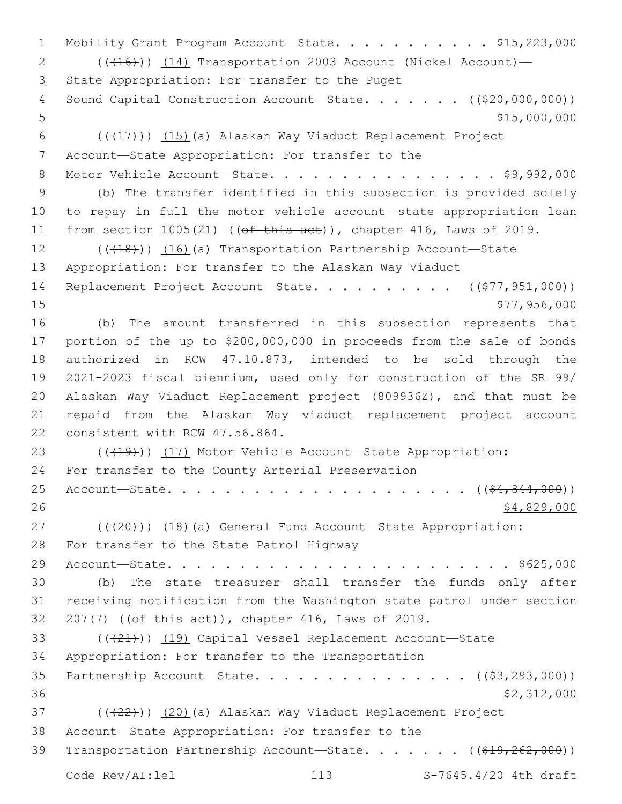1 Mobility Grant Program Account-State. . . . . . . . . . \$15,223,000 2 (( $(16)$ )) (14) Transportation 2003 Account (Nickel Account) — 3 State Appropriation: For transfer to the Puget 4 Sound Capital Construction Account—State. . . . . . . ((\$20,000,000)) 5 \$15,000,000 6  $((+17)$ ) (15)(a) Alaskan Way Viaduct Replacement Project 7 Account-State Appropriation: For transfer to the 8 Motor Vehicle Account-State. . . . . . . . . . . . . . . \$9,992,000 9 (b) The transfer identified in this subsection is provided solely 10 to repay in full the motor vehicle account—state appropriation loan 11 from section 1005(21) ((of this act)), chapter 416, Laws of 2019. 12 (( $(18)$ )) (16)(a) Transportation Partnership Account—State 13 Appropriation: For transfer to the Alaskan Way Viaduct 14 Replacement Project Account—State. . . . . . . . . ((\$77,951,000)) 15 **\$77,956,000** 16 (b) The amount transferred in this subsection represents that 17 portion of the up to \$200,000,000 in proceeds from the sale of bonds 18 authorized in RCW 47.10.873, intended to be sold through the 19 2021-2023 fiscal biennium, used only for construction of the SR 99/ 20 Alaskan Way Viaduct Replacement project (809936Z), and that must be 21 repaid from the Alaskan Way viaduct replacement project account 22 consistent with RCW 47.56.864. 23 (((19)) (17) Motor Vehicle Account—State Appropriation: 24 For transfer to the County Arterial Preservation 25 Account—State. . . . . . . . . . . . . . . . . . . . . ((\$4,844,000))  $26$  \$4,829,000 27 (((20))) (18)(a) General Fund Account—State Appropriation: 28 For transfer to the State Patrol Highway 29 Account—State. . . . . . . . . . . . . . . . . . . . . . . . \$625,000 30 (b) The state treasurer shall transfer the funds only after 31 receiving notification from the Washington state patrol under section 32 207(7) ((of this act)), chapter 416, Laws of 2019. 33 (((21)) (19) Capital Vessel Replacement Account-State 34 Appropriation: For transfer to the Transportation 35 Partnership Account—State. . . . . . . . . . . . . . ( $(\frac{23}{222}$ ,000)) 36 \$2,312,000 37 (( $(22)$ )) (20)(a) Alaskan Way Viaduct Replacement Project 38 Account-State Appropriation: For transfer to the 39 Transportation Partnership Account—State. . . . . . ((\$19,262,000)) Code Rev/AI:lel 113 S-7645.4/20 4th draft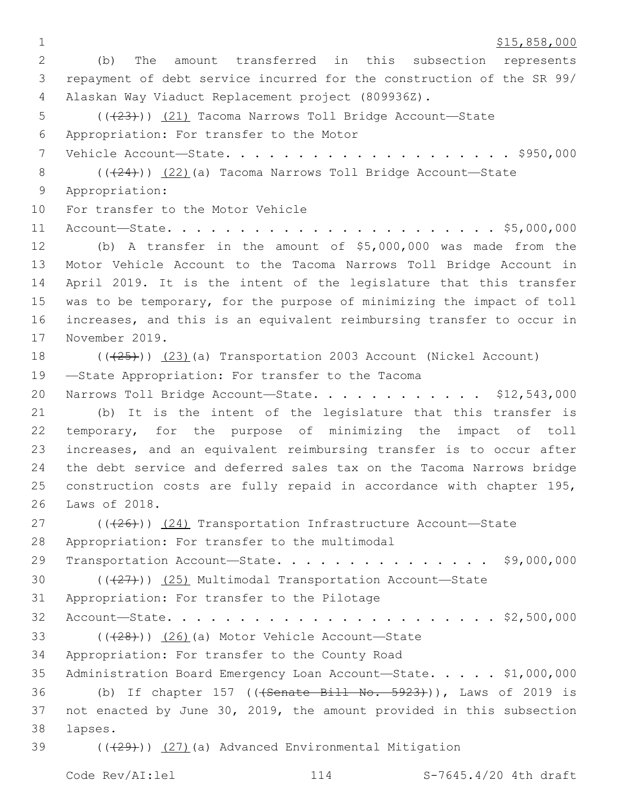$1 \quad$  \$15,858,000

2 (b) The amount transferred in this subsection represents 3 repayment of debt service incurred for the construction of the SR 99/ Alaskan Way Viaduct Replacement project (809936Z).4 5 (( $(23)$ )) (21) Tacoma Narrows Toll Bridge Account—State 6 Appropriation: For transfer to the Motor 7 Vehicle Account—State. . . . . . . . . . . . . . . . . . . . \$950,000 8  $((24))$  (22)(a) Tacoma Narrows Toll Bridge Account—State 9 Appropriation: 10 For transfer to the Motor Vehicle 11 Account—State. . . . . . . . . . . . . . . . . . . . . . . \$5,000,000 12 (b) A transfer in the amount of \$5,000,000 was made from the 13 Motor Vehicle Account to the Tacoma Narrows Toll Bridge Account in 14 April 2019. It is the intent of the legislature that this transfer 15 was to be temporary, for the purpose of minimizing the impact of toll 16 increases, and this is an equivalent reimbursing transfer to occur in 17 November 2019. 18 (((25))) (23)(a) Transportation 2003 Account (Nickel Account) 19 -State Appropriation: For transfer to the Tacoma 20 Narrows Toll Bridge Account-State. . . . . . . . . . . \$12,543,000 21 (b) It is the intent of the legislature that this transfer is 22 temporary, for the purpose of minimizing the impact of toll 23 increases, and an equivalent reimbursing transfer is to occur after 24 the debt service and deferred sales tax on the Tacoma Narrows bridge 25 construction costs are fully repaid in accordance with chapter 195, 26 Laws of 2018. 27 (( $(26)$ )) (24) Transportation Infrastructure Account—State 28 Appropriation: For transfer to the multimodal 29 Transportation Account—State. . . . . . . . . . . . . . . \$9,000,000 30  $((\langle 27 \rangle)(25)$  Multimodal Transportation Account—State 31 Appropriation: For transfer to the Pilotage 32 Account—State. . . . . . . . . . . . . . . . . . . . . . . \$2,500,000 33  $((+28))$   $(26)$  (a) Motor Vehicle Account—State 34 Appropriation: For transfer to the County Road 35 Administration Board Emergency Loan Account—State. . . . . \$1,000,000 36 (b) If chapter 157 (((Senate Bill No. 5923))), Laws of 2019 is 37 not enacted by June 30, 2019, the amount provided in this subsection lapses.38 39 (( $(29)$ )) (27)(a) Advanced Environmental Mitigation

Code Rev/AI:lel 114 S-7645.4/20 4th draft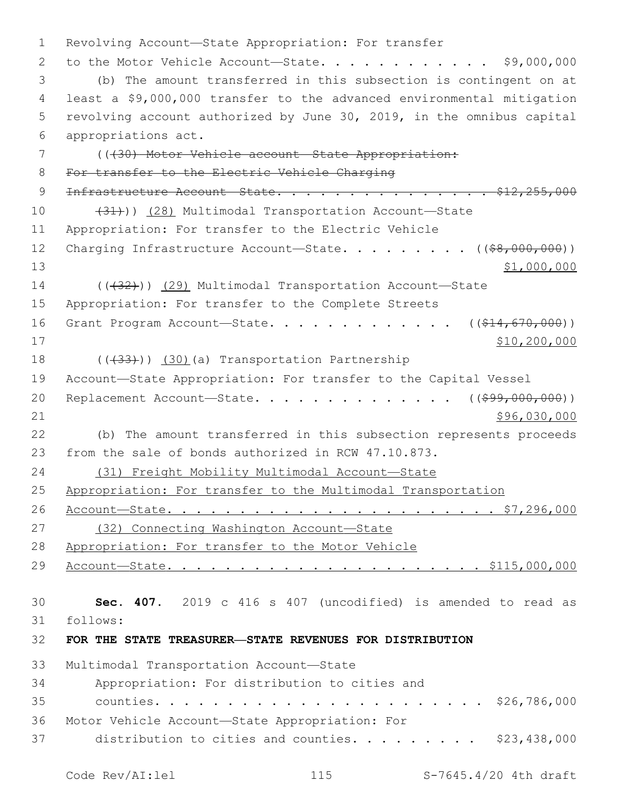Revolving Account—State Appropriation: For transfer 2 to the Motor Vehicle Account-State. . . . . . . . . . . \$9,000,000 (b) The amount transferred in this subsection is contingent on at least a \$9,000,000 transfer to the advanced environmental mitigation revolving account authorized by June 30, 2019, in the omnibus capital appropriations act.6 (((30) Motor Vehicle account—State Appropriation: For transfer to the Electric Vehicle Charging **Infrastructure Account State. . . . . . . . . . . . . . . \$12,255,000** 10 (28) Multimodal Transportation Account—State Appropriation: For transfer to the Electric Vehicle 12 Charging Infrastructure Account-State. . . . . . . . ((\$8,000,000)) 13 \$1,000,000 \$1,000,000 14 (( $(32)$ )) (29) Multimodal Transportation Account—State Appropriation: For transfer to the Complete Streets 16 Grant Program Account—State. . . . . . . . . . . .  $($   $($ \$14,670,000 $)$ ) \$10,200,000 18 ((+33))) (30)(a) Transportation Partnership Account—State Appropriation: For transfer to the Capital Vessel 20 Replacement Account-State. . . . . . . . . . . . . . ((\$99,000,000)) \$96,030,000 (b) The amount transferred in this subsection represents proceeds from the sale of bonds authorized in RCW 47.10.873. (31) Freight Mobility Multimodal Account—State Appropriation: For transfer to the Multimodal Transportation Account—State. . . . . . . . . . . . . . . . . . . . . . . \$7,296,000 (32) Connecting Washington Account—State Appropriation: For transfer to the Motor Vehicle Account—State. . . . . . . . . . . . . . . . . . . . . . \$115,000,000 **Sec. 407.** 2019 c 416 s 407 (uncodified) is amended to read as follows: **FOR THE STATE TREASURER—STATE REVENUES FOR DISTRIBUTION** 33 Multimodal Transportation Account-State Appropriation: For distribution to cities and34 counties. . . . . . . . . . . . . . . . . . . . . . . \$26,786,000 36 Motor Vehicle Account—State Appropriation: For 37 distribution to cities and counties. . . . . . . . . \$23,438,000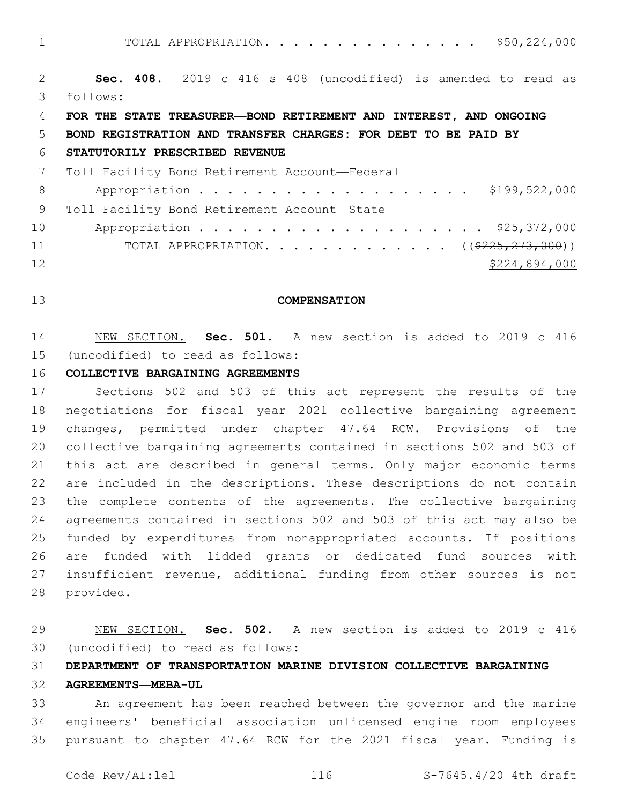TOTAL APPROPRIATION. . . . . . . . . . . . . . . \$50,224,000

 **Sec. 408.** 2019 c 416 s 408 (uncodified) is amended to read as follows:

### **FOR THE STATE TREASURER—BOND RETIREMENT AND INTEREST, AND ONGOING**

## **BOND REGISTRATION AND TRANSFER CHARGES: FOR DEBT TO BE PAID BY**

### **STATUTORILY PRESCRIBED REVENUE**

|    | 7 Toll Facility Bond Retirement Account-Federal                |
|----|----------------------------------------------------------------|
| 8  | Appropriation \$199,522,000                                    |
| 9  | Toll Facility Bond Retirement Account-State                    |
| 10 | Appropriation \$25,372,000                                     |
| 11 | TOTAL APPROPRIATION. ( $(\frac{2225}{273}, \frac{273}{100})$ ) |
| 12 | \$224,894,000                                                  |

### **COMPENSATION**

 NEW SECTION. **Sec. 501.** A new section is added to 2019 c 416 (uncodified) to read as follows:

### **COLLECTIVE BARGAINING AGREEMENTS**

 Sections 502 and 503 of this act represent the results of the negotiations for fiscal year 2021 collective bargaining agreement changes, permitted under chapter 47.64 RCW. Provisions of the collective bargaining agreements contained in sections 502 and 503 of this act are described in general terms. Only major economic terms are included in the descriptions. These descriptions do not contain the complete contents of the agreements. The collective bargaining agreements contained in sections 502 and 503 of this act may also be funded by expenditures from nonappropriated accounts. If positions are funded with lidded grants or dedicated fund sources with insufficient revenue, additional funding from other sources is not 28 provided.

 NEW SECTION. **Sec. 502.** A new section is added to 2019 c 416 (uncodified) to read as follows:

**DEPARTMENT OF TRANSPORTATION MARINE DIVISION COLLECTIVE BARGAINING**

## **AGREEMENTS—MEBA-UL**

 An agreement has been reached between the governor and the marine engineers' beneficial association unlicensed engine room employees pursuant to chapter 47.64 RCW for the 2021 fiscal year. Funding is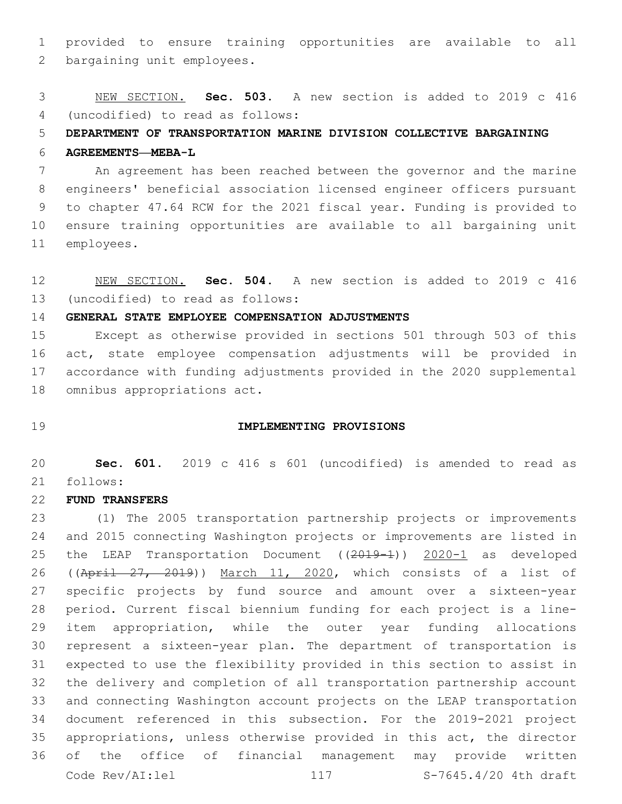provided to ensure training opportunities are available to all 2 bargaining unit employees.

 NEW SECTION. **Sec. 503.** A new section is added to 2019 c 416 (uncodified) to read as follows:

**DEPARTMENT OF TRANSPORTATION MARINE DIVISION COLLECTIVE BARGAINING**

## **AGREEMENTS—MEBA-L**

 An agreement has been reached between the governor and the marine engineers' beneficial association licensed engineer officers pursuant to chapter 47.64 RCW for the 2021 fiscal year. Funding is provided to ensure training opportunities are available to all bargaining unit 11 employees.

 NEW SECTION. **Sec. 504.** A new section is added to 2019 c 416 (uncodified) to read as follows:

## **GENERAL STATE EMPLOYEE COMPENSATION ADJUSTMENTS**

 Except as otherwise provided in sections 501 through 503 of this act, state employee compensation adjustments will be provided in accordance with funding adjustments provided in the 2020 supplemental 18 omnibus appropriations act.

### **IMPLEMENTING PROVISIONS**

 **Sec. 601.** 2019 c 416 s 601 (uncodified) is amended to read as follows:

# **FUND TRANSFERS**

 (1) The 2005 transportation partnership projects or improvements and 2015 connecting Washington projects or improvements are listed in 25 the LEAP Transportation Document ((2019-1)) 2020-1 as developed 26 ((April 27, 2019)) March 11, 2020, which consists of a list of specific projects by fund source and amount over a sixteen-year period. Current fiscal biennium funding for each project is a line- item appropriation, while the outer year funding allocations represent a sixteen-year plan. The department of transportation is expected to use the flexibility provided in this section to assist in the delivery and completion of all transportation partnership account and connecting Washington account projects on the LEAP transportation document referenced in this subsection. For the 2019-2021 project appropriations, unless otherwise provided in this act, the director of the office of financial management may provide written Code Rev/AI:lel 117 S-7645.4/20 4th draft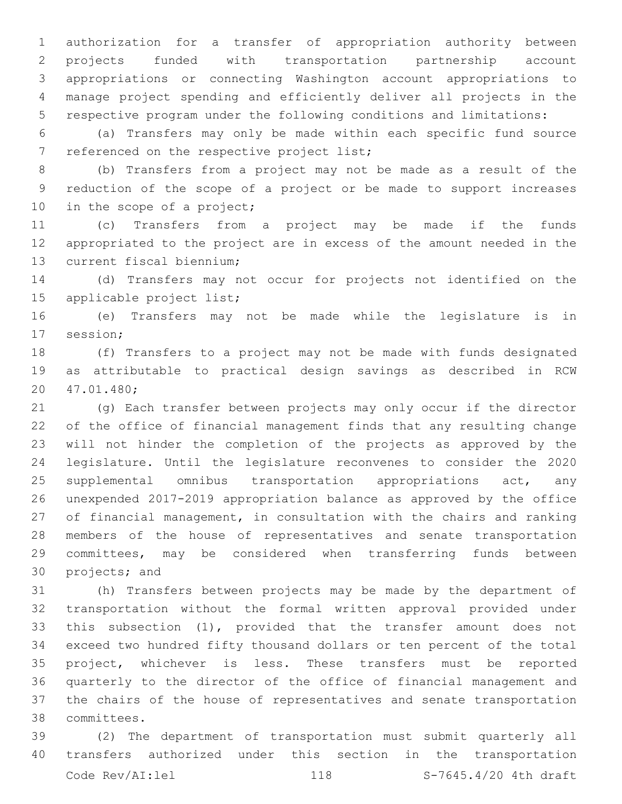authorization for a transfer of appropriation authority between projects funded with transportation partnership account appropriations or connecting Washington account appropriations to manage project spending and efficiently deliver all projects in the respective program under the following conditions and limitations:

 (a) Transfers may only be made within each specific fund source 7 referenced on the respective project list;

 (b) Transfers from a project may not be made as a result of the reduction of the scope of a project or be made to support increases 10 in the scope of a project;

 (c) Transfers from a project may be made if the funds appropriated to the project are in excess of the amount needed in the 13 current fiscal biennium;

 (d) Transfers may not occur for projects not identified on the 15 applicable project list;

 (e) Transfers may not be made while the legislature is in 17 session;

 (f) Transfers to a project may not be made with funds designated as attributable to practical design savings as described in RCW 47.01.480;20

 (g) Each transfer between projects may only occur if the director of the office of financial management finds that any resulting change will not hinder the completion of the projects as approved by the legislature. Until the legislature reconvenes to consider the 2020 25 supplemental omnibus transportation appropriations act, any unexpended 2017-2019 appropriation balance as approved by the office of financial management, in consultation with the chairs and ranking members of the house of representatives and senate transportation committees, may be considered when transferring funds between 30 projects; and

 (h) Transfers between projects may be made by the department of transportation without the formal written approval provided under this subsection (1), provided that the transfer amount does not exceed two hundred fifty thousand dollars or ten percent of the total project, whichever is less. These transfers must be reported quarterly to the director of the office of financial management and the chairs of the house of representatives and senate transportation committees.38

 (2) The department of transportation must submit quarterly all transfers authorized under this section in the transportation Code Rev/AI:lel 118 S-7645.4/20 4th draft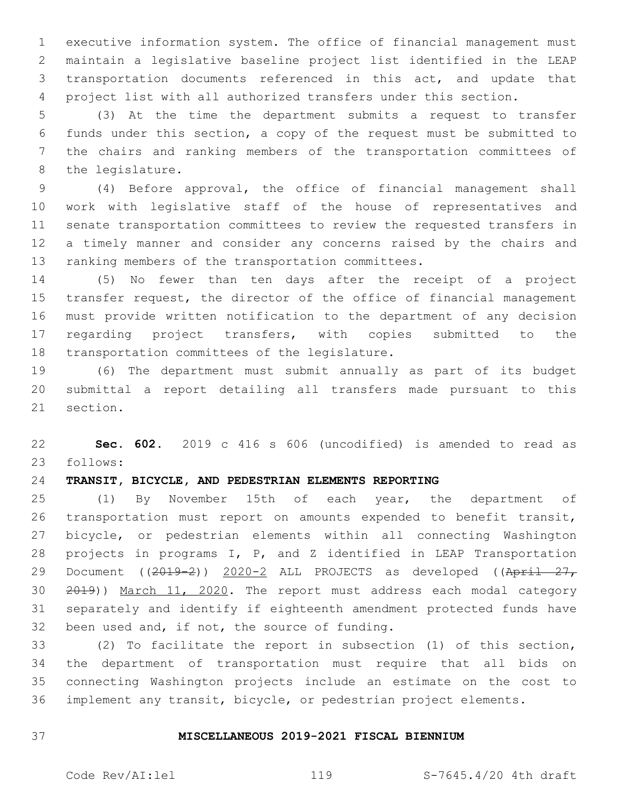executive information system. The office of financial management must maintain a legislative baseline project list identified in the LEAP transportation documents referenced in this act, and update that project list with all authorized transfers under this section.

 (3) At the time the department submits a request to transfer funds under this section, a copy of the request must be submitted to the chairs and ranking members of the transportation committees of 8 the legislature.

 (4) Before approval, the office of financial management shall work with legislative staff of the house of representatives and senate transportation committees to review the requested transfers in a timely manner and consider any concerns raised by the chairs and 13 ranking members of the transportation committees.

 (5) No fewer than ten days after the receipt of a project transfer request, the director of the office of financial management must provide written notification to the department of any decision regarding project transfers, with copies submitted to the 18 transportation committees of the legislature.

 (6) The department must submit annually as part of its budget submittal a report detailing all transfers made pursuant to this 21 section.

 **Sec. 602.** 2019 c 416 s 606 (uncodified) is amended to read as follows:

# **TRANSIT, BICYCLE, AND PEDESTRIAN ELEMENTS REPORTING**

 (1) By November 15th of each year, the department of transportation must report on amounts expended to benefit transit, bicycle, or pedestrian elements within all connecting Washington projects in programs I, P, and Z identified in LEAP Transportation 29 Document ((2019-2)) 2020-2 ALL PROJECTS as developed ((April 27, 2019)) March 11, 2020. The report must address each modal category separately and identify if eighteenth amendment protected funds have 32 been used and, if not, the source of funding.

 (2) To facilitate the report in subsection (1) of this section, the department of transportation must require that all bids on connecting Washington projects include an estimate on the cost to implement any transit, bicycle, or pedestrian project elements.

### **MISCELLANEOUS 2019-2021 FISCAL BIENNIUM**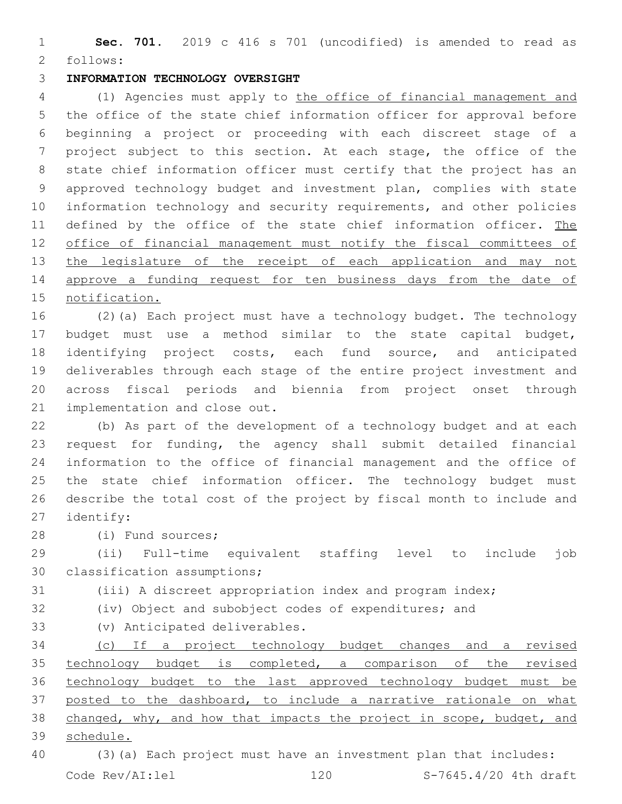**Sec. 701.** 2019 c 416 s 701 (uncodified) is amended to read as 2 follows:

## **INFORMATION TECHNOLOGY OVERSIGHT**

 (1) Agencies must apply to the office of financial management and the office of the state chief information officer for approval before beginning a project or proceeding with each discreet stage of a project subject to this section. At each stage, the office of the state chief information officer must certify that the project has an approved technology budget and investment plan, complies with state information technology and security requirements, and other policies 11 defined by the office of the state chief information officer. The office of financial management must notify the fiscal committees of 13 the legislature of the receipt of each application and may not 14 approve a funding request for ten business days from the date of notification.

 (2)(a) Each project must have a technology budget. The technology budget must use a method similar to the state capital budget, identifying project costs, each fund source, and anticipated deliverables through each stage of the entire project investment and across fiscal periods and biennia from project onset through 21 implementation and close out.

 (b) As part of the development of a technology budget and at each request for funding, the agency shall submit detailed financial information to the office of financial management and the office of 25 the state chief information officer. The technology budget must describe the total cost of the project by fiscal month to include and 27 identify:

28 (i) Fund sources;

 (ii) Full-time equivalent staffing level to include job 30 classification assumptions;

(iii) A discreet appropriation index and program index;

- (iv) Object and subobject codes of expenditures; and
- (v) Anticipated deliverables.33

 (c) If a project technology budget changes and a revised technology budget is completed, a comparison of the revised technology budget to the last approved technology budget must be posted to the dashboard, to include a narrative rationale on what changed, why, and how that impacts the project in scope, budget, and schedule.

 (3)(a) Each project must have an investment plan that includes: Code Rev/AI:lel 120 S-7645.4/20 4th draft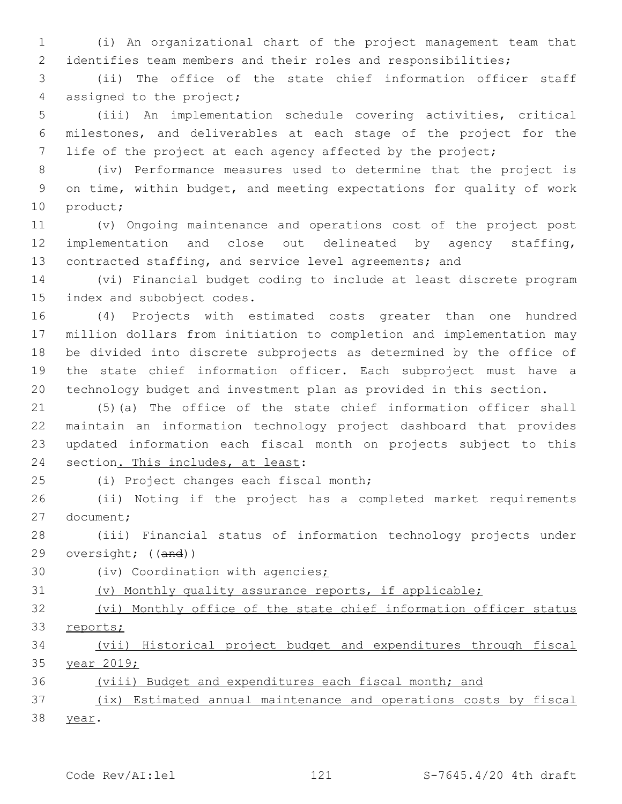(i) An organizational chart of the project management team that identifies team members and their roles and responsibilities;

 (ii) The office of the state chief information officer staff 4 assigned to the project;

 (iii) An implementation schedule covering activities, critical milestones, and deliverables at each stage of the project for the 7 life of the project at each agency affected by the project;

 (iv) Performance measures used to determine that the project is on time, within budget, and meeting expectations for quality of work 10 product;

 (v) Ongoing maintenance and operations cost of the project post implementation and close out delineated by agency staffing, 13 contracted staffing, and service level agreements; and

 (vi) Financial budget coding to include at least discrete program 15 index and subobject codes.

 (4) Projects with estimated costs greater than one hundred million dollars from initiation to completion and implementation may be divided into discrete subprojects as determined by the office of the state chief information officer. Each subproject must have a technology budget and investment plan as provided in this section.

 (5)(a) The office of the state chief information officer shall maintain an information technology project dashboard that provides updated information each fiscal month on projects subject to this 24 section. This includes, at least:

(i) Project changes each fiscal month;25

 (ii) Noting if the project has a completed market requirements 27 document;

 (iii) Financial status of information technology projects under oversight; ((and))

30 (iv) Coordination with agencies;

(v) Monthly quality assurance reports, if applicable;

32 (vi) Monthly office of the state chief information officer status reports;

 (vii) Historical project budget and expenditures through fiscal year 2019;

(viii) Budget and expenditures each fiscal month; and

 (ix) Estimated annual maintenance and operations costs by fiscal 38 year.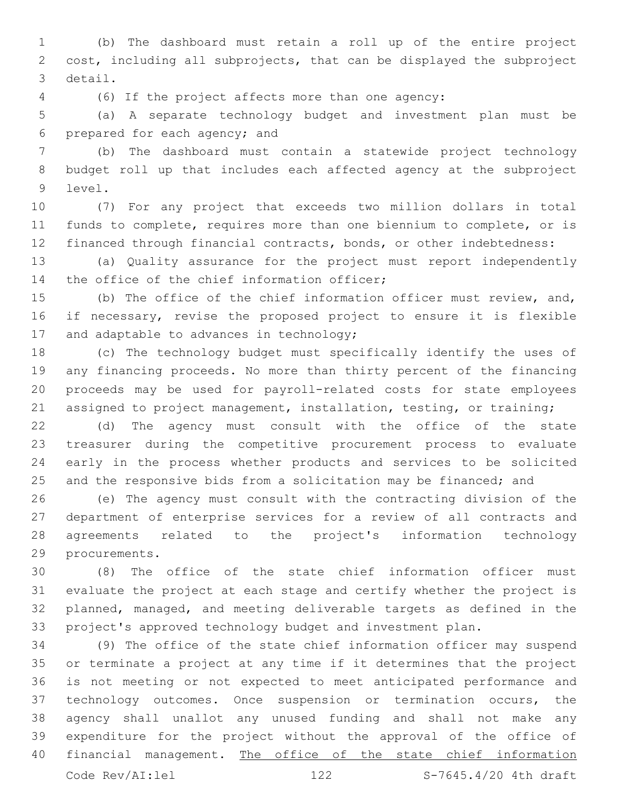(b) The dashboard must retain a roll up of the entire project cost, including all subprojects, that can be displayed the subproject 3 detail.

(6) If the project affects more than one agency:

 (a) A separate technology budget and investment plan must be 6 prepared for each agency; and

 (b) The dashboard must contain a statewide project technology budget roll up that includes each affected agency at the subproject 9 level.

 (7) For any project that exceeds two million dollars in total funds to complete, requires more than one biennium to complete, or is financed through financial contracts, bonds, or other indebtedness:

 (a) Quality assurance for the project must report independently 14 the office of the chief information officer;

 (b) The office of the chief information officer must review, and, if necessary, revise the proposed project to ensure it is flexible 17 and adaptable to advances in technology;

 (c) The technology budget must specifically identify the uses of any financing proceeds. No more than thirty percent of the financing proceeds may be used for payroll-related costs for state employees assigned to project management, installation, testing, or training;

 (d) The agency must consult with the office of the state treasurer during the competitive procurement process to evaluate early in the process whether products and services to be solicited 25 and the responsive bids from a solicitation may be financed; and

 (e) The agency must consult with the contracting division of the department of enterprise services for a review of all contracts and agreements related to the project's information technology 29 procurements.

 (8) The office of the state chief information officer must evaluate the project at each stage and certify whether the project is planned, managed, and meeting deliverable targets as defined in the project's approved technology budget and investment plan.

 (9) The office of the state chief information officer may suspend or terminate a project at any time if it determines that the project is not meeting or not expected to meet anticipated performance and technology outcomes. Once suspension or termination occurs, the agency shall unallot any unused funding and shall not make any expenditure for the project without the approval of the office of 40 financial management. The office of the state chief information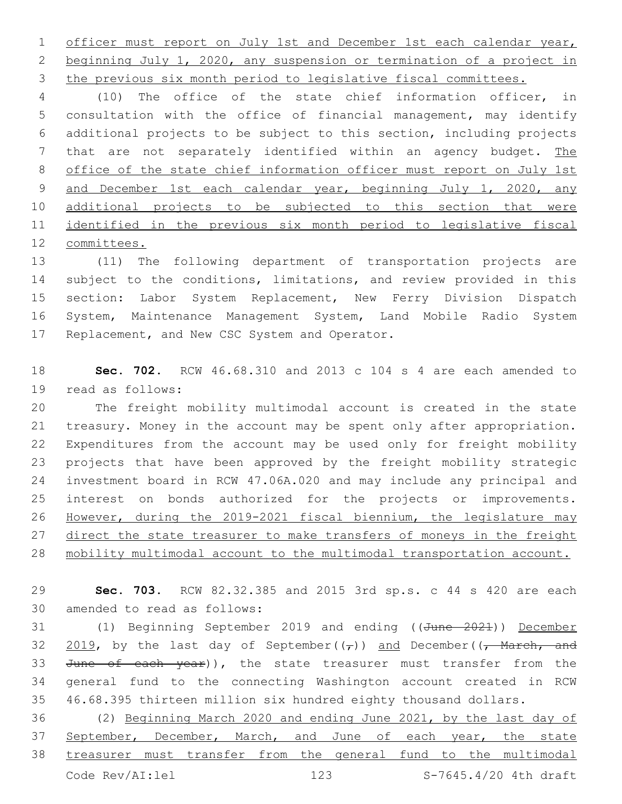1 officer must report on July 1st and December 1st each calendar year, beginning July 1, 2020, any suspension or termination of a project in the previous six month period to legislative fiscal committees.

 (10) The office of the state chief information officer, in consultation with the office of financial management, may identify additional projects to be subject to this section, including projects 7 that are not separately identified within an agency budget. The office of the state chief information officer must report on July 1st 9 and December 1st each calendar year, beginning July 1, 2020, any additional projects to be subjected to this section that were 11 identified in the previous six month period to legislative fiscal committees.

 (11) The following department of transportation projects are subject to the conditions, limitations, and review provided in this section: Labor System Replacement, New Ferry Division Dispatch System, Maintenance Management System, Land Mobile Radio System 17 Replacement, and New CSC System and Operator.

 **Sec. 702.** RCW 46.68.310 and 2013 c 104 s 4 are each amended to 19 read as follows:

 The freight mobility multimodal account is created in the state treasury. Money in the account may be spent only after appropriation. Expenditures from the account may be used only for freight mobility projects that have been approved by the freight mobility strategic investment board in RCW 47.06A.020 and may include any principal and interest on bonds authorized for the projects or improvements. However, during the 2019-2021 fiscal biennium, the legislature may 27 direct the state treasurer to make transfers of moneys in the freight mobility multimodal account to the multimodal transportation account.

 **Sec. 703.** RCW 82.32.385 and 2015 3rd sp.s. c 44 s 420 are each 30 amended to read as follows:

31 (1) Beginning September 2019 and ending ((June 2021)) December 32  $\frac{2019}{100}$ , by the last day of September( $(\tau)$ ) and December( $(\tau)$  March, and 33 June of each year)), the state treasurer must transfer from the general fund to the connecting Washington account created in RCW 46.68.395 thirteen million six hundred eighty thousand dollars.

 (2) Beginning March 2020 and ending June 2021, by the last day of 37 September, December, March, and June of each year, the state treasurer must transfer from the general fund to the multimodal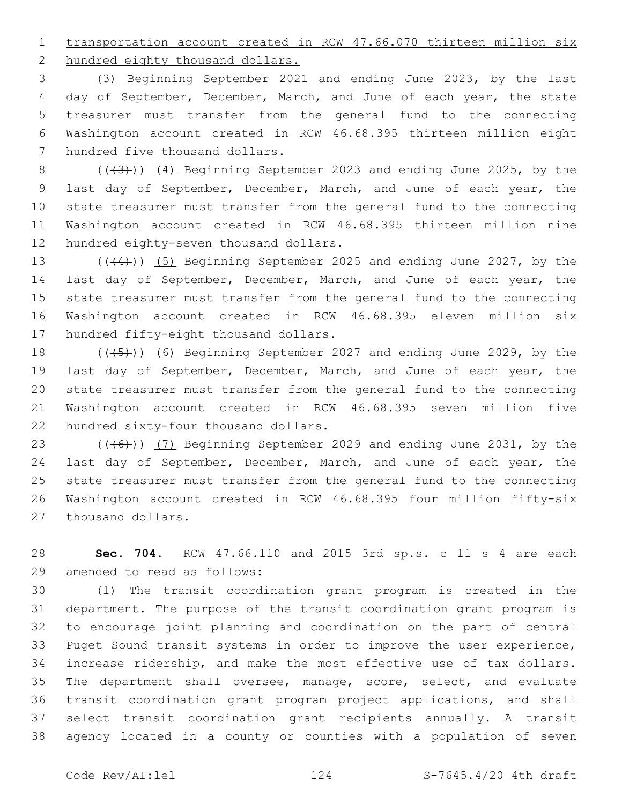transportation account created in RCW 47.66.070 thirteen million six

2 hundred eighty thousand dollars.

 (3) Beginning September 2021 and ending June 2023, by the last day of September, December, March, and June of each year, the state treasurer must transfer from the general fund to the connecting Washington account created in RCW 46.68.395 thirteen million eight 7 hundred five thousand dollars.

8 (((43)) (4) Beginning September 2023 and ending June 2025, by the last day of September, December, March, and June of each year, the state treasurer must transfer from the general fund to the connecting Washington account created in RCW 46.68.395 thirteen million nine 12 hundred eighty-seven thousand dollars.

13 (((44))) (5) Beginning September 2025 and ending June 2027, by the last day of September, December, March, and June of each year, the state treasurer must transfer from the general fund to the connecting Washington account created in RCW 46.68.395 eleven million six 17 hundred fifty-eight thousand dollars.

18 (((45)) (6) Beginning September 2027 and ending June 2029, by the last day of September, December, March, and June of each year, the state treasurer must transfer from the general fund to the connecting Washington account created in RCW 46.68.395 seven million five 22 hundred sixty-four thousand dollars.

23 (((6)) (7) Beginning September 2029 and ending June 2031, by the last day of September, December, March, and June of each year, the state treasurer must transfer from the general fund to the connecting Washington account created in RCW 46.68.395 four million fifty-six 27 thousand dollars.

 **Sec. 704.** RCW 47.66.110 and 2015 3rd sp.s. c 11 s 4 are each 29 amended to read as follows:

 (1) The transit coordination grant program is created in the department. The purpose of the transit coordination grant program is to encourage joint planning and coordination on the part of central Puget Sound transit systems in order to improve the user experience, increase ridership, and make the most effective use of tax dollars. The department shall oversee, manage, score, select, and evaluate transit coordination grant program project applications, and shall select transit coordination grant recipients annually. A transit agency located in a county or counties with a population of seven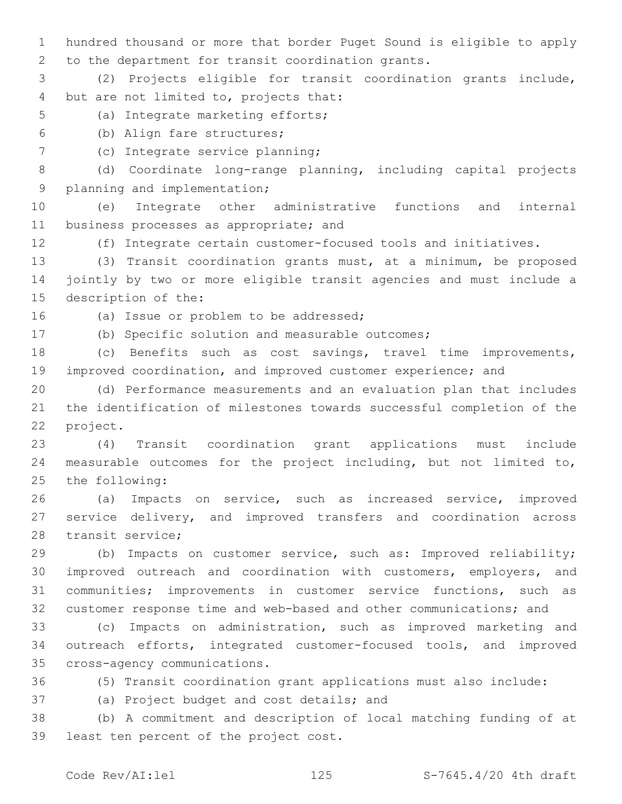1 hundred thousand or more that border Puget Sound is eligible to apply 2 to the department for transit coordination grants.

3 (2) Projects eligible for transit coordination grants include, 4 but are not limited to, projects that:

- 5 (a) Integrate marketing efforts;
- (b) Align fare structures;6
- 7 (c) Integrate service planning;

8 (d) Coordinate long-range planning, including capital projects 9 planning and implementation;

10 (e) Integrate other administrative functions and internal 11 business processes as appropriate; and

12 (f) Integrate certain customer-focused tools and initiatives.

13 (3) Transit coordination grants must, at a minimum, be proposed 14 jointly by two or more eligible transit agencies and must include a 15 description of the:

16 (a) Issue or problem to be addressed;

17 (b) Specific solution and measurable outcomes;

18 (c) Benefits such as cost savings, travel time improvements, 19 improved coordination, and improved customer experience; and

20 (d) Performance measurements and an evaluation plan that includes 21 the identification of milestones towards successful completion of the 22 project.

23 (4) Transit coordination grant applications must include 24 measurable outcomes for the project including, but not limited to, 25 the following:

26 (a) Impacts on service, such as increased service, improved 27 service delivery, and improved transfers and coordination across 28 transit service;

 (b) Impacts on customer service, such as: Improved reliability; improved outreach and coordination with customers, employers, and communities; improvements in customer service functions, such as customer response time and web-based and other communications; and

33 (c) Impacts on administration, such as improved marketing and 34 outreach efforts, integrated customer-focused tools, and improved 35 cross-agency communications.

36 (5) Transit coordination grant applications must also include:

37 (a) Project budget and cost details; and

38 (b) A commitment and description of local matching funding of at 39 least ten percent of the project cost.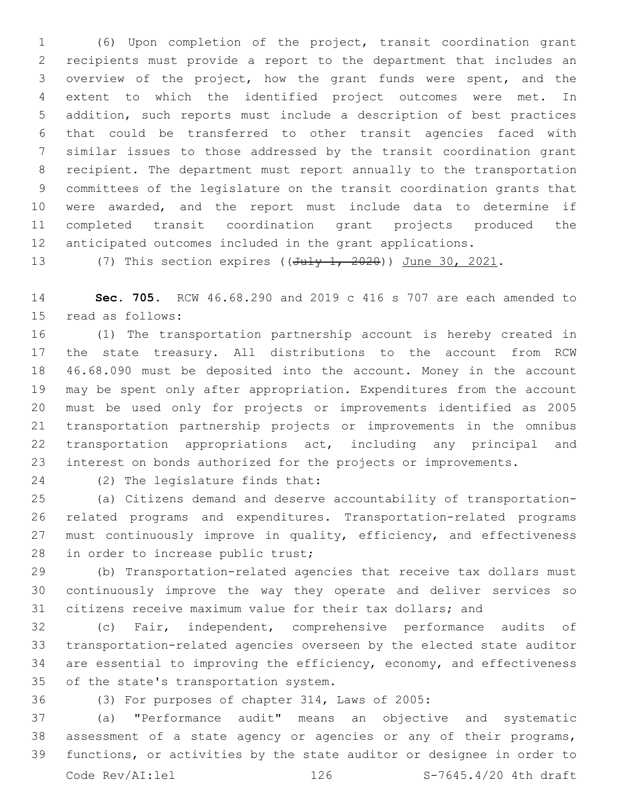(6) Upon completion of the project, transit coordination grant recipients must provide a report to the department that includes an overview of the project, how the grant funds were spent, and the extent to which the identified project outcomes were met. In addition, such reports must include a description of best practices that could be transferred to other transit agencies faced with similar issues to those addressed by the transit coordination grant recipient. The department must report annually to the transportation committees of the legislature on the transit coordination grants that were awarded, and the report must include data to determine if completed transit coordination grant projects produced the anticipated outcomes included in the grant applications.

13 (7) This section expires ((July 1, 2020)) June 30, 2021.

 **Sec. 705.** RCW 46.68.290 and 2019 c 416 s 707 are each amended to 15 read as follows:

 (1) The transportation partnership account is hereby created in the state treasury. All distributions to the account from RCW 46.68.090 must be deposited into the account. Money in the account may be spent only after appropriation. Expenditures from the account must be used only for projects or improvements identified as 2005 transportation partnership projects or improvements in the omnibus transportation appropriations act, including any principal and interest on bonds authorized for the projects or improvements.

24 (2) The legislature finds that:

 (a) Citizens demand and deserve accountability of transportation- related programs and expenditures. Transportation-related programs 27 must continuously improve in quality, efficiency, and effectiveness 28 in order to increase public trust;

 (b) Transportation-related agencies that receive tax dollars must continuously improve the way they operate and deliver services so citizens receive maximum value for their tax dollars; and

 (c) Fair, independent, comprehensive performance audits of transportation-related agencies overseen by the elected state auditor are essential to improving the efficiency, economy, and effectiveness 35 of the state's transportation system.

(3) For purposes of chapter 314, Laws of 2005:

 (a) "Performance audit" means an objective and systematic assessment of a state agency or agencies or any of their programs, functions, or activities by the state auditor or designee in order to Code Rev/AI:lel 126 S-7645.4/20 4th draft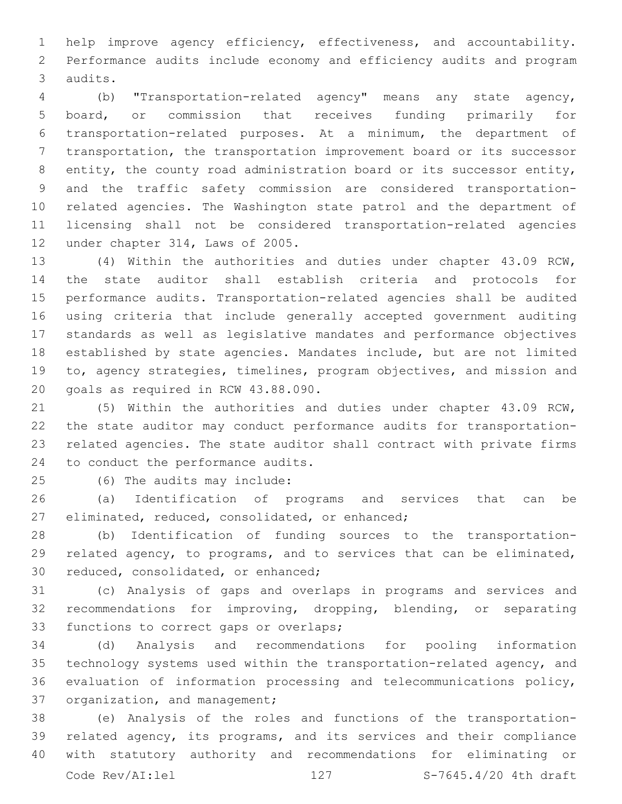help improve agency efficiency, effectiveness, and accountability. Performance audits include economy and efficiency audits and program 3 audits.

 (b) "Transportation-related agency" means any state agency, board, or commission that receives funding primarily for transportation-related purposes. At a minimum, the department of transportation, the transportation improvement board or its successor entity, the county road administration board or its successor entity, and the traffic safety commission are considered transportation- related agencies. The Washington state patrol and the department of licensing shall not be considered transportation-related agencies 12 under chapter 314, Laws of 2005.

 (4) Within the authorities and duties under chapter 43.09 RCW, the state auditor shall establish criteria and protocols for performance audits. Transportation-related agencies shall be audited using criteria that include generally accepted government auditing standards as well as legislative mandates and performance objectives established by state agencies. Mandates include, but are not limited to, agency strategies, timelines, program objectives, and mission and 20 goals as required in RCW 43.88.090.

 (5) Within the authorities and duties under chapter 43.09 RCW, the state auditor may conduct performance audits for transportation- related agencies. The state auditor shall contract with private firms 24 to conduct the performance audits.

(6) The audits may include:25

 (a) Identification of programs and services that can be 27 eliminated, reduced, consolidated, or enhanced;

 (b) Identification of funding sources to the transportation- related agency, to programs, and to services that can be eliminated, 30 reduced, consolidated, or enhanced;

 (c) Analysis of gaps and overlaps in programs and services and recommendations for improving, dropping, blending, or separating 33 functions to correct gaps or overlaps;

 (d) Analysis and recommendations for pooling information technology systems used within the transportation-related agency, and evaluation of information processing and telecommunications policy, 37 organization, and management;

 (e) Analysis of the roles and functions of the transportation- related agency, its programs, and its services and their compliance with statutory authority and recommendations for eliminating or Code Rev/AI:lel 127 S-7645.4/20 4th draft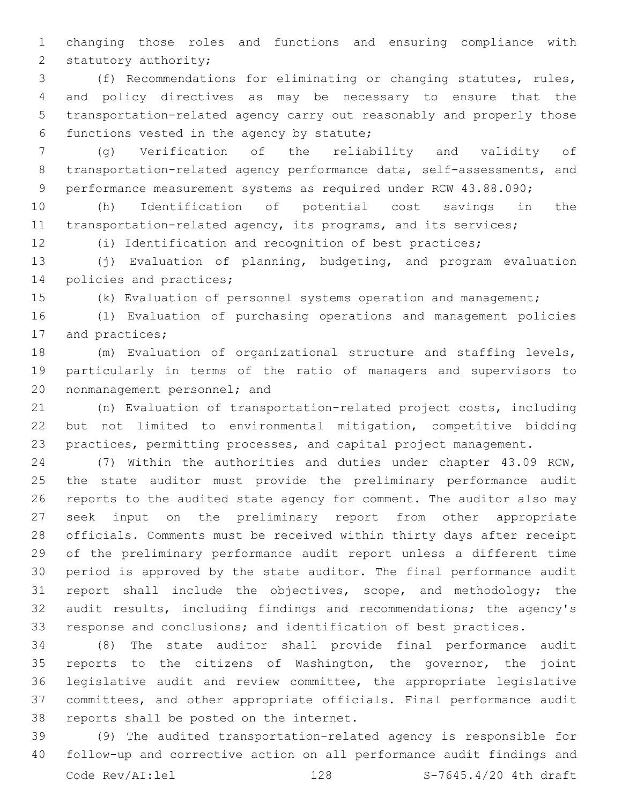changing those roles and functions and ensuring compliance with 2 statutory authority;

 (f) Recommendations for eliminating or changing statutes, rules, and policy directives as may be necessary to ensure that the transportation-related agency carry out reasonably and properly those 6 functions vested in the agency by statute;

 (g) Verification of the reliability and validity of transportation-related agency performance data, self-assessments, and performance measurement systems as required under RCW 43.88.090;

 (h) Identification of potential cost savings in the transportation-related agency, its programs, and its services;

(i) Identification and recognition of best practices;

 (j) Evaluation of planning, budgeting, and program evaluation 14 policies and practices;

(k) Evaluation of personnel systems operation and management;

 (l) Evaluation of purchasing operations and management policies 17 and practices;

 (m) Evaluation of organizational structure and staffing levels, particularly in terms of the ratio of managers and supervisors to 20 nonmanagement personnel; and

 (n) Evaluation of transportation-related project costs, including but not limited to environmental mitigation, competitive bidding practices, permitting processes, and capital project management.

 (7) Within the authorities and duties under chapter 43.09 RCW, the state auditor must provide the preliminary performance audit reports to the audited state agency for comment. The auditor also may seek input on the preliminary report from other appropriate officials. Comments must be received within thirty days after receipt of the preliminary performance audit report unless a different time period is approved by the state auditor. The final performance audit report shall include the objectives, scope, and methodology; the audit results, including findings and recommendations; the agency's response and conclusions; and identification of best practices.

 (8) The state auditor shall provide final performance audit reports to the citizens of Washington, the governor, the joint legislative audit and review committee, the appropriate legislative committees, and other appropriate officials. Final performance audit 38 reports shall be posted on the internet.

 (9) The audited transportation-related agency is responsible for follow-up and corrective action on all performance audit findings and Code Rev/AI:lel 128 S-7645.4/20 4th draft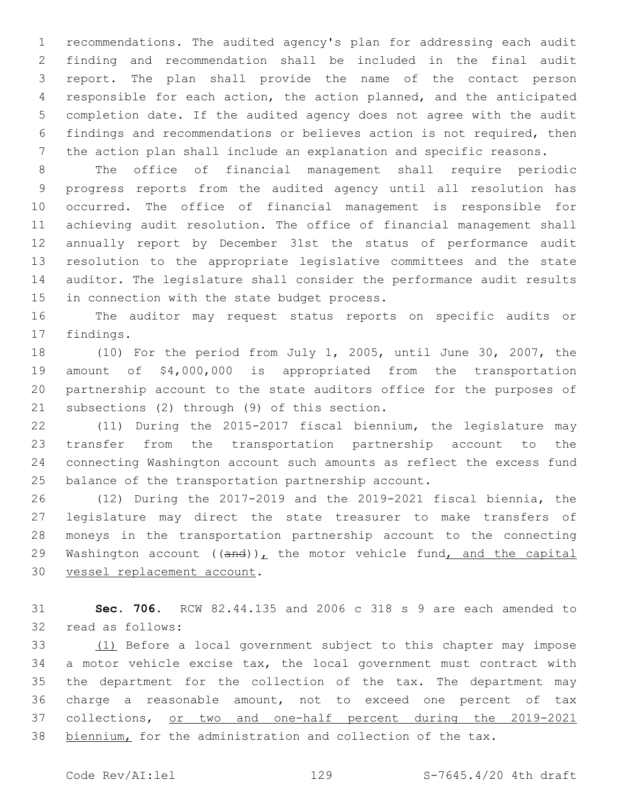recommendations. The audited agency's plan for addressing each audit finding and recommendation shall be included in the final audit report. The plan shall provide the name of the contact person responsible for each action, the action planned, and the anticipated completion date. If the audited agency does not agree with the audit findings and recommendations or believes action is not required, then the action plan shall include an explanation and specific reasons.

 The office of financial management shall require periodic progress reports from the audited agency until all resolution has occurred. The office of financial management is responsible for achieving audit resolution. The office of financial management shall annually report by December 31st the status of performance audit resolution to the appropriate legislative committees and the state auditor. The legislature shall consider the performance audit results 15 in connection with the state budget process.

 The auditor may request status reports on specific audits or 17 findings.

 (10) For the period from July 1, 2005, until June 30, 2007, the amount of \$4,000,000 is appropriated from the transportation partnership account to the state auditors office for the purposes of 21 subsections (2) through (9) of this section.

 (11) During the 2015-2017 fiscal biennium, the legislature may transfer from the transportation partnership account to the connecting Washington account such amounts as reflect the excess fund balance of the transportation partnership account.

 (12) During the 2017-2019 and the 2019-2021 fiscal biennia, the legislature may direct the state treasurer to make transfers of moneys in the transportation partnership account to the connecting 29 Washington account  $((and))_L$  the motor vehicle fund, and the capital 30 vessel replacement account.

 **Sec. 706.** RCW 82.44.135 and 2006 c 318 s 9 are each amended to 32 read as follows:

 (1) Before a local government subject to this chapter may impose a motor vehicle excise tax, the local government must contract with the department for the collection of the tax. The department may charge a reasonable amount, not to exceed one percent of tax collections, or two and one-half percent during the 2019-2021 38 biennium, for the administration and collection of the tax.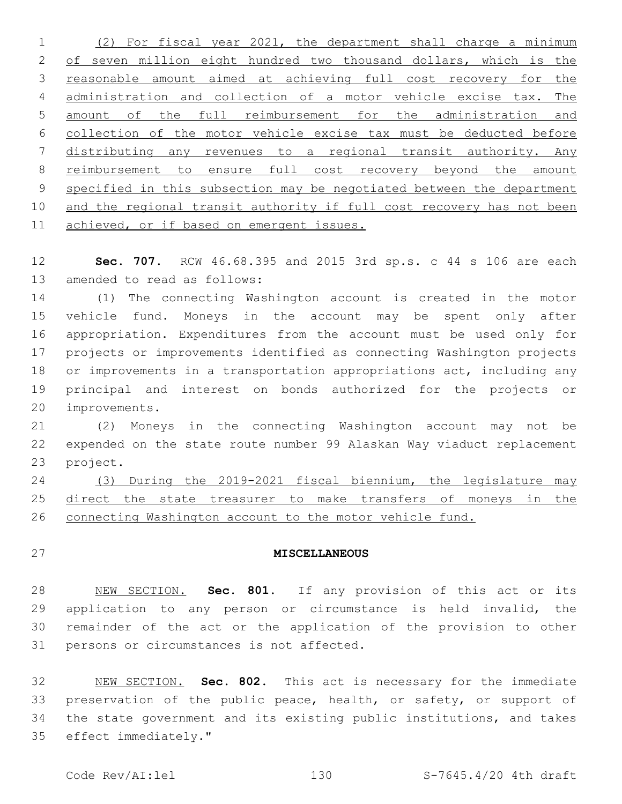(2) For fiscal year 2021, the department shall charge a minimum 2 of seven million eight hundred two thousand dollars, which is the reasonable amount aimed at achieving full cost recovery for the administration and collection of a motor vehicle excise tax. The amount of the full reimbursement for the administration and collection of the motor vehicle excise tax must be deducted before distributing any revenues to a regional transit authority. Any reimbursement to ensure full cost recovery beyond the amount specified in this subsection may be negotiated between the department and the regional transit authority if full cost recovery has not been achieved, or if based on emergent issues.

 **Sec. 707.** RCW 46.68.395 and 2015 3rd sp.s. c 44 s 106 are each 13 amended to read as follows:

 (1) The connecting Washington account is created in the motor vehicle fund. Moneys in the account may be spent only after appropriation. Expenditures from the account must be used only for projects or improvements identified as connecting Washington projects or improvements in a transportation appropriations act, including any principal and interest on bonds authorized for the projects or 20 improvements.

 (2) Moneys in the connecting Washington account may not be expended on the state route number 99 Alaskan Way viaduct replacement 23 project.

 (3) During the 2019-2021 fiscal biennium, the legislature may 25 direct the state treasurer to make transfers of moneys in the connecting Washington account to the motor vehicle fund.

## **MISCELLANEOUS**

 NEW SECTION. **Sec. 801.** If any provision of this act or its 29 application to any person or circumstance is held invalid, the remainder of the act or the application of the provision to other persons or circumstances is not affected.

 NEW SECTION. **Sec. 802.** This act is necessary for the immediate 33 preservation of the public peace, health, or safety, or support of the state government and its existing public institutions, and takes effect immediately."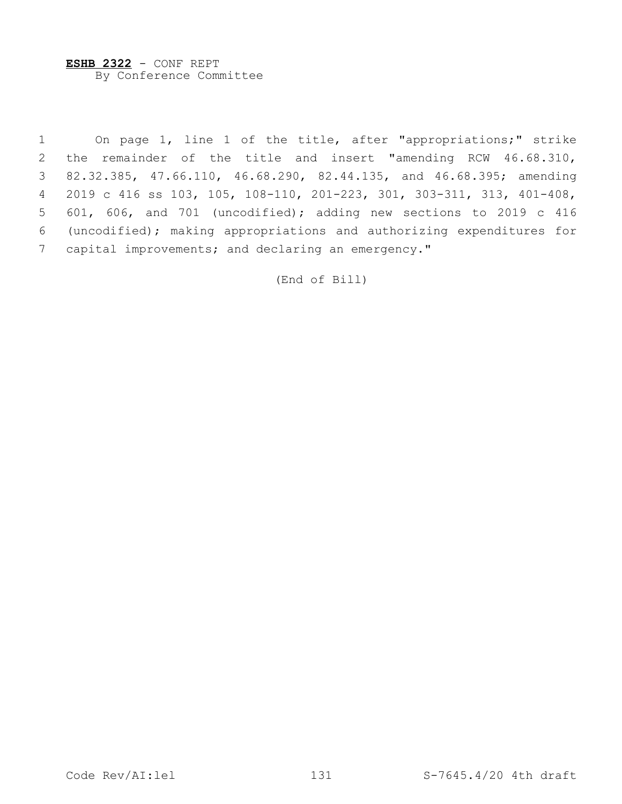**ESHB 2322** - CONF REPT By Conference Committee

 On page 1, line 1 of the title, after "appropriations;" strike the remainder of the title and insert "amending RCW 46.68.310, 82.32.385, 47.66.110, 46.68.290, 82.44.135, and 46.68.395; amending 2019 c 416 ss 103, 105, 108-110, 201-223, 301, 303-311, 313, 401-408, 601, 606, and 701 (uncodified); adding new sections to 2019 c 416 (uncodified); making appropriations and authorizing expenditures for 7 capital improvements; and declaring an emergency."

(End of Bill)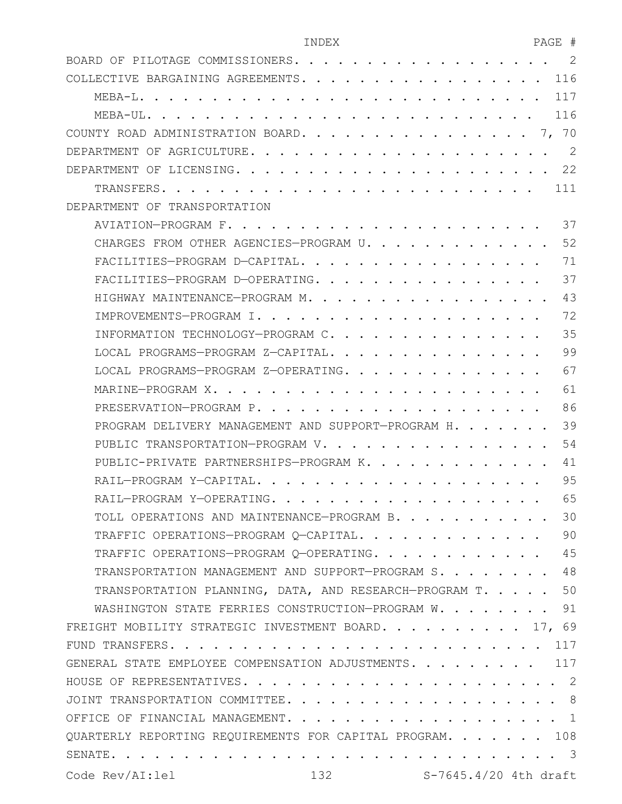| INDEX | ロスペロ<br>AUL<br>$\sim$ |  |
|-------|-----------------------|--|
|       |                       |  |

| 2<br>BOARD OF PILOTAGE COMMISSIONERS<br>.                                                                                                                                                                                                                                           |
|-------------------------------------------------------------------------------------------------------------------------------------------------------------------------------------------------------------------------------------------------------------------------------------|
| 116<br>COLLECTIVE BARGAINING AGREEMENTS                                                                                                                                                                                                                                             |
| 117<br>$MEBA-L$ .                                                                                                                                                                                                                                                                   |
| 116<br>MEBA-UL.                                                                                                                                                                                                                                                                     |
| $\cdots$ $\cdots$ 7, 70<br>COUNTY ROAD ADMINISTRATION BOARD.                                                                                                                                                                                                                        |
| 2<br>DEPARTMENT OF AGRICULTURE                                                                                                                                                                                                                                                      |
| 22<br>DEPARTMENT OF LICENSING.<br>$\mathbf{r}$ . The set of the set of the set of the set of the set of the set of the set of the set of the set of the set of the set of the set of the set of the set of the set of the set of the set of the set of the set of t<br>$\mathbf{r}$ |
| TRANSFERS.<br>111<br>$\mathbf{r}$ , and the state of the state of the state of the state of the state of the state of the state of the state of the state of the state of the state of the state of the state of the state of the state of the state o                              |
| DEPARTMENT OF TRANSPORTATION                                                                                                                                                                                                                                                        |
| 37                                                                                                                                                                                                                                                                                  |
| 52<br>CHARGES FROM OTHER AGENCIES-PROGRAM U.                                                                                                                                                                                                                                        |
| 71<br>FACILITIES-PROGRAM D-CAPITAL                                                                                                                                                                                                                                                  |
| 37<br>FACILITIES-PROGRAM D-OPERATING                                                                                                                                                                                                                                                |
| 43<br>HIGHWAY MAINTENANCE-PROGRAM M. .                                                                                                                                                                                                                                              |
| 72<br>IMPROVEMENTS-PROGRAM I.                                                                                                                                                                                                                                                       |
| 35<br>INFORMATION TECHNOLOGY-PROGRAM C.<br>$\sim$ $\sim$ $\sim$ $\sim$                                                                                                                                                                                                              |
| 99<br>LOCAL PROGRAMS-PROGRAM Z-CAPITAL                                                                                                                                                                                                                                              |
| 67<br>LOCAL PROGRAMS-PROGRAM Z-OPERATING. .<br>$\sim$ $\sim$                                                                                                                                                                                                                        |
| 61<br>MARINE-PROGRAM X.                                                                                                                                                                                                                                                             |
| 86<br>PRESERVATION-PROGRAM P.<br>$\sim$ $\sim$ $\sim$ $\sim$                                                                                                                                                                                                                        |
| 39<br>PROGRAM DELIVERY MANAGEMENT AND SUPPORT-PROGRAM H.                                                                                                                                                                                                                            |
| 54<br>PUBLIC TRANSPORTATION-PROGRAM V.                                                                                                                                                                                                                                              |
| 41<br>PUBLIC-PRIVATE PARTNERSHIPS-PROGRAM K                                                                                                                                                                                                                                         |
| 95<br>RAIL-PROGRAM Y-CAPITAL                                                                                                                                                                                                                                                        |
| 65<br>RAIL-PROGRAM Y-OPERATING<br>$\sim$ $\sim$ $\sim$ $\sim$ $\sim$ $\sim$ $\sim$                                                                                                                                                                                                  |
| 30<br>TOLL OPERATIONS AND MAINTENANCE-PROGRAM B.                                                                                                                                                                                                                                    |
| 90<br>TRAFFIC OPERATIONS-PROGRAM Q-CAPITAL.                                                                                                                                                                                                                                         |
| TRAFFIC OPERATIONS-PROGRAM Q-OPERATING. 45                                                                                                                                                                                                                                          |
| TRANSPORTATION MANAGEMENT AND SUPPORT-PROGRAM S. 48                                                                                                                                                                                                                                 |
| TRANSPORTATION PLANNING, DATA, AND RESEARCH-PROGRAM T. 50                                                                                                                                                                                                                           |
| WASHINGTON STATE FERRIES CONSTRUCTION-PROGRAM W. 91                                                                                                                                                                                                                                 |
| FREIGHT MOBILITY STRATEGIC INVESTMENT BOARD. 17, 69                                                                                                                                                                                                                                 |
| 117                                                                                                                                                                                                                                                                                 |
| GENERAL STATE EMPLOYEE COMPENSATION ADJUSTMENTS. 117                                                                                                                                                                                                                                |
|                                                                                                                                                                                                                                                                                     |
|                                                                                                                                                                                                                                                                                     |
|                                                                                                                                                                                                                                                                                     |
| QUARTERLY REPORTING REQUIREMENTS FOR CAPITAL PROGRAM. 108                                                                                                                                                                                                                           |
|                                                                                                                                                                                                                                                                                     |
|                                                                                                                                                                                                                                                                                     |